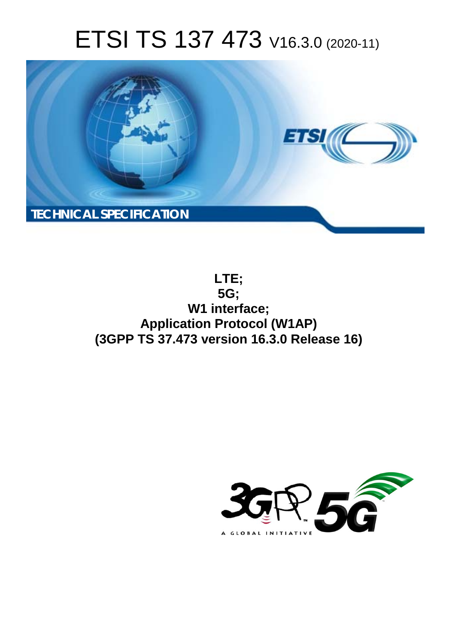# ETSI TS 137 473 V16.3.0 (2020-11)



**LTE; 5G; W1 interface; Application Protocol (W1AP) (3GPP TS 37.473 version 16.3.0 Release 16)** 

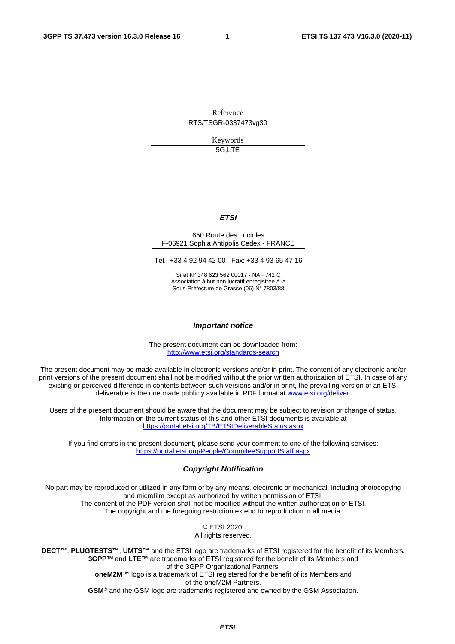Reference RTS/TSGR-0337473vg30

> Keywords 5G,LTE

### *ETSI*

#### 650 Route des Lucioles F-06921 Sophia Antipolis Cedex - FRANCE

Tel.: +33 4 92 94 42 00 Fax: +33 4 93 65 47 16

Siret N° 348 623 562 00017 - NAF 742 C Association à but non lucratif enregistrée à la Sous-Préfecture de Grasse (06) N° 7803/88

#### *Important notice*

The present document can be downloaded from: <http://www.etsi.org/standards-search>

The present document may be made available in electronic versions and/or in print. The content of any electronic and/or print versions of the present document shall not be modified without the prior written authorization of ETSI. In case of any existing or perceived difference in contents between such versions and/or in print, the prevailing version of an ETSI deliverable is the one made publicly available in PDF format at [www.etsi.org/deliver](http://www.etsi.org/deliver).

Users of the present document should be aware that the document may be subject to revision or change of status. Information on the current status of this and other ETSI documents is available at <https://portal.etsi.org/TB/ETSIDeliverableStatus.aspx>

If you find errors in the present document, please send your comment to one of the following services: <https://portal.etsi.org/People/CommiteeSupportStaff.aspx>

#### *Copyright Notification*

No part may be reproduced or utilized in any form or by any means, electronic or mechanical, including photocopying and microfilm except as authorized by written permission of ETSI. The content of the PDF version shall not be modified without the written authorization of ETSI. The copyright and the foregoing restriction extend to reproduction in all media.

> © ETSI 2020. All rights reserved.

**DECT™**, **PLUGTESTS™**, **UMTS™** and the ETSI logo are trademarks of ETSI registered for the benefit of its Members. **3GPP™** and **LTE™** are trademarks of ETSI registered for the benefit of its Members and of the 3GPP Organizational Partners. **oneM2M™** logo is a trademark of ETSI registered for the benefit of its Members and of the oneM2M Partners. **GSM®** and the GSM logo are trademarks registered and owned by the GSM Association.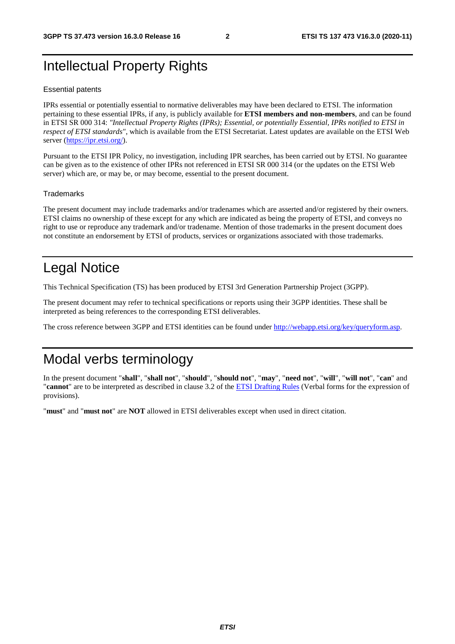# Intellectual Property Rights

#### Essential patents

IPRs essential or potentially essential to normative deliverables may have been declared to ETSI. The information pertaining to these essential IPRs, if any, is publicly available for **ETSI members and non-members**, and can be found in ETSI SR 000 314: *"Intellectual Property Rights (IPRs); Essential, or potentially Essential, IPRs notified to ETSI in respect of ETSI standards"*, which is available from the ETSI Secretariat. Latest updates are available on the ETSI Web server [\(https://ipr.etsi.org/](https://ipr.etsi.org/)).

Pursuant to the ETSI IPR Policy, no investigation, including IPR searches, has been carried out by ETSI. No guarantee can be given as to the existence of other IPRs not referenced in ETSI SR 000 314 (or the updates on the ETSI Web server) which are, or may be, or may become, essential to the present document.

#### **Trademarks**

The present document may include trademarks and/or tradenames which are asserted and/or registered by their owners. ETSI claims no ownership of these except for any which are indicated as being the property of ETSI, and conveys no right to use or reproduce any trademark and/or tradename. Mention of those trademarks in the present document does not constitute an endorsement by ETSI of products, services or organizations associated with those trademarks.

# Legal Notice

This Technical Specification (TS) has been produced by ETSI 3rd Generation Partnership Project (3GPP).

The present document may refer to technical specifications or reports using their 3GPP identities. These shall be interpreted as being references to the corresponding ETSI deliverables.

The cross reference between 3GPP and ETSI identities can be found under<http://webapp.etsi.org/key/queryform.asp>.

# Modal verbs terminology

In the present document "**shall**", "**shall not**", "**should**", "**should not**", "**may**", "**need not**", "**will**", "**will not**", "**can**" and "**cannot**" are to be interpreted as described in clause 3.2 of the [ETSI Drafting Rules](https://portal.etsi.org/Services/editHelp!/Howtostart/ETSIDraftingRules.aspx) (Verbal forms for the expression of provisions).

"**must**" and "**must not**" are **NOT** allowed in ETSI deliverables except when used in direct citation.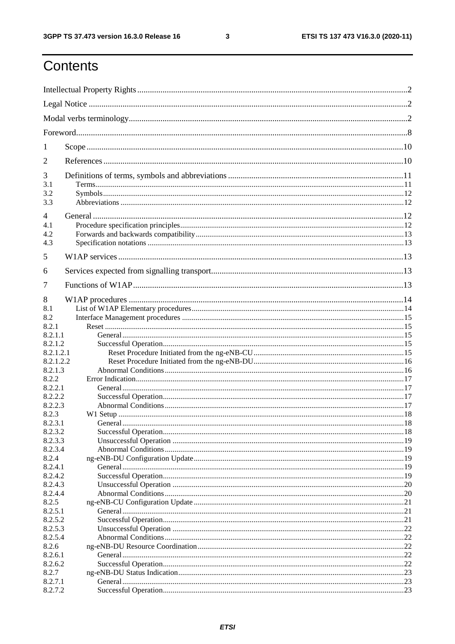$\mathbf{3}$ 

# Contents

| 1                      |  |  |  |
|------------------------|--|--|--|
| 2                      |  |  |  |
| 3                      |  |  |  |
| 3.1<br>3.2             |  |  |  |
| 3.3                    |  |  |  |
| $\overline{4}$         |  |  |  |
| 4.1                    |  |  |  |
| 4.2                    |  |  |  |
| 4.3                    |  |  |  |
| 5                      |  |  |  |
| 6                      |  |  |  |
| 7                      |  |  |  |
| 8                      |  |  |  |
| 8.1                    |  |  |  |
| 8.2                    |  |  |  |
| 8.2.1                  |  |  |  |
| 8.2.1.1                |  |  |  |
| 8.2.1.2                |  |  |  |
| 8.2.1.2.1<br>8.2.1.2.2 |  |  |  |
| 8.2.1.3                |  |  |  |
| 8.2.2                  |  |  |  |
| 8.2.2.1                |  |  |  |
| 8.2.2.2                |  |  |  |
| 8.2.2.3                |  |  |  |
| 8.2.3                  |  |  |  |
| 8.2.3.1                |  |  |  |
| 8.2.3.2                |  |  |  |
| 8.2.3.3<br>8.2.3.4     |  |  |  |
| 8.2.4                  |  |  |  |
| 8.2.4.1                |  |  |  |
| 8.2.4.2                |  |  |  |
| 8.2.4.3                |  |  |  |
| 8.2.4.4                |  |  |  |
| 8.2.5                  |  |  |  |
| 8.2.5.1                |  |  |  |
| 8.2.5.2                |  |  |  |
| 8.2.5.3<br>8.2.5.4     |  |  |  |
| 8.2.6                  |  |  |  |
| 8.2.6.1                |  |  |  |
| 8.2.6.2                |  |  |  |
| 8.2.7                  |  |  |  |
| 8.2.7.1                |  |  |  |
| 8.2.7.2                |  |  |  |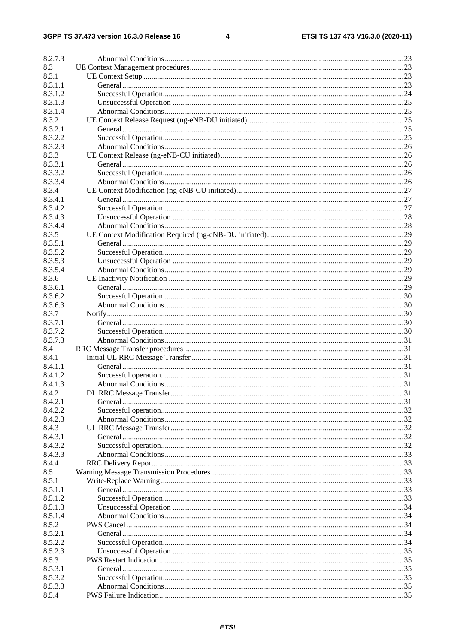$\overline{\mathbf{4}}$ 

| 8.2.7.3 |  |
|---------|--|
| 8.3     |  |
| 8.3.1   |  |
| 8.3.1.1 |  |
| 8.3.1.2 |  |
| 8.3.1.3 |  |
| 8.3.1.4 |  |
| 8.3.2   |  |
| 8.3.2.1 |  |
| 8.3.2.2 |  |
| 8.3.2.3 |  |
| 8.3.3   |  |
| 8.3.3.1 |  |
| 8.3.3.2 |  |
| 8.3.3.4 |  |
| 8.3.4   |  |
| 8.3.4.1 |  |
| 8.3.4.2 |  |
| 8.3.4.3 |  |
| 8.3.4.4 |  |
| 8.3.5   |  |
| 8.3.5.1 |  |
| 8.3.5.2 |  |
| 8.3.5.3 |  |
| 8.3.5.4 |  |
| 8.3.6   |  |
| 8.3.6.1 |  |
| 8.3.6.2 |  |
| 8.3.6.3 |  |
| 8.3.7   |  |
| 8.3.7.1 |  |
| 8.3.7.2 |  |
| 8.3.7.3 |  |
| 8.4     |  |
| 8.4.1   |  |
| 8.4.1.1 |  |
| 8.4.1.2 |  |
| 8.4.1.3 |  |
| 8.4.2   |  |
| 8.4.2.1 |  |
| 8.4.2.2 |  |
| 8.4.2.3 |  |
| 8.4.3   |  |
| 8.4.3.1 |  |
| 8.4.3.2 |  |
| 8.4.3.3 |  |
| 8.4.4   |  |
| 8.5     |  |
| 8.5.1   |  |
| 8.5.1.1 |  |
| 8.5.1.2 |  |
| 8.5.1.3 |  |
| 8.5.1.4 |  |
| 8.5.2   |  |
| 8.5.2.1 |  |
| 8.5.2.2 |  |
| 8.5.2.3 |  |
| 8.5.3   |  |
| 8.5.3.1 |  |
| 8.5.3.2 |  |
| 8.5.3.3 |  |
| 8.5.4   |  |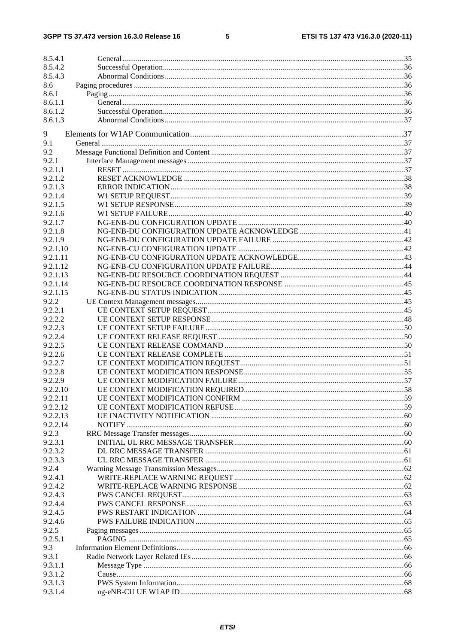### $5\phantom{a}$

| 8.5.4.1  |  |
|----------|--|
| 8.5.4.2  |  |
| 8.5.4.3  |  |
| 8.6      |  |
| 8.6.1    |  |
| 8.6.1.1  |  |
| 8.6.1.2  |  |
| 8.6.1.3  |  |
|          |  |
| 9        |  |
| 9.1      |  |
| 9.2      |  |
| 9.2.1    |  |
| 9.2.1.1  |  |
| 9.2.1.2  |  |
| 9.2.1.3  |  |
| 9.2.1.4  |  |
| 9.2.1.5  |  |
|          |  |
| 9.2.1.6  |  |
| 9.2.1.7  |  |
| 9.2.1.8  |  |
| 9.2.1.9  |  |
| 9.2.1.10 |  |
| 9.2.1.11 |  |
| 9.2.1.12 |  |
| 9.2.1.13 |  |
| 9.2.1.14 |  |
| 9.2.1.15 |  |
| 9.2.2    |  |
| 9.2.2.1  |  |
| 9.2.2.2  |  |
| 9.2.2.3  |  |
| 9.2.2.4  |  |
|          |  |
| 9.2.2.5  |  |
| 9.2.2.6  |  |
| 9.2.2.7  |  |
| 9.2.2.8  |  |
| 9.2.2.9  |  |
| 9.2.2.10 |  |
| 9.2.2.11 |  |
| 9.2.2.12 |  |
| 9.2.2.13 |  |
| 9.2.2.14 |  |
| 9.2.3    |  |
| 9.2.3.1  |  |
| 9.2.3.2  |  |
| 9.2.3.3  |  |
| 9.2.4    |  |
| 9.2.4.1  |  |
| 9.2.4.2  |  |
| 9.2.4.3  |  |
|          |  |
| 9.2.4.4  |  |
| 9.2.4.5  |  |
| 9.2.4.6  |  |
| 9.2.5    |  |
| 9.2.5.1  |  |
| 9.3      |  |
| 9.3.1    |  |
| 9.3.1.1  |  |
| 9.3.1.2  |  |
| 9.3.1.3  |  |
| 9.3.1.4  |  |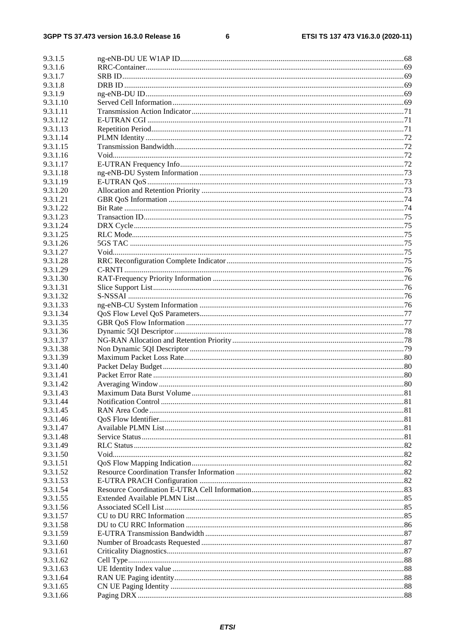$\bf 6$ 

| 9.3.1.5              |  |
|----------------------|--|
| 9.3.1.6              |  |
| 9.3.1.7              |  |
| 9.3.1.8              |  |
| 9.3.1.9              |  |
| 9.3.1.10             |  |
| 9.3.1.11             |  |
| 9.3.1.12             |  |
| 9.3.1.13             |  |
| 9.3.1.14             |  |
| 9.3.1.15             |  |
| 9.3.1.16             |  |
| 9.3.1.17             |  |
| 9.3.1.18<br>9.3.1.19 |  |
| 9.3.1.20             |  |
| 9.3.1.21             |  |
| 9.3.1.22             |  |
| 9.3.1.23             |  |
| 9.3.1.24             |  |
| 9.3.1.25             |  |
| 9.3.1.26             |  |
| 9.3.1.27             |  |
| 9.3.1.28             |  |
| 9.3.1.29             |  |
| 9.3.1.30             |  |
| 9.3.1.31             |  |
| 9.3.1.32             |  |
| 9.3.1.33             |  |
| 9.3.1.34             |  |
| 9.3.1.35             |  |
| 9.3.1.36             |  |
| 9.3.1.37             |  |
| 9.3.1.38             |  |
| 9.3.1.39<br>9.3.1.40 |  |
| 9.3.1.41             |  |
| 9.3.1.42             |  |
| 9.3.1.43             |  |
| 9.3.1.44             |  |
| 9.3.1.45             |  |
| 9.3.1.46             |  |
| 9.3.1.47             |  |
| 9.3.1.48             |  |
| 9.3.1.49             |  |
| 9.3.1.50             |  |
| 9.3.1.51             |  |
| 9.3.1.52             |  |
| 9.3.1.53             |  |
| 9.3.1.54             |  |
| 9.3.1.55             |  |
| 9.3.1.56             |  |
| 9.3.1.57             |  |
| 9.3.1.58<br>9.3.1.59 |  |
| 9.3.1.60             |  |
| 9.3.1.61             |  |
| 9.3.1.62             |  |
| 9.3.1.63             |  |
| 9.3.1.64             |  |
| 9.3.1.65             |  |
| 9.3.1.66             |  |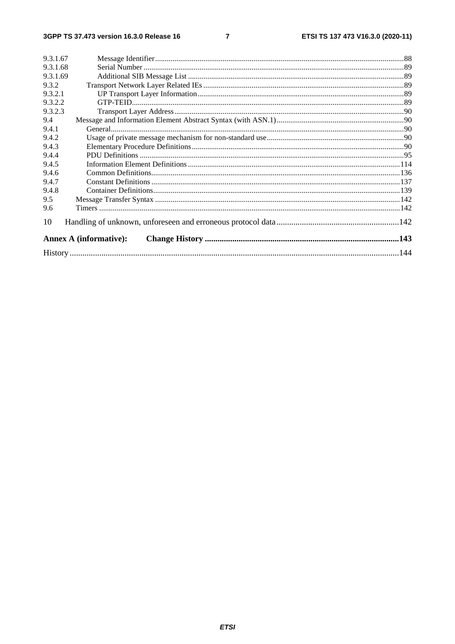$\overline{7}$ 

| 9.3.1.67 |                               |  |
|----------|-------------------------------|--|
| 9.3.1.68 |                               |  |
| 9.3.1.69 |                               |  |
| 9.3.2    |                               |  |
| 9.3.2.1  |                               |  |
| 9.3.2.2  |                               |  |
| 9.3.2.3  |                               |  |
| 9.4      |                               |  |
| 9.4.1    |                               |  |
| 9.4.2    |                               |  |
| 9.4.3    |                               |  |
| 9.4.4    |                               |  |
| 9.4.5    |                               |  |
| 9.4.6    |                               |  |
| 9.4.7    |                               |  |
| 9.4.8    |                               |  |
| 9.5      |                               |  |
| 9.6      |                               |  |
| 10       |                               |  |
|          | <b>Annex A (informative):</b> |  |
|          |                               |  |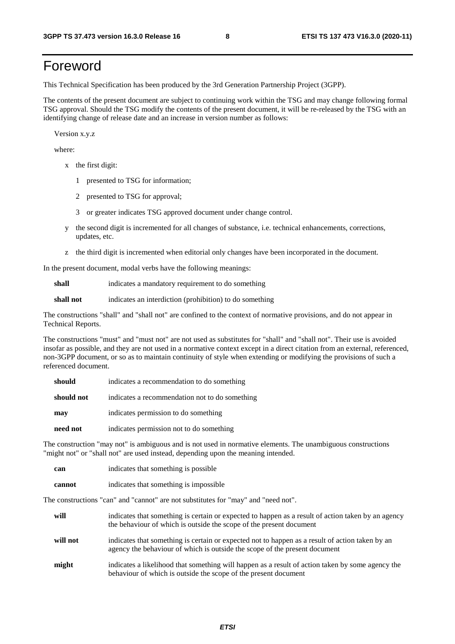# Foreword

This Technical Specification has been produced by the 3rd Generation Partnership Project (3GPP).

The contents of the present document are subject to continuing work within the TSG and may change following formal TSG approval. Should the TSG modify the contents of the present document, it will be re-released by the TSG with an identifying change of release date and an increase in version number as follows:

Version x.y.z

where:

- x the first digit:
	- 1 presented to TSG for information;
	- 2 presented to TSG for approval;
	- 3 or greater indicates TSG approved document under change control.
- y the second digit is incremented for all changes of substance, i.e. technical enhancements, corrections, updates, etc.
- z the third digit is incremented when editorial only changes have been incorporated in the document.

In the present document, modal verbs have the following meanings:

**shall** indicates a mandatory requirement to do something

**shall not** indicates an interdiction (prohibition) to do something

The constructions "shall" and "shall not" are confined to the context of normative provisions, and do not appear in Technical Reports.

The constructions "must" and "must not" are not used as substitutes for "shall" and "shall not". Their use is avoided insofar as possible, and they are not used in a normative context except in a direct citation from an external, referenced, non-3GPP document, or so as to maintain continuity of style when extending or modifying the provisions of such a referenced document.

| should     | indicates a recommendation to do something     |
|------------|------------------------------------------------|
| should not | indicates a recommendation not to do something |
| may        | indicates permission to do something           |
| need not   | indicates permission not to do something       |

The construction "may not" is ambiguous and is not used in normative elements. The unambiguous constructions "might not" or "shall not" are used instead, depending upon the meaning intended.

| can    | indicates that something is possible   |
|--------|----------------------------------------|
| cannot | indicates that something is impossible |

The constructions "can" and "cannot" are not substitutes for "may" and "need not".

| will     | indicates that something is certain or expected to happen as a result of action taken by an agency<br>the behaviour of which is outside the scope of the present document     |
|----------|-------------------------------------------------------------------------------------------------------------------------------------------------------------------------------|
| will not | indicates that something is certain or expected not to happen as a result of action taken by an<br>agency the behaviour of which is outside the scope of the present document |
| might    | indicates a likelihood that something will happen as a result of action taken by some agency the<br>behaviour of which is outside the scope of the present document           |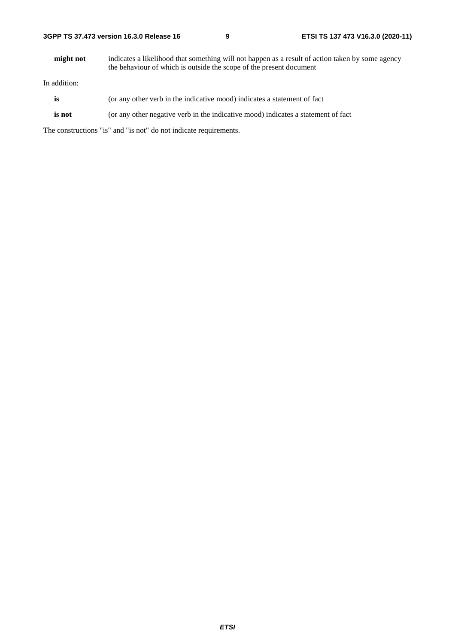| 3GPP TS 37.473 version 16.3.0 Release 16 |  |
|------------------------------------------|--|
|------------------------------------------|--|

**might not** indicates a likelihood that something will not happen as a result of action taken by some agency the behaviour of which is outside the scope of the present document

In addition:

- is (or any other verb in the indicative mood) indicates a statement of fact
- **is not** (or any other negative verb in the indicative mood) indicates a statement of fact

The constructions "is" and "is not" do not indicate requirements.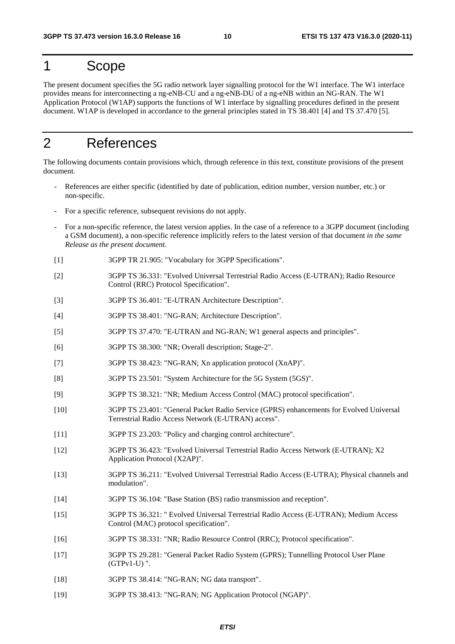# 1 Scope

The present document specifies the 5G radio network layer signalling protocol for the W1 interface. The W1 interface provides means for interconnecting a ng-eNB-CU and a ng-eNB-DU of a ng-eNB within an NG-RAN. The W1 Application Protocol (W1AP) supports the functions of W1 interface by signalling procedures defined in the present document. W1AP is developed in accordance to the general principles stated in TS 38.401 [4] and TS 37.470 [5].

# 2 References

The following documents contain provisions which, through reference in this text, constitute provisions of the present document.

- References are either specific (identified by date of publication, edition number, version number, etc.) or non-specific.
- For a specific reference, subsequent revisions do not apply.
- For a non-specific reference, the latest version applies. In the case of a reference to a 3GPP document (including a GSM document), a non-specific reference implicitly refers to the latest version of that document *in the same Release as the present document*.
- [1] 3GPP TR 21.905: "Vocabulary for 3GPP Specifications".
- [2] 3GPP TS 36.331: "Evolved Universal Terrestrial Radio Access (E-UTRAN); Radio Resource Control (RRC) Protocol Specification".
- [3] 3GPP TS 36.401: "E-UTRAN Architecture Description".
- [4] 3GPP TS 38.401: "NG-RAN; Architecture Description".
- [5] 3GPP TS 37.470: "E-UTRAN and NG-RAN; W1 general aspects and principles".
- [6] 3GPP TS 38.300: "NR; Overall description; Stage-2".
- [7] 3GPP TS 38.423: "NG-RAN; Xn application protocol (XnAP)".
- [8] 3GPP TS 23.501: "System Architecture for the 5G System (5GS)".
- [9] 3GPP TS 38.321: "NR; Medium Access Control (MAC) protocol specification".
- [10] 3GPP TS 23.401: "General Packet Radio Service (GPRS) enhancements for Evolved Universal Terrestrial Radio Access Network (E-UTRAN) access".
- [11] 3GPP TS 23.203: "Policy and charging control architecture".
- [12] 3GPP TS 36.423: "Evolved Universal Terrestrial Radio Access Network (E-UTRAN); X2 Application Protocol (X2AP)".
- [13] 3GPP TS 36.211: "Evolved Universal Terrestrial Radio Access (E-UTRA); Physical channels and modulation".
- [14] 3GPP TS 36.104: "Base Station (BS) radio transmission and reception".
- [15] 3GPP TS 36.321: " Evolved Universal Terrestrial Radio Access (E-UTRAN); Medium Access Control (MAC) protocol specification".
- [16] 3GPP TS 38.331: "NR; Radio Resource Control (RRC); Protocol specification".
- [17] 3GPP TS 29.281: "General Packet Radio System (GPRS); Tunnelling Protocol User Plane (GTPv1-U) ".
- [18] 3GPP TS 38.414: "NG-RAN; NG data transport".
- [19] 3GPP TS 38.413: "NG-RAN; NG Application Protocol (NGAP)".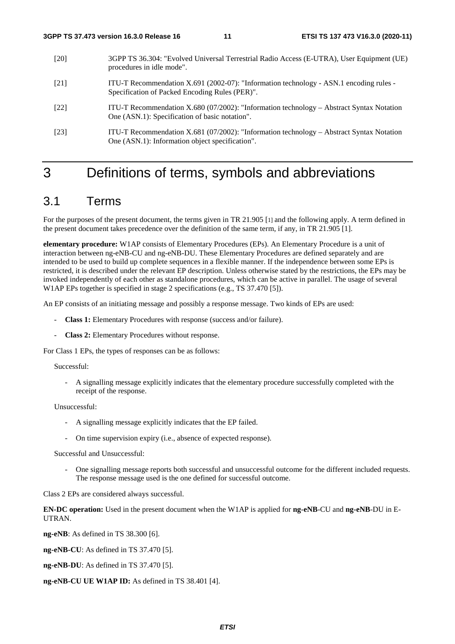- [20] 3GPP TS 36.304: "Evolved Universal Terrestrial Radio Access (E-UTRA), User Equipment (UE) procedures in idle mode".
- [21] ITU-T Recommendation X.691 (2002-07): "Information technology ASN.1 encoding rules Specification of Packed Encoding Rules (PER)".
- [22] ITU-T Recommendation X.680 (07/2002): "Information technology Abstract Syntax Notation One (ASN.1): Specification of basic notation".
- [23] ITU-T Recommendation X.681 (07/2002): "Information technology Abstract Syntax Notation One (ASN.1): Information object specification".

# 3 Definitions of terms, symbols and abbreviations

# 3.1 Terms

For the purposes of the present document, the terms given in TR 21.905 [1] and the following apply. A term defined in the present document takes precedence over the definition of the same term, if any, in TR 21.905 [1].

**elementary procedure:** W1AP consists of Elementary Procedures (EPs). An Elementary Procedure is a unit of interaction between ng-eNB-CU and ng-eNB-DU. These Elementary Procedures are defined separately and are intended to be used to build up complete sequences in a flexible manner. If the independence between some EPs is restricted, it is described under the relevant EP description. Unless otherwise stated by the restrictions, the EPs may be invoked independently of each other as standalone procedures, which can be active in parallel. The usage of several W1AP EPs together is specified in stage 2 specifications (e.g., TS 37.470 [5]).

An EP consists of an initiating message and possibly a response message. Two kinds of EPs are used:

- **Class 1:** Elementary Procedures with response (success and/or failure).
- **Class 2:** Elementary Procedures without response.

For Class 1 EPs, the types of responses can be as follows:

#### Successful:

- A signalling message explicitly indicates that the elementary procedure successfully completed with the receipt of the response.

Unsuccessful:

- A signalling message explicitly indicates that the EP failed.
- On time supervision expiry (i.e., absence of expected response).

Successful and Unsuccessful:

- One signalling message reports both successful and unsuccessful outcome for the different included requests. The response message used is the one defined for successful outcome.

Class 2 EPs are considered always successful.

**EN-DC operation:** Used in the present document when the W1AP is applied for **ng-eNB**-CU and **ng-eNB**-DU in E-UTRAN.

**ng-eNB**: As defined in TS 38.300 [6].

**ng-eNB-CU**: As defined in TS 37.470 [5].

**ng-eNB-DU**: As defined in TS 37.470 [5].

**ng-eNB-CU UE W1AP ID:** As defined in TS 38.401 [4].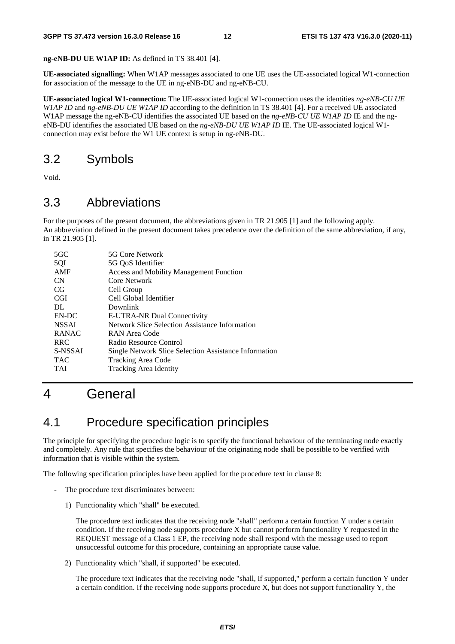**ng-eNB-DU UE W1AP ID:** As defined in TS 38.401 [4].

**UE-associated signalling:** When W1AP messages associated to one UE uses the UE-associated logical W1-connection for association of the message to the UE in ng-eNB-DU and ng-eNB-CU.

**UE-associated logical W1-connection:** The UE-associated logical W1-connection uses the identities *ng-eNB-CU UE W1AP ID* and *ng-eNB-DU UE W1AP ID* according to the definition in TS 38.401 [4]. For a received UE associated W1AP message the ng-eNB-CU identifies the associated UE based on the *ng-eNB-CU UE W1AP ID* IE and the ngeNB-DU identifies the associated UE based on the *ng-eNB-DU UE W1AP ID* IE*.* The UE-associated logical W1 connection may exist before the W1 UE context is setup in ng-eNB-DU.

# 3.2 Symbols

Void.

# 3.3 Abbreviations

For the purposes of the present document, the abbreviations given in TR 21.905 [1] and the following apply. An abbreviation defined in the present document takes precedence over the definition of the same abbreviation, if any, in TR 21.905 [1].

| $5 \text{G} \text{C}$ | 5G Core Network                                       |
|-----------------------|-------------------------------------------------------|
| 5QI                   | 5G OoS Identifier                                     |
| AMF                   | <b>Access and Mobility Management Function</b>        |
| <b>CN</b>             | Core Network                                          |
| CG                    | Cell Group                                            |
| <b>CGI</b>            | Cell Global Identifier                                |
| DL                    | Downlink                                              |
| EN-DC                 | E-UTRA-NR Dual Connectivity                           |
| <b>NSSAI</b>          | Network Slice Selection Assistance Information        |
| <b>RANAC</b>          | RAN Area Code                                         |
| <b>RRC</b>            | Radio Resource Control                                |
| S-NSSAI               | Single Network Slice Selection Assistance Information |
| <b>TAC</b>            | <b>Tracking Area Code</b>                             |
| <b>TAI</b>            | Tracking Area Identity                                |
|                       |                                                       |

# 4 General

# 4.1 Procedure specification principles

The principle for specifying the procedure logic is to specify the functional behaviour of the terminating node exactly and completely. Any rule that specifies the behaviour of the originating node shall be possible to be verified with information that is visible within the system.

The following specification principles have been applied for the procedure text in clause 8:

- The procedure text discriminates between:
	- 1) Functionality which "shall" be executed.

 The procedure text indicates that the receiving node "shall" perform a certain function Y under a certain condition. If the receiving node supports procedure X but cannot perform functionality Y requested in the REQUEST message of a Class 1 EP, the receiving node shall respond with the message used to report unsuccessful outcome for this procedure, containing an appropriate cause value.

2) Functionality which "shall, if supported" be executed.

 The procedure text indicates that the receiving node "shall, if supported," perform a certain function Y under a certain condition. If the receiving node supports procedure X, but does not support functionality Y, the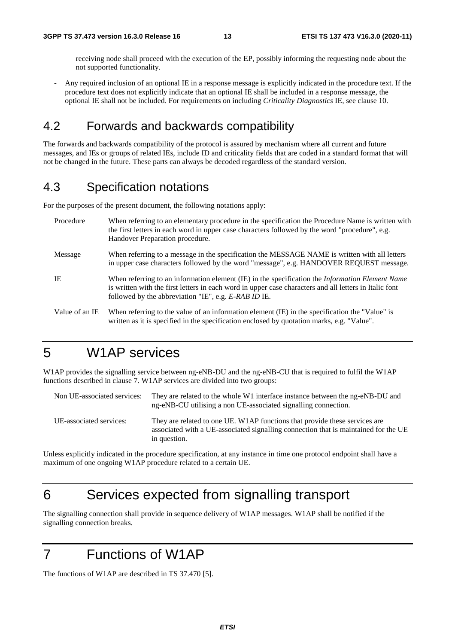receiving node shall proceed with the execution of the EP, possibly informing the requesting node about the not supported functionality.

- Any required inclusion of an optional IE in a response message is explicitly indicated in the procedure text. If the procedure text does not explicitly indicate that an optional IE shall be included in a response message, the optional IE shall not be included. For requirements on including *Criticality Diagnostics* IE, see clause 10.

# 4.2 Forwards and backwards compatibility

The forwards and backwards compatibility of the protocol is assured by mechanism where all current and future messages, and IEs or groups of related IEs, include ID and criticality fields that are coded in a standard format that will not be changed in the future. These parts can always be decoded regardless of the standard version.

# 4.3 Specification notations

For the purposes of the present document, the following notations apply:

| Procedure      | When referring to an elementary procedure in the specification the Procedure Name is written with<br>the first letters in each word in upper case characters followed by the word "procedure", e.g.<br>Handover Preparation procedure.                                   |
|----------------|--------------------------------------------------------------------------------------------------------------------------------------------------------------------------------------------------------------------------------------------------------------------------|
| Message        | When referring to a message in the specification the MESSAGE NAME is written with all letters<br>in upper case characters followed by the word "message", e.g. HANDOVER REQUEST message.                                                                                 |
| IE             | When referring to an information element (IE) in the specification the <i>Information Element Name</i><br>is written with the first letters in each word in upper case characters and all letters in Italic font<br>followed by the abbreviation "IE", e.g. E-RAB ID IE. |
| Value of an IE | When referring to the value of an information element (IE) in the specification the "Value" is<br>written as it is specified in the specification enclosed by quotation marks, e.g. "Value".                                                                             |

# 5 W1AP services

W1AP provides the signalling service between ng-eNB-DU and the ng-eNB-CU that is required to fulfil the W1AP functions described in clause 7. W1AP services are divided into two groups:

| Non UE-associated services: | They are related to the whole W1 interface instance between the ng-eNB-DU and<br>ng-eNB-CU utilising a non UE-associated signalling connection.                                   |
|-----------------------------|-----------------------------------------------------------------------------------------------------------------------------------------------------------------------------------|
| UE-associated services:     | They are related to one UE. W1AP functions that provide these services are<br>associated with a UE-associated signalling connection that is maintained for the UE<br>in question. |

Unless explicitly indicated in the procedure specification, at any instance in time one protocol endpoint shall have a maximum of one ongoing W1AP procedure related to a certain UE.

# 6 Services expected from signalling transport

The signalling connection shall provide in sequence delivery of W1AP messages. W1AP shall be notified if the signalling connection breaks.

# 7 Functions of W1AP

The functions of W1AP are described in TS 37.470 [5].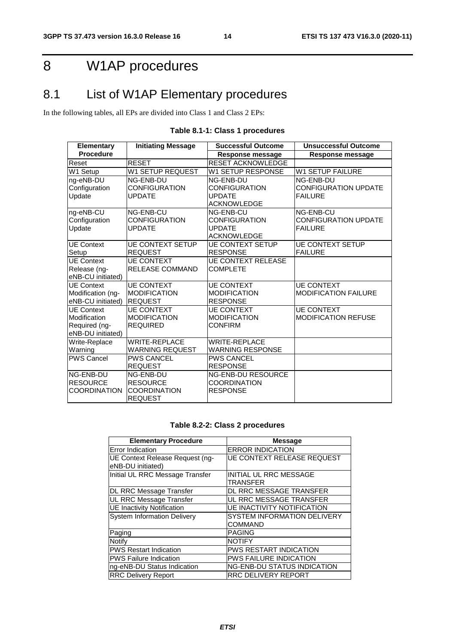# 8 W1AP procedures

# 8.1 List of W1AP Elementary procedures

In the following tables, all EPs are divided into Class 1 and Class 2 EPs:

| <b>Elementary</b>    | <b>Initiating Message</b> | <b>Successful Outcome</b> | <b>Unsuccessful Outcome</b> |
|----------------------|---------------------------|---------------------------|-----------------------------|
| <b>Procedure</b>     |                           | <b>Response message</b>   | Response message            |
| Reset                | <b>RESET</b>              | <b>RESET ACKNOWLEDGE</b>  |                             |
| W1 Setup             | <b>W1 SETUP REQUEST</b>   | W1 SETUP RESPONSE         | <b>W1 SETUP FAILURE</b>     |
| ng-eNB-DU            | NG-ENB-DU                 | NG-ENB-DU                 | NG-ENB-DU                   |
| Configuration        | <b>CONFIGURATION</b>      | CONFIGURATION             | <b>CONFIGURATION UPDATE</b> |
| Update               | <b>UPDATE</b>             | <b>UPDATE</b>             | <b>FAILURE</b>              |
|                      |                           | <b>ACKNOWLEDGE</b>        |                             |
| ng-eNB-CU            | NG-ENB-CU                 | NG-ENB-CU                 | NG-ENB-CU                   |
| Configuration        | <b>CONFIGURATION</b>      | <b>CONFIGURATION</b>      | <b>CONFIGURATION UPDATE</b> |
| <b>Update</b>        | <b>UPDATE</b>             | <b>UPDATE</b>             | <b>FAILURE</b>              |
|                      |                           | <b>ACKNOWLEDGE</b>        |                             |
| <b>UE Context</b>    | <b>UE CONTEXT SETUP</b>   | <b>UE CONTEXT SETUP</b>   | <b>UE CONTEXT SETUP</b>     |
| Setup                | <b>REQUEST</b>            | <b>RESPONSE</b>           | <b>FAILURE</b>              |
| UE Context           | <b>UE CONTEXT</b>         | <b>UE CONTEXT RELEASE</b> |                             |
| Release (ng-         | <b>RELEASE COMMAND</b>    | <b>COMPLETE</b>           |                             |
| eNB-CU initiated)    |                           |                           |                             |
| UE Context           | <b>UE CONTEXT</b>         | <b>UE CONTEXT</b>         | <b>UE CONTEXT</b>           |
| Modification (ng-    | <b>MODIFICATION</b>       | <b>MODIFICATION</b>       | MODIFICATION FAILURE        |
| eNB-CU initiated)    | <b>REQUEST</b>            | <b>RESPONSE</b>           |                             |
| <b>UE Context</b>    | <b>UE CONTEXT</b>         | <b>UE CONTEXT</b>         | <b>UE CONTEXT</b>           |
| Modification         | <b>MODIFICATION</b>       | <b>MODIFICATION</b>       | <b>MODIFICATION REFUSE</b>  |
| Required (ng-        | <b>REQUIRED</b>           | <b>CONFIRM</b>            |                             |
| eNB-DU initiated)    |                           |                           |                             |
| Write-Replace        | <b>WRITE-REPLACE</b>      | <b>WRITE-REPLACE</b>      |                             |
| Warning              | <b>WARNING REQUEST</b>    | <b>WARNING RESPONSE</b>   |                             |
| <b>IPWS Cancel</b>   | <b>PWS CANCEL</b>         | <b>PWS CANCEL</b>         |                             |
|                      | <b>REQUEST</b>            | <b>RESPONSE</b>           |                             |
| NG-ENB-DU            | NG-ENB-DU                 | <b>NG-ENB-DU RESOURCE</b> |                             |
| <b>RESOURCE</b>      | <b>RESOURCE</b>           | <b>COORDINATION</b>       |                             |
| <b>ICOORDINATION</b> | <b>COORDINATION</b>       | <b>RESPONSE</b>           |                             |
|                      | <b>REQUEST</b>            |                           |                             |

### **Table 8.1-1: Class 1 procedures**

### **Table 8.2-2: Class 2 procedures**

| <b>Elementary Procedure</b>                          | <b>Message</b>                                |
|------------------------------------------------------|-----------------------------------------------|
| Error Indication                                     | <b>ERROR INDICATION</b>                       |
| UE Context Release Request (ng-<br>eNB-DU initiated) | <b>UE CONTEXT RELEASE REQUEST</b>             |
| Initial UL RRC Message Transfer                      | <b>INITIAL UL RRC MESSAGE</b><br>TRANSFER     |
| DL RRC Message Transfer                              | DL RRC MESSAGE TRANSFER                       |
| UL RRC Message Transfer                              | UL RRC MESSAGE TRANSFER                       |
| <b>UE Inactivity Notification</b>                    | <b>UE INACTIVITY NOTIFICATION</b>             |
| <b>System Information Delivery</b>                   | <b>SYSTEM INFORMATION DELIVERY</b><br>COMMAND |
| Paging                                               | <b>PAGING</b>                                 |
| Notify                                               | <b>NOTIFY</b>                                 |
| <b>PWS Restart Indication</b>                        | <b>PWS RESTART INDICATION</b>                 |
| <b>PWS Failure Indication</b>                        | <b>PWS FAILURE INDICATION</b>                 |
| ng-eNB-DU Status Indication                          | <b>NG-ENB-DU STATUS INDICATION</b>            |
| <b>RRC Delivery Report</b>                           | <b>RRC DELIVERY REPORT</b>                    |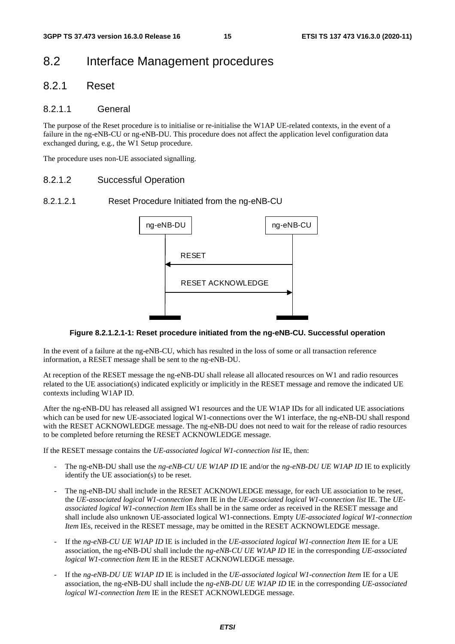# 8.2 Interface Management procedures

### 8.2.1 Reset

### 8.2.1.1 General

The purpose of the Reset procedure is to initialise or re-initialise the W1AP UE-related contexts, in the event of a failure in the ng-eNB-CU or ng-eNB-DU. This procedure does not affect the application level configuration data exchanged during, e.g., the W1 Setup procedure.

The procedure uses non-UE associated signalling.

### 8.2.1.2 Successful Operation

### 8.2.1.2.1 Reset Procedure Initiated from the ng-eNB-CU



#### **Figure 8.2.1.2.1-1: Reset procedure initiated from the ng-eNB-CU. Successful operation**

In the event of a failure at the ng-eNB-CU, which has resulted in the loss of some or all transaction reference information, a RESET message shall be sent to the ng-eNB-DU.

At reception of the RESET message the ng-eNB-DU shall release all allocated resources on W1 and radio resources related to the UE association(s) indicated explicitly or implicitly in the RESET message and remove the indicated UE contexts including W1AP ID.

After the ng-eNB-DU has released all assigned W1 resources and the UE W1AP IDs for all indicated UE associations which can be used for new UE-associated logical W1-connections over the W1 interface, the ng-eNB-DU shall respond with the RESET ACKNOWLEDGE message. The ng-eNB-DU does not need to wait for the release of radio resources to be completed before returning the RESET ACKNOWLEDGE message.

If the RESET message contains the *UE-associated logical W1-connection list* IE, then:

- The ng-eNB-DU shall use the *ng-eNB-CU UE W1AP ID* IE and/or the *ng-eNB-DU UE W1AP ID* IE to explicitly identify the UE association(s) to be reset.
- The ng-eNB-DU shall include in the RESET ACKNOWLEDGE message, for each UE association to be reset. the *UE-associated logical W1-connection Item* IE in the *UE-associated logical W1-connection list* IE. The *UEassociated logical W1-connection Item* IEs shall be in the same order as received in the RESET message and shall include also unknown UE-associated logical W1-connections. Empty *UE-associated logical W1-connection Item* IEs, received in the RESET message, may be omitted in the RESET ACKNOWLEDGE message.
- If the *ng-eNB-CU UE W1AP ID* IE is included in the *UE-associated logical W1-connection Item* IE for a UE association, the ng-eNB-DU shall include the *ng-eNB-CU UE W1AP ID* IE in the corresponding *UE-associated logical W1-connection Item* IE in the RESET ACKNOWLEDGE message.
- If the *ng-eNB-DU UE W1AP ID* IE is included in the *UE-associated logical W1-connection Item* IE for a UE association, the ng-eNB-DU shall include the *ng-eNB-DU UE W1AP ID* IE in the corresponding *UE-associated logical W1-connection Item* IE in the RESET ACKNOWLEDGE message.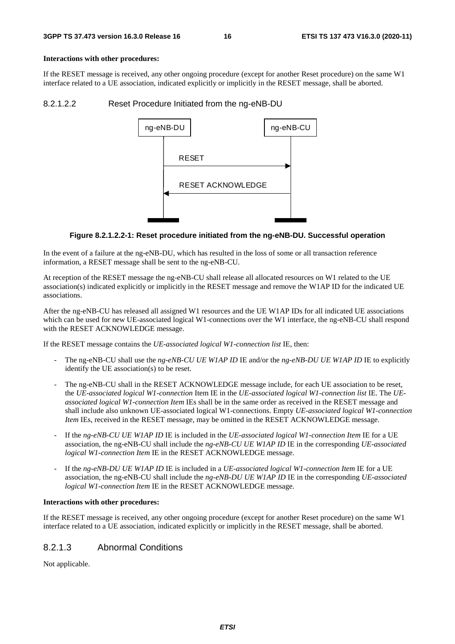#### **Interactions with other procedures:**

If the RESET message is received, any other ongoing procedure (except for another Reset procedure) on the same W1 interface related to a UE association, indicated explicitly or implicitly in the RESET message, shall be aborted.

#### 8.2.1.2.2 Reset Procedure Initiated from the ng-eNB-DU



#### **Figure 8.2.1.2.2-1: Reset procedure initiated from the ng-eNB-DU. Successful operation**

In the event of a failure at the ng-eNB-DU, which has resulted in the loss of some or all transaction reference information, a RESET message shall be sent to the ng-eNB-CU.

At reception of the RESET message the ng-eNB-CU shall release all allocated resources on W1 related to the UE association(s) indicated explicitly or implicitly in the RESET message and remove the W1AP ID for the indicated UE associations.

After the ng-eNB-CU has released all assigned W1 resources and the UE W1AP IDs for all indicated UE associations which can be used for new UE-associated logical W1-connections over the W1 interface, the ng-eNB-CU shall respond with the RESET ACKNOWLEDGE message.

If the RESET message contains the *UE-associated logical W1-connection list* IE, then:

- The ng-eNB-CU shall use the *ng-eNB-CU UE W1AP ID* IE and/or the *ng-eNB-DU UE W1AP ID* IE to explicitly identify the UE association(s) to be reset.
- The ng-eNB-CU shall in the RESET ACKNOWLEDGE message include, for each UE association to be reset, the *UE-associated logical W1-connection* Item IE in the *UE-associated logical W1-connection list* IE. The *UEassociated logical W1-connection Item* IEs shall be in the same order as received in the RESET message and shall include also unknown UE-associated logical W1-connections. Empty *UE-associated logical W1-connection Item* IEs, received in the RESET message, may be omitted in the RESET ACKNOWLEDGE message.
- If the *ng-eNB-CU UE W1AP ID* IE is included in the *UE-associated logical W1-connection Item* IE for a UE association, the ng-eNB-CU shall include the *ng-eNB-CU UE W1AP ID* IE in the corresponding *UE-associated logical W1-connection Item* IE in the RESET ACKNOWLEDGE message.
- If the *ng-eNB-DU UE W1AP ID* IE is included in a *UE-associated logical W1-connection Item* IE for a UE association, the ng-eNB-CU shall include the *ng-eNB-DU UE W1AP ID* IE in the corresponding *UE-associated logical W1-connection Item* IE in the RESET ACKNOWLEDGE message.

#### **Interactions with other procedures:**

If the RESET message is received, any other ongoing procedure (except for another Reset procedure) on the same W1 interface related to a UE association, indicated explicitly or implicitly in the RESET message, shall be aborted.

### 8.2.1.3 Abnormal Conditions

Not applicable.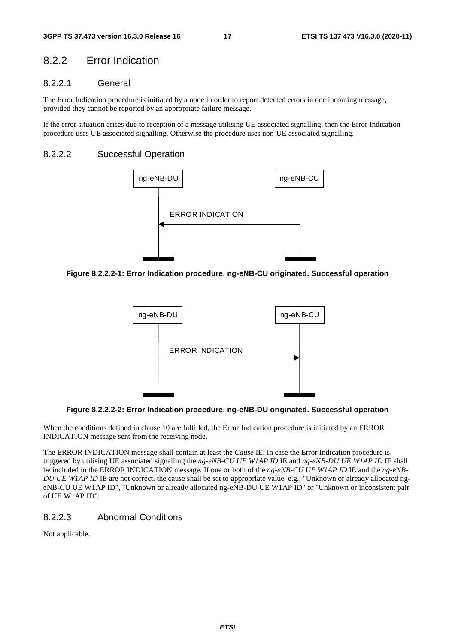### 8.2.2 Error Indication

### 8.2.2.1 General

The Error Indication procedure is initiated by a node in order to report detected errors in one incoming message, provided they cannot be reported by an appropriate failure message.

If the error situation arises due to reception of a message utilising UE associated signalling, then the Error Indication procedure uses UE associated signalling. Otherwise the procedure uses non-UE associated signalling.

### 8.2.2.2 Successful Operation



**Figure 8.2.2.2-1: Error Indication procedure, ng-eNB-CU originated. Successful operation** 



**Figure 8.2.2.2-2: Error Indication procedure, ng-eNB-DU originated. Successful operation** 

When the conditions defined in clause 10 are fulfilled, the Error Indication procedure is initiated by an ERROR INDICATION message sent from the receiving node.

The ERROR INDICATION message shall contain at least the *Cause* IE. In case the Error Indication procedure is triggered by utilising UE associated signalling the *ng-eNB-CU UE W1AP ID* IE and *ng-eNB-DU UE W1AP ID* IE shall be included in the ERROR INDICATION message. If one or both of the *ng-eNB-CU UE W1AP ID* IE and the *ng-eNB-DU UE WIAP ID* IE are not correct, the cause shall be set to appropriate value, e.g., "Unknown or already allocated ngeNB-CU UE W1AP ID", "Unknown or already allocated ng-eNB-DU UE W1AP ID" or "Unknown or inconsistent pair of UE W1AP ID".

### 8.2.2.3 Abnormal Conditions

Not applicable.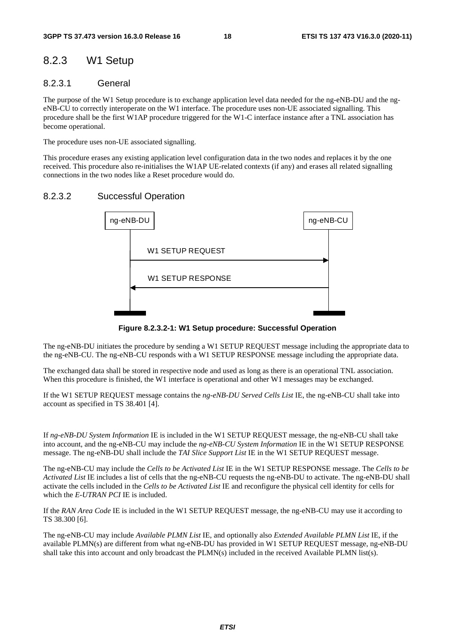# 8.2.3 W1 Setup

### 8.2.3.1 General

The purpose of the W1 Setup procedure is to exchange application level data needed for the ng-eNB-DU and the ngeNB-CU to correctly interoperate on the W1 interface. The procedure uses non-UE associated signalling. This procedure shall be the first W1AP procedure triggered for the W1-C interface instance after a TNL association has become operational.

The procedure uses non-UE associated signalling.

This procedure erases any existing application level configuration data in the two nodes and replaces it by the one received. This procedure also re-initialises the W1AP UE-related contexts (if any) and erases all related signalling connections in the two nodes like a Reset procedure would do.

### 8.2.3.2 Successful Operation



**Figure 8.2.3.2-1: W1 Setup procedure: Successful Operation** 

The ng-eNB-DU initiates the procedure by sending a W1 SETUP REQUEST message including the appropriate data to the ng-eNB-CU. The ng-eNB-CU responds with a W1 SETUP RESPONSE message including the appropriate data.

The exchanged data shall be stored in respective node and used as long as there is an operational TNL association. When this procedure is finished, the W1 interface is operational and other W1 messages may be exchanged.

If the W1 SETUP REQUEST message contains the *ng-eNB-DU Served Cells List* IE, the ng-eNB-CU shall take into account as specified in TS 38.401 [4].

If *ng-eNB-DU System Information* IE is included in the W1 SETUP REQUEST message, the ng-eNB-CU shall take into account, and the ng-eNB-CU may include the *ng-eNB-CU System Information* IE in the W1 SETUP RESPONSE message. The ng-eNB-DU shall include the *TAI Slice Support List* IE in the W1 SETUP REQUEST message.

The ng-eNB-CU may include the *Cells to be Activated List* IE in the W1 SETUP RESPONSE message. The *Cells to be Activated List* IE includes a list of cells that the ng-eNB-CU requests the ng-eNB-DU to activate. The ng-eNB-DU shall activate the cells included in the *Cells to be Activated List* IE and reconfigure the physical cell identity for cells for which the *E-UTRAN PCI* IE is included.

If the *RAN Area Code* IE is included in the W1 SETUP REQUEST message, the ng-eNB-CU may use it according to TS 38.300 [6].

The ng-eNB-CU may include *Available PLMN List* IE, and optionally also *Extended Available PLMN List* IE, if the available PLMN(s) are different from what ng-eNB-DU has provided in W1 SETUP REQUEST message, ng-eNB-DU shall take this into account and only broadcast the PLMN(s) included in the received Available PLMN list(s).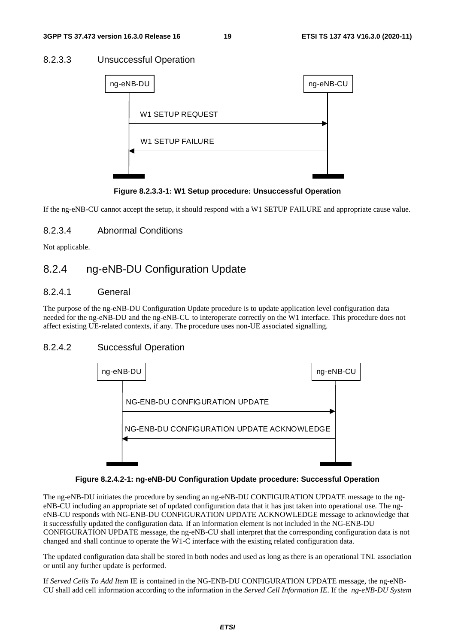### 8.2.3.3 Unsuccessful Operation

| ng-eNB-DU               | ng-eNB-CU |  |
|-------------------------|-----------|--|
| <b>W1 SETUP REQUEST</b> |           |  |
| <b>W1 SETUP FAILURE</b> |           |  |
|                         |           |  |
|                         |           |  |

**Figure 8.2.3.3-1: W1 Setup procedure: Unsuccessful Operation** 

If the ng-eNB-CU cannot accept the setup, it should respond with a W1 SETUP FAILURE and appropriate cause value.

### 8.2.3.4 Abnormal Conditions

Not applicable.

# 8.2.4 ng-eNB-DU Configuration Update

### 8.2.4.1 General

The purpose of the ng-eNB-DU Configuration Update procedure is to update application level configuration data needed for the ng-eNB-DU and the ng-eNB-CU to interoperate correctly on the W1 interface. This procedure does not affect existing UE-related contexts, if any. The procedure uses non-UE associated signalling.

### 8.2.4.2 Successful Operation



#### **Figure 8.2.4.2-1: ng-eNB-DU Configuration Update procedure: Successful Operation**

The ng-eNB-DU initiates the procedure by sending an ng-eNB-DU CONFIGURATION UPDATE message to the ngeNB-CU including an appropriate set of updated configuration data that it has just taken into operational use. The ngeNB-CU responds with NG-ENB-DU CONFIGURATION UPDATE ACKNOWLEDGE message to acknowledge that it successfully updated the configuration data. If an information element is not included in the NG-ENB-DU CONFIGURATION UPDATE message, the ng-eNB-CU shall interpret that the corresponding configuration data is not changed and shall continue to operate the W1-C interface with the existing related configuration data.

The updated configuration data shall be stored in both nodes and used as long as there is an operational TNL association or until any further update is performed.

If *Served Cells To Add Item* IE is contained in the NG-ENB-DU CONFIGURATION UPDATE message, the ng-eNB-CU shall add cell information according to the information in the *Served Cell Information IE*. If the *ng-eNB-DU System*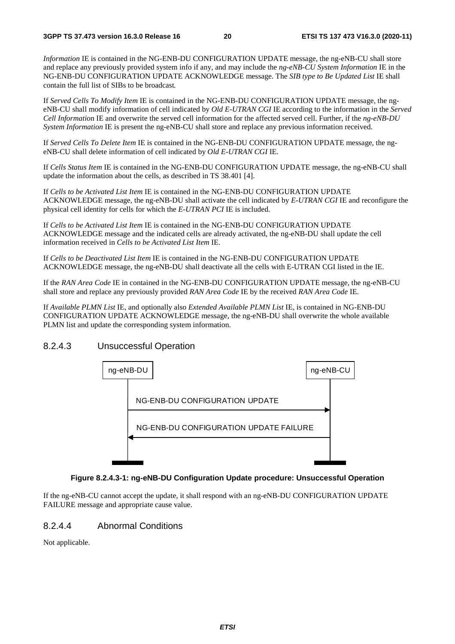*Information* IE is contained in the NG-ENB-DU CONFIGURATION UPDATE message, the ng-eNB-CU shall store and replace any previously provided system info if any, and may include the *ng-eNB-CU System Information* IE in the NG-ENB-DU CONFIGURATION UPDATE ACKNOWLEDGE message. The *SIB type to Be Updated List* IE shall contain the full list of SIBs to be broadcast*.*

If *Served Cells To Modify Item* IE is contained in the NG-ENB-DU CONFIGURATION UPDATE message, the ngeNB-CU shall modify information of cell indicated by *Old E-UTRAN CGI* IE according to the information in the *Served Cell Informatio*n IE and overwrite the served cell information for the affected served cell. Further, if the *ng-eNB-DU System Information* IE is present the ng-eNB-CU shall store and replace any previous information received.

If *Served Cells To Delete Item* IE is contained in the NG-ENB-DU CONFIGURATION UPDATE message, the ngeNB-CU shall delete information of cell indicated by *Old E-UTRAN CGI* IE.

If *Cells Status Item* IE is contained in the NG-ENB-DU CONFIGURATION UPDATE message, the ng-eNB-CU shall update the information about the cells, as described in TS 38.401 [4].

If *Cells to be Activated List Item* IE is contained in the NG-ENB-DU CONFIGURATION UPDATE ACKNOWLEDGE message, the ng-eNB-DU shall activate the cell indicated by *E-UTRAN CGI* IE and reconfigure the physical cell identity for cells for which the *E-UTRAN PCI* IE is included.

If *Cells to be Activated List Item* IE is contained in the NG-ENB-DU CONFIGURATION UPDATE ACKNOWLEDGE message and the indicated cells are already activated, the ng-eNB-DU shall update the cell information received in *Cells to be Activated List Item* IE.

If *Cells to be Deactivated List Item* IE is contained in the NG-ENB-DU CONFIGURATION UPDATE ACKNOWLEDGE message, the ng-eNB-DU shall deactivate all the cells with E-UTRAN CGI listed in the IE.

If the *RAN Area Code* IE in contained in the NG-ENB-DU CONFIGURATION UPDATE message, the ng-eNB-CU shall store and replace any previously provided *RAN Area Code* IE by the received *RAN Area Code* IE.

If *Available PLMN List* IE, and optionally also *Extended Available PLMN List* IE, is contained in NG-ENB-DU CONFIGURATION UPDATE ACKNOWLEDGE message, the ng-eNB-DU shall overwrite the whole available PLMN list and update the corresponding system information.

### 8.2.4.3 Unsuccessful Operation



#### **Figure 8.2.4.3-1: ng-eNB-DU Configuration Update procedure: Unsuccessful Operation**

If the ng-eNB-CU cannot accept the update, it shall respond with an ng-eNB-DU CONFIGURATION UPDATE FAILURE message and appropriate cause value.

### 8.2.4.4 Abnormal Conditions

Not applicable.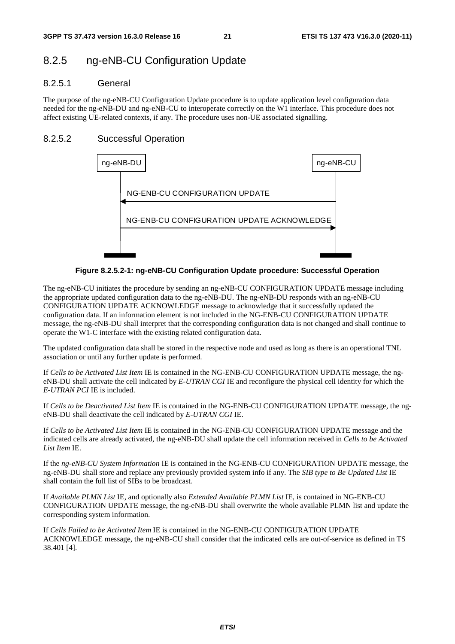# 8.2.5 ng-eNB-CU Configuration Update

### 8.2.5.1 General

The purpose of the ng-eNB-CU Configuration Update procedure is to update application level configuration data needed for the ng-eNB-DU and ng-eNB-CU to interoperate correctly on the W1 interface. This procedure does not affect existing UE-related contexts, if any. The procedure uses non-UE associated signalling.

### 8.2.5.2 Successful Operation



**Figure 8.2.5.2-1: ng-eNB-CU Configuration Update procedure: Successful Operation** 

The ng-eNB-CU initiates the procedure by sending an ng-eNB-CU CONFIGURATION UPDATE message including the appropriate updated configuration data to the ng-eNB-DU. The ng-eNB-DU responds with an ng-eNB-CU CONFIGURATION UPDATE ACKNOWLEDGE message to acknowledge that it successfully updated the configuration data. If an information element is not included in the NG-ENB-CU CONFIGURATION UPDATE message, the ng-eNB-DU shall interpret that the corresponding configuration data is not changed and shall continue to operate the W1-C interface with the existing related configuration data.

The updated configuration data shall be stored in the respective node and used as long as there is an operational TNL association or until any further update is performed.

If *Cells to be Activated List Item* IE is contained in the NG-ENB-CU CONFIGURATION UPDATE message, the ngeNB-DU shall activate the cell indicated by *E-UTRAN CGI* IE and reconfigure the physical cell identity for which the *E-UTRAN PCI* IE is included.

If *Cells to be Deactivated List Item* IE is contained in the NG-ENB-CU CONFIGURATION UPDATE message, the ngeNB-DU shall deactivate the cell indicated by *E-UTRAN CGI* IE.

If *Cells to be Activated List Item* IE is contained in the NG-ENB-CU CONFIGURATION UPDATE message and the indicated cells are already activated, the ng-eNB-DU shall update the cell information received in *Cells to be Activated List Item* IE.

If the *ng-eNB-CU System Information* IE is contained in the NG-ENB-CU CONFIGURATION UPDATE message, the ng-eNB-DU shall store and replace any previously provided system info if any. The *SIB type to Be Updated List* IE shall contain the full list of SIBs to be broadcast*.*

If *Available PLMN List* IE, and optionally also *Extended Available PLMN List* IE, is contained in NG-ENB-CU CONFIGURATION UPDATE message, the ng-eNB-DU shall overwrite the whole available PLMN list and update the corresponding system information.

If *Cells Failed to be Activated Item* IE is contained in the NG-ENB-CU CONFIGURATION UPDATE ACKNOWLEDGE message, the ng-eNB-CU shall consider that the indicated cells are out-of-service as defined in TS 38.401 [4].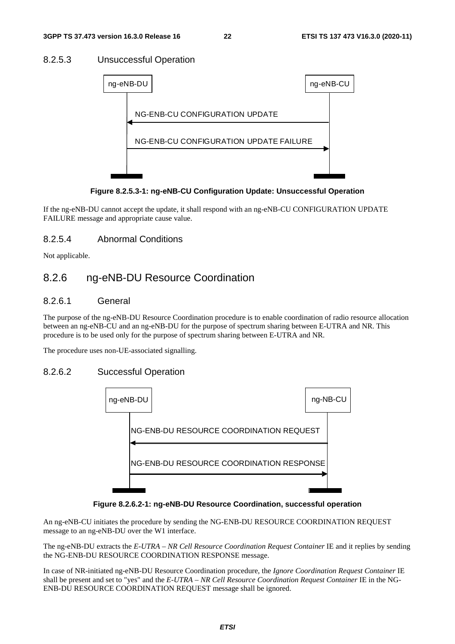### 8.2.5.3 Unsuccessful Operation



**Figure 8.2.5.3-1: ng-eNB-CU Configuration Update: Unsuccessful Operation** 

If the ng-eNB-DU cannot accept the update, it shall respond with an ng-eNB-CU CONFIGURATION UPDATE FAILURE message and appropriate cause value.

### 8.2.5.4 Abnormal Conditions

Not applicable.

# 8.2.6 ng-eNB-DU Resource Coordination

### 8.2.6.1 General

The purpose of the ng-eNB-DU Resource Coordination procedure is to enable coordination of radio resource allocation between an ng-eNB-CU and an ng-eNB-DU for the purpose of spectrum sharing between E-UTRA and NR. This procedure is to be used only for the purpose of spectrum sharing between E-UTRA and NR.

The procedure uses non-UE-associated signalling.

### 8.2.6.2 Successful Operation



**Figure 8.2.6.2-1: ng-eNB-DU Resource Coordination, successful operation** 

An ng-eNB-CU initiates the procedure by sending the NG-ENB-DU RESOURCE COORDINATION REQUEST message to an ng-eNB-DU over the W1 interface.

The ng-eNB-DU extracts the *E-UTRA – NR Cell Resource Coordination Request Container* IE and it replies by sending the NG-ENB-DU RESOURCE COORDINATION RESPONSE message.

In case of NR-initiated ng-eNB-DU Resource Coordination procedure, the *Ignore Coordination Request Container* IE shall be present and set to "yes" and the *E-UTRA – NR Cell Resource Coordination Request Container* IE in the NG-ENB-DU RESOURCE COORDINATION REQUEST message shall be ignored.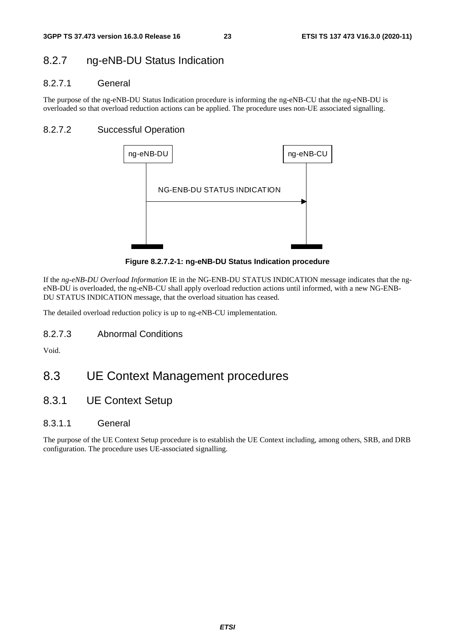# 8.2.7 ng-eNB-DU Status Indication

### 8.2.7.1 General

The purpose of the ng-eNB-DU Status Indication procedure is informing the ng-eNB-CU that the ng-eNB-DU is overloaded so that overload reduction actions can be applied. The procedure uses non-UE associated signalling.

### 8.2.7.2 Successful Operation



**Figure 8.2.7.2-1: ng-eNB-DU Status Indication procedure** 

If the *ng-eNB-DU Overload Information* IE in the NG-ENB-DU STATUS INDICATION message indicates that the ngeNB-DU is overloaded, the ng-eNB-CU shall apply overload reduction actions until informed, with a new NG-ENB-DU STATUS INDICATION message, that the overload situation has ceased.

The detailed overload reduction policy is up to ng-eNB-CU implementation.

8.2.7.3 Abnormal Conditions

Void.

# 8.3 UE Context Management procedures

8.3.1 UE Context Setup

### 8.3.1.1 General

The purpose of the UE Context Setup procedure is to establish the UE Context including, among others, SRB, and DRB configuration. The procedure uses UE-associated signalling.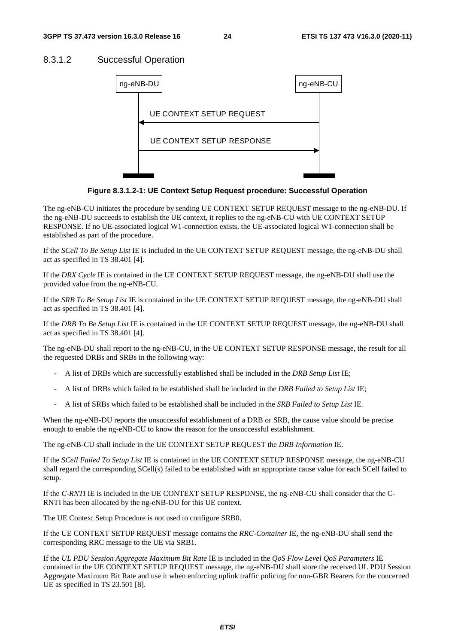### 8.3.1.2 Successful Operation



**Figure 8.3.1.2-1: UE Context Setup Request procedure: Successful Operation** 

The ng-eNB-CU initiates the procedure by sending UE CONTEXT SETUP REQUEST message to the ng-eNB-DU. If the ng-eNB-DU succeeds to establish the UE context, it replies to the ng-eNB-CU with UE CONTEXT SETUP RESPONSE. If no UE-associated logical W1-connection exists, the UE-associated logical W1-connection shall be established as part of the procedure.

If the *SCell To Be Setup List* IE is included in the UE CONTEXT SETUP REQUEST message, the ng-eNB-DU shall act as specified in TS 38.401 [4].

If the *DRX Cycle* IE is contained in the UE CONTEXT SETUP REQUEST message, the ng-eNB-DU shall use the provided value from the ng-eNB-CU.

If the *SRB To Be Setup List* IE is contained in the UE CONTEXT SETUP REQUEST message, the ng-eNB-DU shall act as specified in TS 38.401 [4].

If the *DRB To Be Setup List* IE is contained in the UE CONTEXT SETUP REQUEST message, the ng-eNB-DU shall act as specified in TS 38.401 [4].

The ng-eNB-DU shall report to the ng-eNB-CU, in the UE CONTEXT SETUP RESPONSE message, the result for all the requested DRBs and SRBs in the following way:

- A list of DRBs which are successfully established shall be included in the *DRB Setup List* IE;
- A list of DRBs which failed to be established shall be included in the *DRB Failed to Setup List* IE;
- A list of SRBs which failed to be established shall be included in the *SRB Failed to Setup List* IE.

When the ng-eNB-DU reports the unsuccessful establishment of a DRB or SRB, the cause value should be precise enough to enable the ng-eNB-CU to know the reason for the unsuccessful establishment.

The ng-eNB-CU shall include in the UE CONTEXT SETUP REQUEST the *DRB Information* IE.

If the *SCell Failed To Setup List* IE is contained in the UE CONTEXT SETUP RESPONSE message, the ng-eNB-CU shall regard the corresponding SCell(s) failed to be established with an appropriate cause value for each SCell failed to setup.

If the *C-RNTI* IE is included in the UE CONTEXT SETUP RESPONSE, the ng-eNB-CU shall consider that the C-RNTI has been allocated by the ng-eNB-DU for this UE context.

The UE Context Setup Procedure is not used to configure SRB0.

If the UE CONTEXT SETUP REQUEST message contains the *RRC-Container* IE, the ng-eNB-DU shall send the corresponding RRC message to the UE via SRB1.

If the *UL PDU Session Aggregate Maximum Bit Rate* IE is included in the *QoS Flow Level QoS Parameters* IE contained in the UE CONTEXT SETUP REQUEST message, the ng-eNB-DU shall store the received UL PDU Session Aggregate Maximum Bit Rate and use it when enforcing uplink traffic policing for non-GBR Bearers for the concerned UE as specified in TS 23.501 [8].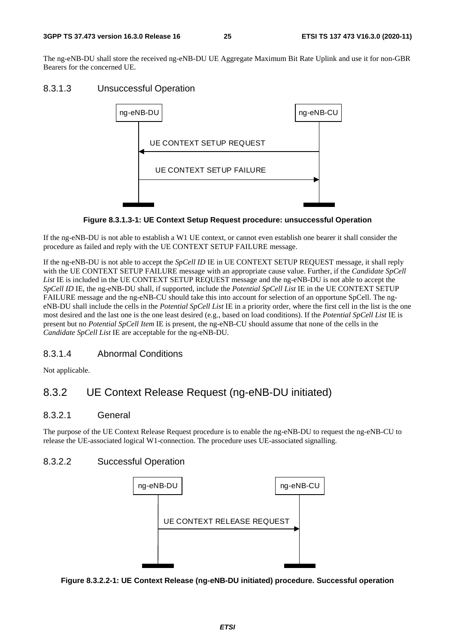The ng-eNB-DU shall store the received ng-eNB-DU UE Aggregate Maximum Bit Rate Uplink and use it for non-GBR Bearers for the concerned UE.

### 8.3.1.3 Unsuccessful Operation



**Figure 8.3.1.3-1: UE Context Setup Request procedure: unsuccessful Operation** 

If the ng-eNB-DU is not able to establish a W1 UE context, or cannot even establish one bearer it shall consider the procedure as failed and reply with the UE CONTEXT SETUP FAILURE message.

If the ng-eNB-DU is not able to accept the *SpCell ID* IE in UE CONTEXT SETUP REQUEST message, it shall reply with the UE CONTEXT SETUP FAILURE message with an appropriate cause value. Further, if the *Candidate SpCell*  List IE is included in the UE CONTEXT SETUP REQUEST message and the ng-eNB-DU is not able to accept the *SpCell ID* IE, the ng-eNB-DU shall, if supported, include the *Potential SpCell List* IE in the UE CONTEXT SETUP FAILURE message and the ng-eNB-CU should take this into account for selection of an opportune SpCell. The ngeNB-DU shall include the cells in the *Potential SpCell List* IE in a priority order, where the first cell in the list is the one most desired and the last one is the one least desired (e.g., based on load conditions). If the *Potential SpCell List* IE is present but no *Potential SpCell Item* IE is present, the ng-eNB-CU should assume that none of the cells in the *Candidate SpCell List* IE are acceptable for the ng-eNB-DU.

### 8.3.1.4 Abnormal Conditions

Not applicable.

# 8.3.2 UE Context Release Request (ng-eNB-DU initiated)

### 8.3.2.1 General

The purpose of the UE Context Release Request procedure is to enable the ng-eNB-DU to request the ng-eNB-CU to release the UE-associated logical W1-connection. The procedure uses UE-associated signalling.

### 8.3.2.2 Successful Operation



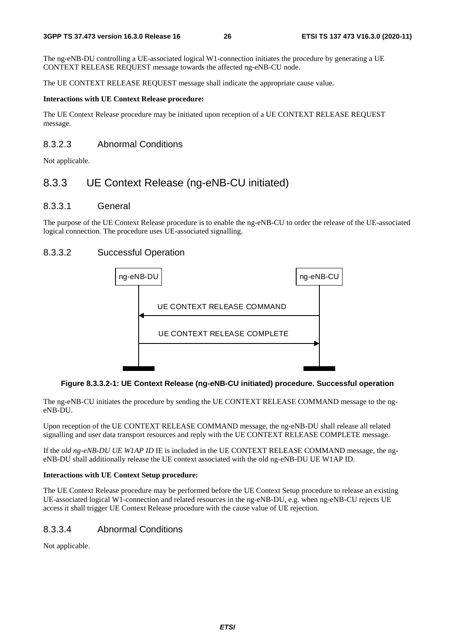The ng-eNB-DU controlling a UE-associated logical W1-connection initiates the procedure by generating a UE CONTEXT RELEASE REQUEST message towards the affected ng-eNB-CU node.

The UE CONTEXT RELEASE REQUEST message shall indicate the appropriate cause value.

#### **Interactions with UE Context Release procedure:**

The UE Context Release procedure may be initiated upon reception of a UE CONTEXT RELEASE REQUEST message.

### 8.3.2.3 Abnormal Conditions

Not applicable.

# 8.3.3 UE Context Release (ng-eNB-CU initiated)

### 8.3.3.1 General

The purpose of the UE Context Release procedure is to enable the ng-eNB-CU to order the release of the UE-associated logical connection. The procedure uses UE-associated signalling.

### 8.3.3.2 Successful Operation



#### **Figure 8.3.3.2-1: UE Context Release (ng-eNB-CU initiated) procedure. Successful operation**

The ng-eNB-CU initiates the procedure by sending the UE CONTEXT RELEASE COMMAND message to the ngeNB-DU.

Upon reception of the UE CONTEXT RELEASE COMMAND message, the ng-eNB-DU shall release all related signalling and user data transport resources and reply with the UE CONTEXT RELEASE COMPLETE message.

If the *old ng-eNB-DU UE W1AP ID* IE is included in the UE CONTEXT RELEASE COMMAND message, the ngeNB-DU shall additionally release the UE context associated with the old ng-eNB-DU UE W1AP ID.

#### **Interactions with UE Context Setup procedure:**

The UE Context Release procedure may be performed before the UE Context Setup procedure to release an existing UE-associated logical W1-connection and related resources in the ng-eNB-DU, e.g. when ng-eNB-CU rejects UE access it shall trigger UE Context Release procedure with the cause value of UE rejection.

### 8.3.3.4 Abnormal Conditions

Not applicable.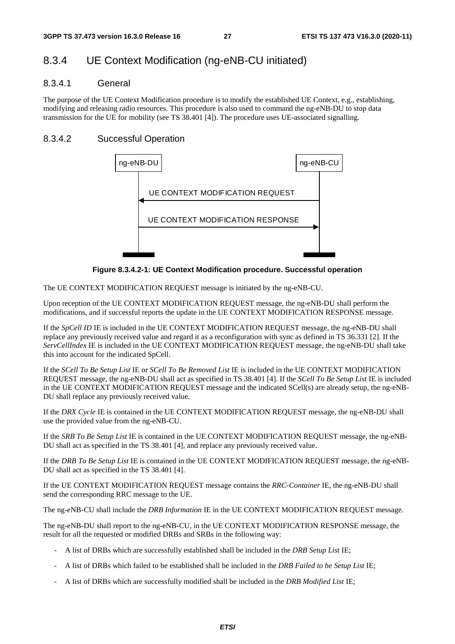# 8.3.4 UE Context Modification (ng-eNB-CU initiated)

### 8.3.4.1 General

The purpose of the UE Context Modification procedure is to modify the established UE Context, e.g., establishing, modifying and releasing radio resources. This procedure is also used to command the ng-eNB-DU to stop data transmission for the UE for mobility (see TS 38.401 [4]). The procedure uses UE-associated signalling.

### 8.3.4.2 Successful Operation



**Figure 8.3.4.2-1: UE Context Modification procedure. Successful operation** 

The UE CONTEXT MODIFICATION REQUEST message is initiated by the ng-eNB-CU.

Upon reception of the UE CONTEXT MODIFICATION REQUEST message, the ng-eNB-DU shall perform the modifications, and if successful reports the update in the UE CONTEXT MODIFICATION RESPONSE message.

If the *SpCell ID* IE is included in the UE CONTEXT MODIFICATION REQUEST message, the ng-eNB-DU shall replace any previously received value and regard it as a reconfiguration with sync as defined in TS 36.331 [2]. If the *ServCellIndex* IE is included in the UE CONTEXT MODIFICATION REQUEST message, the ng-eNB-DU shall take this into account for the indicated SpCell.

If the *SCell To Be Setup List* IE or *SCell To Be Removed List* IE is included in the UE CONTEXT MODIFICATION REQUEST message, the ng-eNB-DU shall act as specified in TS 38.401 [4]. If the *SCell To Be Setup List* IE is included in the UE CONTEXT MODIFICATION REQUEST message and the indicated SCell(s) are already setup, the ng-eNB-DU shall replace any previously received value.

If the *DRX Cycle* IE is contained in the UE CONTEXT MODIFICATION REQUEST message, the ng-eNB-DU shall use the provided value from the ng-eNB-CU.

If the *SRB To Be Setup List* IE is contained in the UE CONTEXT MODIFICATION REQUEST message, the ng-eNB-DU shall act as specified in the TS 38.401 [4], and replace any previously received value.

If the *DRB To Be Setup List* IE is contained in the UE CONTEXT MODIFICATION REQUEST message, the ng-eNB-DU shall act as specified in the TS 38.401 [4].

If the UE CONTEXT MODIFICATION REQUEST message contains the *RRC-Container* IE, the ng-eNB-DU shall send the corresponding RRC message to the UE.

The ng-eNB-CU shall include the *DRB Information* IE in the UE CONTEXT MODIFICATION REQUEST message.

The ng-eNB-DU shall report to the ng-eNB-CU, in the UE CONTEXT MODIFICATION RESPONSE message, the result for all the requested or modified DRBs and SRBs in the following way:

- A list of DRBs which are successfully established shall be included in the *DRB Setup List* IE;
- A list of DRBs which failed to be established shall be included in the *DRB Failed to be Setup List* IE;
- A list of DRBs which are successfully modified shall be included in the *DRB Modified List* IE;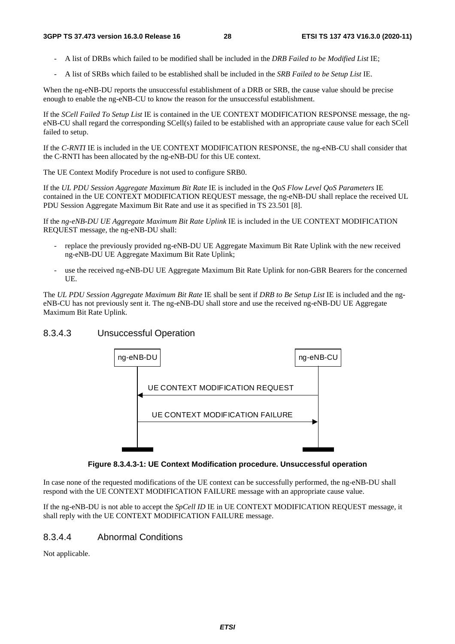- A list of DRBs which failed to be modified shall be included in the *DRB Failed to be Modified List* IE;
- A list of SRBs which failed to be established shall be included in the *SRB Failed to be Setup List* IE.

When the ng-eNB-DU reports the unsuccessful establishment of a DRB or SRB, the cause value should be precise enough to enable the ng-eNB-CU to know the reason for the unsuccessful establishment.

If the *SCell Failed To Setup List* IE is contained in the UE CONTEXT MODIFICATION RESPONSE message, the ngeNB-CU shall regard the corresponding SCell(s) failed to be established with an appropriate cause value for each SCell failed to setup.

If the *C-RNTI* IE is included in the UE CONTEXT MODIFICATION RESPONSE, the ng-eNB-CU shall consider that the C-RNTI has been allocated by the ng-eNB-DU for this UE context.

The UE Context Modify Procedure is not used to configure SRB0.

If the *UL PDU Session Aggregate Maximum Bit Rate* IE is included in the *QoS Flow Level QoS Parameters* IE contained in the UE CONTEXT MODIFICATION REQUEST message, the ng-eNB-DU shall replace the received UL PDU Session Aggregate Maximum Bit Rate and use it as specified in TS 23.501 [8].

If the *ng-eNB-DU UE Aggregate Maximum Bit Rate Uplink* IE is included in the UE CONTEXT MODIFICATION REQUEST message, the ng-eNB-DU shall:

- replace the previously provided ng-eNB-DU UE Aggregate Maximum Bit Rate Uplink with the new received ng-eNB-DU UE Aggregate Maximum Bit Rate Uplink;
- use the received ng-eNB-DU UE Aggregate Maximum Bit Rate Uplink for non-GBR Bearers for the concerned UE.

The *UL PDU Session Aggregate Maximum Bit Rate* IE shall be sent if *DRB to Be Setup List* IE is included and the ngeNB-CU has not previously sent it. The ng-eNB-DU shall store and use the received ng-eNB-DU UE Aggregate Maximum Bit Rate Uplink.

### 8.3.4.3 Unsuccessful Operation



**Figure 8.3.4.3-1: UE Context Modification procedure. Unsuccessful operation** 

In case none of the requested modifications of the UE context can be successfully performed, the ng-eNB-DU shall respond with the UE CONTEXT MODIFICATION FAILURE message with an appropriate cause value.

If the ng-eNB-DU is not able to accept the *SpCell ID* IE in UE CONTEXT MODIFICATION REQUEST message, it shall reply with the UE CONTEXT MODIFICATION FAILURE message.

### 8.3.4.4 Abnormal Conditions

Not applicable.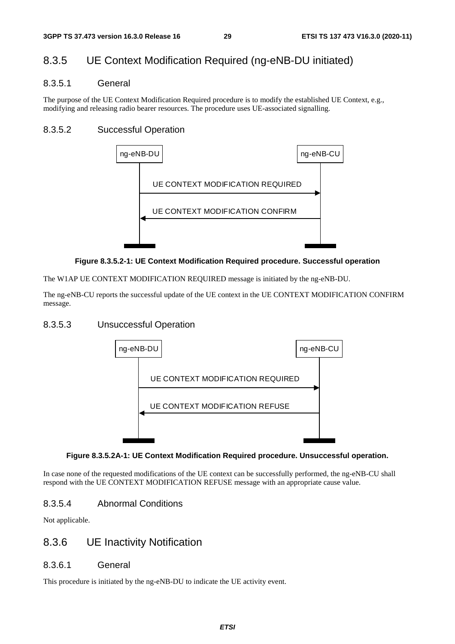# 8.3.5 UE Context Modification Required (ng-eNB-DU initiated)

### 8.3.5.1 General

The purpose of the UE Context Modification Required procedure is to modify the established UE Context, e.g., modifying and releasing radio bearer resources. The procedure uses UE-associated signalling.

### 8.3.5.2 Successful Operation



### **Figure 8.3.5.2-1: UE Context Modification Required procedure. Successful operation**

The W1AP UE CONTEXT MODIFICATION REQUIRED message is initiated by the ng-eNB-DU.

The ng-eNB-CU reports the successful update of the UE context in the UE CONTEXT MODIFICATION CONFIRM message.

### 8.3.5.3 Unsuccessful Operation



### **Figure 8.3.5.2A-1: UE Context Modification Required procedure. Unsuccessful operation.**

In case none of the requested modifications of the UE context can be successfully performed, the ng-eNB-CU shall respond with the UE CONTEXT MODIFICATION REFUSE message with an appropriate cause value.

### 8.3.5.4 Abnormal Conditions

Not applicable.

### 8.3.6 UE Inactivity Notification

### 8.3.6.1 General

This procedure is initiated by the ng-eNB-DU to indicate the UE activity event.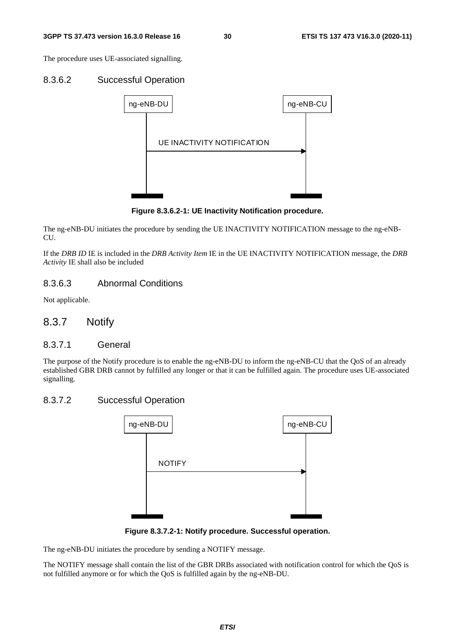The procedure uses UE-associated signalling.

### 8.3.6.2 Successful Operation



**Figure 8.3.6.2-1: UE Inactivity Notification procedure.** 

The ng-eNB-DU initiates the procedure by sending the UE INACTIVITY NOTIFICATION message to the ng-eNB-CU.

If the *DRB ID* IE is included in the *DRB Activity Item* IE in the UE INACTIVITY NOTIFICATION message, the *DRB Activity* IE shall also be included

### 8.3.6.3 Abnormal Conditions

Not applicable.

### 8.3.7 Notify

#### 8.3.7.1 General

The purpose of the Notify procedure is to enable the ng-eNB-DU to inform the ng-eNB-CU that the QoS of an already established GBR DRB cannot by fulfilled any longer or that it can be fulfilled again. The procedure uses UE-associated signalling.

### 8.3.7.2 Successful Operation



**Figure 8.3.7.2-1: Notify procedure. Successful operation.** 

The ng-eNB-DU initiates the procedure by sending a NOTIFY message.

The NOTIFY message shall contain the list of the GBR DRBs associated with notification control for which the QoS is not fulfilled anymore or for which the QoS is fulfilled again by the ng-eNB-DU.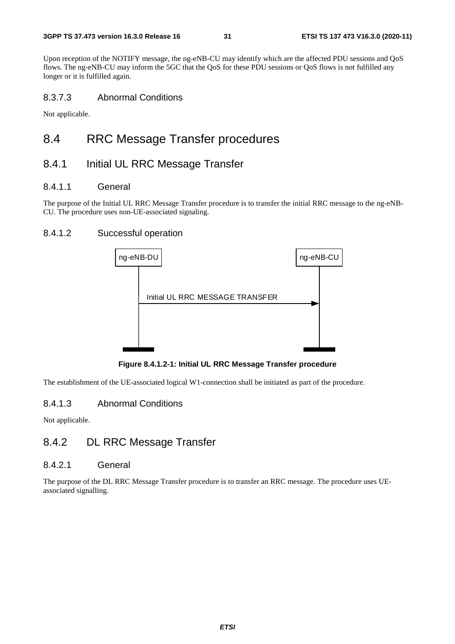Upon reception of the NOTIFY message, the ng-eNB-CU may identify which are the affected PDU sessions and QoS flows. The ng-eNB-CU may inform the 5GC that the QoS for these PDU sessions or QoS flows is not fulfilled any longer or it is fulfilled again.

### 8.3.7.3 Abnormal Conditions

Not applicable.

# 8.4 RRC Message Transfer procedures

### 8.4.1 Initial UL RRC Message Transfer

### 8.4.1.1 General

The purpose of the Initial UL RRC Message Transfer procedure is to transfer the initial RRC message to the ng-eNB-CU. The procedure uses non-UE-associated signaling.

### 8.4.1.2 Successful operation



**Figure 8.4.1.2-1: Initial UL RRC Message Transfer procedure** 

The establishment of the UE-associated logical W1-connection shall be initiated as part of the procedure.

### 8.4.1.3 Abnormal Conditions

Not applicable.

# 8.4.2 DL RRC Message Transfer

### 8.4.2.1 General

The purpose of the DL RRC Message Transfer procedure is to transfer an RRC message. The procedure uses UEassociated signalling.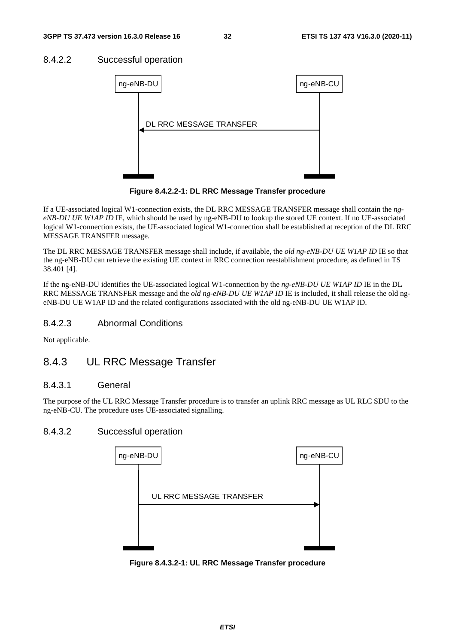### 8.4.2.2 Successful operation



**Figure 8.4.2.2-1: DL RRC Message Transfer procedure** 

If a UE-associated logical W1-connection exists, the DL RRC MESSAGE TRANSFER message shall contain the *ngeNB-DU UE W1AP ID* IE, which should be used by ng-eNB-DU to lookup the stored UE context. If no UE-associated logical W1-connection exists, the UE-associated logical W1-connection shall be established at reception of the DL RRC MESSAGE TRANSFER message.

The DL RRC MESSAGE TRANSFER message shall include, if available, the *old ng-eNB-DU UE W1AP ID* IE so that the ng-eNB-DU can retrieve the existing UE context in RRC connection reestablishment procedure, as defined in TS 38.401 [4].

If the ng-eNB-DU identifies the UE-associated logical W1-connection by the *ng-eNB-DU UE W1AP ID* IE in the DL RRC MESSAGE TRANSFER message and the *old ng-eNB-DU UE W1AP ID* IE is included, it shall release the old ngeNB-DU UE W1AP ID and the related configurations associated with the old ng-eNB-DU UE W1AP ID.

### 8.4.2.3 Abnormal Conditions

Not applicable.

# 8.4.3 UL RRC Message Transfer

### 8.4.3.1 General

The purpose of the UL RRC Message Transfer procedure is to transfer an uplink RRC message as UL RLC SDU to the ng-eNB-CU. The procedure uses UE-associated signalling.

### 8.4.3.2 Successful operation



**Figure 8.4.3.2-1: UL RRC Message Transfer procedure**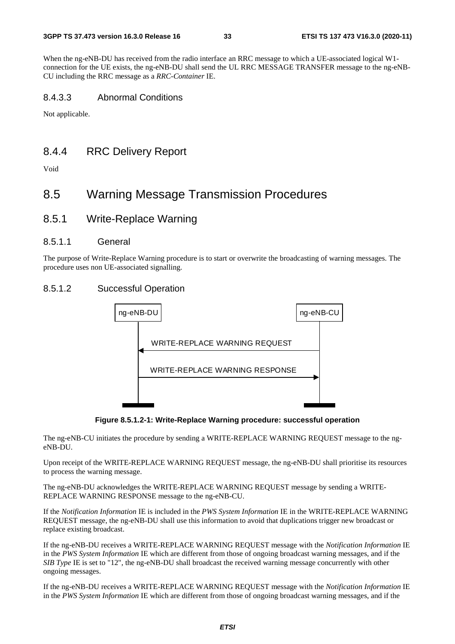When the ng-eNB-DU has received from the radio interface an RRC message to which a UE-associated logical W1 connection for the UE exists, the ng-eNB-DU shall send the UL RRC MESSAGE TRANSFER message to the ng-eNB-CU including the RRC message as a *RRC-Container* IE.

### 8.4.3.3 Abnormal Conditions

Not applicable.

### 8.4.4 RRC Delivery Report

Void

# 8.5 Warning Message Transmission Procedures

8.5.1 Write-Replace Warning

### 8.5.1.1 General

The purpose of Write-Replace Warning procedure is to start or overwrite the broadcasting of warning messages. The procedure uses non UE-associated signalling.

### 8.5.1.2 Successful Operation



**Figure 8.5.1.2-1: Write-Replace Warning procedure: successful operation** 

The ng-eNB-CU initiates the procedure by sending a WRITE-REPLACE WARNING REQUEST message to the ngeNB-DU.

Upon receipt of the WRITE-REPLACE WARNING REQUEST message, the ng-eNB-DU shall prioritise its resources to process the warning message.

The ng-eNB-DU acknowledges the WRITE-REPLACE WARNING REQUEST message by sending a WRITE-REPLACE WARNING RESPONSE message to the ng-eNB-CU.

If the *Notification Information* IE is included in the *PWS System Information* IE in the WRITE-REPLACE WARNING REQUEST message, the ng-eNB-DU shall use this information to avoid that duplications trigger new broadcast or replace existing broadcast.

If the ng-eNB-DU receives a WRITE-REPLACE WARNING REQUEST message with the *Notification Information* IE in the *PWS System Information* IE which are different from those of ongoing broadcast warning messages, and if the *SIB Type* IE is set to "12", the ng-eNB-DU shall broadcast the received warning message concurrently with other ongoing messages.

If the ng-eNB-DU receives a WRITE-REPLACE WARNING REQUEST message with the *Notification Information* IE in the *PWS System Information* IE which are different from those of ongoing broadcast warning messages, and if the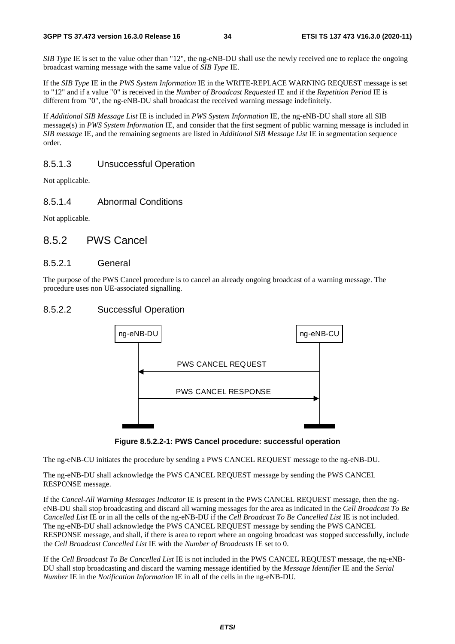*SIB Type* IE is set to the value other than "12", the ng-eNB-DU shall use the newly received one to replace the ongoing broadcast warning message with the same value of *SIB Type* IE.

If the *SIB Type* IE in the *PWS System Information* IE in the WRITE-REPLACE WARNING REQUEST message is set to "12" and if a value "0" is received in the *Number of Broadcast Requested* IE and if the *Repetition Period* IE is different from "0", the ng-eNB-DU shall broadcast the received warning message indefinitely.

If *Additional SIB Message List* IE is included in *PWS System Information* IE, the ng-eNB-DU shall store all SIB message(s) in *PWS System Information* IE, and consider that the first segment of public warning message is included in *SIB message* IE, and the remaining segments are listed in *Additional SIB Message List* IE in segmentation sequence order.

### 8.5.1.3 Unsuccessful Operation

Not applicable.

### 8.5.1.4 Abnormal Conditions

Not applicable.

### 8.5.2 PWS Cancel

### 8.5.2.1 General

The purpose of the PWS Cancel procedure is to cancel an already ongoing broadcast of a warning message. The procedure uses non UE-associated signalling.

### 8.5.2.2 Successful Operation





The ng-eNB-CU initiates the procedure by sending a PWS CANCEL REQUEST message to the ng-eNB-DU.

The ng-eNB-DU shall acknowledge the PWS CANCEL REQUEST message by sending the PWS CANCEL RESPONSE message.

If the *Cancel-All Warning Messages Indicator* IE is present in the PWS CANCEL REQUEST message, then the ngeNB-DU shall stop broadcasting and discard all warning messages for the area as indicated in the *Cell Broadcast To Be Cancelled List* IE or in all the cells of the ng-eNB-DU if the *Cell Broadcast To Be Cancelled List* IE is not included. The ng-eNB-DU shall acknowledge the PWS CANCEL REQUEST message by sending the PWS CANCEL RESPONSE message, and shall, if there is area to report where an ongoing broadcast was stopped successfully, include the *Cell Broadcast Cancelled List* IE with the *Number of Broadcasts* IE set to 0.

If the *Cell Broadcast To Be Cancelled List* IE is not included in the PWS CANCEL REQUEST message, the ng-eNB-DU shall stop broadcasting and discard the warning message identified by the *Message Identifier* IE and the *Serial Number* IE in the *Notification Information* IE in all of the cells in the ng-eNB-DU.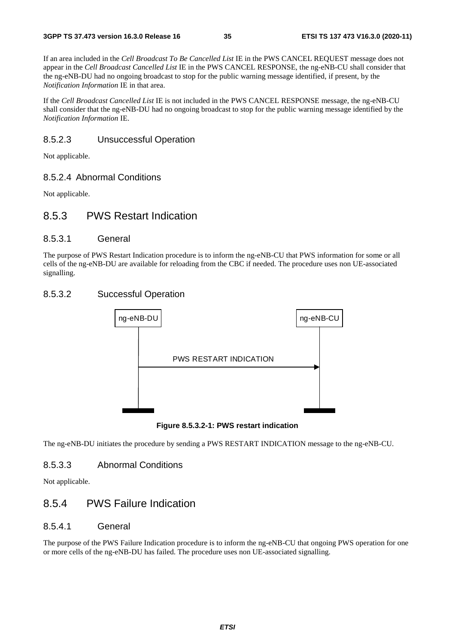If an area included in the *Cell Broadcast To Be Cancelled List* IE in the PWS CANCEL REQUEST message does not appear in the *Cell Broadcast Cancelled List* IE in the PWS CANCEL RESPONSE, the ng-eNB-CU shall consider that the ng-eNB-DU had no ongoing broadcast to stop for the public warning message identified, if present, by the *Notification Information* IE in that area.

If the *Cell Broadcast Cancelled List* IE is not included in the PWS CANCEL RESPONSE message, the ng-eNB-CU shall consider that the ng-eNB-DU had no ongoing broadcast to stop for the public warning message identified by the *Notification Information* IE.

### 8.5.2.3 Unsuccessful Operation

Not applicable.

### 8.5.2.4 Abnormal Conditions

Not applicable.

### 8.5.3 PWS Restart Indication

### 8.5.3.1 General

The purpose of PWS Restart Indication procedure is to inform the ng-eNB-CU that PWS information for some or all cells of the ng-eNB-DU are available for reloading from the CBC if needed. The procedure uses non UE-associated signalling.

### 8.5.3.2 Successful Operation



**Figure 8.5.3.2-1: PWS restart indication** 

The ng-eNB-DU initiates the procedure by sending a PWS RESTART INDICATION message to the ng-eNB-CU.

### 8.5.3.3 Abnormal Conditions

Not applicable.

### 8.5.4 PWS Failure Indication

### 8.5.4.1 General

The purpose of the PWS Failure Indication procedure is to inform the ng-eNB-CU that ongoing PWS operation for one or more cells of the ng-eNB-DU has failed. The procedure uses non UE-associated signalling.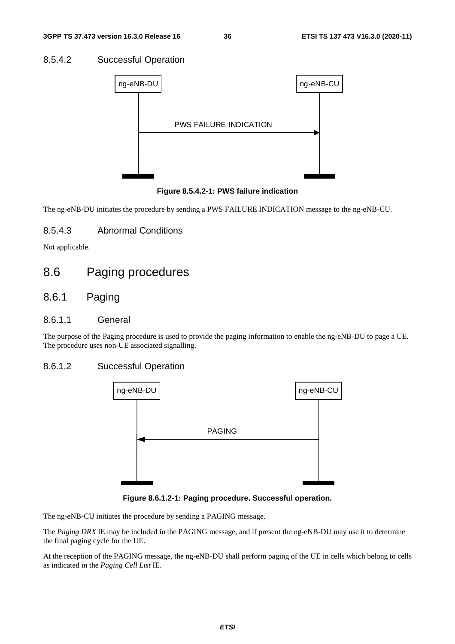#### 8.5.4.2 Successful Operation



**Figure 8.5.4.2-1: PWS failure indication** 

The ng-eNB-DU initiates the procedure by sending a PWS FAILURE INDICATION message to the ng-eNB-CU.

#### 8.5.4.3 Abnormal Conditions

Not applicable.

## 8.6 Paging procedures

## 8.6.1 Paging

#### 8.6.1.1 General

The purpose of the Paging procedure is used to provide the paging information to enable the ng-eNB-DU to page a UE. The procedure uses non-UE associated signalling.

#### 8.6.1.2 Successful Operation



**Figure 8.6.1.2-1: Paging procedure. Successful operation.** 

The ng-eNB-CU initiates the procedure by sending a PAGING message.

The *Paging DRX* IE may be included in the PAGING message, and if present the ng-eNB-DU may use it to determine the final paging cycle for the UE.

At the reception of the PAGING message, the ng-eNB-DU shall perform paging of the UE in cells which belong to cells as indicated in the *Paging Cell List* IE.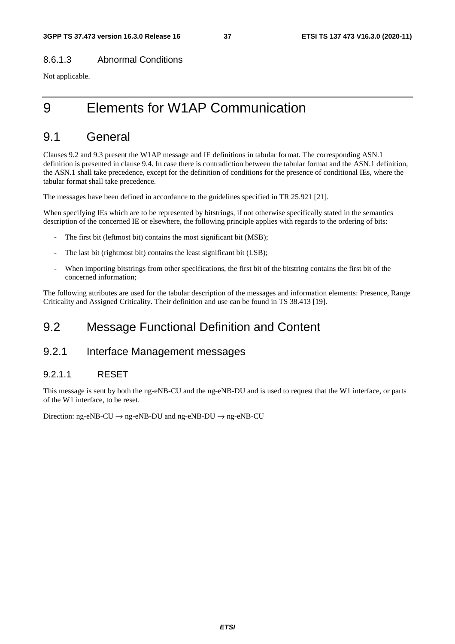#### 8.6.1.3 Abnormal Conditions

Not applicable.

# 9 Elements for W1AP Communication

## 9.1 General

Clauses 9.2 and 9.3 present the W1AP message and IE definitions in tabular format. The corresponding ASN.1 definition is presented in clause 9.4. In case there is contradiction between the tabular format and the ASN.1 definition, the ASN.1 shall take precedence, except for the definition of conditions for the presence of conditional IEs, where the tabular format shall take precedence.

The messages have been defined in accordance to the guidelines specified in TR 25.921 [21].

When specifying IEs which are to be represented by bitstrings, if not otherwise specifically stated in the semantics description of the concerned IE or elsewhere, the following principle applies with regards to the ordering of bits:

- The first bit (leftmost bit) contains the most significant bit (MSB);
- The last bit (rightmost bit) contains the least significant bit (LSB);
- When importing bitstrings from other specifications, the first bit of the bitstring contains the first bit of the concerned information;

The following attributes are used for the tabular description of the messages and information elements: Presence, Range Criticality and Assigned Criticality. Their definition and use can be found in TS 38.413 [19].

## 9.2 Message Functional Definition and Content

## 9.2.1 Interface Management messages

### 9.2.1.1 RESET

This message is sent by both the ng-eNB-CU and the ng-eNB-DU and is used to request that the W1 interface, or parts of the W1 interface, to be reset.

Direction: ng-eNB-CU  $\rightarrow$  ng-eNB-DU and ng-eNB-DU  $\rightarrow$  ng-eNB-CU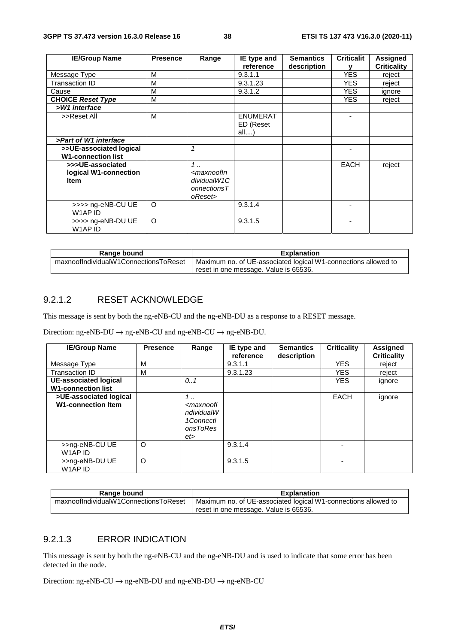| <b>IE/Group Name</b>                                     | <b>Presence</b> | Range                                                                                                     | IE type and                           | <b>Semantics</b> | <b>Criticalit</b> | <b>Assigned</b>    |
|----------------------------------------------------------|-----------------|-----------------------------------------------------------------------------------------------------------|---------------------------------------|------------------|-------------------|--------------------|
|                                                          |                 |                                                                                                           | reference                             | description      |                   | <b>Criticality</b> |
| Message Type                                             | м               |                                                                                                           | 9.3.1.1                               |                  | <b>YES</b>        | reject             |
| Transaction ID                                           | м               |                                                                                                           | 9.3.1.23                              |                  | <b>YES</b>        | reject             |
| Cause                                                    | м               |                                                                                                           | 9.3.1.2                               |                  | <b>YES</b>        | ignore             |
| <b>CHOICE Reset Type</b>                                 | M               |                                                                                                           |                                       |                  | <b>YES</b>        | reject             |
| >W1 interface                                            |                 |                                                                                                           |                                       |                  |                   |                    |
| >>Reset All                                              | м               |                                                                                                           | <b>ENUMERAT</b><br>ED (Reset<br>all,) |                  |                   |                    |
| >Part of W1 interface                                    |                 |                                                                                                           |                                       |                  |                   |                    |
| >>UE-associated logical<br><b>W1-connection list</b>     |                 | $\mathbf{1}$                                                                                              |                                       |                  |                   |                    |
| >>>UE-associated<br>logical W1-connection<br><b>Item</b> |                 | $1$<br><maxnoofin<br>dividualW1C<br/><math>onnections <math>T</math></math><br/>oReset&gt;</maxnoofin<br> |                                       |                  | <b>EACH</b>       | reject             |
| >>>> ng-eNB-CU UE<br>W1AP ID                             | $\circ$         |                                                                                                           | 9.3.1.4                               |                  |                   |                    |
| >>>> ng-eNB-DU UE<br>W1AP ID                             | $\circ$         |                                                                                                           | 9.3.1.5                               |                  |                   |                    |

| Range bound                           | <b>Explanation</b>                                             |  |  |  |  |
|---------------------------------------|----------------------------------------------------------------|--|--|--|--|
| maxnoofIndividualW1ConnectionsToReset | Maximum no. of UE-associated logical W1-connections allowed to |  |  |  |  |
|                                       | reset in one message. Value is 65536.                          |  |  |  |  |

### 9.2.1.2 RESET ACKNOWLEDGE

This message is sent by both the ng-eNB-CU and the ng-eNB-DU as a response to a RESET message.

Direction: ng-eNB-DU  $\rightarrow$  ng-eNB-CU and ng-eNB-CU  $\rightarrow$  ng-eNB-DU.

| <b>IE/Group Name</b>                                | <b>Presence</b> | Range                                                                              | IE type and<br>reference | <b>Semantics</b><br>description | <b>Criticality</b> | <b>Assigned</b><br><b>Criticality</b> |
|-----------------------------------------------------|-----------------|------------------------------------------------------------------------------------|--------------------------|---------------------------------|--------------------|---------------------------------------|
| Message Type                                        | М               |                                                                                    | 9.3.1.1                  |                                 | <b>YES</b>         | reject                                |
| Transaction ID                                      | М               |                                                                                    | 9.3.1.23                 |                                 | <b>YES</b>         | reject                                |
| UE-associated logical<br><b>W1-connection list</b>  |                 | 0.1                                                                                |                          |                                 | <b>YES</b>         | ignore                                |
| >UE-associated logical<br><b>W1-connection Item</b> |                 | 1.1<br><maxnoofl<br>ndividualW<br/>1Connecti<br/>onsToRes<br/>et&gt;</maxnoofl<br> |                          |                                 | <b>EACH</b>        | ignore                                |
| >>ng-eNB-CU UE<br>W1AP ID                           | $\circ$         |                                                                                    | 9.3.1.4                  |                                 |                    |                                       |
| >>ng-eNB-DU UE<br>W1AP ID                           | $\circ$         |                                                                                    | 9.3.1.5                  |                                 |                    |                                       |

| Range bound                           | <b>Explanation</b>                                             |
|---------------------------------------|----------------------------------------------------------------|
| maxnoofIndividualW1ConnectionsToReset | Maximum no. of UE-associated logical W1-connections allowed to |
|                                       | reset in one message. Value is 65536.                          |

#### 9.2.1.3 ERROR INDICATION

This message is sent by both the ng-eNB-CU and the ng-eNB-DU and is used to indicate that some error has been detected in the node.

Direction: ng-eNB-CU  $\rightarrow$  ng-eNB-DU and ng-eNB-DU  $\rightarrow$  ng-eNB-CU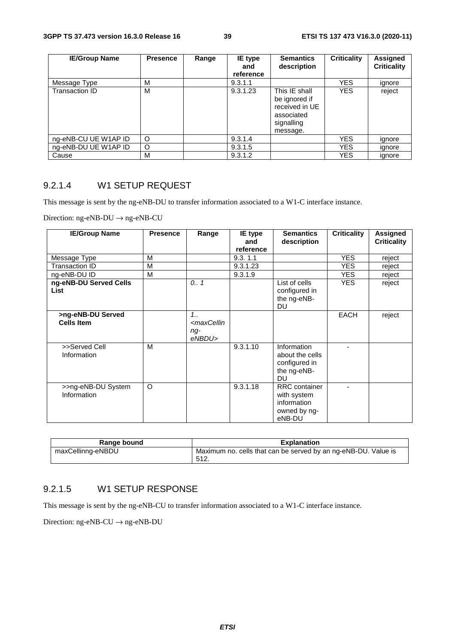| <b>IE/Group Name</b> | <b>Presence</b> | Range | IE type<br>and<br>reference | <b>Semantics</b><br>description                                                          | <b>Criticality</b> | Assigned<br><b>Criticality</b> |
|----------------------|-----------------|-------|-----------------------------|------------------------------------------------------------------------------------------|--------------------|--------------------------------|
| Message Type         | М               |       | 9.3.1.1                     |                                                                                          | <b>YES</b>         | ignore                         |
| Transaction ID       | M               |       | 9.3.1.23                    | This IE shall<br>be ignored if<br>received in UE<br>associated<br>signalling<br>message. | <b>YES</b>         | reject                         |
| ng-eNB-CU UE W1AP ID | O               |       | 9.3.1.4                     |                                                                                          | <b>YES</b>         | ignore                         |
| ng-eNB-DU UE W1AP ID | O               |       | 9.3.1.5                     |                                                                                          | <b>YES</b>         | ignore                         |
| Cause                | м               |       | 9.3.1.2                     |                                                                                          | <b>YES</b>         | ignore                         |

#### 9.2.1.4 W1 SETUP REQUEST

This message is sent by the ng-eNB-DU to transfer information associated to a W1-C interface instance.

Direction: ng-eNB-DU → ng-eNB-CU

| <b>IE/Group Name</b>                   | <b>Presence</b> | Range                                                     | IE type<br>and<br>reference | <b>Semantics</b><br>description                                              | <b>Criticality</b> | <b>Assigned</b><br><b>Criticality</b> |
|----------------------------------------|-----------------|-----------------------------------------------------------|-----------------------------|------------------------------------------------------------------------------|--------------------|---------------------------------------|
| Message Type                           | M               |                                                           | 9.3.11                      |                                                                              | <b>YES</b>         | reject                                |
| Transaction ID                         | M               |                                                           | 9.3.1.23                    |                                                                              | <b>YES</b>         | reject                                |
| ng-eNB-DU ID                           | M               |                                                           | 9.3.1.9                     |                                                                              | <b>YES</b>         | reject                                |
| ng-eNB-DU Served Cells<br><b>List</b>  |                 | 0.1                                                       |                             | List of cells<br>configured in<br>the ng-eNB-<br><b>DU</b>                   | <b>YES</b>         | reject                                |
| >ng-eNB-DU Served<br><b>Cells Item</b> |                 | $1_{1}$<br><maxcellin<br>ng-<br/>eNBDU&gt;</maxcellin<br> |                             |                                                                              | <b>EACH</b>        | reject                                |
| >>Served Cell<br>Information           | M               |                                                           | 9.3.1.10                    | Information<br>about the cells<br>configured in<br>the ng-eNB-<br><b>DU</b>  |                    |                                       |
| >>ng-eNB-DU System<br>Information      | $\circ$         |                                                           | 9.3.1.18                    | <b>RRC</b> container<br>with system<br>information<br>owned by ng-<br>eNB-DU |                    |                                       |

| Range bound       | <b>Explanation</b>                                                     |
|-------------------|------------------------------------------------------------------------|
| maxCellinng-eNBDU | Maximum no. cells that can be served by an ng-eNB-DU. Value is<br>512. |

#### 9.2.1.5 W1 SETUP RESPONSE

This message is sent by the ng-eNB-CU to transfer information associated to a W1-C interface instance.

Direction: ng-eNB-CU  $\rightarrow$  ng-eNB-DU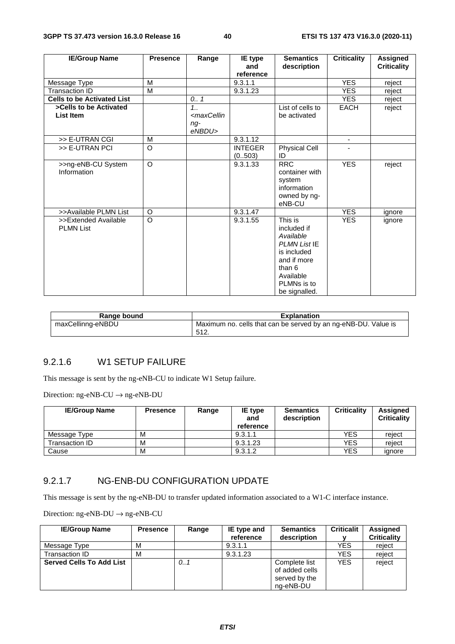| <b>IE/Group Name</b>                     | <b>Presence</b> | Range                                                                           | IE type<br>and           | <b>Semantics</b><br>description                                                                                                                 | <b>Criticality</b>       | <b>Assigned</b><br><b>Criticality</b> |
|------------------------------------------|-----------------|---------------------------------------------------------------------------------|--------------------------|-------------------------------------------------------------------------------------------------------------------------------------------------|--------------------------|---------------------------------------|
|                                          |                 |                                                                                 | reference                |                                                                                                                                                 |                          |                                       |
| Message Type                             | M               |                                                                                 | 9.3.1.1                  |                                                                                                                                                 | <b>YES</b>               | reject                                |
| <b>Transaction ID</b>                    | M               |                                                                                 | 9.3.1.23                 |                                                                                                                                                 | <b>YES</b>               | reject                                |
| <b>Cells to be Activated List</b>        |                 | 0.1                                                                             |                          |                                                                                                                                                 | <b>YES</b>               | reject                                |
| >Cells to be Activated                   |                 | 1.1                                                                             |                          | List of cells to                                                                                                                                | EACH                     | reject                                |
| List Item                                |                 | <maxcellin< td=""><td></td><td>be activated</td><td></td><td></td></maxcellin<> |                          | be activated                                                                                                                                    |                          |                                       |
|                                          |                 | $ng-$<br>eNBDU>                                                                 |                          |                                                                                                                                                 |                          |                                       |
| >> E-UTRAN CGI                           | M               |                                                                                 | 9.3.1.12                 |                                                                                                                                                 | $\overline{\phantom{a}}$ |                                       |
| >> E-UTRAN PCI                           | $\Omega$        |                                                                                 | <b>INTEGER</b><br>(0503) | <b>Physical Cell</b><br>ID                                                                                                                      |                          |                                       |
| >>ng-eNB-CU System<br>Information        | $\Omega$        |                                                                                 | 9.3.1.33                 | <b>RRC</b><br>container with<br>system<br>information<br>owned by ng-<br>eNB-CU                                                                 | <b>YES</b>               | reject                                |
| >>Available PLMN List                    | $\Omega$        |                                                                                 | 9.3.1.47                 |                                                                                                                                                 | <b>YES</b>               | ignore                                |
| >>Extended Available<br><b>PLMN List</b> | $\circ$         |                                                                                 | 9.3.1.55                 | This is<br>included if<br>Available<br><b>PLMN List IE</b><br>is included<br>and if more<br>than 6<br>Available<br>PLMNs is to<br>be signalled. | <b>YES</b>               | ignore                                |

| Range bound       | <b>Explanation</b>                                                      |
|-------------------|-------------------------------------------------------------------------|
| maxCellinng-eNBDU | Maximum no. cells that can be served by an ng-eNB-DU. Value is<br>-512. |

## 9.2.1.6 W1 SETUP FAILURE

This message is sent by the ng-eNB-CU to indicate W1 Setup failure.

Direction: ng-eNB-CU  $\rightarrow$  ng-eNB-DU

| <b>IE/Group Name</b> | <b>Presence</b> | Range | IE type<br>and<br>reference | <b>Semantics</b><br>description | <b>Criticality</b> | <b>Assigned</b><br><b>Criticality</b> |
|----------------------|-----------------|-------|-----------------------------|---------------------------------|--------------------|---------------------------------------|
| Message Type         | M               |       | 9.3.1.1                     |                                 | YES                | reiect                                |
| Transaction ID       | M               |       | 9.3.1.23                    |                                 | YES                | reiect                                |
| Cause                | M               |       | 9.3.1.2                     |                                 | YES                | ignore                                |

#### 9.2.1.7 NG-ENB-DU CONFIGURATION UPDATE

This message is sent by the ng-eNB-DU to transfer updated information associated to a W1-C interface instance.

| <b>IE/Group Name</b>            | <b>Presence</b> | Range | IE type and<br>reference | <b>Semantics</b><br>description                               | <b>Criticalit</b> | Assigned<br><b>Criticality</b> |
|---------------------------------|-----------------|-------|--------------------------|---------------------------------------------------------------|-------------------|--------------------------------|
| Message Type                    | M               |       | 9.3.1.1                  |                                                               | YES               | reject                         |
| Transaction ID                  | M               |       | 9.3.1.23                 |                                                               | YES               | reject                         |
| <b>Served Cells To Add List</b> |                 | 0.1   |                          | Complete list<br>of added cells<br>served by the<br>ng-eNB-DU | <b>YES</b>        | reject                         |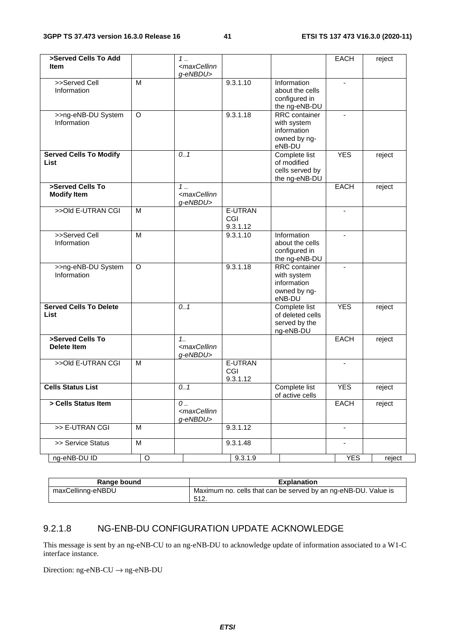| >Served Cells To Add<br><b>Item</b>          |                | 1<br><maxcellinn< th=""><th></th><th></th><th>EACH</th><th>reject</th></maxcellinn<> |                            |                                                                              | EACH                     | reject |
|----------------------------------------------|----------------|--------------------------------------------------------------------------------------|----------------------------|------------------------------------------------------------------------------|--------------------------|--------|
|                                              |                | g-eNBDU>                                                                             |                            |                                                                              |                          |        |
| >>Served Cell<br>Information                 | M              |                                                                                      | 9.3.1.10                   | Information<br>about the cells<br>configured in<br>the ng-eNB-DU             | $\blacksquare$           |        |
| >>ng-eNB-DU System<br>Information            | $\circ$        |                                                                                      | 9.3.1.18                   | RRC container<br>with system<br>information<br>owned by ng-<br>eNB-DU        | $\blacksquare$           |        |
| <b>Served Cells To Modify</b><br>List        |                | 0.1                                                                                  |                            | Complete list<br>of modified<br>cells served by<br>the ng-eNB-DU             | <b>YES</b>               | reject |
| >Served Cells To<br><b>Modify Item</b>       |                | $1 \ldots$<br><maxcellinn<br>g-eNBDU&gt;</maxcellinn<br>                             |                            |                                                                              | EACH                     | reject |
| >>Old E-UTRAN CGI                            | M              |                                                                                      | E-UTRAN<br>CGI<br>9.3.1.12 |                                                                              | $\blacksquare$           |        |
| >>Served Cell<br>Information                 | $\overline{M}$ |                                                                                      | 9.3.1.10                   | Information<br>about the cells<br>configured in<br>the ng-eNB-DU             |                          |        |
| >>ng-eNB-DU System<br>Information            | $\circ$        |                                                                                      | 9.3.1.18                   | <b>RRC</b> container<br>with system<br>information<br>owned by ng-<br>eNB-DU |                          |        |
| <b>Served Cells To Delete</b><br><b>List</b> |                | 0.1                                                                                  |                            | Complete list<br>of deleted cells<br>served by the<br>ng-eNB-DU              | <b>YES</b>               | reject |
| >Served Cells To<br><b>Delete Item</b>       |                | $1_{1}$<br><maxcellinn<br>g-eNBDU&gt;</maxcellinn<br>                                |                            |                                                                              | <b>EACH</b>              | reject |
| >>Old E-UTRAN CGI                            | M              |                                                                                      | E-UTRAN<br>CGI<br>9.3.1.12 |                                                                              | $\blacksquare$           |        |
| <b>Cells Status List</b>                     |                | 0.1                                                                                  |                            | Complete list<br>of active cells                                             | <b>YES</b>               | reject |
| > Cells Status Item                          |                | 0<br><maxcellinn<br>g-eNBDU&gt;</maxcellinn<br>                                      |                            |                                                                              | EACH                     | reject |
| >> E-UTRAN CGI                               | M              |                                                                                      | 9.3.1.12                   |                                                                              |                          |        |
| >> Service Status                            | M              |                                                                                      | 9.3.1.48                   |                                                                              | $\overline{\phantom{a}}$ |        |
| ng-eNB-DU ID                                 | $\mathsf O$    |                                                                                      | 9.3.1.9                    |                                                                              | <b>YES</b>               | reject |

| Range bound       | <b>Explanation</b>                                             |
|-------------------|----------------------------------------------------------------|
| maxCellinng-eNBDU | Maximum no. cells that can be served by an ng-eNB-DU. Value is |
|                   | 512<br>. تــا ل                                                |

## 9.2.1.8 NG-ENB-DU CONFIGURATION UPDATE ACKNOWLEDGE

This message is sent by an ng-eNB-CU to an ng-eNB-DU to acknowledge update of information associated to a W1-C interface instance.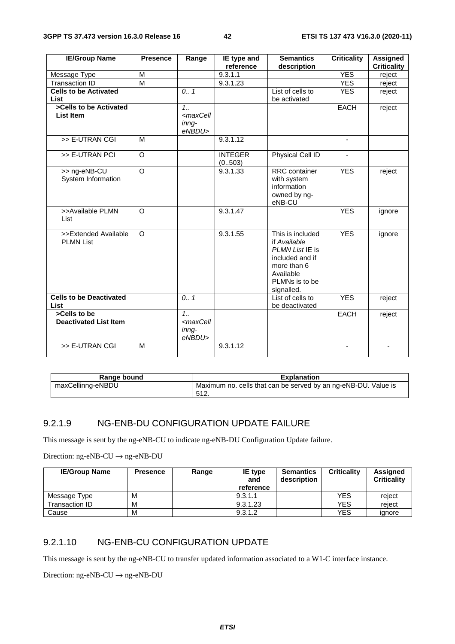| <b>IE/Group Name</b>           | <b>Presence</b>    | Range                                                           | IE type and    | <b>Semantics</b>     | <b>Criticality</b>       | <b>Assigned</b>    |
|--------------------------------|--------------------|-----------------------------------------------------------------|----------------|----------------------|--------------------------|--------------------|
|                                |                    |                                                                 | reference      | description          |                          | <b>Criticality</b> |
| Message Type                   | M                  |                                                                 | 9.3.1.1        |                      | <b>YES</b>               | reject             |
| <b>Transaction ID</b>          | $\overline{M}$     |                                                                 | 9.3.1.23       |                      | <b>YES</b>               | reject             |
| <b>Cells to be Activated</b>   |                    | 0.1                                                             |                | List of cells to     | <b>YES</b>               | reject             |
| List                           |                    |                                                                 |                | be activated         |                          |                    |
| >Cells to be Activated         |                    | 1.1                                                             |                |                      | <b>EACH</b>              | reject             |
| List Item                      |                    | <maxcell< td=""><td></td><td></td><td></td><td></td></maxcell<> |                |                      |                          |                    |
|                                |                    | inna-                                                           |                |                      |                          |                    |
|                                |                    | eNBDU>                                                          |                |                      |                          |                    |
| >> E-UTRAN CGI                 | М                  |                                                                 | 9.3.1.12       |                      | $\overline{\phantom{a}}$ |                    |
| >> E-UTRAN PCI                 | $\overline{\circ}$ |                                                                 | <b>INTEGER</b> | Physical Cell ID     |                          |                    |
|                                |                    |                                                                 | (0.503)        |                      |                          |                    |
| >> ng-eNB-CU                   | $\overline{\circ}$ |                                                                 | 9.3.1.33       | <b>RRC</b> container | <b>YES</b>               | reject             |
| System Information             |                    |                                                                 |                | with system          |                          |                    |
|                                |                    |                                                                 |                | information          |                          |                    |
|                                |                    |                                                                 |                | owned by ng-         |                          |                    |
|                                |                    |                                                                 |                | eNB-CU               |                          |                    |
| >>Available PLMN               | $\circ$            |                                                                 | 9.3.1.47       |                      | <b>YES</b>               | ignore             |
| List                           |                    |                                                                 |                |                      |                          |                    |
| >>Extended Available           | $\circ$            |                                                                 | 9.3.1.55       | This is included     | <b>YES</b>               | ignore             |
| <b>PLMN List</b>               |                    |                                                                 |                | if Available         |                          |                    |
|                                |                    |                                                                 |                | PLMN List IE is      |                          |                    |
|                                |                    |                                                                 |                | included and if      |                          |                    |
|                                |                    |                                                                 |                | more than 6          |                          |                    |
|                                |                    |                                                                 |                | Available            |                          |                    |
|                                |                    |                                                                 |                | PLMNs is to be       |                          |                    |
|                                |                    |                                                                 |                | signalled.           |                          |                    |
| <b>Cells to be Deactivated</b> |                    | 0.1                                                             |                | List of cells to     | <b>YES</b>               | reject             |
| List                           |                    |                                                                 |                | be deactivated       |                          |                    |
| >Cells to be                   |                    | 1.1                                                             |                |                      | <b>EACH</b>              | reject             |
| <b>Deactivated List Item</b>   |                    | <maxcell< td=""><td></td><td></td><td></td><td></td></maxcell<> |                |                      |                          |                    |
|                                |                    | inng-                                                           |                |                      |                          |                    |
|                                |                    | eNBDU>                                                          |                |                      |                          |                    |
| >> E-UTRAN CGI                 | M                  |                                                                 | 9.3.1.12       |                      |                          |                    |
|                                |                    |                                                                 |                |                      |                          |                    |

| Range bound       | <b>Explanation</b>                                                      |
|-------------------|-------------------------------------------------------------------------|
| maxCellinng-eNBDU | Maximum no. cells that can be served by an ng-eNB-DU. Value is<br>-512. |

#### 9.2.1.9 NG-ENB-DU CONFIGURATION UPDATE FAILURE

This message is sent by the ng-eNB-CU to indicate ng-eNB-DU Configuration Update failure.

Direction: ng-eNB-CU  $\rightarrow$  ng-eNB-DU

| <b>IE/Group Name</b> | <b>Presence</b> | Range | IE type<br>and<br>reference | <b>Semantics</b><br>description | <b>Criticality</b> | Assigned<br><b>Criticality</b> |
|----------------------|-----------------|-------|-----------------------------|---------------------------------|--------------------|--------------------------------|
| Message Type         | м               |       | 9.3.1.1                     |                                 | <b>YES</b>         | reject                         |
| Transaction ID       | м               |       | 9.3.1.23                    |                                 | <b>YES</b>         | reject                         |
| Cause                | M               |       | 9.3.1.2                     |                                 | <b>YES</b>         | ignore                         |

#### 9.2.1.10 NG-ENB-CU CONFIGURATION UPDATE

This message is sent by the ng-eNB-CU to transfer updated information associated to a W1-C interface instance.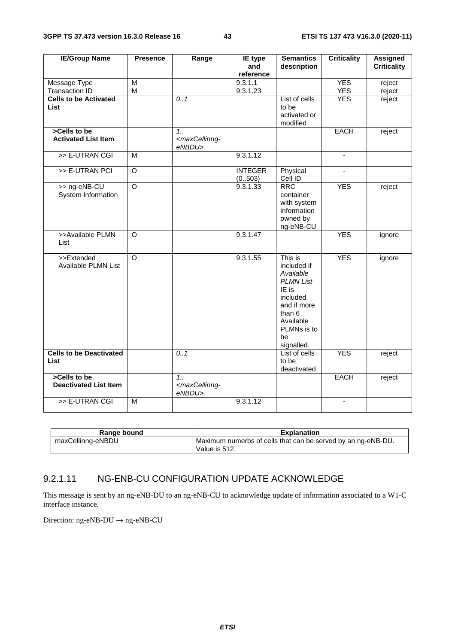| <b>IE/Group Name</b>                         | <b>Presence</b>         | Range                                                          | <b>IE</b> type<br>and     | <b>Semantics</b><br>description                                                                                                                       | <b>Criticality</b>       | <b>Assigned</b><br><b>Criticality</b> |
|----------------------------------------------|-------------------------|----------------------------------------------------------------|---------------------------|-------------------------------------------------------------------------------------------------------------------------------------------------------|--------------------------|---------------------------------------|
|                                              |                         |                                                                | reference                 |                                                                                                                                                       |                          |                                       |
| Message Type                                 | M                       |                                                                | 9.3.1.1                   |                                                                                                                                                       | <b>YES</b>               | reject                                |
| <b>Transaction ID</b>                        | $\overline{\mathsf{M}}$ |                                                                | 9.3.1.23                  |                                                                                                                                                       | <b>YES</b>               | reject                                |
| <b>Cells to be Activated</b><br>List         |                         | 0.1                                                            |                           | List of cells<br>to be<br>activated or<br>modified                                                                                                    | <b>YES</b>               | reject                                |
| >Cells to be<br><b>Activated List Item</b>   |                         | $1_{1}$<br><maxcellinng-<br>eNBDU&gt;</maxcellinng-<br>        |                           |                                                                                                                                                       | <b>EACH</b>              | reject                                |
| >> E-UTRAN CGI                               | M                       |                                                                | 9.3.1.12                  |                                                                                                                                                       | $\blacksquare$           |                                       |
| >> E-UTRAN PCI                               | $\overline{O}$          |                                                                | <b>INTEGER</b><br>(0.503) | Physical<br>Cell ID                                                                                                                                   | ÷,                       |                                       |
| >> ng-eNB-CU<br>System Information           | $\overline{\circ}$      |                                                                | 9.3.1.33                  | <b>RRC</b><br>container<br>with system<br>information<br>owned by<br>ng-eNB-CU                                                                        | <b>YES</b>               | reject                                |
| >>Available PLMN<br>List                     | $\circ$                 |                                                                | 9.3.1.47                  |                                                                                                                                                       | <b>YES</b>               | ignore                                |
| >>Extended<br>Available PLMN List            | $\overline{\circ}$      |                                                                | 9.3.1.55                  | This is<br>included if<br>Available<br><b>PLMN List</b><br>IE is<br>included<br>and if more<br>than 6<br>Available<br>PLMNs is to<br>be<br>signalled. | <b>YES</b>               | ignore                                |
| <b>Cells to be Deactivated</b><br>List       |                         | 0.1                                                            |                           | List of cells<br>to be<br>deactivated                                                                                                                 | <b>YES</b>               | reject                                |
| >Cells to be<br><b>Deactivated List Item</b> |                         | 1 <sub>1</sub><br><maxcellinng-<br>eNBDU&gt;</maxcellinng-<br> |                           |                                                                                                                                                       | <b>EACH</b>              | reject                                |
| >> E-UTRAN CGI                               | $\overline{M}$          |                                                                | 9.3.1.12                  |                                                                                                                                                       | $\overline{\phantom{a}}$ |                                       |

| Range bound       | <b>Explanation</b>                                           |
|-------------------|--------------------------------------------------------------|
| maxCellinng-eNBDU | Maximum numerbs of cells that can be served by an ng-eNB-DU. |
|                   | Value is 512.                                                |

#### 9.2.1.11 NG-ENB-CU CONFIGURATION UPDATE ACKNOWLEDGE

This message is sent by an ng-eNB-DU to an ng-eNB-CU to acknowledge update of information associated to a W1-C interface instance.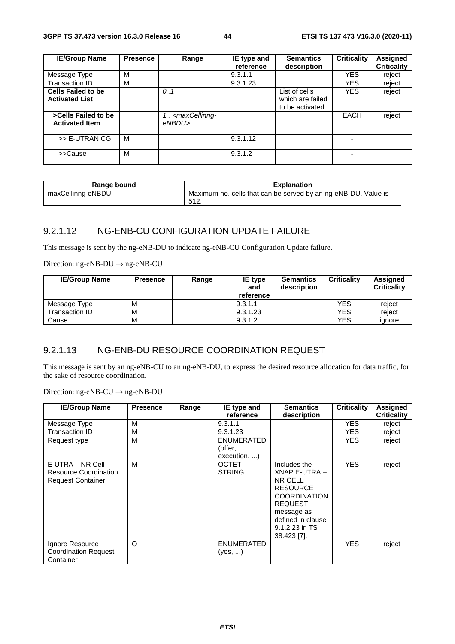| <b>IE/Group Name</b>                               | <b>Presence</b> | Range                                           | IE type and<br>reference | <b>Semantics</b><br>description                      | <b>Criticality</b> | <b>Assigned</b><br><b>Criticality</b> |
|----------------------------------------------------|-----------------|-------------------------------------------------|--------------------------|------------------------------------------------------|--------------------|---------------------------------------|
| Message Type                                       | M               |                                                 | 9.3.1.1                  |                                                      | <b>YES</b>         | reject                                |
| Transaction ID                                     | M               |                                                 | 9.3.1.23                 |                                                      | <b>YES</b>         | reject                                |
| <b>Cells Failed to be</b><br><b>Activated List</b> |                 | 0.1                                             |                          | List of cells<br>which are failed<br>to be activated | <b>YES</b>         | reject                                |
| >Cells Failed to be<br><b>Activated Item</b>       |                 | 1. <maxcellinng-<br>eNBDU&gt;</maxcellinng-<br> |                          |                                                      | <b>EACH</b>        | reject                                |
| >> E-UTRAN CGI                                     | M               |                                                 | 9.3.1.12                 |                                                      |                    |                                       |
| >>Cause                                            | M               |                                                 | 9.3.1.2                  |                                                      |                    |                                       |

| Range bound       | <b>Explanation</b>                                                      |  |  |  |
|-------------------|-------------------------------------------------------------------------|--|--|--|
| maxCellinng-eNBDU | Maximum no. cells that can be served by an ng-eNB-DU. Value is<br>-512. |  |  |  |

## 9.2.1.12 NG-ENB-CU CONFIGURATION UPDATE FAILURE

This message is sent by the ng-eNB-DU to indicate ng-eNB-CU Configuration Update failure.

Direction: ng-eNB-DU → ng-eNB-CU

| <b>IE/Group Name</b> | <b>Presence</b> | Range | IE type<br>and<br>reference | <b>Semantics</b><br>description | <b>Criticality</b> | <b>Assigned</b><br><b>Criticality</b> |
|----------------------|-----------------|-------|-----------------------------|---------------------------------|--------------------|---------------------------------------|
| Message Type         | M               |       | 9.3.1.1                     |                                 | <b>YES</b>         | reiect                                |
| Transaction ID       | M               |       | 9.3.1.23                    |                                 | YES                | reiect                                |
| Cause                | M               |       | 9.3.1.2                     |                                 | YES                | ianore                                |

## 9.2.1.13 NG-ENB-DU RESOURCE COORDINATION REQUEST

This message is sent by an ng-eNB-CU to an ng-eNB-DU, to express the desired resource allocation for data traffic, for the sake of resource coordination.

| <b>IE/Group Name</b>                                                         | <b>Presence</b> | Range | IE type and<br>reference      | <b>Semantics</b><br>description                                                                                                                                         | <b>Criticality</b> | <b>Assigned</b><br><b>Criticality</b> |
|------------------------------------------------------------------------------|-----------------|-------|-------------------------------|-------------------------------------------------------------------------------------------------------------------------------------------------------------------------|--------------------|---------------------------------------|
| Message Type                                                                 | M               |       | 9.3.1.1                       |                                                                                                                                                                         | YES.               | reject                                |
| Transaction ID                                                               | M               |       | 9.3.1.23                      |                                                                                                                                                                         | YES.               | reject                                |
| Request type                                                                 | М               |       | <b>ENUMERATED</b>             |                                                                                                                                                                         | <b>YES</b>         | reject                                |
|                                                                              |                 |       | (offer,                       |                                                                                                                                                                         |                    |                                       |
|                                                                              |                 |       | execution, )                  |                                                                                                                                                                         |                    |                                       |
| E-UTRA – NR Cell<br><b>Resource Coordination</b><br><b>Request Container</b> | M               |       | <b>OCTET</b><br><b>STRING</b> | Includes the<br>XNAP E-UTRA-<br>NR CELL<br><b>RESOURCE</b><br><b>COORDINATION</b><br><b>REQUEST</b><br>message as<br>defined in clause<br>9.1.2.23 in TS<br>38.423 [7]. | <b>YES</b>         | reject                                |
| Ignore Resource<br><b>Coordination Request</b><br>Container                  | O               |       | <b>ENUMERATED</b><br>(yes, )  |                                                                                                                                                                         | <b>YES</b>         | reject                                |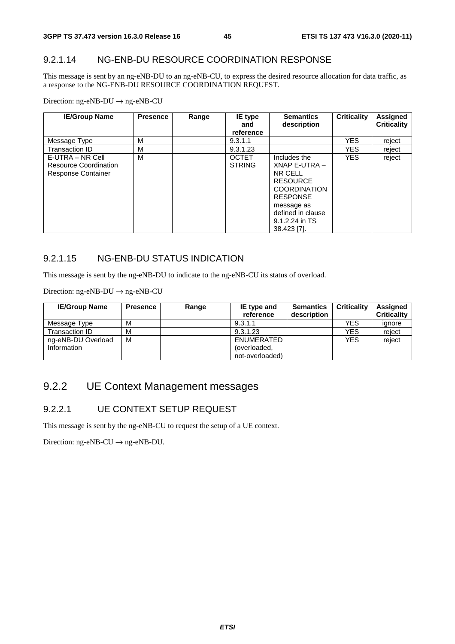## 9.2.1.14 NG-ENB-DU RESOURCE COORDINATION RESPONSE

This message is sent by an ng-eNB-DU to an ng-eNB-CU, to express the desired resource allocation for data traffic, as a response to the NG-ENB-DU RESOURCE COORDINATION REQUEST.

Direction: ng-eNB-DU → ng-eNB-CU

| <b>IE/Group Name</b>                                                   | <b>Presence</b> | Range | IE type<br>and<br>reference   | <b>Semantics</b><br>description                                                                                                                                           | Criticality | Assigned<br><b>Criticality</b> |
|------------------------------------------------------------------------|-----------------|-------|-------------------------------|---------------------------------------------------------------------------------------------------------------------------------------------------------------------------|-------------|--------------------------------|
| Message Type                                                           | М               |       | 9.3.1.1                       |                                                                                                                                                                           | <b>YES</b>  | reject                         |
| Transaction ID                                                         | M               |       | 9.3.1.23                      |                                                                                                                                                                           | <b>YES</b>  | reject                         |
| E-UTRA – NR Cell<br>Resource Coordination<br><b>Response Container</b> | M               |       | <b>OCTET</b><br><b>STRING</b> | Includes the<br>XNAP E-UTRA -<br>NR CELL<br><b>RESOURCE</b><br><b>COORDINATION</b><br><b>RESPONSE</b><br>message as<br>defined in clause<br>9.1.2.24 in TS<br>38.423 [7]. | <b>YES</b>  | reject                         |

## 9.2.1.15 NG-ENB-DU STATUS INDICATION

This message is sent by the ng-eNB-DU to indicate to the ng-eNB-CU its status of overload.

Direction: ng-eNB-DU → ng-eNB-CU

| <b>IE/Group Name</b> | <b>Presence</b> | Range | <b>IE</b> type and<br>reference | <b>Semantics</b><br>description | <b>Criticality</b> | <b>Assigned</b><br><b>Criticality</b> |
|----------------------|-----------------|-------|---------------------------------|---------------------------------|--------------------|---------------------------------------|
| Message Type         | М               |       | 9.3.1.1                         |                                 | <b>YES</b>         | ignore                                |
| Transaction ID       | М               |       | 9.3.1.23                        |                                 | YES                | reject                                |
| ng-eNB-DU Overload   | M               |       | ENUMERATED                      |                                 | <b>YES</b>         | reject                                |
| Information          |                 |       | (overloaded,                    |                                 |                    |                                       |
|                      |                 |       | not-overloaded)                 |                                 |                    |                                       |

## 9.2.2 UE Context Management messages

### 9.2.2.1 UE CONTEXT SETUP REQUEST

This message is sent by the ng-eNB-CU to request the setup of a UE context.

Direction:  $ng-eNB-CU \rightarrow ng-eNB-DU$ .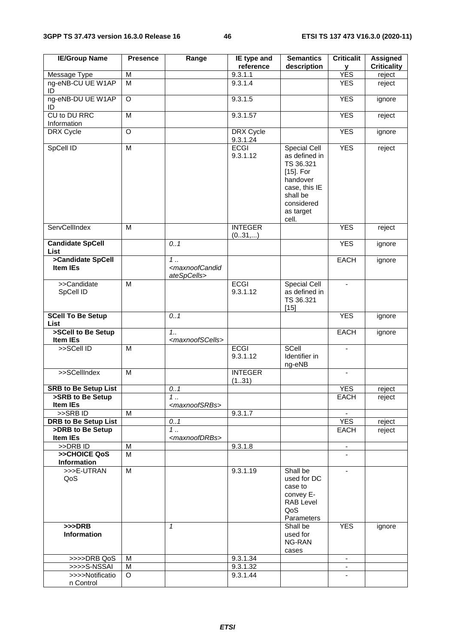| <b>IE/Group Name</b>                            | <b>Presence</b> | Range                                                        | IE type and<br>reference     | <b>Semantics</b><br>description                                                                                                         | <b>Criticalit</b><br>У   | <b>Assigned</b><br><b>Criticality</b> |
|-------------------------------------------------|-----------------|--------------------------------------------------------------|------------------------------|-----------------------------------------------------------------------------------------------------------------------------------------|--------------------------|---------------------------------------|
| <b>Message Type</b>                             | M               |                                                              | 9.3.1.1                      |                                                                                                                                         | <b>YES</b>               | reject                                |
| ng-eNB-CU UE W1AP<br>ID                         | M               |                                                              | 9.3.1.4                      |                                                                                                                                         | <b>YES</b>               | reject                                |
| ng-eNB-DU UE W1AP<br>ID                         | O               |                                                              | 9.3.1.5                      |                                                                                                                                         | <b>YES</b>               | ignore                                |
| CU to DU RRC<br>Information                     | M               |                                                              | 9.3.1.57                     |                                                                                                                                         | <b>YES</b>               | reject                                |
| DRX Cycle                                       | O               |                                                              | <b>DRX</b> Cycle<br>9.3.1.24 |                                                                                                                                         | <b>YES</b>               | ignore                                |
| SpCell ID                                       | M               |                                                              | <b>ECGI</b><br>9.3.1.12      | Special Cell<br>as defined in<br>TS 36.321<br>$[15]$ . For<br>handover<br>case, this IE<br>shall be<br>considered<br>as target<br>cell. | <b>YES</b>               | reject                                |
| ServCellIndex                                   | M               |                                                              | <b>INTEGER</b><br>(031,)     |                                                                                                                                         | <b>YES</b>               | reject                                |
| <b>Candidate SpCell</b><br>List                 |                 | 0.1                                                          |                              |                                                                                                                                         | <b>YES</b>               | ignore                                |
| >Candidate SpCell<br>Item IEs                   |                 | $1$ .<br><maxnoofcandid<br>ateSpCells&gt;</maxnoofcandid<br> |                              |                                                                                                                                         | <b>EACH</b>              | ignore                                |
| >>Candidate<br>SpCell ID                        | M               |                                                              | <b>ECGI</b><br>9.3.1.12      | <b>Special Cell</b><br>as defined in<br>TS 36.321<br>$[15]$                                                                             | $\blacksquare$           |                                       |
| <b>SCell To Be Setup</b><br><b>List</b>         |                 | 0.1                                                          |                              |                                                                                                                                         | <b>YES</b>               | ignore                                |
| >SCell to Be Setup<br>Item IEs                  |                 | 1.1<br><maxnoofscells></maxnoofscells>                       |                              |                                                                                                                                         | <b>EACH</b>              | ignore                                |
| >>SCell ID                                      | M               |                                                              | <b>ECGI</b><br>9.3.1.12      | SCell<br>Identifier in<br>ng-eNB                                                                                                        | $\sim$                   |                                       |
| >>SCellIndex                                    | M               |                                                              | <b>INTEGER</b><br>(131)      |                                                                                                                                         |                          |                                       |
| <b>SRB to Be Setup List</b>                     |                 | 0.1                                                          |                              |                                                                                                                                         | <b>YES</b>               | reject                                |
| >SRB to Be Setup                                |                 | 1                                                            |                              |                                                                                                                                         | EACH                     | reject                                |
| Item IEs                                        |                 | <maxnoofsrbs></maxnoofsrbs>                                  |                              |                                                                                                                                         |                          |                                       |
| >>SRBID                                         | M               |                                                              | 9.3.1.7                      |                                                                                                                                         |                          |                                       |
| <b>DRB to Be Setup List</b><br>>DRB to Be Setup |                 | 0.1<br>1                                                     |                              |                                                                                                                                         | <b>YES</b><br>EACH       | reject                                |
| <b>Item IEs</b>                                 |                 | <maxnoofdrbs></maxnoofdrbs>                                  |                              |                                                                                                                                         |                          | reject                                |
| >>DRB ID                                        | M               |                                                              | 9.3.1.8                      |                                                                                                                                         | $\overline{\phantom{a}}$ |                                       |
| >>CHOICE QoS                                    | M               |                                                              |                              |                                                                                                                                         |                          |                                       |
| Information                                     |                 |                                                              |                              |                                                                                                                                         |                          |                                       |
| >>>E-UTRAN<br>QoS                               | M               |                                                              | 9.3.1.19                     | Shall be<br>used for DC<br>case to<br>convey E-<br><b>RAB Level</b><br>QoS<br>Parameters                                                | $\overline{\phantom{a}}$ |                                       |
| $>>$ DRB<br>Information                         |                 | $\mathbf{1}$                                                 |                              | Shall be<br>used for<br>NG-RAN<br>cases                                                                                                 | <b>YES</b>               | ignore                                |
| >>>>DRB QoS                                     | м               |                                                              | 9.3.1.34                     |                                                                                                                                         | $\blacksquare$           |                                       |
| >>>>S-NSSAI                                     | M               |                                                              | 9.3.1.32                     |                                                                                                                                         |                          |                                       |
| >>>>Notificatio<br>n Control                    | O               |                                                              | 9.3.1.44                     |                                                                                                                                         |                          |                                       |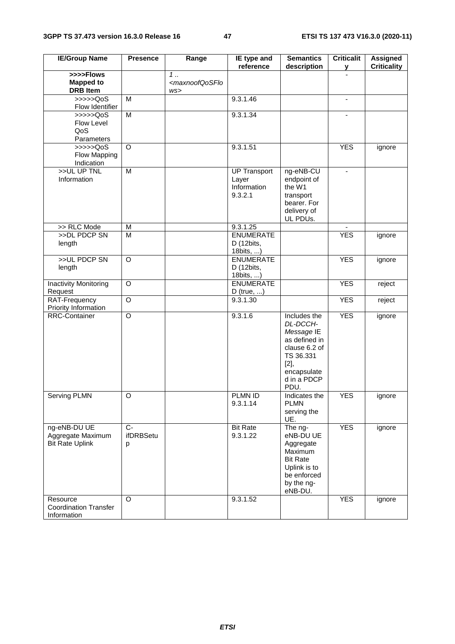| <b>IE/Group Name</b>                                        | <b>Presence</b>                  | Range                                                     | IE type and<br>reference                               | <b>Semantics</b><br>description                                                                                                    | <b>Criticalit</b><br>у   | <b>Assigned</b><br><b>Criticality</b> |
|-------------------------------------------------------------|----------------------------------|-----------------------------------------------------------|--------------------------------------------------------|------------------------------------------------------------------------------------------------------------------------------------|--------------------------|---------------------------------------|
| >>>>Flows<br><b>Mapped to</b><br><b>DRB</b> Item            |                                  | $\overline{1}$<br><maxnoofqosflo<br>WS</maxnoofqosflo<br> |                                                        |                                                                                                                                    |                          |                                       |
| > >> > > QoS<br>Flow Identifier                             | M                                |                                                           | 9.3.1.46                                               |                                                                                                                                    | $\overline{\phantom{a}}$ |                                       |
| $\gg >> >QoS$<br>Flow Level<br>QoS<br>Parameters            | $\overline{M}$                   |                                                           | 9.3.1.34                                               |                                                                                                                                    |                          |                                       |
| $\gg >> >QoS$<br>Flow Mapping<br>Indication                 | $\circ$                          |                                                           | 9.3.1.51                                               |                                                                                                                                    | <b>YES</b>               | ignore                                |
| >>UL UP TNL<br>Information                                  | M                                |                                                           | <b>UP Transport</b><br>Layer<br>Information<br>9.3.2.1 | ng-eNB-CU<br>endpoint of<br>the W1<br>transport<br>bearer. For<br>delivery of<br>UL PDUs.                                          | $\blacksquare$           |                                       |
| >> RLC Mode                                                 | M                                |                                                           | 9.3.1.25                                               |                                                                                                                                    |                          |                                       |
| >>DL PDCP SN<br>length                                      | $\overline{M}$                   |                                                           | <b>ENUMERATE</b><br>D (12bits,<br>18bits, )            |                                                                                                                                    | <b>YES</b>               | ignore                                |
| >>UL PDCP SN<br>length                                      | $\overline{O}$                   |                                                           | <b>ENUMERATE</b><br>D (12bits,<br>18bits, )            |                                                                                                                                    | <b>YES</b>               | ignore                                |
| <b>Inactivity Monitoring</b><br>Request                     | $\overline{O}$                   |                                                           | <b>ENUMERATE</b><br>$D$ (true, )                       |                                                                                                                                    | <b>YES</b>               | reject                                |
| RAT-Frequency<br>Priority Information                       | $\overline{O}$                   |                                                           | 9.3.1.30                                               |                                                                                                                                    | <b>YES</b>               | reject                                |
| <b>RRC-Container</b>                                        | $\overline{O}$                   |                                                           | 9.3.1.6                                                | Includes the<br>DL-DCCH-<br>Message IE<br>as defined in<br>clause 6.2 of<br>TS 36.331<br>[2]<br>encapsulate<br>d in a PDCP<br>PDU. | <b>YES</b>               | ignore                                |
| Serving PLMN                                                | $\overline{O}$                   |                                                           | PLMN ID<br>9.3.1.14                                    | Indicates the<br><b>PLMN</b><br>serving the<br>UE.                                                                                 | <b>YES</b>               | ignore                                |
| ng-eNB-DU UE<br>Aggregate Maximum<br><b>Bit Rate Uplink</b> | $\overline{C}$<br>ifDRBSetu<br>р |                                                           | <b>Bit Rate</b><br>9.3.1.22                            | The ng-<br>eNB-DU UE<br>Aggregate<br>Maximum<br><b>Bit Rate</b><br>Uplink is to<br>be enforced<br>by the ng-<br>eNB-DU.            | <b>YES</b>               | ignore                                |
| Resource<br><b>Coordination Transfer</b><br>Information     | $\Omega$                         |                                                           | 9.3.1.52                                               |                                                                                                                                    | <b>YES</b>               | ignore                                |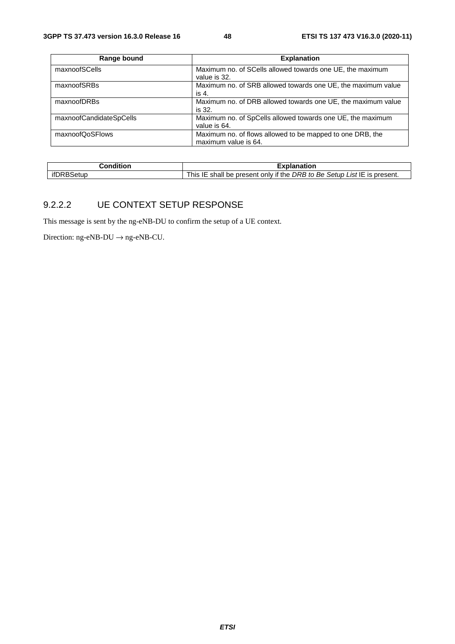| Range bound             | <b>Explanation</b>                                           |
|-------------------------|--------------------------------------------------------------|
| maxnoofSCells           | Maximum no. of SCells allowed towards one UE, the maximum    |
|                         | value is 32.                                                 |
| maxnoofSRBs             | Maximum no. of SRB allowed towards one UE, the maximum value |
|                         | is 4.                                                        |
| maxnoofDRBs             | Maximum no. of DRB allowed towards one UE, the maximum value |
|                         | is 32.                                                       |
| maxnoofCandidateSpCells | Maximum no. of SpCells allowed towards one UE, the maximum   |
|                         | value is 64.                                                 |
| maxnoofQoSFlows         | Maximum no. of flows allowed to be mapped to one DRB, the    |
|                         | maximum value is 64.                                         |

| :onditior      | Explanation                                                                                         |
|----------------|-----------------------------------------------------------------------------------------------------|
| ifDRR<br>Setun | Be Setup L<br>List IE is present.<br>only if the<br>DRB to<br>This<br>shall<br>ᄩ<br>: present<br>be |

#### 9.2.2.2 UE CONTEXT SETUP RESPONSE

This message is sent by the ng-eNB-DU to confirm the setup of a UE context.

Direction:  $ng-eNB-DU \rightarrow ng-eNB-CU$ .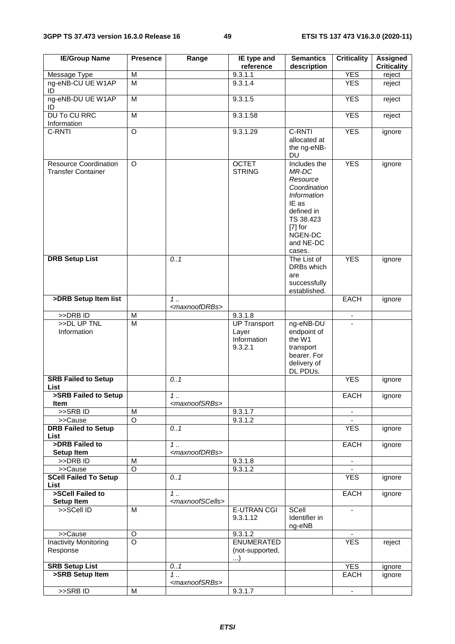| <b>IE/Group Name</b>                                      | <b>Presence</b>         | Range                             | IE type and<br>reference                               | <b>Semantics</b><br>description                                                                                                                            | <b>Criticality</b> | <b>Assigned</b><br><b>Criticality</b> |
|-----------------------------------------------------------|-------------------------|-----------------------------------|--------------------------------------------------------|------------------------------------------------------------------------------------------------------------------------------------------------------------|--------------------|---------------------------------------|
| Message Type                                              | M                       |                                   | 9.3.1.1                                                |                                                                                                                                                            | <b>YES</b>         | reject                                |
| ng-eNB-CU UE W1AP<br>ID                                   | $\overline{\mathsf{M}}$ |                                   | 9.3.1.4                                                |                                                                                                                                                            | <b>YES</b>         | reject                                |
| ng-eNB-DU UE W1AP<br>ID                                   | M                       |                                   | 9.3.1.5                                                |                                                                                                                                                            | <b>YES</b>         | reject                                |
| <b>DU To CU RRC</b><br>Information                        | M                       |                                   | 9.3.1.58                                               |                                                                                                                                                            | <b>YES</b>         | reject                                |
| C-RNTI                                                    | $\circ$                 |                                   | 9.3.1.29                                               | C-RNTI<br>allocated at<br>the ng-eNB-<br><b>DU</b>                                                                                                         | <b>YES</b>         | ignore                                |
| <b>Resource Coordination</b><br><b>Transfer Container</b> | $\circ$                 |                                   | <b>OCTET</b><br><b>STRING</b>                          | Includes the<br>MR-DC<br>Resource<br>Coordination<br><b>Information</b><br>IE as<br>defined in<br>TS 38.423<br>$[7]$ for<br>NGEN-DC<br>and NE-DC<br>cases. | <b>YES</b>         | ignore                                |
| <b>DRB Setup List</b>                                     |                         | 0.1                               |                                                        | The List of<br>DRBs which<br>are<br>successfully<br>established.                                                                                           | <b>YES</b>         | ignore                                |
| >DRB Setup Item list                                      |                         | 1.<br><maxnoofdrbs></maxnoofdrbs> |                                                        |                                                                                                                                                            | <b>EACH</b>        | ignore                                |
| >>DRB ID                                                  | M                       |                                   | 9.3.1.8                                                |                                                                                                                                                            | $\blacksquare$     |                                       |
| >>DL UP TNL<br>Information                                | $\overline{\mathsf{M}}$ |                                   | <b>UP Transport</b><br>Layer<br>Information<br>9.3.2.1 | ng-eNB-DU<br>endpoint of<br>the W1<br>transport<br>bearer. For<br>delivery of<br>DL PDUs.                                                                  |                    |                                       |
| <b>SRB Failed to Setup</b><br>List                        |                         | 0.1                               |                                                        |                                                                                                                                                            | <b>YES</b>         | ignore                                |
| >SRB Failed to Setup<br>Item                              |                         | 1.<br><maxnoofsrbs></maxnoofsrbs> |                                                        |                                                                                                                                                            | <b>EACH</b>        | ignore                                |
| $>$ SRB ID                                                | M                       |                                   | 9.3.1.7                                                |                                                                                                                                                            | $\sim$             |                                       |
| >>Cause                                                   | $\overline{O}$          |                                   | 9.3.1.2                                                |                                                                                                                                                            |                    |                                       |
| <b>DRB Failed to Setup</b><br>List                        |                         | 0.1                               |                                                        |                                                                                                                                                            | <b>YES</b>         | ignore                                |
| >DRB Failed to<br>Setup Item                              |                         | 1.<br><maxnoofdrbs></maxnoofdrbs> |                                                        |                                                                                                                                                            | <b>EACH</b>        | ignore                                |
| >>DRB ID                                                  | M                       |                                   | 9.3.1.8                                                |                                                                                                                                                            | $\blacksquare$     |                                       |
| >>Cause                                                   | $\overline{O}$          |                                   | 9.3.1.2                                                |                                                                                                                                                            |                    |                                       |
| <b>SCell Failed To Setup</b><br>List                      |                         | 0.1                               |                                                        |                                                                                                                                                            | <b>YES</b>         | ignore                                |
| >SCell Failed to                                          |                         | 1.                                |                                                        |                                                                                                                                                            | <b>EACH</b>        | ignore                                |
| Setup Item                                                |                         | <maxnoofscells></maxnoofscells>   |                                                        |                                                                                                                                                            |                    |                                       |
| >>SCell ID                                                | M                       |                                   | <b>E-UTRAN CGI</b><br>9.3.1.12                         | SCell<br>Identifier in<br>ng-eNB                                                                                                                           |                    |                                       |
| >>Cause                                                   | O                       |                                   | 9.3.1.2                                                |                                                                                                                                                            |                    |                                       |
| <b>Inactivity Monitoring</b><br>Response                  | $\overline{\circ}$      |                                   | <b>ENUMERATED</b><br>(not-supported,<br>$\ldots$       |                                                                                                                                                            | <b>YES</b>         | reject                                |
| <b>SRB Setup List</b>                                     |                         | 0.1                               |                                                        |                                                                                                                                                            | <b>YES</b>         | ignore                                |
| >SRB Setup Item                                           |                         | 1.<br><maxnoofsrbs></maxnoofsrbs> |                                                        |                                                                                                                                                            | EACH               | ignore                                |
| >>SRBID                                                   | M                       |                                   | 9.3.1.7                                                |                                                                                                                                                            | $\blacksquare$     |                                       |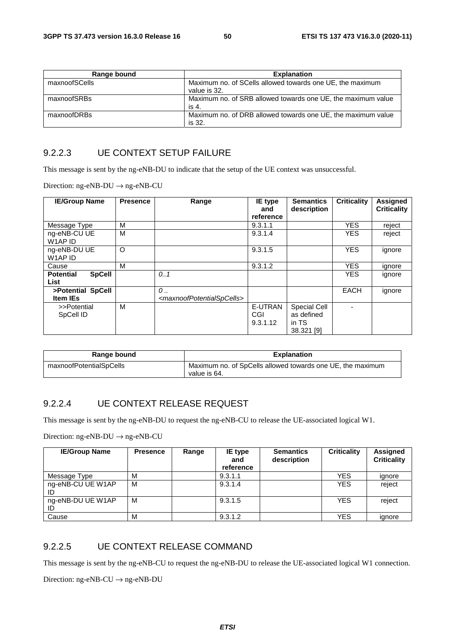| Range bound   | <b>Explanation</b>                                                        |
|---------------|---------------------------------------------------------------------------|
| maxnoofSCells | Maximum no. of SCells allowed towards one UE, the maximum<br>value is 32. |
| maxnoofSRBs   | Maximum no. of SRB allowed towards one UE, the maximum value<br>is 4.     |
| maxnoofDRBs   | Maximum no. of DRB allowed towards one UE, the maximum value<br>is 32.    |

#### 9.2.2.3 UE CONTEXT SETUP FAILURE

This message is sent by the ng-eNB-DU to indicate that the setup of the UE context was unsuccessful.

Direction: ng-eNB-DU → ng-eNB-CU

| <b>IE/Group Name</b>                      | <b>Presence</b> | Range                                                                | <b>IE</b> type<br>and      | <b>Semantics</b><br>description                          | <b>Criticality</b> | Assigned<br><b>Criticality</b> |
|-------------------------------------------|-----------------|----------------------------------------------------------------------|----------------------------|----------------------------------------------------------|--------------------|--------------------------------|
|                                           |                 |                                                                      | reference                  |                                                          |                    |                                |
| Message Type                              | м               |                                                                      | 9.3.1.1                    |                                                          | <b>YES</b>         | reject                         |
| ng-eNB-CU UE<br>W1AP ID                   | M               |                                                                      | 9.3.1.4                    |                                                          | <b>YES</b>         | reject                         |
| ng-eNB-DU UE<br>W1AP ID                   | O               |                                                                      | 9.3.1.5                    |                                                          | <b>YES</b>         | ignore                         |
| Cause                                     | М               |                                                                      | 9.3.1.2                    |                                                          | <b>YES</b>         | ignore                         |
| <b>Potential</b><br><b>SpCell</b><br>List |                 | 0.1                                                                  |                            |                                                          | <b>YES</b>         | ignore                         |
| >Potential SpCell<br><b>Item IEs</b>      |                 | $\mathcal{O}$<br><maxnoofpotentialspcells></maxnoofpotentialspcells> |                            |                                                          | <b>EACH</b>        | ignore                         |
| >>Potential<br>SpCell ID                  | м               |                                                                      | E-UTRAN<br>CGI<br>9.3.1.12 | <b>Special Cell</b><br>as defined<br>in TS<br>38.321 [9] |                    |                                |

| Range bound             | <b>Explanation</b>                                                         |
|-------------------------|----------------------------------------------------------------------------|
| maxnoofPotentialSpCells | Maximum no. of SpCells allowed towards one UE, the maximum<br>value is 64. |

#### 9.2.2.4 UE CONTEXT RELEASE REQUEST

This message is sent by the ng-eNB-DU to request the ng-eNB-CU to release the UE-associated logical W1.

Direction: ng-eNB-DU → ng-eNB-CU

| <b>IE/Group Name</b>    | <b>Presence</b> | Range | <b>IE</b> type<br>and<br>reference | <b>Semantics</b><br>description | <b>Criticality</b> | Assigned<br><b>Criticality</b> |
|-------------------------|-----------------|-------|------------------------------------|---------------------------------|--------------------|--------------------------------|
| Message Type            | м               |       | 9.3.1.1                            |                                 | <b>YES</b>         | ignore                         |
| ng-eNB-CU UE W1AP<br>ID | M               |       | 9.3.1.4                            |                                 | <b>YES</b>         | reject                         |
| ng-eNB-DU UE W1AP<br>ID | M               |       | 9.3.1.5                            |                                 | <b>YES</b>         | reject                         |
| Cause                   | M               |       | 9.3.1.2                            |                                 | <b>YES</b>         | ignore                         |

#### 9.2.2.5 UE CONTEXT RELEASE COMMAND

This message is sent by the ng-eNB-CU to request the ng-eNB-DU to release the UE-associated logical W1 connection.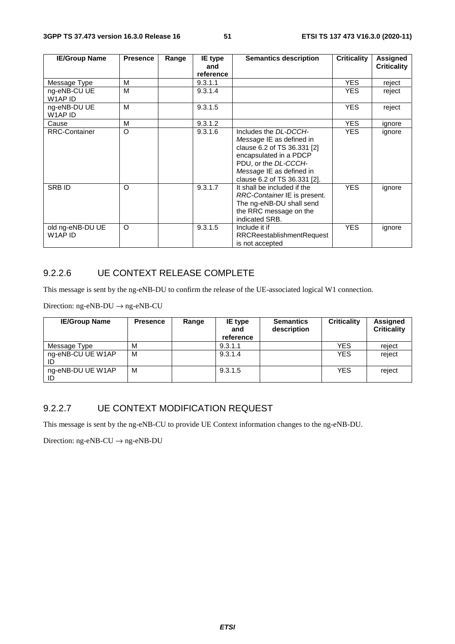| <b>IE/Group Name</b>        | <b>Presence</b> | Range | <b>IE</b> type<br>and | <b>Semantics description</b>                                                                                                                                                                   | <b>Criticality</b> | Assigned<br><b>Criticality</b> |
|-----------------------------|-----------------|-------|-----------------------|------------------------------------------------------------------------------------------------------------------------------------------------------------------------------------------------|--------------------|--------------------------------|
|                             |                 |       | reference             |                                                                                                                                                                                                |                    |                                |
| Message Type                | м               |       | 9.3.1.1               |                                                                                                                                                                                                | <b>YES</b>         | reject                         |
| ng-eNB-CU UE<br>W1AP ID     | м               |       | 9.3.1.4               |                                                                                                                                                                                                | <b>YES</b>         | reject                         |
| ng-eNB-DU UE<br>W1AP ID     | м               |       | 9.3.1.5               |                                                                                                                                                                                                | <b>YES</b>         | reject                         |
| Cause                       | M               |       | 9.3.1.2               |                                                                                                                                                                                                | YES.               | ignore                         |
| <b>RRC-Container</b>        | $\circ$         |       | 9.3.1.6               | Includes the DL-DCCH-<br>Message IE as defined in<br>clause 6.2 of TS 36.331 [2]<br>encapsulated in a PDCP<br>PDU, or the DL-CCCH-<br>Message IE as defined in<br>clause 6.2 of TS 36.331 [2]. | <b>YES</b>         | ignore                         |
| <b>SRBID</b>                | $\circ$         |       | 9.3.1.7               | It shall be included if the<br>RRC-Container IE is present.<br>The ng-eNB-DU shall send<br>the RRC message on the<br>indicated SRB.                                                            | <b>YES</b>         | ignore                         |
| old ng-eNB-DU UE<br>W1AP ID | $\circ$         |       | 9.3.1.5               | Include it if<br><b>RRCReestablishmentRequest</b><br>is not accepted                                                                                                                           | <b>YES</b>         | ignore                         |

## 9.2.2.6 UE CONTEXT RELEASE COMPLETE

This message is sent by the ng-eNB-DU to confirm the release of the UE-associated logical W1 connection.

Direction: ng-eNB-DU  $\rightarrow$  ng-eNB-CU

| <b>IE/Group Name</b>    | <b>Presence</b> | Range | IE type<br>and<br>reference | <b>Semantics</b><br>description | <b>Criticality</b> | Assigned<br><b>Criticality</b> |
|-------------------------|-----------------|-------|-----------------------------|---------------------------------|--------------------|--------------------------------|
| Message Type            | M               |       | 9.3.1.1                     |                                 | <b>YES</b>         | reject                         |
| ng-eNB-CU UE W1AP<br>ID | M               |       | 9.3.1.4                     |                                 | <b>YES</b>         | reject                         |
| ng-eNB-DU UE W1AP<br>ID | M               |       | 9.3.1.5                     |                                 | <b>YES</b>         | reject                         |

## 9.2.2.7 UE CONTEXT MODIFICATION REQUEST

This message is sent by the ng-eNB-CU to provide UE Context information changes to the ng-eNB-DU.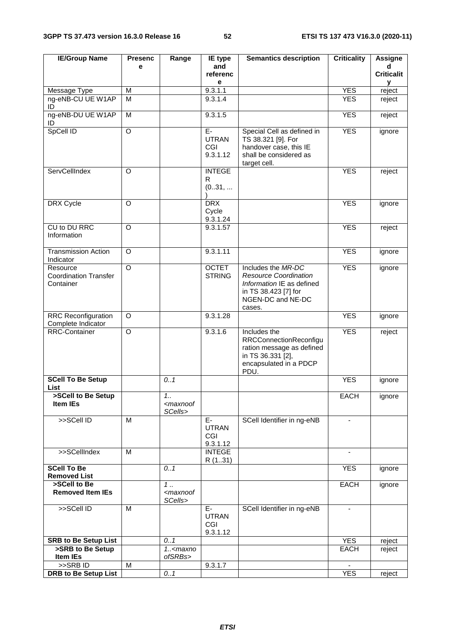| <b>IE/Group Name</b>                                  | <b>Presenc</b>     | Range                                             | IE type                               | <b>Semantics description</b>                                                                                                           | <b>Criticality</b> | <b>Assigne</b>    |
|-------------------------------------------------------|--------------------|---------------------------------------------------|---------------------------------------|----------------------------------------------------------------------------------------------------------------------------------------|--------------------|-------------------|
|                                                       | e                  |                                                   | and                                   |                                                                                                                                        |                    | d                 |
|                                                       |                    |                                                   | referenc<br>е                         |                                                                                                                                        |                    | <b>Criticalit</b> |
| Message Type                                          | M                  |                                                   | 9.3.1.1                               |                                                                                                                                        | <b>YES</b>         | у<br>reject       |
| ng-eNB-CU UE W1AP<br>ID                               | M                  |                                                   | 9.3.1.4                               |                                                                                                                                        | <b>YES</b>         | reject            |
| ng-eNB-DU UE W1AP<br>ID                               | M                  |                                                   | 9.3.1.5                               |                                                                                                                                        | <b>YES</b>         | reject            |
| SpCell ID                                             | $\overline{O}$     |                                                   | $E-$<br><b>UTRAN</b><br>CGI           | Special Cell as defined in<br>TS 38.321 [9]. For<br>handover case, this IE                                                             | <b>YES</b>         | ignore            |
|                                                       |                    |                                                   | 9.3.1.12                              | shall be considered as<br>target cell.                                                                                                 |                    |                   |
| ServCellIndex                                         | $\Omega$           |                                                   | <b>INTEGE</b><br>R<br>(031,           |                                                                                                                                        | <b>YES</b>         | reject            |
| DRX Cycle                                             | $\Omega$           |                                                   | <b>DRX</b><br>Cycle<br>9.3.1.24       |                                                                                                                                        | <b>YES</b>         | ignore            |
| CU to DU RRC<br>Information                           | O                  |                                                   | 9.3.1.57                              |                                                                                                                                        | <b>YES</b>         | reject            |
| <b>Transmission Action</b><br>Indicator               | $\Omega$           |                                                   | 9.3.1.11                              |                                                                                                                                        | <b>YES</b>         | ignore            |
| Resource<br><b>Coordination Transfer</b><br>Container | $\overline{\circ}$ |                                                   | <b>OCTET</b><br><b>STRING</b>         | Includes the MR-DC<br><b>Resource Coordination</b><br>Information IE as defined<br>in TS 38.423 [7] for<br>NGEN-DC and NE-DC<br>cases. | <b>YES</b>         | ignore            |
| <b>RRC Reconfiguration</b><br>Complete Indicator      | O                  |                                                   | 9.3.1.28                              |                                                                                                                                        | <b>YES</b>         | ignore            |
| <b>RRC-Container</b>                                  | $\circ$            |                                                   | 9.3.1.6                               | Includes the<br><b>RRCConnectionReconfigu</b><br>ration message as defined<br>in TS 36.331 [2],<br>encapsulated in a PDCP<br>PDU.      | <b>YES</b>         | reject            |
| <b>SCell To Be Setup</b><br>List                      |                    | 0.1                                               |                                       |                                                                                                                                        | <b>YES</b>         | ignore            |
| >SCell to Be Setup<br>Item IEs                        |                    | 1.1<br><maxnoof<br>SCells&gt;</maxnoof<br>        |                                       |                                                                                                                                        | <b>EACH</b>        | ignore            |
| >>SCell ID                                            | M                  |                                                   | E-<br><b>UTRAN</b><br>CGI<br>9.3.1.12 | SCell Identifier in ng-eNB                                                                                                             | $\blacksquare$     |                   |
| >>SCellIndex                                          | M                  |                                                   | <b>INTEGE</b><br>R (131)              |                                                                                                                                        |                    |                   |
| <b>SCell To Be</b><br><b>Removed List</b>             |                    | 0.1                                               |                                       |                                                                                                                                        | <b>YES</b>         | ignore            |
| >SCell to Be<br><b>Removed Item IEs</b>               |                    | $1 \ldots$<br><maxnoof<br>SCells&gt;</maxnoof<br> |                                       |                                                                                                                                        | EACH               | ignore            |
| >>SCell ID                                            | M                  |                                                   | E-<br><b>UTRAN</b><br>CGI<br>9.3.1.12 | SCell Identifier in ng-eNB                                                                                                             | $\blacksquare$     |                   |
| <b>SRB to Be Setup List</b>                           |                    | 0.1                                               |                                       |                                                                                                                                        | <b>YES</b>         | reject            |
| >SRB to Be Setup<br>Item IEs                          |                    | $1. maxnoofSRBs>$                                 |                                       |                                                                                                                                        | <b>EACH</b>        | reject            |
| $>>$ SRB ID                                           | M                  |                                                   | 9.3.1.7                               |                                                                                                                                        |                    |                   |
| <b>DRB</b> to Be Setup List                           |                    | 0.1                                               |                                       |                                                                                                                                        | <b>YES</b>         | reject            |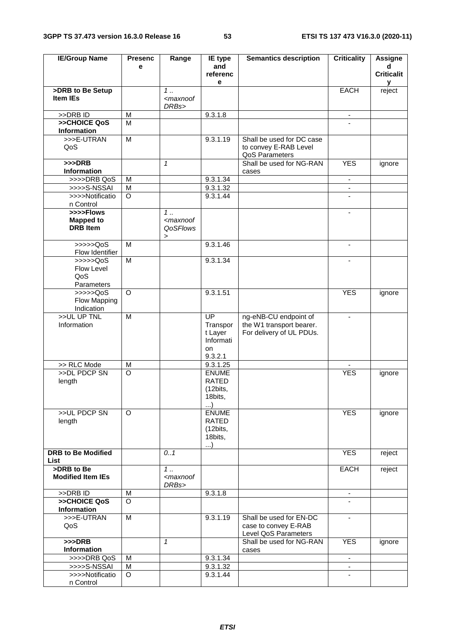| <b>IE/Group Name</b>                             | <b>Presenc</b> | Range                                                                                             | IE type                                                              | <b>Semantics description</b>                                                  | <b>Criticality</b>       | <b>Assigne</b>         |
|--------------------------------------------------|----------------|---------------------------------------------------------------------------------------------------|----------------------------------------------------------------------|-------------------------------------------------------------------------------|--------------------------|------------------------|
|                                                  | e              |                                                                                                   | and                                                                  |                                                                               |                          | d<br><b>Criticalit</b> |
|                                                  |                |                                                                                                   | referenc<br>е                                                        |                                                                               |                          | y                      |
| >DRB to Be Setup                                 |                | $1 \ldots$                                                                                        |                                                                      |                                                                               | <b>EACH</b>              | reject                 |
| <b>Item IEs</b>                                  |                | <maxnoof<br>DRBs&gt;</maxnoof<br>                                                                 |                                                                      |                                                                               |                          |                        |
| >>DRB ID                                         | M              |                                                                                                   | 9.3.1.8                                                              |                                                                               | $\blacksquare$           |                        |
| >>CHOICE QoS<br>Information                      | M              |                                                                                                   |                                                                      |                                                                               |                          |                        |
| >>>E-UTRAN<br>QoS                                | $\overline{M}$ |                                                                                                   | 9.3.1.19                                                             | Shall be used for DC case<br>to convey E-RAB Level<br>QoS Parameters          |                          |                        |
| $>>$ DRB<br>Information                          |                | 1                                                                                                 |                                                                      | Shall be used for NG-RAN<br>cases                                             | <b>YES</b>               | ignore                 |
| >>>>DRB QoS                                      | M              |                                                                                                   | 9.3.1.34                                                             |                                                                               | ÷.                       |                        |
| >>>>S-NSSAI                                      | M              |                                                                                                   | 9.3.1.32                                                             |                                                                               | $\blacksquare$           |                        |
| >>>>Notificatio<br>n Control                     | $\circ$        |                                                                                                   | 9.3.1.44                                                             |                                                                               |                          |                        |
| >>>>Flows<br><b>Mapped to</b><br><b>DRB</b> Item |                | $\overline{1}$ .<br><maxnoof<br><b>QoSFlows</b><br/><math display="inline">\,</math></maxnoof<br> |                                                                      |                                                                               |                          |                        |
| > >> > > QoS<br>Flow Identifier                  | M              |                                                                                                   | 9.3.1.46                                                             |                                                                               | ä,                       |                        |
| >>>>QoS<br>Flow Level<br>QoS<br>Parameters       | M              |                                                                                                   | 9.3.1.34                                                             |                                                                               | $\overline{\phantom{a}}$ |                        |
| $\gg >> >QoS$<br>Flow Mapping<br>Indication      | $\circ$        |                                                                                                   | 9.3.1.51                                                             |                                                                               | <b>YES</b>               | ignore                 |
| >>UL UP TNL<br>Information                       | M              |                                                                                                   | $\overline{UP}$<br>Transpor<br>t Layer<br>Informati<br>on<br>9.3.2.1 | ng-eNB-CU endpoint of<br>the W1 transport bearer.<br>For delivery of UL PDUs. | $\blacksquare$           |                        |
| >> RLC Mode                                      | M              |                                                                                                   | 9.3.1.25                                                             |                                                                               |                          |                        |
| >>DL PDCP SN<br>length                           | $\overline{O}$ |                                                                                                   | <b>ENUME</b><br><b>RATED</b><br>(12bits,<br>18bits,<br>)             |                                                                               | <b>YES</b>               | ignore                 |
| >>UL PDCP SN<br>length                           | $\circ$        |                                                                                                   | <b>ENUME</b><br><b>RATED</b><br>(12bits,<br>18bits,<br>$\ldots$      |                                                                               | <b>YES</b>               | ignore                 |
| <b>DRB to Be Modified</b><br>List                |                | 0.1                                                                                               |                                                                      |                                                                               | <b>YES</b>               | reject                 |
| >DRB to Be<br><b>Modified Item IEs</b>           |                | 1.1<br><maxnoof<br>DRBs&gt;</maxnoof<br>                                                          |                                                                      |                                                                               | <b>EACH</b>              | reject                 |
| >>DRB ID                                         | M              |                                                                                                   | 9.3.1.8                                                              |                                                                               | $\sim$                   |                        |
| >>CHOICE QoS<br><b>Information</b>               | $\Omega$       |                                                                                                   |                                                                      |                                                                               |                          |                        |
| >>>E-UTRAN<br>QoS                                | M              |                                                                                                   | 9.3.1.19                                                             | Shall be used for EN-DC<br>case to convey E-RAB<br>Level QoS Parameters       | $\overline{\phantom{a}}$ |                        |
| $>>$ DRB<br>Information                          |                | $\mathbf{1}$                                                                                      |                                                                      | Shall be used for NG-RAN<br>cases                                             | <b>YES</b>               | ignore                 |
| >>>>DRB QoS                                      | M              |                                                                                                   | 9.3.1.34                                                             |                                                                               |                          |                        |
| >>>>S-NSSAI                                      | M              |                                                                                                   | 9.3.1.32                                                             |                                                                               | $\blacksquare$           |                        |
| >>>>Notificatio                                  | $\circ$        |                                                                                                   | 9.3.1.44                                                             |                                                                               |                          |                        |
| n Control                                        |                |                                                                                                   |                                                                      |                                                                               |                          |                        |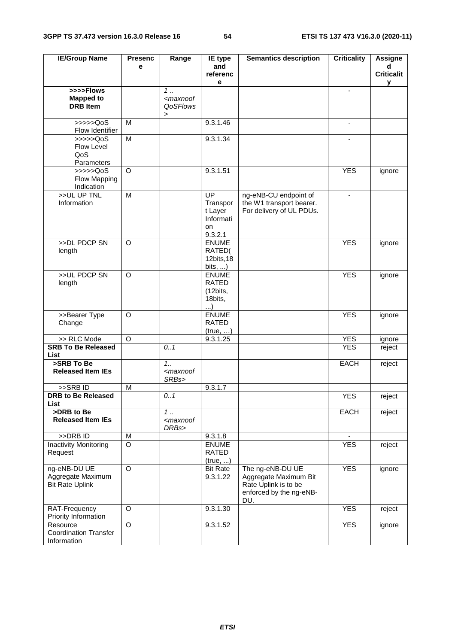| <b>IE/Group Name</b>                             | <b>Presenc</b>      | Range                                                                     | IE type                 | <b>Semantics description</b> | <b>Criticality</b> | <b>Assigne</b>    |
|--------------------------------------------------|---------------------|---------------------------------------------------------------------------|-------------------------|------------------------------|--------------------|-------------------|
|                                                  | e                   |                                                                           | and                     |                              |                    | d                 |
|                                                  |                     |                                                                           | referenc                |                              |                    | <b>Criticalit</b> |
| >>>>Flows                                        |                     | 1.                                                                        | е                       |                              | $\blacksquare$     | У                 |
| <b>Mapped to</b>                                 |                     | <maxnoof< td=""><td></td><td></td><td></td><td></td></maxnoof<>           |                         |                              |                    |                   |
| <b>DRB</b> Item                                  |                     | QoSFlows                                                                  |                         |                              |                    |                   |
|                                                  |                     | >                                                                         |                         |                              |                    |                   |
| $\gg >> >QoS$                                    | M                   |                                                                           | 9.3.1.46                |                              | $\blacksquare$     |                   |
| Flow Identifier                                  |                     |                                                                           |                         |                              |                    |                   |
| $\rightarrow \rightarrow \rightarrow \text{QoS}$ | $\overline{M}$      |                                                                           | 9.3.1.34                |                              |                    |                   |
| Flow Level<br>QoS                                |                     |                                                                           |                         |                              |                    |                   |
| Parameters                                       |                     |                                                                           |                         |                              |                    |                   |
| $\gg >> >QoS$                                    | $\Omega$            |                                                                           | 9.3.1.51                |                              | <b>YES</b>         | ignore            |
| Flow Mapping                                     |                     |                                                                           |                         |                              |                    |                   |
| Indication                                       |                     |                                                                           |                         |                              |                    |                   |
| >>UL UP TNL                                      | M                   |                                                                           | UP                      | ng-eNB-CU endpoint of        |                    |                   |
| Information                                      |                     |                                                                           | Transpor                | the W1 transport bearer.     |                    |                   |
|                                                  |                     |                                                                           | t Layer                 | For delivery of UL PDUs.     |                    |                   |
|                                                  |                     |                                                                           | Informati               |                              |                    |                   |
|                                                  |                     |                                                                           | on<br>9.3.2.1           |                              |                    |                   |
| >>DL PDCP SN                                     | O                   |                                                                           | <b>ENUME</b>            |                              | <b>YES</b>         | ignore            |
| length                                           |                     |                                                                           | RATED(                  |                              |                    |                   |
|                                                  |                     |                                                                           | 12bits, 18              |                              |                    |                   |
|                                                  |                     |                                                                           | bits, $\dots$ )         |                              |                    |                   |
| >>UL PDCP SN                                     | O                   |                                                                           | <b>ENUME</b>            |                              | <b>YES</b>         | ignore            |
| length                                           |                     |                                                                           | <b>RATED</b>            |                              |                    |                   |
|                                                  |                     |                                                                           | (12bits,                |                              |                    |                   |
|                                                  |                     |                                                                           | 18bits,<br>)            |                              |                    |                   |
| >>Bearer Type                                    | O                   |                                                                           | <b>ENUME</b>            |                              | <b>YES</b>         | ignore            |
| Change                                           |                     |                                                                           | RATED                   |                              |                    |                   |
|                                                  |                     |                                                                           | (true, )                |                              |                    |                   |
| >> RLC Mode                                      | $\circ$             |                                                                           | 9.3.1.25                |                              | <b>YES</b>         | ignore            |
| <b>SRB To Be Released</b>                        |                     | 0.1                                                                       |                         |                              | <b>YES</b>         | reject            |
| List<br>>SRB To Be                               |                     | 1.1                                                                       |                         |                              |                    |                   |
| <b>Released Item IEs</b>                         |                     | <maxnoof< td=""><td></td><td></td><td>EACH</td><td>reject</td></maxnoof<> |                         |                              | EACH               | reject            |
|                                                  |                     | SRBs>                                                                     |                         |                              |                    |                   |
| >>SRB ID                                         | M                   |                                                                           | 9.3.1.7                 |                              |                    |                   |
| <b>DRB</b> to Be Released                        |                     | 0.1                                                                       |                         |                              | <b>YES</b>         | reject            |
| <b>List</b>                                      |                     |                                                                           |                         |                              |                    |                   |
| >DRB to Be                                       |                     | 1.                                                                        |                         |                              | EACH               | reject            |
| <b>Released Item IEs</b>                         |                     | <maxnoof< td=""><td></td><td></td><td></td><td></td></maxnoof<>           |                         |                              |                    |                   |
| >>DRB ID                                         |                     | DRBs>                                                                     |                         |                              |                    |                   |
| Inactivity Monitoring                            | M<br>$\overline{O}$ |                                                                           | 9.3.1.8<br><b>ENUME</b> |                              | <b>YES</b>         | reject            |
| Request                                          |                     |                                                                           | RATED                   |                              |                    |                   |
|                                                  |                     |                                                                           | (true, )                |                              |                    |                   |
| ng-eNB-DU UE                                     | $\circ$             |                                                                           | <b>Bit Rate</b>         | The ng-eNB-DU UE             | <b>YES</b>         | ignore            |
| Aggregate Maximum                                |                     |                                                                           | 9.3.1.22                | Aggregate Maximum Bit        |                    |                   |
| <b>Bit Rate Uplink</b>                           |                     |                                                                           |                         | Rate Uplink is to be         |                    |                   |
|                                                  |                     |                                                                           |                         | enforced by the ng-eNB-      |                    |                   |
|                                                  |                     |                                                                           |                         | DU.                          |                    |                   |
| RAT-Frequency<br>Priority Information            | O                   |                                                                           | 9.3.1.30                |                              | <b>YES</b>         | reject            |
| Resource                                         | O                   |                                                                           | 9.3.1.52                |                              | <b>YES</b>         | ignore            |
| <b>Coordination Transfer</b>                     |                     |                                                                           |                         |                              |                    |                   |
| Information                                      |                     |                                                                           |                         |                              |                    |                   |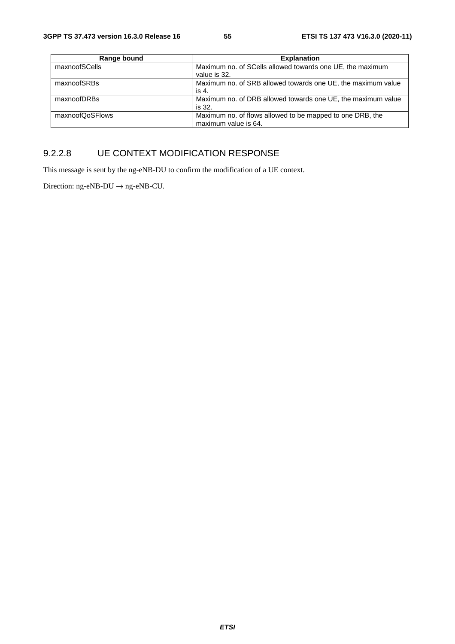| Range bound     | <b>Explanation</b>                                                                |
|-----------------|-----------------------------------------------------------------------------------|
| maxnoofSCells   | Maximum no. of SCells allowed towards one UE, the maximum<br>value is 32.         |
| maxnoofSRBs     | Maximum no. of SRB allowed towards one UE, the maximum value<br>is 4.             |
| maxnoofDRBs     | Maximum no. of DRB allowed towards one UE, the maximum value<br>is 32.            |
| maxnoofQoSFlows | Maximum no. of flows allowed to be mapped to one DRB, the<br>maximum value is 64. |

### 9.2.2.8 UE CONTEXT MODIFICATION RESPONSE

This message is sent by the ng-eNB-DU to confirm the modification of a UE context.

Direction: ng-eNB-DU  $\rightarrow$  ng-eNB-CU.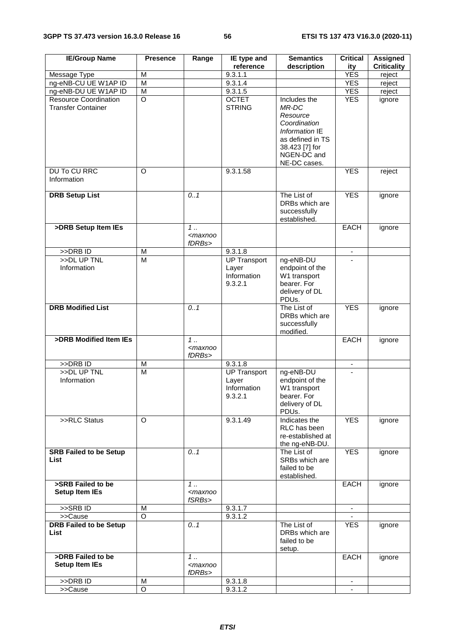| <b>IE/Group Name</b>                                      | <b>Presence</b> | Range                                          | IE type and                                            | <b>Semantics</b>                                                                                                                         | <b>Critical</b>          | <b>Assigned</b>    |
|-----------------------------------------------------------|-----------------|------------------------------------------------|--------------------------------------------------------|------------------------------------------------------------------------------------------------------------------------------------------|--------------------------|--------------------|
|                                                           |                 |                                                | reference                                              | description                                                                                                                              | ity                      | <b>Criticality</b> |
| Message Type                                              | M               |                                                | 9.3.1.1                                                |                                                                                                                                          | <b>YES</b>               | reject             |
| ng-eNB-CU UE W1AP ID                                      | M               |                                                | 9.3.1.4                                                |                                                                                                                                          | <b>YES</b>               | reject             |
| ng-eNB-DU UE W1AP ID                                      | M               |                                                | 9.3.1.5                                                |                                                                                                                                          | <b>YES</b>               | reject             |
| <b>Resource Coordination</b><br><b>Transfer Container</b> | O               |                                                | <b>OCTET</b><br><b>STRING</b>                          | Includes the<br>MR-DC<br>Resource<br>Coordination<br>Information IE<br>as defined in TS<br>38.423 [7] for<br>NGEN-DC and<br>NE-DC cases. | <b>YES</b>               | ignore             |
| <b>DU To CU RRC</b><br>Information                        | $\circ$         |                                                | 9.3.1.58                                               |                                                                                                                                          | <b>YES</b>               | reject             |
| <b>DRB Setup List</b>                                     |                 | 0.1                                            |                                                        | The List of<br>DRBs which are<br>successfully<br>established.                                                                            | <b>YES</b>               | ignore             |
| >DRB Setup Item IEs                                       |                 | 1<br><maxnoo<br>fDRBs&gt;</maxnoo<br>          |                                                        |                                                                                                                                          | EACH                     | ignore             |
| >>DRB ID                                                  | M               |                                                | 9.3.1.8                                                |                                                                                                                                          | $\overline{\phantom{a}}$ |                    |
| >>DL UP TNL<br>Information                                | M               |                                                | <b>UP Transport</b><br>Layer<br>Information<br>9.3.2.1 | ng-eNB-DU<br>endpoint of the<br>W1 transport<br>bearer. For<br>delivery of DL<br>PDUs.                                                   |                          |                    |
| <b>DRB Modified List</b>                                  |                 | 0.1                                            |                                                        | The List of<br>DRBs which are<br>successfully<br>modified.                                                                               | <b>YES</b>               | ignore             |
| >DRB Modified Item IEs                                    |                 | $1$<br><maxnoo<br>fDRBs&gt;</maxnoo<br>        |                                                        |                                                                                                                                          | <b>EACH</b>              | ignore             |
| >>DRB ID                                                  | M               |                                                | 9.3.1.8                                                |                                                                                                                                          |                          |                    |
| >>DL UP TNL<br>Information                                | M               |                                                | <b>UP Transport</b><br>Layer<br>Information<br>9.3.2.1 | ng-eNB-DU<br>endpoint of the<br>W1 transport<br>bearer. For<br>delivery of DL<br>PDUs.                                                   | $\overline{a}$           |                    |
| >>RLC Status                                              | $\Omega$        |                                                | 9.3.1.49                                               | Indicates the<br>RLC has been<br>re-established at<br>the ng-eNB-DU.                                                                     | <b>YES</b>               | ignore             |
| <b>SRB Failed to be Setup</b><br>List                     |                 | 0.1                                            |                                                        | The List of<br>SRBs which are<br>failed to be<br>established.                                                                            | <b>YES</b>               | ignore             |
| >SRB Failed to be<br><b>Setup Item IEs</b>                |                 | $1 \ldots$<br><maxnoo<br>fSRBs&gt;</maxnoo<br> |                                                        |                                                                                                                                          | EACH                     | ignore             |
| >>SRBID                                                   | м               |                                                | 9.3.1.7                                                |                                                                                                                                          |                          |                    |
| >>Cause                                                   | $\circ$         |                                                | 9.3.1.2                                                |                                                                                                                                          |                          |                    |
| <b>DRB Failed to be Setup</b><br>List                     |                 | 0.1                                            |                                                        | The List of<br>DRBs which are<br>failed to be<br>setup.                                                                                  | <b>YES</b>               | ignore             |
| >DRB Failed to be<br><b>Setup Item IEs</b>                |                 | 1<br><maxnoo<br>fDRBs&gt;</maxnoo<br>          |                                                        |                                                                                                                                          | EACH                     | ignore             |
| >>DRB ID                                                  | м               |                                                | 9.3.1.8                                                |                                                                                                                                          |                          |                    |
| >>Cause                                                   | O               |                                                | 9.3.1.2                                                |                                                                                                                                          |                          |                    |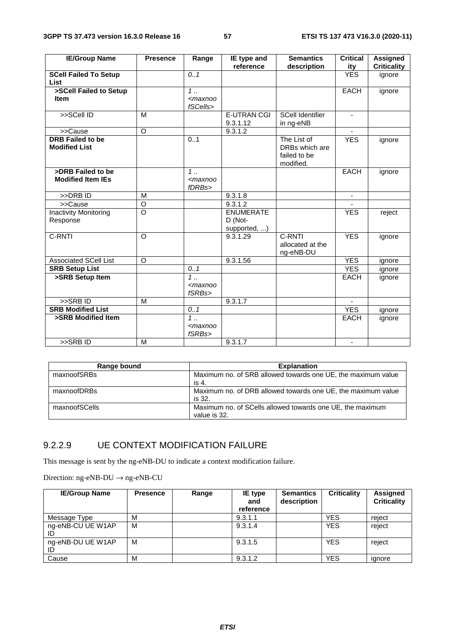| <b>IE/Group Name</b>         | <b>Presence</b> | Range          | IE type and        | <b>Semantics</b>        | <b>Critical</b>          | <b>Assigned</b>    |
|------------------------------|-----------------|----------------|--------------------|-------------------------|--------------------------|--------------------|
|                              |                 |                | reference          | description             | ity                      | <b>Criticality</b> |
| <b>SCell Failed To Setup</b> |                 | 0.1            |                    |                         | <b>YES</b>               | ignore             |
| <b>List</b>                  |                 |                |                    |                         |                          |                    |
| >SCell Failed to Setup       |                 | $1 \ldots$     |                    |                         | <b>EACH</b>              | ignore             |
| <b>Item</b>                  |                 | $<$ maxnoo     |                    |                         |                          |                    |
|                              |                 | fSCells>       |                    |                         |                          |                    |
| >>SCell ID                   | M               |                | <b>E-UTRAN CGI</b> | <b>SCell Identifier</b> |                          |                    |
|                              |                 |                | 9.3.1.12           | in ng-eNB               |                          |                    |
| >>Cause                      | $\circ$         |                | 9.3.1.2            |                         |                          |                    |
| <b>DRB</b> Failed to be      |                 | 0.1            |                    | The List of             | <b>YES</b>               | ignore             |
| <b>Modified List</b>         |                 |                |                    | DRBs which are          |                          |                    |
|                              |                 |                |                    | failed to be            |                          |                    |
|                              |                 |                |                    | modified.               |                          |                    |
| >DRB Failed to be            |                 | $\overline{1}$ |                    |                         | <b>EACH</b>              | ignore             |
| <b>Modified Item IEs</b>     |                 | $<$ maxnoo     |                    |                         |                          |                    |
|                              |                 | fDRBs>         |                    |                         |                          |                    |
| >>DRB ID                     | M               |                | 9.3.1.8            |                         | $\overline{\phantom{a}}$ |                    |
| >>Cause                      | $\circ$         |                | 9.3.1.2            |                         |                          |                    |
| <b>Inactivity Monitoring</b> | $\circ$         |                | <b>ENUMERATE</b>   |                         | <b>YES</b>               | reject             |
| Response                     |                 |                | D (Not-            |                         |                          |                    |
|                              |                 |                | supported, )       |                         |                          |                    |
| C-RNTI                       | $\circ$         |                | 9.3.1.29           | C-RNTI                  | <b>YES</b>               | ignore             |
|                              |                 |                |                    | allocated at the        |                          |                    |
|                              |                 |                |                    | ng-eNB-DU               |                          |                    |
| Associated SCell List        | $\circ$         |                | 9.3.1.56           |                         | <b>YES</b>               | ignore             |
| <b>SRB Setup List</b>        |                 | 0.1            |                    |                         | <b>YES</b>               | ignore             |
| >SRB Setup Item              |                 | $1$ .          |                    |                         | <b>EACH</b>              | ignore             |
|                              |                 | $<$ maxnoo     |                    |                         |                          |                    |
|                              |                 | fSRBs>         |                    |                         |                          |                    |
| >>SRBID                      | M               |                | 9.3.1.7            |                         |                          |                    |
| <b>SRB Modified List</b>     |                 | 0.1            |                    |                         | <b>YES</b>               | ignore             |
| >SRB Modified Item           |                 | $1$ .          |                    |                         | <b>EACH</b>              | ignore             |
|                              |                 | $maxnoo$       |                    |                         |                          |                    |
|                              |                 | fSRBs>         |                    |                         |                          |                    |
| $>>$ SRBID                   | M               |                | 9.3.1.7            |                         |                          |                    |

| Range bound   | <b>Explanation</b>                                                        |
|---------------|---------------------------------------------------------------------------|
| maxnoofSRBs   | Maximum no. of SRB allowed towards one UE, the maximum value<br>is 4.     |
| maxnoofDRBs   | Maximum no. of DRB allowed towards one UE, the maximum value<br>is 32.    |
| maxnoofSCells | Maximum no. of SCells allowed towards one UE, the maximum<br>value is 32. |

## 9.2.2.9 UE CONTEXT MODIFICATION FAILURE

This message is sent by the ng-eNB-DU to indicate a context modification failure.

| <b>IE/Group Name</b>    | <b>Presence</b> | Range | IE type<br>and<br>reference | <b>Semantics</b><br>description | <b>Criticality</b> | Assigned<br><b>Criticality</b> |
|-------------------------|-----------------|-------|-----------------------------|---------------------------------|--------------------|--------------------------------|
| Message Type            | м               |       | 9.3.1.1                     |                                 | <b>YES</b>         | reject                         |
| ng-eNB-CU UE W1AP<br>ID | M               |       | 9.3.1.4                     |                                 | <b>YES</b>         | reject                         |
| ng-eNB-DU UE W1AP<br>ID | M               |       | 9.3.1.5                     |                                 | <b>YES</b>         | reject                         |
| Cause                   | M               |       | 9.3.1.2                     |                                 | <b>YES</b>         | ignore                         |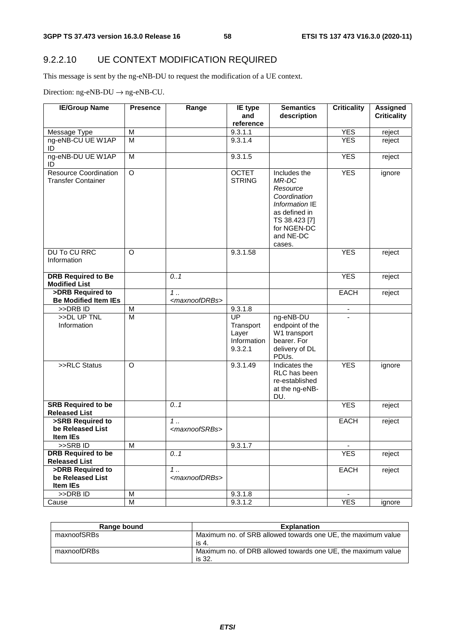## 9.2.2.10 UE CONTEXT MODIFICATION REQUIRED

This message is sent by the ng-eNB-DU to request the modification of a UE context.

Direction:  $ng$ -eNB-DU  $\rightarrow$   $ng$ -eNB-CU.

| <b>IE/Group Name</b>                                      | <b>Presence</b>         | Range                              | IE type                                            | <b>Semantics</b>                                                                                                                            | <b>Criticality</b> | <b>Assigned</b>    |
|-----------------------------------------------------------|-------------------------|------------------------------------|----------------------------------------------------|---------------------------------------------------------------------------------------------------------------------------------------------|--------------------|--------------------|
|                                                           |                         |                                    | and                                                | description                                                                                                                                 |                    | <b>Criticality</b> |
|                                                           |                         |                                    | reference                                          |                                                                                                                                             |                    |                    |
| Message Type                                              | M                       |                                    | 9.3.1.1                                            |                                                                                                                                             | <b>YES</b>         | reject             |
| ng-eNB-CU UE W1AP<br>ID                                   | $\overline{M}$          |                                    | 9.3.1.4                                            |                                                                                                                                             | <b>YES</b>         | reject             |
| ng-eNB-DU UE W1AP<br>ID                                   | M                       |                                    | 9.3.1.5                                            |                                                                                                                                             | <b>YES</b>         | reject             |
| <b>Resource Coordination</b><br><b>Transfer Container</b> | $\overline{O}$          |                                    | <b>OCTET</b><br><b>STRING</b>                      | Includes the<br>MR-DC<br>Resource<br>Coordination<br>Information IE<br>as defined in<br>TS 38.423 [7]<br>for NGEN-DC<br>and NE-DC<br>cases. | <b>YES</b>         | ignore             |
| <b>DU To CU RRC</b><br>Information                        | $\Omega$                |                                    | 9.3.1.58                                           |                                                                                                                                             | <b>YES</b>         | reject             |
| <b>DRB Required to Be</b><br><b>Modified List</b>         |                         | 0.1                                |                                                    |                                                                                                                                             | <b>YES</b>         | reject             |
| >DRB Required to<br><b>Be Modified Item IEs</b>           |                         | $1$<br><maxnoofdrbs></maxnoofdrbs> |                                                    |                                                                                                                                             | <b>EACH</b>        | reject             |
| >>DRB ID                                                  | M                       |                                    | 9.3.1.8                                            |                                                                                                                                             |                    |                    |
| >>DL UP TNL<br>Information                                | $\overline{M}$          |                                    | UP<br>Transport<br>Layer<br>Information<br>9.3.2.1 | ng-eNB-DU<br>endpoint of the<br>W1 transport<br>bearer. For<br>delivery of DL<br>PDUs.                                                      |                    |                    |
| >>RLC Status                                              | O                       |                                    | 9.3.1.49                                           | Indicates the<br>RLC has been<br>re-established<br>at the ng-eNB-<br>DU.                                                                    | <b>YES</b>         | ignore             |
| <b>SRB Required to be</b><br><b>Released List</b>         |                         | 0.1                                |                                                    |                                                                                                                                             | <b>YES</b>         | reject             |
| >SRB Required to<br>be Released List<br>Item IEs          |                         | $1$<br><maxnoofsrbs></maxnoofsrbs> |                                                    |                                                                                                                                             | <b>EACH</b>        | reject             |
| >>SRB ID                                                  | М                       |                                    | 9.3.1.7                                            |                                                                                                                                             |                    |                    |
| <b>DRB Required to be</b>                                 |                         | 0.1                                |                                                    |                                                                                                                                             | <b>YES</b>         | reject             |
| <b>Released List</b>                                      |                         |                                    |                                                    |                                                                                                                                             |                    |                    |
| >DRB Required to                                          |                         | 1.                                 |                                                    |                                                                                                                                             | <b>EACH</b>        | reject             |
| be Released List<br>Item IEs                              |                         | <maxnoofdrbs></maxnoofdrbs>        |                                                    |                                                                                                                                             |                    |                    |
| >>DRB ID                                                  | M                       |                                    | 9.3.1.8                                            |                                                                                                                                             |                    |                    |
| Cause                                                     | $\overline{\mathsf{M}}$ |                                    | 9.3.1.2                                            |                                                                                                                                             | <b>YES</b>         | ignore             |

| Range bound | <b>Explanation</b>                                                     |
|-------------|------------------------------------------------------------------------|
| maxnoofSRBs | Maximum no. of SRB allowed towards one UE, the maximum value<br>is 4.  |
| maxnoofDRBs | Maximum no. of DRB allowed towards one UE, the maximum value<br>is 32. |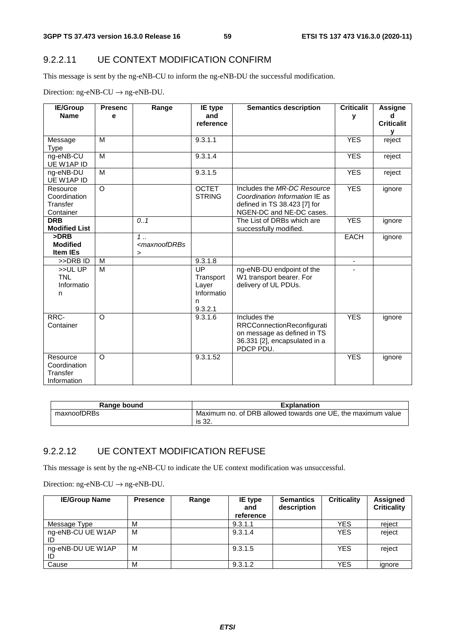#### 9.2.2.11 UE CONTEXT MODIFICATION CONFIRM

This message is sent by the ng-eNB-CU to inform the ng-eNB-DU the successful modification.

Direction:  $ng-eNB-CU \rightarrow ng-eNB-DU$ .

| <b>IE/Group</b>          | <b>Presenc</b> | Range                                                                   | <b>IE</b> type  | <b>Semantics description</b>   | <b>Criticalit</b>        | Assigne           |
|--------------------------|----------------|-------------------------------------------------------------------------|-----------------|--------------------------------|--------------------------|-------------------|
| <b>Name</b>              | е              |                                                                         | and             |                                | v                        | d                 |
|                          |                |                                                                         | reference       |                                |                          | <b>Criticalit</b> |
|                          |                |                                                                         |                 |                                |                          | v                 |
| Message                  | M              |                                                                         | 9.3.1.1         |                                | <b>YES</b>               | reject            |
| Type                     |                |                                                                         |                 |                                |                          |                   |
| ng-eNB-CU                | M              |                                                                         | 9.3.1.4         |                                | <b>YES</b>               | reject            |
| UE W1AP ID               |                |                                                                         |                 |                                |                          |                   |
| ng-eNB-DU                | M              |                                                                         | 9.3.1.5         |                                | <b>YES</b>               | reject            |
| UE W1AP ID               | $\circ$        |                                                                         | <b>OCTET</b>    | Includes the MR-DC Resource    | <b>YES</b>               |                   |
| Resource<br>Coordination |                |                                                                         | <b>STRING</b>   | Coordination Information IE as |                          | ignore            |
| Transfer                 |                |                                                                         |                 | defined in TS 38.423 [7] for   |                          |                   |
| Container                |                |                                                                         |                 | NGEN-DC and NE-DC cases.       |                          |                   |
| <b>DRB</b>               |                | 0.1                                                                     |                 | The List of DRBs which are     | <b>YES</b>               | ignore            |
| <b>Modified List</b>     |                |                                                                         |                 | successfully modified.         |                          |                   |
| >DRB                     |                | $1$                                                                     |                 |                                | <b>EACH</b>              | ignore            |
| <b>Modified</b>          |                | <maxnoofdrbs< td=""><td></td><td></td><td></td><td></td></maxnoofdrbs<> |                 |                                |                          |                   |
| <b>Item IEs</b>          |                | $\geq$                                                                  |                 |                                |                          |                   |
| >>DRB ID                 | M              |                                                                         | 9.3.1.8         |                                | $\overline{\phantom{a}}$ |                   |
| >>ULUP                   | M              |                                                                         | $\overline{UP}$ | ng-eNB-DU endpoint of the      |                          |                   |
| <b>TNL</b>               |                |                                                                         | Transport       | W1 transport bearer. For       |                          |                   |
| Informatio               |                |                                                                         | Layer           | delivery of UL PDUs.           |                          |                   |
| n                        |                |                                                                         | Informatio      |                                |                          |                   |
|                          |                |                                                                         | n               |                                |                          |                   |
|                          |                |                                                                         | 9.3.2.1         |                                |                          |                   |
| RRC-                     | $\circ$        |                                                                         | 9.3.1.6         | Includes the                   | <b>YES</b>               | ignore            |
| Container                |                |                                                                         |                 | RRCConnectionReconfigurati     |                          |                   |
|                          |                |                                                                         |                 | on message as defined in TS    |                          |                   |
|                          |                |                                                                         |                 | 36.331 [2], encapsulated in a  |                          |                   |
|                          |                |                                                                         |                 | PDCP PDU.                      |                          |                   |
| Resource                 | $\circ$        |                                                                         | 9.3.1.52        |                                | <b>YES</b>               | ignore            |
| Coordination             |                |                                                                         |                 |                                |                          |                   |
| Transfer                 |                |                                                                         |                 |                                |                          |                   |
| Information              |                |                                                                         |                 |                                |                          |                   |

| Range bound | <b>Explanation</b>                                                     |
|-------------|------------------------------------------------------------------------|
| maxnoofDRBs | Maximum no. of DRB allowed towards one UE, the maximum value<br>is 32. |

#### 9.2.2.12 UE CONTEXT MODIFICATION REFUSE

This message is sent by the ng-eNB-CU to indicate the UE context modification was unsuccessful.

Direction:  $ng-eNB-CU \rightarrow ng-eNB-DU$ .

| <b>IE/Group Name</b>    | <b>Presence</b> | Range | IE type<br>and<br>reference | <b>Semantics</b><br>description | <b>Criticality</b> | Assigned<br><b>Criticality</b> |
|-------------------------|-----------------|-------|-----------------------------|---------------------------------|--------------------|--------------------------------|
| Message Type            | M               |       | 9.3.1.1                     |                                 | <b>YES</b>         | reject                         |
| ng-eNB-CU UE W1AP       | M               |       | 9.3.1.4                     |                                 | <b>YES</b>         | reject                         |
| ng-eNB-DU UE W1AP<br>ID | M               |       | 9.3.1.5                     |                                 | <b>YES</b>         | reject                         |
| Cause                   | M               |       | 9.3.1.2                     |                                 | <b>YES</b>         | ignore                         |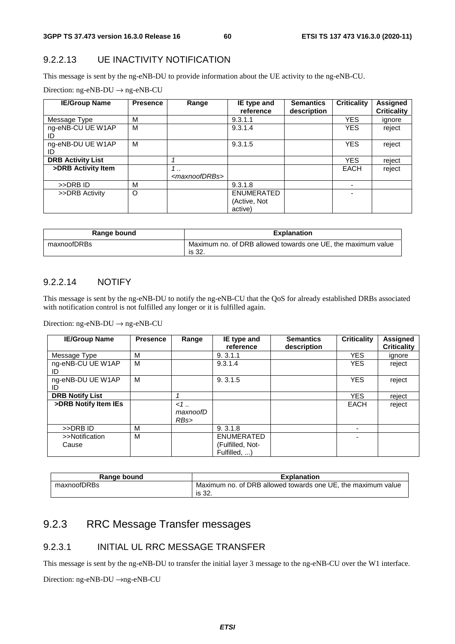#### 9.2.2.13 UE INACTIVITY NOTIFICATION

This message is sent by the ng-eNB-DU to provide information about the UE activity to the ng-eNB-CU.

|  |  | Direction: $ng\text{-eNB-DU} \rightarrow ng\text{-eNB-CU}$ |
|--|--|------------------------------------------------------------|
|--|--|------------------------------------------------------------|

| <b>IE/Group Name</b>     | <b>Presence</b> | Range                                    | IE type and<br>reference              | <b>Semantics</b><br>description | <b>Criticality</b> | <b>Assigned</b><br><b>Criticality</b> |
|--------------------------|-----------------|------------------------------------------|---------------------------------------|---------------------------------|--------------------|---------------------------------------|
| Message Type             | М               |                                          | 9.3.1.1                               |                                 | <b>YES</b>         | ignore                                |
| ng-eNB-CU UE W1AP<br>ID  | M               |                                          | 9.3.1.4                               |                                 | <b>YES</b>         | reject                                |
| ng-eNB-DU UE W1AP<br>ID  | M               |                                          | 9.3.1.5                               |                                 | <b>YES</b>         | reject                                |
| <b>DRB Activity List</b> |                 |                                          |                                       |                                 | <b>YES</b>         | reject                                |
| >DRB Activity Item       |                 | $\cdot$ .<br><maxnoofdrbs></maxnoofdrbs> |                                       |                                 | <b>EACH</b>        | reject                                |
| >>DRB ID                 | M               |                                          | 9.3.1.8                               |                                 |                    |                                       |
| >>DRB Activity           | O               |                                          | ENUMERATED<br>(Active, Not<br>active) |                                 |                    |                                       |

| Range bound | <b>Explanation</b>                                                     |
|-------------|------------------------------------------------------------------------|
| maxnoofDRBs | Maximum no. of DRB allowed towards one UE, the maximum value<br>is 32. |

#### 9.2.2.14 NOTIFY

This message is sent by the ng-eNB-DU to notify the ng-eNB-CU that the QoS for already established DRBs associated with notification control is not fulfilled any longer or it is fulfilled again.

Direction: ng-eNB-DU  $\rightarrow$  ng-eNB-CU

| <b>IE/Group Name</b>    | <b>Presence</b> | Range                   | IE type and<br>reference                              | <b>Semantics</b><br>description | <b>Criticality</b> | Assigned<br><b>Criticality</b> |
|-------------------------|-----------------|-------------------------|-------------------------------------------------------|---------------------------------|--------------------|--------------------------------|
| Message Type            | M               |                         | 9, 3, 1, 1                                            |                                 | <b>YES</b>         | ignore                         |
| ng-eNB-CU UE W1AP<br>ID | м               |                         | 9.3.1.4                                               |                                 | <b>YES</b>         | reject                         |
| ng-eNB-DU UE W1AP<br>ID | M               |                         | 9.3.1.5                                               |                                 | <b>YES</b>         | reject                         |
| <b>DRB Notify List</b>  |                 | 1                       |                                                       |                                 | <b>YES</b>         | reject                         |
| >DRB Notify Item IEs    |                 | $<1$<br>maxnoofD<br>RBs |                                                       |                                 | <b>EACH</b>        | reject                         |
| >>DRB ID                | м               |                         | 9.3.1.8                                               |                                 | ۰                  |                                |
| >>Notification<br>Cause | м               |                         | <b>ENUMERATED</b><br>(Fulfilled, Not-<br>Fulfilled, ) |                                 | ۰                  |                                |

| Range bound | <b>Explanation</b>                                           |
|-------------|--------------------------------------------------------------|
| maxnoofDRBs | Maximum no. of DRB allowed towards one UE, the maximum value |
|             | is 32.                                                       |

## 9.2.3 RRC Message Transfer messages

#### 9.2.3.1 INITIAL UL RRC MESSAGE TRANSFER

This message is sent by the ng-eNB-DU to transfer the initial layer 3 message to the ng-eNB-CU over the W1 interface.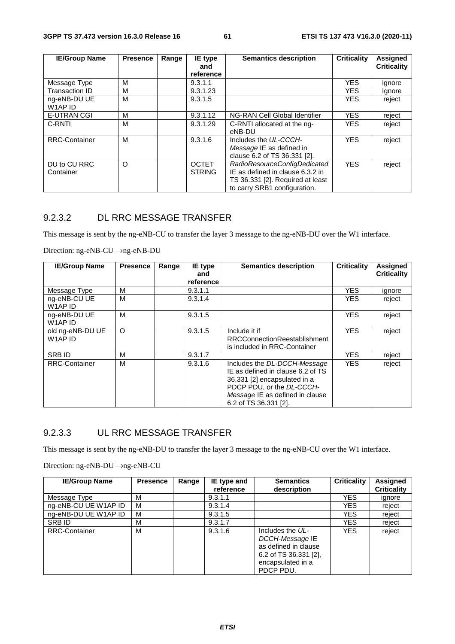| <b>IE/Group Name</b>      | <b>Presence</b> | Range | IE type<br>and                | <b>Semantics description</b>                                                                                                         | <b>Criticality</b> | <b>Assigned</b><br><b>Criticality</b> |
|---------------------------|-----------------|-------|-------------------------------|--------------------------------------------------------------------------------------------------------------------------------------|--------------------|---------------------------------------|
|                           |                 |       | reference                     |                                                                                                                                      |                    |                                       |
| Message Type              | м               |       | 9.3.1.1                       |                                                                                                                                      | <b>YES</b>         | ignore                                |
| <b>Transaction ID</b>     | м               |       | 9.3.1.23                      |                                                                                                                                      | <b>YES</b>         | Ignore                                |
| ng-eNB-DU UE<br>W1AP ID   | м               |       | 9.3.1.5                       |                                                                                                                                      | <b>YES</b>         | reject                                |
| <b>E-UTRAN CGI</b>        | м               |       | 9.3.1.12                      | NG-RAN Cell Global Identifier                                                                                                        | <b>YES</b>         | reject                                |
| C-RNTI                    | м               |       | 9.3.1.29                      | C-RNTI allocated at the ng-<br>eNB-DU                                                                                                | <b>YES</b>         | reject                                |
| <b>RRC-Container</b>      | м               |       | 9.3.1.6                       | Includes the UL-CCCH-<br>Message IE as defined in<br>clause 6.2 of TS 36.331 [2].                                                    | <b>YES</b>         | reject                                |
| DU to CU RRC<br>Container | O               |       | <b>OCTET</b><br><b>STRING</b> | RadioResourceConfigDedicated<br>IE as defined in clause 6.3.2 in<br>TS 36.331 [2]. Required at least<br>to carry SRB1 configuration. | <b>YES</b>         | reject                                |

## 9.2.3.2 DL RRC MESSAGE TRANSFER

This message is sent by the ng-eNB-CU to transfer the layer 3 message to the ng-eNB-DU over the W1 interface.

Direction: ng-eNB-CU →ng-eNB-DU

| <b>IE/Group Name</b>                            | <b>Presence</b> | Range | IE type          | <b>Semantics description</b>                                                                                                                                                               | <b>Criticality</b> | <b>Assigned</b>    |
|-------------------------------------------------|-----------------|-------|------------------|--------------------------------------------------------------------------------------------------------------------------------------------------------------------------------------------|--------------------|--------------------|
|                                                 |                 |       | and<br>reference |                                                                                                                                                                                            |                    | <b>Criticality</b> |
| Message Type                                    | M               |       | 9.3.1.1          |                                                                                                                                                                                            | <b>YES</b>         | ignore             |
| ng-eNB-CU UE<br>W <sub>1</sub> AP <sub>ID</sub> | М               |       | 9.3.1.4          |                                                                                                                                                                                            | YES.               | reject             |
| ng-eNB-DU UE<br>W1AP ID                         | м               |       | 9.3.1.5          |                                                                                                                                                                                            | <b>YES</b>         | reject             |
| old ng-eNB-DU UE<br>W1AP ID                     | $\circ$         |       | 9.3.1.5          | Include it if<br><b>RRCConnectionReestablishment</b><br>is included in RRC-Container                                                                                                       | <b>YES</b>         | reject             |
| <b>SRB ID</b>                                   | M               |       | 9.3.1.7          |                                                                                                                                                                                            | <b>YES</b>         | reject             |
| <b>RRC-Container</b>                            | М               |       | 9.3.1.6          | Includes the DL-DCCH-Message<br>IE as defined in clause 6.2 of TS<br>36.331 [2] encapsulated in a<br>PDCP PDU, or the DL-CCCH-<br>Message IE as defined in clause<br>6.2 of TS 36.331 [2]. | <b>YES</b>         | reject             |

### 9.2.3.3 UL RRC MESSAGE TRANSFER

This message is sent by the ng-eNB-DU to transfer the layer 3 message to the ng-eNB-CU over the W1 interface.

| <b>IE/Group Name</b> | <b>Presence</b> | Range | IE type and | <b>Semantics</b>                                                                                                         | <b>Criticality</b> | <b>Assigned</b>    |
|----------------------|-----------------|-------|-------------|--------------------------------------------------------------------------------------------------------------------------|--------------------|--------------------|
|                      |                 |       | reference   | description                                                                                                              |                    | <b>Criticality</b> |
| Message Type         | м               |       | 9.3.1.1     |                                                                                                                          | <b>YES</b>         | ignore             |
| ng-eNB-CU UE W1AP ID | м               |       | 9.3.1.4     |                                                                                                                          | YES                | reject             |
| ng-eNB-DU UE W1AP ID | м               |       | 9.3.1.5     |                                                                                                                          | YES                | reject             |
| SRB ID               | М               |       | 9.3.1.7     |                                                                                                                          | YES                | reject             |
| <b>RRC-Container</b> | М               |       | 9.3.1.6     | Includes the UL-<br>DCCH-Message IE<br>as defined in clause<br>6.2 of TS $36.331$ [2],<br>encapsulated in a<br>PDCP PDU. | <b>YES</b>         | reject             |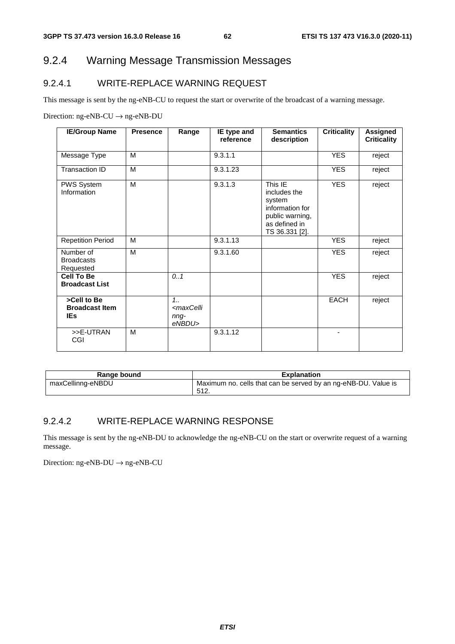## 9.2.4 Warning Message Transmission Messages

## 9.2.4.1 WRITE-REPLACE WARNING REQUEST

This message is sent by the ng-eNB-CU to request the start or overwrite of the broadcast of a warning message.

Direction: ng-eNB-CU → ng-eNB-DU

| <b>IE/Group Name</b>                               | <b>Presence</b> | Range                                                    | IE type and<br>reference | <b>Semantics</b><br>description                                                                            | <b>Criticality</b> | Assigned<br><b>Criticality</b> |
|----------------------------------------------------|-----------------|----------------------------------------------------------|--------------------------|------------------------------------------------------------------------------------------------------------|--------------------|--------------------------------|
| Message Type                                       | M               |                                                          | 9.3.1.1                  |                                                                                                            | <b>YES</b>         | reject                         |
| Transaction ID                                     | M               |                                                          | 9.3.1.23                 |                                                                                                            | <b>YES</b>         | reject                         |
| PWS System<br>Information                          | M               |                                                          | 9.3.1.3                  | This IE<br>includes the<br>system<br>information for<br>public warning,<br>as defined in<br>TS 36.331 [2]. | <b>YES</b>         | reject                         |
| <b>Repetition Period</b>                           | M               |                                                          | 9.3.1.13                 |                                                                                                            | <b>YES</b>         | reject                         |
| Number of<br><b>Broadcasts</b><br>Requested        | M               |                                                          | 9.3.1.60                 |                                                                                                            | <b>YES</b>         | reject                         |
| <b>Cell To Be</b><br><b>Broadcast List</b>         |                 | 0.1                                                      |                          |                                                                                                            | <b>YES</b>         | reject                         |
| >Cell to Be<br><b>Broadcast Item</b><br><b>IEs</b> |                 | $1_{1}$<br><maxcelli<br>nng-<br/>eNBDU&gt;</maxcelli<br> |                          |                                                                                                            | <b>EACH</b>        | reject                         |
| >>E-UTRAN<br>CGI                                   | M               |                                                          | 9.3.1.12                 |                                                                                                            |                    |                                |

| Range bound       | <b>Explanation</b>                                             |
|-------------------|----------------------------------------------------------------|
| maxCellinng-eNBDU | Maximum no. cells that can be served by an ng-eNB-DU. Value is |
|                   | 512.                                                           |

#### 9.2.4.2 WRITE-REPLACE WARNING RESPONSE

This message is sent by the ng-eNB-DU to acknowledge the ng-eNB-CU on the start or overwrite request of a warning message.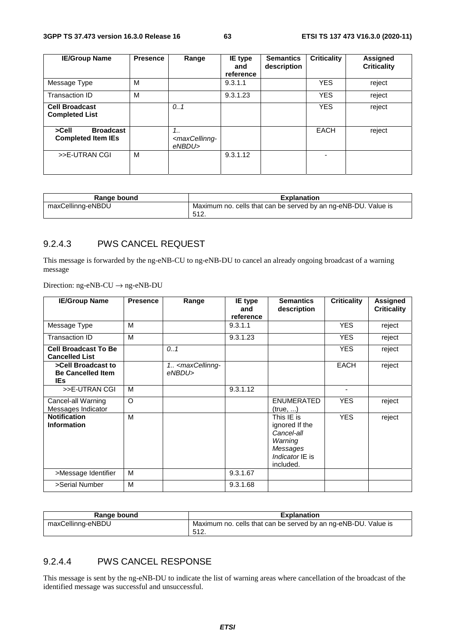| <b>IE/Group Name</b>                                   | <b>Presence</b> | Range                                             | IE type<br>and<br>reference | <b>Semantics</b><br>description | <b>Criticality</b> | <b>Assigned</b><br><b>Criticality</b> |
|--------------------------------------------------------|-----------------|---------------------------------------------------|-----------------------------|---------------------------------|--------------------|---------------------------------------|
| Message Type                                           | м               |                                                   | 9.3.1.1                     |                                 | <b>YES</b>         | reject                                |
| Transaction ID                                         | м               |                                                   | 9.3.1.23                    |                                 | <b>YES</b>         | reject                                |
| <b>Cell Broadcast</b><br><b>Completed List</b>         |                 | 0.1                                               |                             |                                 | <b>YES</b>         | reject                                |
| <b>Broadcast</b><br>>Cell<br><b>Completed Item IEs</b> |                 | 1<br><maxcellinng-<br>eNBDU&gt;</maxcellinng-<br> |                             |                                 | EACH               | reject                                |
| >>E-UTRAN CGI                                          | м               |                                                   | 9.3.1.12                    |                                 | -                  |                                       |

| Range bound       | <b>Explanation</b>                                             |
|-------------------|----------------------------------------------------------------|
| maxCellinng-eNBDU | Maximum no. cells that can be served by an ng-eNB-DU. Value is |
|                   | 512.                                                           |

#### 9.2.4.3 PWS CANCEL REQUEST

This message is forwarded by the ng-eNB-CU to ng-eNB-DU to cancel an already ongoing broadcast of a warning message

Direction: ng-eNB-CU → ng-eNB-DU

| <b>IE/Group Name</b>                                   | <b>Presence</b> | Range                                           | IE type<br>and<br>reference | <b>Semantics</b><br>description                                                                   | <b>Criticality</b> | <b>Assigned</b><br><b>Criticality</b> |
|--------------------------------------------------------|-----------------|-------------------------------------------------|-----------------------------|---------------------------------------------------------------------------------------------------|--------------------|---------------------------------------|
| Message Type                                           | M               |                                                 | 9.3.1.1                     |                                                                                                   | <b>YES</b>         | reject                                |
| <b>Transaction ID</b>                                  | M               |                                                 | 9.3.1.23                    |                                                                                                   | <b>YES</b>         | reject                                |
| <b>Cell Broadcast To Be</b><br><b>Cancelled List</b>   |                 | 0.1                                             |                             |                                                                                                   | <b>YES</b>         | reject                                |
| >Cell Broadcast to<br><b>Be Cancelled Item</b><br>IEs. |                 | 1. <maxcellinng-<br>eNBDU&gt;</maxcellinng-<br> |                             |                                                                                                   | <b>EACH</b>        | reject                                |
| >>E-UTRAN CGI                                          | М               |                                                 | 9.3.1.12                    |                                                                                                   |                    |                                       |
| Cancel-all Warning<br>Messages Indicator               | $\Omega$        |                                                 |                             | ENUMERATED<br>(true, )                                                                            | <b>YES</b>         | reject                                |
| <b>Notification</b><br><b>Information</b>              | M               |                                                 |                             | This IE is<br>ignored If the<br>Cancel-all<br>Warning<br>Messages<br>Indicator IE is<br>included. | <b>YES</b>         | reject                                |
| >Message Identifier                                    | м               |                                                 | 9.3.1.67                    |                                                                                                   |                    |                                       |
| >Serial Number                                         | M               |                                                 | 9.3.1.68                    |                                                                                                   |                    |                                       |

| Range bound       | <b>Explanation</b>                                             |
|-------------------|----------------------------------------------------------------|
| maxCellinng-eNBDU | Maximum no. cells that can be served by an ng-eNB-DU. Value is |
|                   | -512.                                                          |

### 9.2.4.4 PWS CANCEL RESPONSE

This message is sent by the ng-eNB-DU to indicate the list of warning areas where cancellation of the broadcast of the identified message was successful and unsuccessful.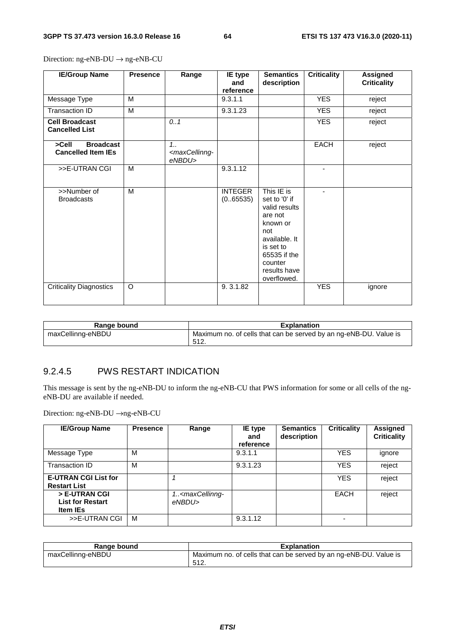| <b>IE/Group Name</b>                                   | <b>Presence</b> | Range                                                          | IE type<br>and<br>reference | <b>Semantics</b><br>description                                                                                                                                    | <b>Criticality</b> | <b>Assigned</b><br><b>Criticality</b> |
|--------------------------------------------------------|-----------------|----------------------------------------------------------------|-----------------------------|--------------------------------------------------------------------------------------------------------------------------------------------------------------------|--------------------|---------------------------------------|
| Message Type                                           | M               |                                                                | 9.3.1.1                     |                                                                                                                                                                    | <b>YES</b>         | reject                                |
| <b>Transaction ID</b>                                  | M               |                                                                | 9.3.1.23                    |                                                                                                                                                                    | <b>YES</b>         | reject                                |
| <b>Cell Broadcast</b><br><b>Cancelled List</b>         |                 | 0.1                                                            |                             |                                                                                                                                                                    | <b>YES</b>         | reject                                |
| <b>Broadcast</b><br>>Cell<br><b>Cancelled Item IEs</b> |                 | 1 <sub>1</sub><br><maxcellinng-<br>eNBDU&gt;</maxcellinng-<br> |                             |                                                                                                                                                                    | <b>EACH</b>        | reject                                |
| >>E-UTRAN CGI                                          | M               |                                                                | 9.3.1.12                    |                                                                                                                                                                    |                    |                                       |
| >>Number of<br><b>Broadcasts</b>                       | M               |                                                                | <b>INTEGER</b><br>(0.65535) | This IE is<br>set to '0' if<br>valid results<br>are not<br>known or<br>not<br>available. It<br>is set to<br>65535 if the<br>counter<br>results have<br>overflowed. | ٠                  |                                       |
| <b>Criticality Diagnostics</b>                         | $\Omega$        |                                                                | 9.3.1.82                    |                                                                                                                                                                    | <b>YES</b>         | ignore                                |

Direction: ng-eNB-DU → ng-eNB-CU

| Range bound       | <b>Explanation</b>                                                        |
|-------------------|---------------------------------------------------------------------------|
| maxCellinng-eNBDU | Maximum no. of cells that can be served by an ng-eNB-DU. Value is<br>512. |

#### 9.2.4.5 PWS RESTART INDICATION

This message is sent by the ng-eNB-DU to inform the ng-eNB-CU that PWS information for some or all cells of the ngeNB-DU are available if needed.

| <b>IE/Group Name</b>                                        | <b>Presence</b> | Range                                          | IE type<br>and<br>reference | <b>Semantics</b><br>description | <b>Criticality</b> | Assigned<br><b>Criticality</b> |
|-------------------------------------------------------------|-----------------|------------------------------------------------|-----------------------------|---------------------------------|--------------------|--------------------------------|
| Message Type                                                | м               |                                                | 9.3.1.1                     |                                 | <b>YES</b>         | ignore                         |
| Transaction ID                                              | M               |                                                | 9.3.1.23                    |                                 | <b>YES</b>         | reject                         |
| <b>E-UTRAN CGI List for</b><br><b>Restart List</b>          |                 |                                                |                             |                                 | <b>YES</b>         | reject                         |
| > E-UTRAN CGI<br><b>List for Restart</b><br><b>Item IEs</b> |                 | 1 <maxcellinng-<br>eNBDU&gt;</maxcellinng-<br> |                             |                                 | EACH               | reject                         |
| >>E-UTRAN CGI                                               | M               |                                                | 9.3.1.12                    |                                 |                    |                                |

| Range bound       | <b>Explanation</b>                                                |
|-------------------|-------------------------------------------------------------------|
| maxCellinng-eNBDU | Maximum no. of cells that can be served by an ng-eNB-DU. Value is |
|                   | 512<br>، ∠∟ت                                                      |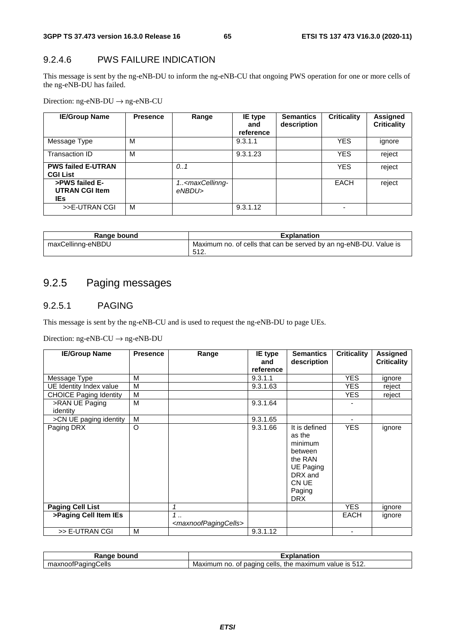## 9.2.4.6 PWS FAILURE INDICATION

This message is sent by the ng-eNB-DU to inform the ng-eNB-CU that ongoing PWS operation for one or more cells of the ng-eNB-DU has failed.

Direction: ng-eNB-DU → ng-eNB-CU

| <b>IE/Group Name</b>                            | <b>Presence</b> | Range                                          | IE type<br>and<br>reference | <b>Semantics</b><br>description | <b>Criticality</b> | Assigned<br><b>Criticality</b> |
|-------------------------------------------------|-----------------|------------------------------------------------|-----------------------------|---------------------------------|--------------------|--------------------------------|
| Message Type                                    | м               |                                                | 9.3.1.1                     |                                 | <b>YES</b>         | ignore                         |
| Transaction ID                                  | M               |                                                | 9.3.1.23                    |                                 | <b>YES</b>         | reject                         |
| <b>PWS failed E-UTRAN</b><br><b>CGI List</b>    |                 | 0.1                                            |                             |                                 | <b>YES</b>         | reject                         |
| >PWS failed E-<br><b>UTRAN CGI Item</b><br>IEs. |                 | 1 <maxcellinng-<br>eNBDU&gt;</maxcellinng-<br> |                             |                                 | EACH               | reject                         |
| >>E-UTRAN CGI                                   | M               |                                                | 9.3.1.12                    |                                 |                    |                                |

| Range bound       | <b>Explanation</b>                                                        |
|-------------------|---------------------------------------------------------------------------|
| maxCellinng-eNBDU | Maximum no. of cells that can be served by an ng-eNB-DU. Value is<br>512. |

## 9.2.5 Paging messages

#### 9.2.5.1 PAGING

This message is sent by the ng-eNB-CU and is used to request the ng-eNB-DU to page UEs.

| <b>IE/Group Name</b>          | <b>Presence</b> | Range                                          | <b>IE</b> type<br>and<br>reference | <b>Semantics</b><br>description                                                                                          | <b>Criticality</b> | Assigned<br><b>Criticality</b> |
|-------------------------------|-----------------|------------------------------------------------|------------------------------------|--------------------------------------------------------------------------------------------------------------------------|--------------------|--------------------------------|
| Message Type                  | М               |                                                | 9.3.1.1                            |                                                                                                                          | <b>YES</b>         | ignore                         |
| UE Identity Index value       | М               |                                                | 9.3.1.63                           |                                                                                                                          | YES.               | reject                         |
| <b>CHOICE Paging Identity</b> | M               |                                                |                                    |                                                                                                                          | <b>YES</b>         | reject                         |
| >RAN UE Paging                | M               |                                                | 9.3.1.64                           |                                                                                                                          |                    |                                |
| identity                      |                 |                                                |                                    |                                                                                                                          |                    |                                |
| >CN UE paging identity        | M               |                                                | 9.3.1.65                           |                                                                                                                          | ٠                  |                                |
| Paging DRX                    | O               |                                                | 9.3.1.66                           | It is defined<br>as the<br>minimum<br>between<br>the RAN<br><b>UE Paging</b><br>DRX and<br>CN UE<br>Paging<br><b>DRX</b> | <b>YES</b>         | ignore                         |
| <b>Paging Cell List</b>       |                 | 1                                              |                                    |                                                                                                                          | <b>YES</b>         | ignore                         |
| >Paging Cell Item IEs         |                 | 1<br><maxnoofpagingcells></maxnoofpagingcells> |                                    |                                                                                                                          | EACH               | ignore                         |
| >> E-UTRAN CGI                | M               |                                                | 9.3.1.12                           |                                                                                                                          |                    |                                |

| bound<br>1u                                  |                                                                                               |
|----------------------------------------------|-----------------------------------------------------------------------------------------------|
| ells:<br>ուռու<br><b>IXNOON</b><br><u>яс</u> | <b>E</b> 4 O<br>maximum<br>paging<br>cells<br>the<br>Maxımum<br>οt<br>value<br>≅IS 512.<br>no |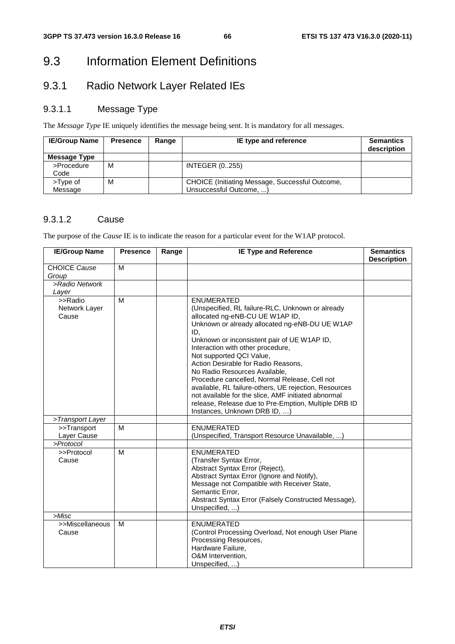## 9.3 Information Element Definitions

## 9.3.1 Radio Network Layer Related IEs

## 9.3.1.1 Message Type

The *Message Type* IE uniquely identifies the message being sent. It is mandatory for all messages.

| <b>IE/Group Name</b> | <b>Presence</b> | Range | IE type and reference                                                      | <b>Semantics</b><br>description |
|----------------------|-----------------|-------|----------------------------------------------------------------------------|---------------------------------|
| <b>Message Type</b>  |                 |       |                                                                            |                                 |
| >Procedure<br>Code   | м               |       | <b>INTEGER (0255)</b>                                                      |                                 |
| >Type of<br>Message  | м               |       | CHOICE (Initiating Message, Successful Outcome,<br>Unsuccessful Outcome, ) |                                 |

### 9.3.1.2 Cause

The purpose of the *Cause* IE is to indicate the reason for a particular event for the W1AP protocol.

| <b>IE/Group Name</b>              | <b>Presence</b> | Range | <b>IE Type and Reference</b>                                                                                                                                                                                                                                                                                                                                                                                                                                                                                                                                                                                       | <b>Semantics</b><br><b>Description</b> |
|-----------------------------------|-----------------|-------|--------------------------------------------------------------------------------------------------------------------------------------------------------------------------------------------------------------------------------------------------------------------------------------------------------------------------------------------------------------------------------------------------------------------------------------------------------------------------------------------------------------------------------------------------------------------------------------------------------------------|----------------------------------------|
| CHOICE Cause<br>Group             | M               |       |                                                                                                                                                                                                                                                                                                                                                                                                                                                                                                                                                                                                                    |                                        |
| >Radio Network                    |                 |       |                                                                                                                                                                                                                                                                                                                                                                                                                                                                                                                                                                                                                    |                                        |
| Layer                             |                 |       |                                                                                                                                                                                                                                                                                                                                                                                                                                                                                                                                                                                                                    |                                        |
| >>Radio<br>Network Layer<br>Cause | M               |       | <b>ENUMERATED</b><br>(Unspecified, RL failure-RLC, Unknown or already<br>allocated ng-eNB-CU UE W1AP ID,<br>Unknown or already allocated ng-eNB-DU UE W1AP<br>ID,<br>Unknown or inconsistent pair of UE W1AP ID,<br>Interaction with other procedure,<br>Not supported QCI Value,<br>Action Desirable for Radio Reasons,<br>No Radio Resources Available,<br>Procedure cancelled, Normal Release, Cell not<br>available, RL failure-others, UE rejection, Resources<br>not available for the slice, AMF initiated abnormal<br>release, Release due to Pre-Emption, Multiple DRB ID<br>Instances, Unknown DRB ID, ) |                                        |
| >Transport Layer                  |                 |       |                                                                                                                                                                                                                                                                                                                                                                                                                                                                                                                                                                                                                    |                                        |
| >>Transport                       | M               |       | <b>ENUMERATED</b>                                                                                                                                                                                                                                                                                                                                                                                                                                                                                                                                                                                                  |                                        |
| Layer Cause                       |                 |       | (Unspecified, Transport Resource Unavailable, )                                                                                                                                                                                                                                                                                                                                                                                                                                                                                                                                                                    |                                        |
| >Protocol                         |                 |       |                                                                                                                                                                                                                                                                                                                                                                                                                                                                                                                                                                                                                    |                                        |
| >>Protocol<br>Cause               | M               |       | <b>ENUMERATED</b><br>(Transfer Syntax Error,<br>Abstract Syntax Error (Reject),<br>Abstract Syntax Error (Ignore and Notify),<br>Message not Compatible with Receiver State,<br>Semantic Error,<br>Abstract Syntax Error (Falsely Constructed Message),<br>Unspecified, )                                                                                                                                                                                                                                                                                                                                          |                                        |
| >Misc                             |                 |       |                                                                                                                                                                                                                                                                                                                                                                                                                                                                                                                                                                                                                    |                                        |
| >>Miscellaneous<br>Cause          | M               |       | <b>ENUMERATED</b><br>(Control Processing Overload, Not enough User Plane<br>Processing Resources,<br>Hardware Failure,<br>O&M Intervention,<br>Unspecified, )                                                                                                                                                                                                                                                                                                                                                                                                                                                      |                                        |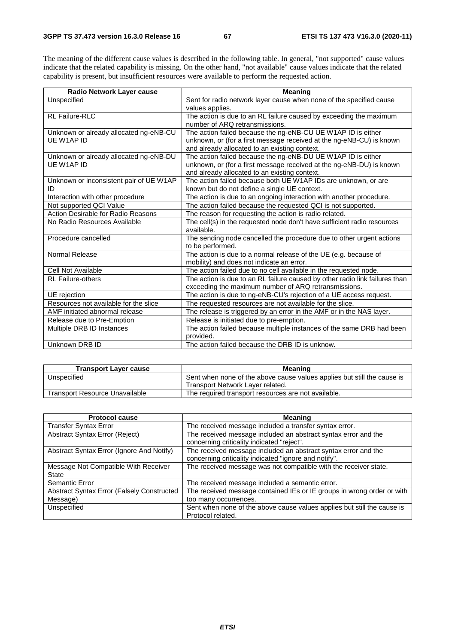The meaning of the different cause values is described in the following table. In general, "not supported" cause values indicate that the related capability is missing. On the other hand, "not available" cause values indicate that the related capability is present, but insufficient resources were available to perform the requested action.

| Radio Network Layer cause               | <b>Meaning</b>                                                              |
|-----------------------------------------|-----------------------------------------------------------------------------|
| Unspecified                             | Sent for radio network layer cause when none of the specified cause         |
|                                         | values applies.                                                             |
| <b>RL Failure-RLC</b>                   | The action is due to an RL failure caused by exceeding the maximum          |
|                                         | number of ARQ retransmissions.                                              |
| Unknown or already allocated ng-eNB-CU  | The action failed because the ng-eNB-CU UE W1AP ID is either                |
| UE W1AP ID                              | unknown, or (for a first message received at the ng-eNB-CU) is known        |
|                                         | and already allocated to an existing context.                               |
| Unknown or already allocated ng-eNB-DU  | The action failed because the ng-eNB-DU UE W1AP ID is either                |
| UF W1AP ID                              | unknown, or (for a first message received at the ng-eNB-DU) is known        |
|                                         | and already allocated to an existing context.                               |
| Unknown or inconsistent pair of UE W1AP | The action failed because both UE W1AP IDs are unknown, or are              |
| ID                                      | known but do not define a single UE context.                                |
| Interaction with other procedure        | The action is due to an ongoing interaction with another procedure.         |
| Not supported QCI Value                 | The action failed because the requested QCI is not supported.               |
| Action Desirable for Radio Reasons      | The reason for requesting the action is radio related.                      |
| No Radio Resources Available            | The cell(s) in the requested node don't have sufficient radio resources     |
|                                         | available.                                                                  |
| Procedure cancelled                     | The sending node cancelled the procedure due to other urgent actions        |
|                                         | to be performed.                                                            |
| Normal Release                          | The action is due to a normal release of the UE (e.g. because of            |
|                                         | mobility) and does not indicate an error.                                   |
| Cell Not Available                      | The action failed due to no cell available in the requested node.           |
| <b>RL Failure-others</b>                | The action is due to an RL failure caused by other radio link failures than |
|                                         | exceeding the maximum number of ARQ retransmissions.                        |
| UE rejection                            | The action is due to ng-eNB-CU's rejection of a UE access request.          |
| Resources not available for the slice   | The requested resources are not available for the slice.                    |
| AMF initiated abnormal release          | The release is triggered by an error in the AMF or in the NAS layer.        |
| Release due to Pre-Emption              | Release is initiated due to pre-emption.                                    |
| Multiple DRB ID Instances               | The action failed because multiple instances of the same DRB had been       |
|                                         | provided.                                                                   |
| Unknown DRB ID                          | The action failed because the DRB ID is unknow.                             |

| <b>Transport Layer cause</b>          | <b>Meaning</b>                                                          |
|---------------------------------------|-------------------------------------------------------------------------|
| Unspecified                           | Sent when none of the above cause values applies but still the cause is |
|                                       | Transport Network Layer related.                                        |
| <b>Transport Resource Unavailable</b> | The required transport resources are not available.                     |

| <b>Protocol cause</b>                                          | <b>Meaning</b>                                                                                                          |
|----------------------------------------------------------------|-------------------------------------------------------------------------------------------------------------------------|
| <b>Transfer Syntax Error</b>                                   | The received message included a transfer syntax error.                                                                  |
| Abstract Syntax Error (Reject)                                 | The received message included an abstract syntax error and the<br>concerning criticality indicated "reject".            |
| Abstract Syntax Error (Ignore And Notify)                      | The received message included an abstract syntax error and the<br>concerning criticality indicated "ignore and notify". |
| Message Not Compatible With Receiver<br>State                  | The received message was not compatible with the receiver state.                                                        |
| Semantic Error                                                 | The received message included a semantic error.                                                                         |
| <b>Abstract Syntax Error (Falsely Constructed)</b><br>Message) | The received message contained IEs or IE groups in wrong order or with<br>too many occurrences.                         |
| Unspecified                                                    | Sent when none of the above cause values applies but still the cause is<br>Protocol related.                            |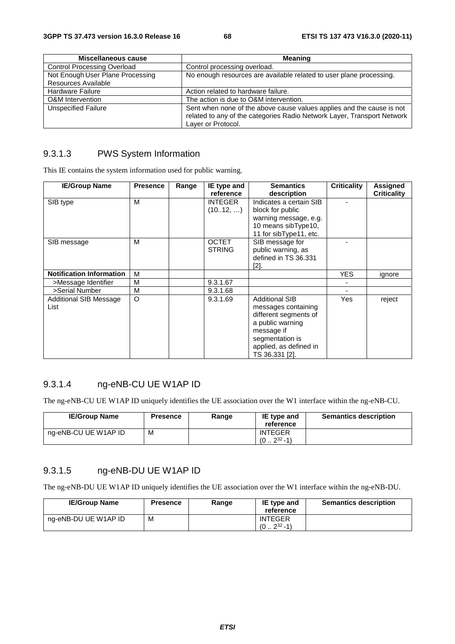| Miscellaneous cause                | <b>Meaning</b>                                                                                                                                                         |
|------------------------------------|------------------------------------------------------------------------------------------------------------------------------------------------------------------------|
| <b>Control Processing Overload</b> | Control processing overload.                                                                                                                                           |
| Not Enough User Plane Processing   | No enough resources are available related to user plane processing.                                                                                                    |
| Resources Available                |                                                                                                                                                                        |
| <b>Hardware Failure</b>            | Action related to hardware failure.                                                                                                                                    |
| O&M Intervention                   | The action is due to O&M intervention.                                                                                                                                 |
| <b>Unspecified Failure</b>         | Sent when none of the above cause values applies and the cause is not<br>related to any of the categories Radio Network Layer, Transport Network<br>Layer or Protocol. |

#### 9.3.1.3 PWS System Information

This IE contains the system information used for public warning.

| <b>IE/Group Name</b>            | <b>Presence</b> | Range | IE type and    | <b>Semantics</b>        | <b>Criticality</b> | Assigned           |
|---------------------------------|-----------------|-------|----------------|-------------------------|--------------------|--------------------|
|                                 |                 |       | reference      | description             |                    | <b>Criticality</b> |
| SIB type                        | M               |       | <b>INTEGER</b> | Indicates a certain SIB |                    |                    |
|                                 |                 |       | (1012, )       | block for public        |                    |                    |
|                                 |                 |       |                | warning message, e.g.   |                    |                    |
|                                 |                 |       |                | 10 means sibType10,     |                    |                    |
|                                 |                 |       |                | 11 for sibType11, etc.  |                    |                    |
| SIB message                     | М               |       | <b>OCTET</b>   | SIB message for         |                    |                    |
|                                 |                 |       | <b>STRING</b>  | public warning, as      |                    |                    |
|                                 |                 |       |                | defined in TS 36.331    |                    |                    |
|                                 |                 |       |                | [2].                    |                    |                    |
| <b>Notification Information</b> | M               |       |                |                         | <b>YES</b>         | ignore             |
| >Message Identifier             | М               |       | 9.3.1.67       |                         |                    |                    |
| >Serial Number                  | М               |       | 9.3.1.68       |                         |                    |                    |
| Additional SIB Message          | O               |       | 9.3.1.69       | <b>Additional SIB</b>   | Yes                | reject             |
| List                            |                 |       |                | messages containing     |                    |                    |
|                                 |                 |       |                | different segments of   |                    |                    |
|                                 |                 |       |                | a public warning        |                    |                    |
|                                 |                 |       |                | message if              |                    |                    |
|                                 |                 |       |                | segmentation is         |                    |                    |
|                                 |                 |       |                | applied, as defined in  |                    |                    |
|                                 |                 |       |                | TS 36.331 [2].          |                    |                    |

## 9.3.1.4 ng-eNB-CU UE W1AP ID

The ng-eNB-CU UE W1AP ID uniquely identifies the UE association over the W1 interface within the ng-eNB-CU.

| <b>IE/Group Name</b> | <b>Presence</b> | Range | IE type and<br>reference                    | <b>Semantics description</b> |
|----------------------|-----------------|-------|---------------------------------------------|------------------------------|
| ng-eNB-CU UE W1AP ID | M               |       | <b>INTEGER</b><br>$232 - 11$<br>$(0 \ldots$ |                              |

## 9.3.1.5 ng-eNB-DU UE W1AP ID

The ng-eNB-DU UE W1AP ID uniquely identifies the UE association over the W1 interface within the ng-eNB-DU.

| <b>IE/Group Name</b> | <b>Presence</b> | Range | IE type and<br>reference             | <b>Semantics description</b> |
|----------------------|-----------------|-------|--------------------------------------|------------------------------|
| ng-eNB-DU UE W1AP ID | М               |       | <b>INTEGER</b><br>$232 - 1)$<br>(02) |                              |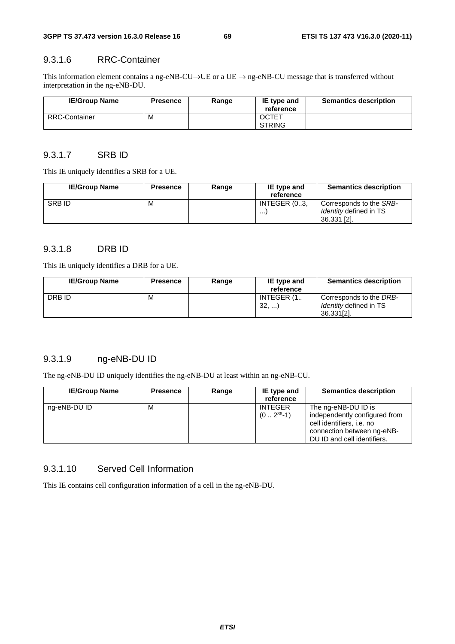#### 9.3.1.6 RRC-Container

This information element contains a ng-eNB-CU→UE or a UE → ng-eNB-CU message that is transferred without interpretation in the ng-eNB-DU.

| <b>IE/Group Name</b> | <b>Presence</b> | Range | IE type and<br>reference      | <b>Semantics description</b> |
|----------------------|-----------------|-------|-------------------------------|------------------------------|
| <b>RRC-Container</b> | М               |       | <b>OCTET</b><br><b>STRING</b> |                              |

#### 9.3.1.7 SRB ID

This IE uniquely identifies a SRB for a UE.

| <b>IE/Group Name</b> | <b>Presence</b> | Range | IE type and<br>reference | <b>Semantics description</b>                                            |
|----------------------|-----------------|-------|--------------------------|-------------------------------------------------------------------------|
| <b>SRBID</b>         | м               |       | INTEGER (03,<br>$\cdots$ | Corresponds to the SRB-<br><i>Identity</i> defined in TS<br>36.331 [2]. |

## 9.3.1.8 DRB ID

This IE uniquely identifies a DRB for a UE.

| <b>IE/Group Name</b> | <b>Presence</b> | Range | IE type and | <b>Semantics description</b>  |
|----------------------|-----------------|-------|-------------|-------------------------------|
|                      |                 |       | reference   |                               |
| DRB ID               | М               |       | INTEGER (1  | Corresponds to the DRB-       |
|                      |                 |       | 32,         | <i>Identity</i> defined in TS |
|                      |                 |       |             | 36.331[2].                    |

## 9.3.1.9 ng-eNB-DU ID

The ng-eNB-DU ID uniquely identifies the ng-eNB-DU at least within an ng-eNB-CU.

| <b>IE/Group Name</b> | <b>Presence</b> | Range | IE type and<br>reference        | <b>Semantics description</b>                                                                                                                   |
|----------------------|-----------------|-------|---------------------------------|------------------------------------------------------------------------------------------------------------------------------------------------|
| ng-eNB-DU ID         | м               |       | <b>INTEGER</b><br>$(02^{36}-1)$ | The ng-eNB-DU ID is<br>independently configured from<br>cell identifiers, i.e. no<br>connection between ng-eNB-<br>DU ID and cell identifiers. |

#### 9.3.1.10 Served Cell Information

This IE contains cell configuration information of a cell in the ng-eNB-DU.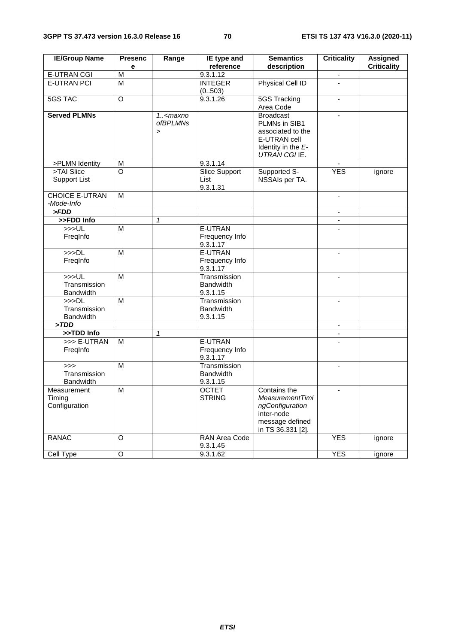| <b>IE/Group Name</b>                     | <b>Presenc</b><br>e     | Range                                                            | IE type and<br>reference                     | <b>Semantics</b><br>description                                                                                 | <b>Criticality</b>       | <b>Assigned</b><br><b>Criticality</b> |
|------------------------------------------|-------------------------|------------------------------------------------------------------|----------------------------------------------|-----------------------------------------------------------------------------------------------------------------|--------------------------|---------------------------------------|
| <b>E-UTRAN CGI</b>                       | $\overline{\mathsf{M}}$ |                                                                  | 9.3.1.12                                     |                                                                                                                 |                          |                                       |
| <b>E-UTRAN PCI</b>                       | $\overline{M}$          |                                                                  | <b>INTEGER</b>                               | Physical Cell ID                                                                                                | $\overline{a}$           |                                       |
|                                          |                         |                                                                  | (0.503)                                      |                                                                                                                 |                          |                                       |
| <b>5GS TAC</b>                           | $\overline{O}$          |                                                                  | 9.3.1.26                                     | 5GS Tracking                                                                                                    | $\overline{\phantom{a}}$ |                                       |
|                                          |                         |                                                                  |                                              | Area Code                                                                                                       |                          |                                       |
| <b>Served PLMNs</b>                      |                         | $1.5$ <maxno<br><i>ofBPLMNs</i><br/><math>\geq</math></maxno<br> |                                              | <b>Broadcast</b><br>PLMNs in SIB1<br>associated to the<br>E-UTRAN cell<br>Identity in the E-<br>UTRAN CGI IE.   | $\blacksquare$           |                                       |
| >PLMN Identity                           | M                       |                                                                  | 9.3.1.14                                     |                                                                                                                 |                          |                                       |
| >TAI Slice<br><b>Support List</b>        | O                       |                                                                  | <b>Slice Support</b><br>List<br>9.3.1.31     | Supported S-<br>NSSAIs per TA.                                                                                  | <b>YES</b>               | ignore                                |
| <b>CHOICE E-UTRAN</b><br>-Mode-Info      | M                       |                                                                  |                                              |                                                                                                                 | $\overline{\phantom{a}}$ |                                       |
| > FDD                                    |                         |                                                                  |                                              |                                                                                                                 |                          |                                       |
| >>FDD Info                               |                         | $\mathbf{1}$                                                     |                                              |                                                                                                                 | $\blacksquare$           |                                       |
| >>UL<br>FreqInfo                         | M                       |                                                                  | E-UTRAN<br>Frequency Info<br>9.3.1.17        |                                                                                                                 |                          |                                       |
| >>DL<br>FreqInfo                         | M                       |                                                                  | E-UTRAN<br>Frequency Info<br>9.3.1.17        |                                                                                                                 | $\mathbf{r}$             |                                       |
| >>UL<br>Transmission<br><b>Bandwidth</b> | $\overline{M}$          |                                                                  | Transmission<br><b>Bandwidth</b><br>9.3.1.15 |                                                                                                                 |                          |                                       |
| >>DL<br>Transmission<br>Bandwidth        | M                       |                                                                  | Transmission<br><b>Bandwidth</b><br>9.3.1.15 |                                                                                                                 | $\blacksquare$           |                                       |
| >TDD                                     |                         |                                                                  |                                              |                                                                                                                 | $\blacksquare$           |                                       |
| >>TDD Info                               |                         | $\mathbf{1}$                                                     |                                              |                                                                                                                 |                          |                                       |
| >>> E-UTRAN<br>Freginfo                  | M                       |                                                                  | E-UTRAN<br>Frequency Info<br>9.3.1.17        |                                                                                                                 |                          |                                       |
| >><br>Transmission<br>Bandwidth          | M                       |                                                                  | Transmission<br><b>Bandwidth</b><br>9.3.1.15 |                                                                                                                 | $\blacksquare$           |                                       |
| Measurement<br>Timing<br>Configuration   | M                       |                                                                  | <b>OCTET</b><br><b>STRING</b>                | Contains the<br><b>MeasurementTimi</b><br>ngConfiguration<br>inter-node<br>message defined<br>in TS 36.331 [2]. | $\blacksquare$           |                                       |
| <b>RANAC</b>                             | O                       |                                                                  | RAN Area Code<br>9.3.1.45                    |                                                                                                                 | <b>YES</b>               | ignore                                |
| Cell Type                                | $\overline{O}$          |                                                                  | 9.3.1.62                                     |                                                                                                                 | <b>YES</b>               | ignore                                |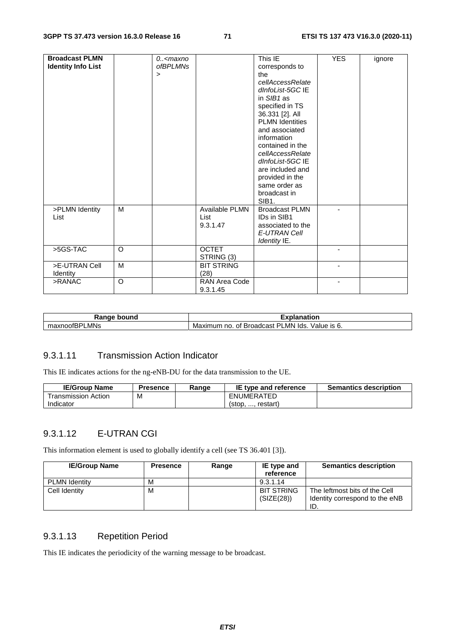| <b>Broadcast PLMN</b><br><b>Identity Info List</b> |          | 0 <maxno<br><i>ofBPLMNs</i><br/><math>\,&gt;\,</math></maxno<br> |                                    | This IE<br>corresponds to<br>the<br>cellAccessRelate<br>dInfoList-5GC IE<br>in SIB1 as<br>specified in TS<br>36.331 [2]. All<br><b>PLMN Identities</b><br>and associated<br>information<br>contained in the<br>cellAccessRelate<br>dInfoList-5GC IE<br>are included and<br>provided in the<br>same order as<br>broadcast in<br>SIB <sub>1</sub> . | <b>YES</b> | ignore |
|----------------------------------------------------|----------|------------------------------------------------------------------|------------------------------------|---------------------------------------------------------------------------------------------------------------------------------------------------------------------------------------------------------------------------------------------------------------------------------------------------------------------------------------------------|------------|--------|
| >PLMN Identity<br>List                             | М        |                                                                  | Available PLMN<br>List<br>9.3.1.47 | <b>Broadcast PLMN</b><br>IDs in SIB1<br>associated to the<br>E-UTRAN Cell<br>Identity IE.                                                                                                                                                                                                                                                         |            |        |
| >5GS-TAC                                           | $\Omega$ |                                                                  | <b>OCTET</b><br>STRING (3)         |                                                                                                                                                                                                                                                                                                                                                   |            |        |
| >E-UTRAN Cell<br>Identity                          | M        |                                                                  | <b>BIT STRING</b><br>(28)          |                                                                                                                                                                                                                                                                                                                                                   |            |        |
| >RANAC                                             | $\circ$  |                                                                  | RAN Area Code<br>9.3.1.45          |                                                                                                                                                                                                                                                                                                                                                   |            |        |

| Ranαe<br>bound<br>٦a           | -<br>anation                                                                          |  |  |
|--------------------------------|---------------------------------------------------------------------------------------|--|--|
| LMNs<br>$\sim$<br>…u∧∩00IBH' " | LMN<br>וס<br>lds<br>Broadcast<br>Maximum<br>$\sim$<br>Value<br>no.<br>Οt<br>O.<br>- ت |  |  |

#### 9.3.1.11 Transmission Action Indicator

This IE indicates actions for the ng-eNB-DU for the data transmission to the UE.

| <b>IE/Group Name</b> | Presence | Range | IE type and reference | <b>Semantics description</b> |
|----------------------|----------|-------|-----------------------|------------------------------|
| ⊺ransmission Action  | M        |       | ENUMERATED            |                              |
| Indicator            |          |       | restart<br>$5$        |                              |

## 9.3.1.12 E-UTRAN CGI

This information element is used to globally identify a cell (see TS 36.401 [3]).

| <b>IE/Group Name</b> | <b>Presence</b> | Range | IE type and<br>reference        | <b>Semantics description</b>                                           |
|----------------------|-----------------|-------|---------------------------------|------------------------------------------------------------------------|
| <b>PLMN Identity</b> | М               |       | 9.3.1.14                        |                                                                        |
| Cell Identity        | м               |       | <b>BIT STRING</b><br>(SIZE(28)) | The leftmost bits of the Cell<br>Identity correspond to the eNB<br>ID. |

## 9.3.1.13 Repetition Period

This IE indicates the periodicity of the warning message to be broadcast.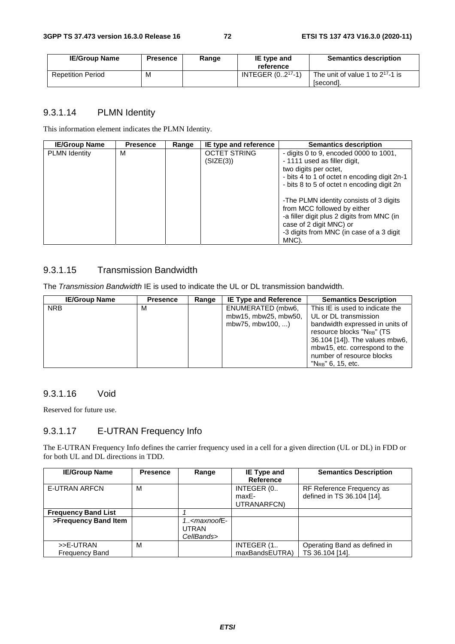| <b>IE/Group Name</b>     | <b>Presence</b> | Range | IE type and<br>reference | <b>Semantics description</b>                       |
|--------------------------|-----------------|-------|--------------------------|----------------------------------------------------|
| <b>Repetition Period</b> | M               |       | INTEGER $(02^{17}-1)$    | The unit of value 1 to $2^{17}$ -1 is<br>[second]. |

### 9.3.1.14 PLMN Identity

This information element indicates the PLMN Identity.

| <b>IE/Group Name</b> | <b>Presence</b> | Range | IE type and reference            | <b>Semantics description</b>                                                                                                                    |
|----------------------|-----------------|-------|----------------------------------|-------------------------------------------------------------------------------------------------------------------------------------------------|
| <b>PLMN</b> Identity | М               |       | <b>OCTET STRING</b><br>(SIZE(3)) | - digits 0 to 9, encoded 0000 to $1001$ ,<br>- 1111 used as filler digit,<br>two digits per octet,                                              |
|                      |                 |       |                                  | - bits 4 to 1 of octet n encoding digit 2n-1<br>- bits 8 to 5 of octet n encoding digit 2n                                                      |
|                      |                 |       |                                  | -The PLMN identity consists of 3 digits<br>from MCC followed by either<br>-a filler digit plus 2 digits from MNC (in<br>case of 2 digit MNC) or |
|                      |                 |       |                                  | -3 digits from MNC (in case of a 3 digit<br>MNC).                                                                                               |

### 9.3.1.15 Transmission Bandwidth

The *Transmission Bandwidth* IE is used to indicate the UL or DL transmission bandwidth.

| <b>IE/Group Name</b> | <b>Presence</b> | Range | <b>IE Type and Reference</b> | <b>Semantics Description</b>           |
|----------------------|-----------------|-------|------------------------------|----------------------------------------|
| <b>NRB</b>           | м               |       | ENUMERATED (mbw6,            | This IE is used to indicate the        |
|                      |                 |       | mbw15, mbw25, mbw50,         | UL or DL transmission                  |
|                      |                 |       | mbw75, mbw100, )             | bandwidth expressed in units of        |
|                      |                 |       |                              | resource blocks "N <sub>RB</sub> " (TS |
|                      |                 |       |                              | 36.104 [14]). The values mbw6,         |
|                      |                 |       |                              | mbw15, etc. correspond to the          |
|                      |                 |       |                              | number of resource blocks              |
|                      |                 |       |                              | $"N_{RB}"$ 6, 15, etc.                 |

### 9.3.1.16 Void

Reserved for future use.

### 9.3.1.17 E-UTRAN Frequency Info

The E-UTRAN Frequency Info defines the carrier frequency used in a cell for a given direction (UL or DL) in FDD or for both UL and DL directions in TDD.

| <b>IE/Group Name</b>               | <b>Presence</b> | Range                         | IE Type and<br><b>Reference</b>    | <b>Semantics Description</b>                            |
|------------------------------------|-----------------|-------------------------------|------------------------------------|---------------------------------------------------------|
| <b>E-UTRAN ARFCN</b>               | м               |                               | INTEGER (0<br>maxE-<br>UTRANARFCN) | RF Reference Frequency as<br>defined in TS 36.104 [14]. |
| <b>Frequency Band List</b>         |                 |                               |                                    |                                                         |
| >Frequency Band Item               |                 | $1. maxnoofE-UTRANCellBands>$ |                                    |                                                         |
| >>E-UTRAN<br><b>Frequency Band</b> | м               |                               | INTEGER (1<br>maxBandsEUTRA)       | Operating Band as defined in<br>TS 36.104 [14].         |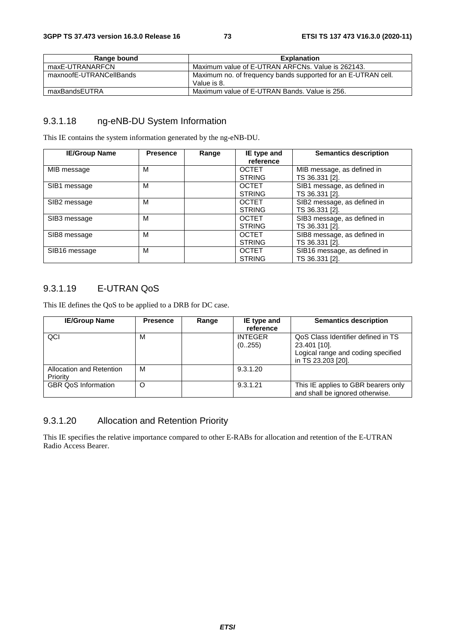| Range bound             | <b>Explanation</b>                                                           |
|-------------------------|------------------------------------------------------------------------------|
| maxE-UTRANARFCN         | Maximum value of E-UTRAN ARFCNs. Value is 262143.                            |
| maxnoofE-UTRANCellBands | Maximum no. of frequency bands supported for an E-UTRAN cell.<br>Value is 8. |
| maxBandsEUTRA           | Maximum value of E-UTRAN Bands, Value is 256.                                |

#### 9.3.1.18 ng-eNB-DU System Information

This IE contains the system information generated by the ng-eNB-DU.

| <b>IE/Group Name</b> | <b>Presence</b> | Range | IE type and<br>reference      | <b>Semantics description</b>                   |
|----------------------|-----------------|-------|-------------------------------|------------------------------------------------|
| MIB message          | M               |       | <b>OCTET</b><br><b>STRING</b> | MIB message, as defined in<br>TS 36.331 [2].   |
| SIB1 message         | М               |       | <b>OCTET</b><br><b>STRING</b> | SIB1 message, as defined in<br>TS 36.331 [2].  |
| SIB2 message         | M               |       | <b>OCTET</b><br><b>STRING</b> | SIB2 message, as defined in<br>TS 36.331 [2].  |
| SIB3 message         | М               |       | <b>OCTET</b><br><b>STRING</b> | SIB3 message, as defined in<br>TS 36.331 [2].  |
| SIB8 message         | M               |       | <b>OCTET</b><br><b>STRING</b> | SIB8 message, as defined in<br>TS 36.331 [2].  |
| SIB16 message        | M               |       | <b>OCTET</b><br><b>STRING</b> | SIB16 message, as defined in<br>TS 36.331 [2]. |

### 9.3.1.19 E-UTRAN QoS

This IE defines the QoS to be applied to a DRB for DC case.

| <b>IE/Group Name</b>       | <b>Presence</b> | Range | IE type and    | <b>Semantics description</b>        |
|----------------------------|-----------------|-------|----------------|-------------------------------------|
|                            |                 |       | reference      |                                     |
| QCI                        | М               |       | <b>INTEGER</b> | QoS Class Identifier defined in TS  |
|                            |                 |       | (0255)         | 23.401 [10].                        |
|                            |                 |       |                | Logical range and coding specified  |
|                            |                 |       |                | in TS 23.203 [20].                  |
| Allocation and Retention   | м               |       | 9.3.1.20       |                                     |
| Priority                   |                 |       |                |                                     |
| <b>GBR QoS Information</b> | O               |       | 9.3.1.21       | This IE applies to GBR bearers only |
|                            |                 |       |                | and shall be ignored otherwise.     |

## 9.3.1.20 Allocation and Retention Priority

This IE specifies the relative importance compared to other E-RABs for allocation and retention of the E-UTRAN Radio Access Bearer.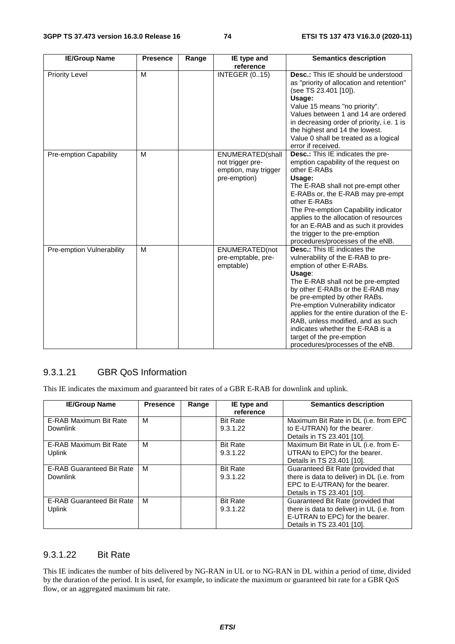| <b>IE/Group Name</b>      | <b>Presence</b> | Range | IE type and<br>reference                                                     | <b>Semantics description</b>                                                                                                                                                                                                                                                                                                                                                                                                                           |
|---------------------------|-----------------|-------|------------------------------------------------------------------------------|--------------------------------------------------------------------------------------------------------------------------------------------------------------------------------------------------------------------------------------------------------------------------------------------------------------------------------------------------------------------------------------------------------------------------------------------------------|
| <b>Priority Level</b>     | M               |       | <b>INTEGER (015)</b>                                                         | <b>Desc.:</b> This IE should be understood<br>as "priority of allocation and retention"<br>(see TS 23.401 [10]).<br>Usage:<br>Value 15 means "no priority".<br>Values between 1 and 14 are ordered<br>in decreasing order of priority, i.e. 1 is<br>the highest and 14 the lowest.<br>Value 0 shall be treated as a logical<br>error if received.                                                                                                      |
| Pre-emption Capability    | M               |       | ENUMERATED(shall<br>not trigger pre-<br>emption, may trigger<br>pre-emption) | Desc.: This IE indicates the pre-<br>emption capability of the request on<br>other E-RABs<br>Usage:<br>The E-RAB shall not pre-empt other<br>E-RABs or, the E-RAB may pre-empt<br>other E-RABs<br>The Pre-emption Capability indicator<br>applies to the allocation of resources<br>for an E-RAB and as such it provides<br>the trigger to the pre-emption<br>procedures/processes of the eNB.                                                         |
| Pre-emption Vulnerability | M               |       | ENUMERATED(not<br>pre-emptable, pre-<br>emptable)                            | <b>Desc.:</b> This IE indicates the<br>vulnerability of the E-RAB to pre-<br>emption of other E-RABs.<br>Usage:<br>The E-RAB shall not be pre-empted<br>by other E-RABs or the E-RAB may<br>be pre-empted by other RABs.<br>Pre-emption Vulnerability indicator<br>applies for the entire duration of the E-<br>RAB, unless modified, and as such<br>indicates whether the E-RAB is a<br>target of the pre-emption<br>procedures/processes of the eNB. |

#### 9.3.1.21 GBR QoS Information

This IE indicates the maximum and guaranteed bit rates of a GBR E-RAB for downlink and uplink.

| <b>IE/Group Name</b>             | <b>Presence</b> | Range | IE type and     | <b>Semantics description</b>               |
|----------------------------------|-----------------|-------|-----------------|--------------------------------------------|
|                                  |                 |       | reference       |                                            |
| E-RAB Maximum Bit Rate           | M               |       | <b>Bit Rate</b> | Maximum Bit Rate in DL (i.e. from EPC      |
| <b>Downlink</b>                  |                 |       | 9.3.1.22        | to E-UTRAN) for the bearer.                |
|                                  |                 |       |                 | Details in TS 23.401 [10].                 |
| E-RAB Maximum Bit Rate           | м               |       | <b>Bit Rate</b> | Maximum Bit Rate in UL (i.e. from E-       |
| <b>Uplink</b>                    |                 |       | 9.3.1.22        | UTRAN to EPC) for the bearer.              |
|                                  |                 |       |                 | Details in TS 23.401 [10].                 |
| <b>E-RAB Guaranteed Bit Rate</b> | M               |       | <b>Bit Rate</b> | Guaranteed Bit Rate (provided that         |
| <b>Downlink</b>                  |                 |       | 9.3.1.22        | there is data to deliver) in DL (i.e. from |
|                                  |                 |       |                 | EPC to E-UTRAN) for the bearer.            |
|                                  |                 |       |                 | Details in TS 23.401 [10].                 |
| <b>E-RAB Guaranteed Bit Rate</b> | M               |       | <b>Bit Rate</b> | Guaranteed Bit Rate (provided that         |
| Uplink                           |                 |       | 9.3.1.22        | there is data to deliver) in UL (i.e. from |
|                                  |                 |       |                 | E-UTRAN to EPC) for the bearer.            |
|                                  |                 |       |                 | Details in TS 23.401 [10].                 |

#### 9.3.1.22 Bit Rate

This IE indicates the number of bits delivered by NG-RAN in UL or to NG-RAN in DL within a period of time, divided by the duration of the period. It is used, for example, to indicate the maximum or guaranteed bit rate for a GBR QoS flow, or an aggregated maximum bit rate.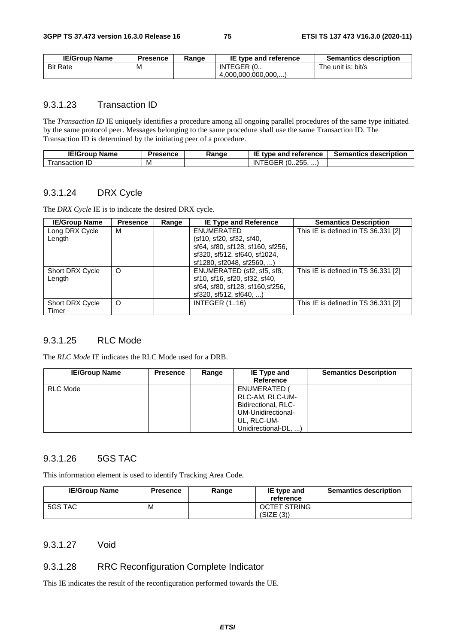| <b>IE/Group Name</b> | <b>Presence</b> | Ranɑe | IE type and reference | <b>Semantics description</b> |
|----------------------|-----------------|-------|-----------------------|------------------------------|
| <b>Bit Rate</b>      | M               |       | INTEGER (0            | The unit is: bit/s           |
|                      |                 |       | (4.000.000.000.000)   |                              |

#### 9.3.1.23 Transaction ID

The *Transaction ID* IE uniquely identifies a procedure among all ongoing parallel procedures of the same type initiated by the same protocol peer. Messages belonging to the same procedure shall use the same Transaction ID. The Transaction ID is determined by the initiating peer of a procedure.

| <b>IE/Group</b><br><b>Name</b> | <b>Presence</b> | Ranɑe | IE<br>type and reference          | <b>Semantics description</b> |
|--------------------------------|-----------------|-------|-----------------------------------|------------------------------|
| ransaction<br>. IL/            | M               |       | つらら<br>ີ (0255, …,<br>IN<br>r Grk |                              |

#### 9.3.1.24 DRX Cycle

The *DRX Cycle* IE is to indicate the desired DRX cycle.

| <b>IE/Group Name</b>   | <b>Presence</b> | Range | <b>IE Type and Reference</b>     | <b>Semantics Description</b>        |
|------------------------|-----------------|-------|----------------------------------|-------------------------------------|
| Long DRX Cycle         | М               |       | ENUMERATED                       | This IE is defined in TS 36.331 [2] |
| Length                 |                 |       | (sf10, sf20, sf32, sf40,         |                                     |
|                        |                 |       | sf64, sf80, sf128, sf160, sf256, |                                     |
|                        |                 |       | sf320, sf512, sf640, sf1024,     |                                     |
|                        |                 |       | sf1280, sf2048, sf2560, )        |                                     |
| Short DRX Cycle        | O               |       | ENUMERATED (sf2, sf5, sf8,       | This IE is defined in TS 36.331 [2] |
| Length                 |                 |       | sf10, sf16, sf20, sf32, sf40,    |                                     |
|                        |                 |       | sf64, sf80, sf128, sf160, sf256, |                                     |
|                        |                 |       | $sf320$ , $sf512$ , $sf640$ , )  |                                     |
| <b>Short DRX Cycle</b> | O               |       | <b>INTEGER (116)</b>             | This IE is defined in TS 36.331 [2] |
| Timer                  |                 |       |                                  |                                     |

### 9.3.1.25 RLC Mode

The *RLC Mode* IE indicates the RLC Mode used for a DRB.

| <b>IE/Group Name</b> | <b>Presence</b> | Range | IE Type and<br><b>Reference</b>                                                                                   | <b>Semantics Description</b> |
|----------------------|-----------------|-------|-------------------------------------------------------------------------------------------------------------------|------------------------------|
| RLC Mode             |                 |       | ENUMERATED (<br>RLC-AM, RLC-UM-<br>Bidirectional, RLC-<br>UM-Unidirectional-<br>UL, RLC-UM-<br>Unidirectional-DL, |                              |

### 9.3.1.26 5GS TAC

This information element is used to identify Tracking Area Code.

| <b>IE/Group Name</b> | <b>Presence</b> | Range | IE type and<br>reference | <b>Semantics description</b> |
|----------------------|-----------------|-------|--------------------------|------------------------------|
| 5GS TAC              | М               |       | <b>OCTET STRING</b>      |                              |
|                      |                 |       | (SIZE (3))               |                              |

#### 9.3.1.27 Void

#### 9.3.1.28 RRC Reconfiguration Complete Indicator

This IE indicates the result of the reconfiguration performed towards the UE.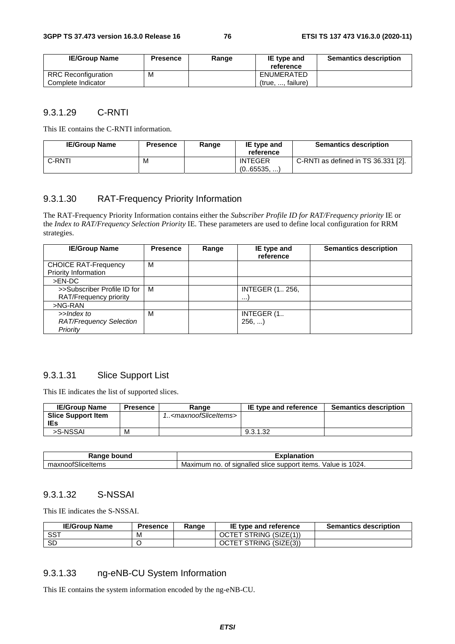| <b>IE/Group Name</b> | <b>Presence</b> | Range | IE type and<br>reference | <b>Semantics description</b> |
|----------------------|-----------------|-------|--------------------------|------------------------------|
| RRC Reconfiguration  | M               |       | ENUMERATED               |                              |
| Complete Indicator   |                 |       | (true, , failure)        |                              |

#### 9.3.1.29 C-RNTI

This IE contains the C-RNTI information.

| <b>IE/Group Name</b> | <b>Presence</b> | Range | IE type and<br>reference    | <b>Semantics description</b>        |
|----------------------|-----------------|-------|-----------------------------|-------------------------------------|
| C-RNTI               | M               |       | <b>INTEGER</b><br>(065535,) | C-RNTI as defined in TS 36.331 [2]. |

### 9.3.1.30 RAT-Frequency Priority Information

The RAT-Frequency Priority Information contains either the *Subscriber Profile ID for RAT/Frequency priority* IE or the *Index to RAT/Frequency Selection Priority* IE. These parameters are used to define local configuration for RRM strategies.

| <b>IE/Group Name</b>           | <b>Presence</b> | Range | IE type and<br>reference | <b>Semantics description</b> |
|--------------------------------|-----------------|-------|--------------------------|------------------------------|
| <b>CHOICE RAT-Frequency</b>    | М               |       |                          |                              |
| Priority Information           |                 |       |                          |                              |
| $>EN-DC$                       |                 |       |                          |                              |
| >>Subscriber Profile ID for    | м               |       | <b>INTEGER (1 256,</b>   |                              |
| RAT/Frequency priority         |                 |       | $\cdots$                 |                              |
| $>NG-RAN$                      |                 |       |                          |                              |
| >>Index to                     | м               |       | INTEGER (1.              |                              |
| <b>RAT/Frequency Selection</b> |                 |       | 256,                     |                              |
| Priority                       |                 |       |                          |                              |

#### 9.3.1.31 Slice Support List

This IE indicates the list of supported slices.

| <b>IE/Group Name</b>      | Presence | Range                                     | IE type and reference | <b>Semantics description</b> |
|---------------------------|----------|-------------------------------------------|-----------------------|------------------------------|
| <b>Slice Support Item</b> |          | 1 <maxnoofsliceitems></maxnoofsliceitems> |                       |                              |
| IEs                       |          |                                           |                       |                              |
| >S-NSSAI                  | м        |                                           | 9.3.1.32              |                              |

|                                        | .                                                                                      |
|----------------------------------------|----------------------------------------------------------------------------------------|
| ⊤ Randr                                | ------                                                                                 |
| bound                                  | nation                                                                                 |
| $\sim$<br>iceltemsاح،<br>noof:<br>−1∧. | 1024.<br>signalled<br>Value<br>support<br>items.<br>Maximum<br>no<br>slice<br>ıs<br>0t |

#### 9.3.1.32 S-NSSAI

This IE indicates the S-NSSAI.

| <b>IE/Group Name</b> | <b>Presence</b> | Range | IE type and reference  | <b>Semantics description</b> |
|----------------------|-----------------|-------|------------------------|------------------------------|
| SST                  | M               |       | OCTET STRING (SIZE(1)) |                              |
| <b>SD</b>            |                 |       | OCTET STRING (SIZE(3)) |                              |

#### 9.3.1.33 ng-eNB-CU System Information

This IE contains the system information encoded by the ng-eNB-CU.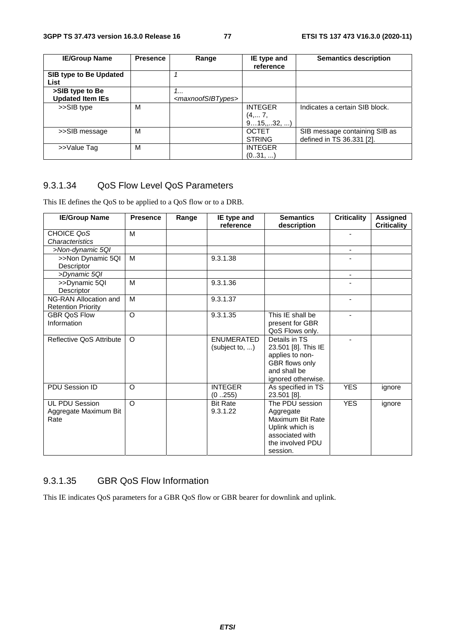| <b>IE/Group Name</b>                       | <b>Presence</b> | Range                                    | IE type and<br>reference            | <b>Semantics description</b>                               |
|--------------------------------------------|-----------------|------------------------------------------|-------------------------------------|------------------------------------------------------------|
| SIB type to Be Updated<br>List             |                 |                                          |                                     |                                                            |
| >SIB type to Be<br><b>Updated Item IEs</b> |                 | 1<br><maxnoofsibtypes></maxnoofsibtypes> |                                     |                                                            |
| >>SIB type                                 | M               |                                          | <b>INTEGER</b><br>(4, 7,<br>915,32, | Indicates a certain SIB block.                             |
| >>SIB message                              | м               |                                          | <b>OCTET</b><br><b>STRING</b>       | SIB message containing SIB as<br>defined in TS 36.331 [2]. |
| >>Value Tag                                | M               |                                          | <b>INTEGER</b><br>(031, )           |                                                            |

### 9.3.1.34 QoS Flow Level QoS Parameters

This IE defines the QoS to be applied to a QoS flow or to a DRB.

| <b>IE/Group Name</b>                                   | <b>Presence</b> | Range | IE type and<br>reference            | <b>Semantics</b><br>description                                                                                        | <b>Criticality</b>       | <b>Assigned</b><br><b>Criticality</b> |
|--------------------------------------------------------|-----------------|-------|-------------------------------------|------------------------------------------------------------------------------------------------------------------------|--------------------------|---------------------------------------|
| CHOICE QoS<br>Characteristics                          | M               |       |                                     |                                                                                                                        | $\blacksquare$           |                                       |
| >Non-dynamic 5QI                                       |                 |       |                                     |                                                                                                                        | ٠                        |                                       |
| >>Non Dynamic 5QI<br>Descriptor                        | M               |       | 9.3.1.38                            |                                                                                                                        |                          |                                       |
| >Dynamic 5QI                                           |                 |       |                                     |                                                                                                                        | $\overline{\phantom{a}}$ |                                       |
| >>Dynamic 5QI<br>Descriptor                            | M               |       | 9.3.1.36                            |                                                                                                                        |                          |                                       |
| NG-RAN Allocation and<br><b>Retention Priority</b>     | M               |       | 9.3.1.37                            |                                                                                                                        | ٠                        |                                       |
| <b>GBR OoS Flow</b><br>Information                     | O               |       | 9.3.1.35                            | This IE shall be<br>present for GBR<br>QoS Flows only.                                                                 |                          |                                       |
| Reflective QoS Attribute                               | $\Omega$        |       | <b>ENUMERATED</b><br>(subject to, ) | Details in TS<br>23.501 [8]. This IE<br>applies to non-<br>GBR flows only<br>and shall be<br>ignored otherwise.        |                          |                                       |
| PDU Session ID                                         | O               |       | <b>INTEGER</b><br>(0255)            | As specified in TS<br>23.501 [8].                                                                                      | <b>YES</b>               | ignore                                |
| <b>UL PDU Session</b><br>Aggregate Maximum Bit<br>Rate | $\Omega$        |       | <b>Bit Rate</b><br>9.3.1.22         | The PDU session<br>Aggregate<br>Maximum Bit Rate<br>Uplink which is<br>associated with<br>the involved PDU<br>session. | <b>YES</b>               | ignore                                |

### 9.3.1.35 GBR QoS Flow Information

This IE indicates QoS parameters for a GBR QoS flow or GBR bearer for downlink and uplink.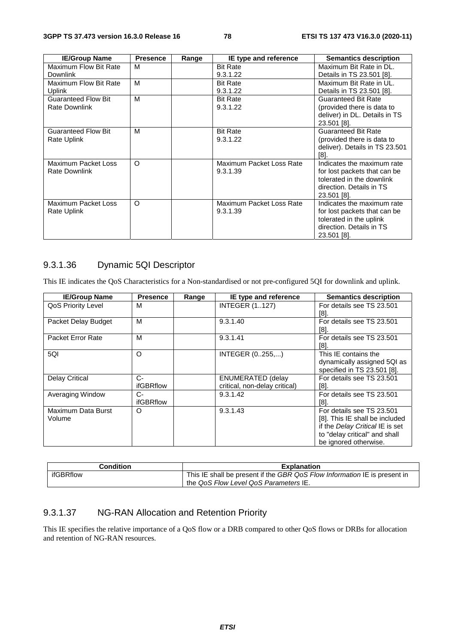| <b>IE/Group Name</b>       | <b>Presence</b> | Range | IE type and reference    | <b>Semantics description</b>   |
|----------------------------|-----------------|-------|--------------------------|--------------------------------|
| Maximum Flow Bit Rate      | м               |       | <b>Bit Rate</b>          | Maximum Bit Rate in DL.        |
| <b>Downlink</b>            |                 |       | 9.3.1.22                 | Details in TS 23.501 [8].      |
| Maximum Flow Bit Rate      | м               |       | <b>Bit Rate</b>          | Maximum Bit Rate in UL.        |
| Uplink                     |                 |       | 9.3.1.22                 | Details in TS 23.501 [8].      |
| <b>Guaranteed Flow Bit</b> | M               |       | <b>Bit Rate</b>          | <b>Guaranteed Bit Rate</b>     |
| <b>Rate Downlink</b>       |                 |       | 9.3.1.22                 | (provided there is data to     |
|                            |                 |       |                          | deliver) in DL. Details in TS  |
|                            |                 |       |                          | 23.501 [8].                    |
| <b>Guaranteed Flow Bit</b> | М               |       | <b>Bit Rate</b>          | <b>Guaranteed Bit Rate</b>     |
| Rate Uplink                |                 |       | 9.3.1.22                 | (provided there is data to     |
|                            |                 |       |                          | deliver). Details in TS 23.501 |
|                            |                 |       |                          | [8]                            |
| Maximum Packet Loss        | O               |       | Maximum Packet Loss Rate | Indicates the maximum rate     |
| Rate Downlink              |                 |       | 9.3.1.39                 | for lost packets that can be   |
|                            |                 |       |                          | tolerated in the downlink      |
|                            |                 |       |                          | direction. Details in TS       |
|                            |                 |       |                          | 23.501 [8].                    |
| Maximum Packet Loss        | O               |       | Maximum Packet Loss Rate | Indicates the maximum rate     |
| Rate Uplink                |                 |       | 9.3.1.39                 | for lost packets that can be   |
|                            |                 |       |                          | tolerated in the uplink        |
|                            |                 |       |                          | direction. Details in TS       |
|                            |                 |       |                          | 23.501 [8].                    |

### 9.3.1.36 Dynamic 5QI Descriptor

This IE indicates the QoS Characteristics for a Non-standardised or not pre-configured 5QI for downlink and uplink.

| <b>IE/Group Name</b>  | <b>Presence</b>  | Range | IE type and reference         | <b>Semantics description</b>    |
|-----------------------|------------------|-------|-------------------------------|---------------------------------|
| QoS Priority Level    | м                |       | <b>INTEGER (1127)</b>         | For details see TS 23.501       |
|                       |                  |       |                               | [8].                            |
| Packet Delay Budget   | м                |       | 9.3.1.40                      | For details see TS 23.501       |
|                       |                  |       |                               | [8].                            |
| Packet Error Rate     | М                |       | 9.3.1.41                      | For details see TS 23.501       |
|                       |                  |       |                               | [8].                            |
| 5QI                   | $\circ$          |       | INTEGER (0255,)               | This IE contains the            |
|                       |                  |       |                               | dynamically assigned 5QI as     |
|                       |                  |       |                               | specified in TS 23.501 [8].     |
| <b>Delay Critical</b> | $C-$             |       | <b>ENUMERATED (delay</b>      | For details see TS 23.501       |
|                       | ifGBRflow        |       | critical, non-delay critical) | [8].                            |
| Averaging Window      | C-               |       | 9.3.1.42                      | For details see TS 23.501       |
|                       | <b>ifGBRflow</b> |       |                               | [8]                             |
| Maximum Data Burst    | O                |       | 9.3.1.43                      | For details see TS 23.501       |
| Volume                |                  |       |                               | [8]. This IE shall be included  |
|                       |                  |       |                               | if the Delay Critical IE is set |
|                       |                  |       |                               | to "delay critical" and shall   |
|                       |                  |       |                               | be ignored otherwise.           |

| <b>Condition</b> | <b>Explanation</b>                                                        |
|------------------|---------------------------------------------------------------------------|
| ifGBRflow        | This IE shall be present if the GBR QoS Flow Information IE is present in |
|                  | the QoS Flow Level QoS Parameters IE.                                     |

### 9.3.1.37 NG-RAN Allocation and Retention Priority

This IE specifies the relative importance of a QoS flow or a DRB compared to other QoS flows or DRBs for allocation and retention of NG-RAN resources.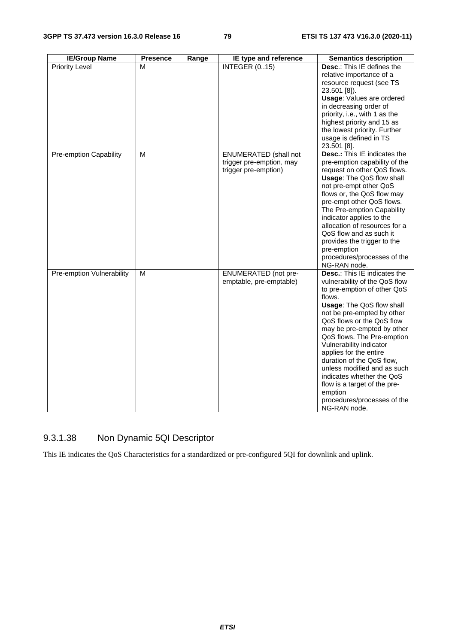| <b>IE/Group Name</b>      | <b>Presence</b> | Range | IE type and reference                                                            | <b>Semantics description</b>                                                                                                                                                                                                                                                                                                                                                                                                                                                                              |
|---------------------------|-----------------|-------|----------------------------------------------------------------------------------|-----------------------------------------------------------------------------------------------------------------------------------------------------------------------------------------------------------------------------------------------------------------------------------------------------------------------------------------------------------------------------------------------------------------------------------------------------------------------------------------------------------|
| <b>Priority Level</b>     | М               |       | <b>INTEGER (015)</b>                                                             | Desc.: This IE defines the<br>relative importance of a<br>resource request (see TS<br>23.501 [8]).<br><b>Usage: Values are ordered</b><br>in decreasing order of<br>priority, i.e., with 1 as the<br>highest priority and 15 as<br>the lowest priority. Further<br>usage is defined in TS<br>23.501 [8].                                                                                                                                                                                                  |
| Pre-emption Capability    | M               |       | <b>ENUMERATED</b> (shall not<br>trigger pre-emption, may<br>trigger pre-emption) | <b>Desc.:</b> This IE indicates the<br>pre-emption capability of the<br>request on other QoS flows.<br>Usage: The QoS flow shall<br>not pre-empt other QoS<br>flows or, the QoS flow may<br>pre-empt other QoS flows.<br>The Pre-emption Capability<br>indicator applies to the<br>allocation of resources for a<br>QoS flow and as such it<br>provides the trigger to the<br>pre-emption<br>procedures/processes of the<br>NG-RAN node.                                                                  |
| Pre-emption Vulnerability | M               |       | <b>ENUMERATED</b> (not pre-<br>emptable, pre-emptable)                           | Desc.: This IE indicates the<br>vulnerability of the QoS flow<br>to pre-emption of other QoS<br>flows.<br><b>Usage: The QoS flow shall</b><br>not be pre-empted by other<br>QoS flows or the QoS flow<br>may be pre-empted by other<br>QoS flows. The Pre-emption<br>Vulnerability indicator<br>applies for the entire<br>duration of the QoS flow,<br>unless modified and as such<br>indicates whether the QoS<br>flow is a target of the pre-<br>emption<br>procedures/processes of the<br>NG-RAN node. |

## 9.3.1.38 Non Dynamic 5QI Descriptor

This IE indicates the QoS Characteristics for a standardized or pre-configured 5QI for downlink and uplink.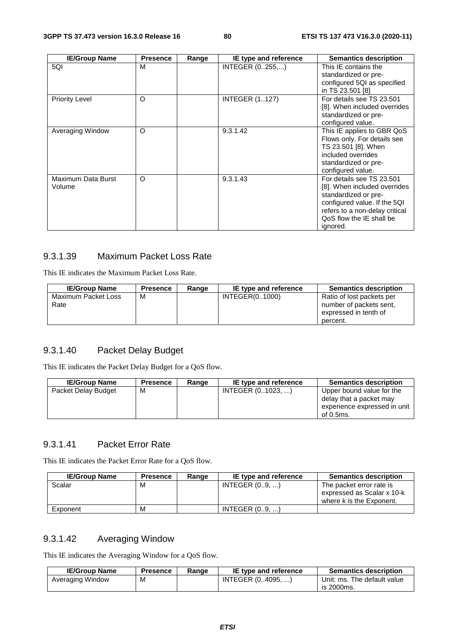| <b>IE/Group Name</b>         | <b>Presence</b> | Range | IE type and reference | <b>Semantics description</b>                                                                                                                                                                |
|------------------------------|-----------------|-------|-----------------------|---------------------------------------------------------------------------------------------------------------------------------------------------------------------------------------------|
| 5QI                          | M               |       | INTEGER (0255,)       | This IE contains the<br>standardized or pre-<br>configured 5QI as specified<br>in TS 23.501 [8]                                                                                             |
| <b>Priority Level</b>        | O               |       | <b>INTEGER (1127)</b> | For details see TS 23.501<br>[8]. When included overrides<br>standardized or pre-<br>configured value.                                                                                      |
| Averaging Window             | $\circ$         |       | 9.3.1.42              | This IE applies to GBR QoS<br>Flows only. For details see<br>TS 23.501 [8]. When<br>included overrides<br>standardized or pre-<br>configured value.                                         |
| Maximum Data Burst<br>Volume | O               |       | 9.3.1.43              | For details see TS 23.501<br>[8]. When included overrides<br>standardized or pre-<br>configured value. If the 5QI<br>refers to a non-delay critical<br>QoS flow the IE shall be<br>ignored. |

### 9.3.1.39 Maximum Packet Loss Rate

This IE indicates the Maximum Packet Loss Rate.

| <b>IE/Group Name</b>        | <b>Presence</b> | Range | IE type and reference | <b>Semantics description</b>                                                              |
|-----------------------------|-----------------|-------|-----------------------|-------------------------------------------------------------------------------------------|
| Maximum Packet Loss<br>Rate | м               |       | INTEGER(01000)        | Ratio of lost packets per<br>number of packets sent.<br>expressed in tenth of<br>percent. |

### 9.3.1.40 Packet Delay Budget

This IE indicates the Packet Delay Budget for a QoS flow.

| <b>IE/Group Name</b> | <b>Presence</b> | Range | IE type and reference | <b>Semantics description</b>                                                                      |
|----------------------|-----------------|-------|-----------------------|---------------------------------------------------------------------------------------------------|
| Packet Delay Budget  | м               |       | INTEGER (01023, )     | Upper bound value for the<br>delay that a packet may<br>experience expressed in unit<br>of 0.5ms. |

### 9.3.1.41 Packet Error Rate

This IE indicates the Packet Error Rate for a QoS flow.

| <b>IE/Group Name</b> | <b>Presence</b> | Range | IE type and reference | <b>Semantics description</b>                                                       |
|----------------------|-----------------|-------|-----------------------|------------------------------------------------------------------------------------|
| Scalar               | м               |       | INTEGR (0., 9, )      | The packet error rate is<br>expressed as Scalar x 10-k<br>where k is the Exponent. |
| Exponent             | м               |       | INTEGR(09)            |                                                                                    |

### 9.3.1.42 Averaging Window

This IE indicates the Averaging Window for a QoS flow.

| <b>IE/Group Name</b> | Presence | Range | IE type and reference | <b>Semantics description</b> |
|----------------------|----------|-------|-----------------------|------------------------------|
| Averaging Window     | М        |       | INTEGER (04095. )     | Unit: ms. The default value  |
|                      |          |       |                       | is 2000ms.                   |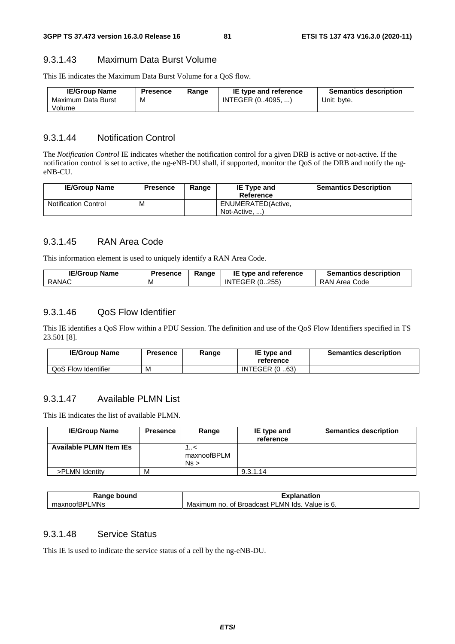#### 9.3.1.43 Maximum Data Burst Volume

This IE indicates the Maximum Data Burst Volume for a QoS flow.

| <b>IE/Group Name</b> | <b>Presence</b> | Range | IE type and reference | <b>Semantics description</b> |
|----------------------|-----------------|-------|-----------------------|------------------------------|
| Maximum Data Burst   | M               |       | INTEGER (04095, )     | Unit: byte.                  |
| Volume               |                 |       |                       |                              |

#### 9.3.1.44 Notification Control

The *Notification Control* IE indicates whether the notification control for a given DRB is active or not-active. If the notification control is set to active, the ng-eNB-DU shall, if supported, monitor the QoS of the DRB and notify the ngeNB-CU.

| <b>IE/Group Name</b>        | <b>Presence</b> | Range | <b>IE Type and</b><br>Reference     | <b>Semantics Description</b> |
|-----------------------------|-----------------|-------|-------------------------------------|------------------------------|
| <b>Notification Control</b> | M               |       | ENUMERATED(Active,<br>Not-Active, ) |                              |

#### 9.3.1.45 RAN Area Code

This information element is used to uniquely identify a RAN Area Code.

| <b>IE/Group Name</b> | <b>Presence</b> | Range | IE type and reference | <b>Semantics description</b> |
|----------------------|-----------------|-------|-----------------------|------------------------------|
| <b>RANAC</b>         | M               |       | <b>INTEGER (0255)</b> | RAN Area Code                |

#### 9.3.1.46 QoS Flow Identifier

This IE identifies a QoS Flow within a PDU Session. The definition and use of the QoS Flow Identifiers specified in TS 23.501 [8].

| <b>IE/Group Name</b> | Presence | Range | IE type and<br>reference | <b>Semantics description</b> |
|----------------------|----------|-------|--------------------------|------------------------------|
| QoS Flow Identifier  | M        |       | <b>INTEGER (0.63)</b>    |                              |

### 9.3.1.47 Available PLMN List

This IE indicates the list of available PLMN.

| <b>IE/Group Name</b>           | <b>Presence</b> | Range                   | IE type and<br>reference | <b>Semantics description</b> |
|--------------------------------|-----------------|-------------------------|--------------------------|------------------------------|
| <b>Available PLMN Item IEs</b> |                 | >/<br>maxnoofBPLM<br>Ns |                          |                              |
| >PLMN Identity                 | M               |                         | 9.3.1.14                 |                              |

| ⊀anqe<br>bound                | <b>TAP 80</b><br>าnation<br>ла<br>.А                                         |
|-------------------------------|------------------------------------------------------------------------------|
| LMNs<br>וחס<br>maxnoofL<br>n- | lds.<br>Value is 6.<br>_MN.<br><b>Broadcast</b><br>Maximum<br>◡<br>no.<br>Οt |

### 9.3.1.48 Service Status

This IE is used to indicate the service status of a cell by the ng-eNB-DU.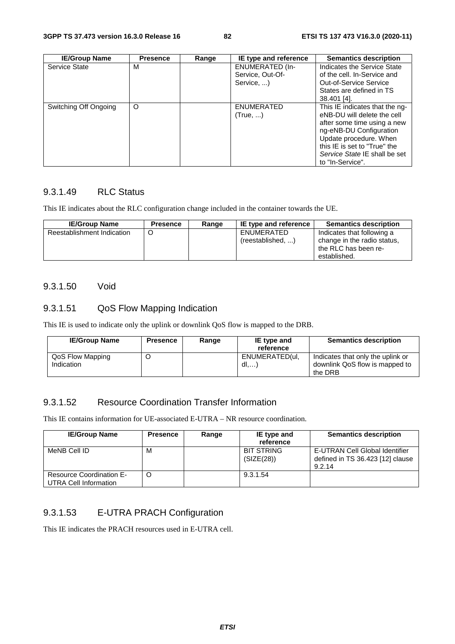| <b>IE/Group Name</b>  | <b>Presence</b> | Range | IE type and reference                                    | <b>Semantics description</b>                                                                                                                                                                                                           |
|-----------------------|-----------------|-------|----------------------------------------------------------|----------------------------------------------------------------------------------------------------------------------------------------------------------------------------------------------------------------------------------------|
| Service State         | м               |       | <b>ENUMERATED (In-</b><br>Service, Out-Of-<br>Service, ) | Indicates the Service State<br>of the cell. In-Service and<br><b>Out-of-Service Service</b><br>States are defined in TS<br>38.401 [4].                                                                                                 |
| Switching Off Ongoing | $\circ$         |       | <b>ENUMERATED</b><br>(True, )                            | This IE indicates that the ng-<br>eNB-DU will delete the cell<br>after some time using a new<br>ng-eNB-DU Configuration<br>Update procedure. When<br>this IE is set to "True" the<br>Service State IE shall be set<br>to "In-Service". |

### 9.3.1.49 RLC Status

This IE indicates about the RLC configuration change included in the container towards the UE.

| <b>IE/Group Name</b>       | <b>Presence</b> | Range | IE type and reference           | <b>Semantics description</b>                                                                      |
|----------------------------|-----------------|-------|---------------------------------|---------------------------------------------------------------------------------------------------|
| Reestablishment Indication |                 |       | ENUMERATED<br>(reestablished, ) | Indicates that following a<br>change in the radio status,<br>the RLC has been re-<br>established. |

#### 9.3.1.50 Void

### 9.3.1.51 QoS Flow Mapping Indication

This IE is used to indicate only the uplink or downlink QoS flow is mapped to the DRB.

| <b>IE/Group Name</b>           | <b>Presence</b> | Range | IE type and<br>reference | <b>Semantics description</b>                                                   |
|--------------------------------|-----------------|-------|--------------------------|--------------------------------------------------------------------------------|
| QoS Flow Mapping<br>Indication |                 |       | ENUMERATED(ul.<br>dl     | Indicates that only the uplink or<br>downlink QoS flow is mapped to<br>the DRB |

### 9.3.1.52 Resource Coordination Transfer Information

This IE contains information for UE-associated E-UTRA – NR resource coordination.

| <b>IE/Group Name</b>                                     | <b>Presence</b> | Range | IE type and                     | <b>Semantics description</b>                                                 |
|----------------------------------------------------------|-----------------|-------|---------------------------------|------------------------------------------------------------------------------|
|                                                          |                 |       | reference                       |                                                                              |
| MeNB Cell ID                                             | M               |       | <b>BIT STRING</b><br>(SIZE(28)) | E-UTRAN Cell Global Identifier<br>defined in TS 36.423 [12] clause<br>9.2.14 |
| <b>Resource Coordination E-</b><br>UTRA Cell Information |                 |       | 9.3.1.54                        |                                                                              |

### 9.3.1.53 E-UTRA PRACH Configuration

This IE indicates the PRACH resources used in E-UTRA cell.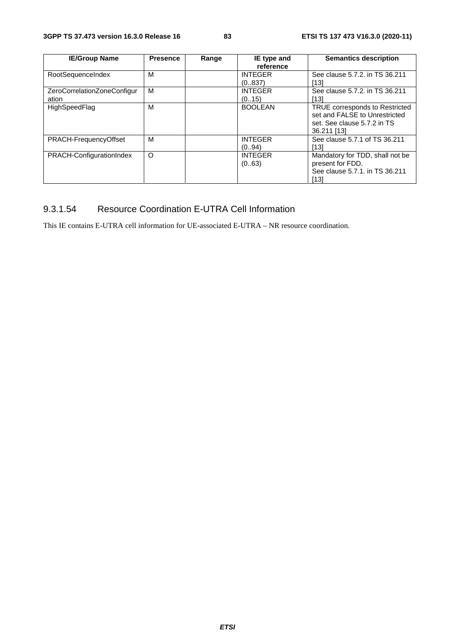| <b>IE/Group Name</b>        | <b>Presence</b> | Range | IE type and    | <b>Semantics description</b>    |
|-----------------------------|-----------------|-------|----------------|---------------------------------|
|                             |                 |       | reference      |                                 |
| RootSequenceIndex           | м               |       | <b>INTEGER</b> | See clause 5.7.2. in TS 36.211  |
|                             |                 |       | (0.837)        | [13]                            |
| ZeroCorrelationZoneConfigur | M               |       | <b>INTEGER</b> | See clause 5.7.2. in TS 36.211  |
| ation                       |                 |       | (0.15)         | [13]                            |
| HighSpeedFlag               | M               |       | <b>BOOLEAN</b> | TRUE corresponds to Restricted  |
|                             |                 |       |                | set and FALSE to Unrestricted   |
|                             |                 |       |                | set. See clause 5.7.2 in TS     |
|                             |                 |       |                | 36.211 [13]                     |
| PRACH-FrequencyOffset       | м               |       | <b>INTEGER</b> | See clause 5.7.1 of TS 36.211   |
|                             |                 |       | (0.94)         | [13]                            |
| PRACH-ConfigurationIndex    | O               |       | <b>INTEGER</b> | Mandatory for TDD, shall not be |
|                             |                 |       | (063)          | present for FDD.                |
|                             |                 |       |                | See clause 5.7.1, in TS 36.211  |
|                             |                 |       |                | [13]                            |

## 9.3.1.54 Resource Coordination E-UTRA Cell Information

This IE contains E-UTRA cell information for UE-associated E-UTRA – NR resource coordination.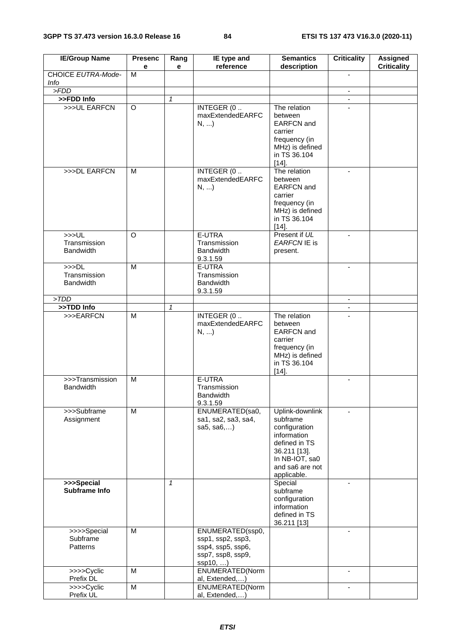| <b>IE/Group Name</b>                     | <b>Presenc</b><br>е | Rang<br>e    | IE type and<br>reference                                                                    | <b>Semantics</b><br>description                                                                                                                  | <b>Criticality</b> | <b>Assigned</b><br><b>Criticality</b> |
|------------------------------------------|---------------------|--------------|---------------------------------------------------------------------------------------------|--------------------------------------------------------------------------------------------------------------------------------------------------|--------------------|---------------------------------------|
| CHOICE EUTRA-Mode-<br>Info               | м                   |              |                                                                                             |                                                                                                                                                  |                    |                                       |
| > FDD                                    |                     |              |                                                                                             |                                                                                                                                                  | $\blacksquare$     |                                       |
| >>FDD Info                               |                     | $\mathbf{1}$ |                                                                                             |                                                                                                                                                  | $\blacksquare$     |                                       |
| >>>UL EARFCN                             | O                   |              | INTEGER (0.<br>maxExtendedEARFC<br>N,                                                       | The relation<br>between<br><b>EARFCN</b> and<br>carrier<br>frequency (in<br>MHz) is defined<br>in TS 36.104<br>$[14]$ .                          |                    |                                       |
| >>>DL EARFCN                             | м                   |              | INTEGER (0.<br>maxExtendedEARFC<br>$N, $ )                                                  | The relation<br>between<br><b>EARFCN</b> and<br>carrier<br>frequency (in<br>MHz) is defined<br>in TS 36.104<br>$[14]$ .                          | $\blacksquare$     |                                       |
| >>UL<br>Transmission<br><b>Bandwidth</b> | O                   |              | E-UTRA<br>Transmission<br><b>Bandwidth</b><br>9.3.1.59                                      | Present if UL<br>EARFCN IE is<br>present.                                                                                                        |                    |                                       |
| >>DL<br>Transmission<br><b>Bandwidth</b> | M                   |              | E-UTRA<br>Transmission<br><b>Bandwidth</b><br>9.3.1.59                                      |                                                                                                                                                  |                    |                                       |
| > TDD                                    |                     |              |                                                                                             |                                                                                                                                                  | $\blacksquare$     |                                       |
| >>TDD Info                               |                     | $\mathbf{1}$ |                                                                                             |                                                                                                                                                  |                    |                                       |
| >>>EARFCN                                | M                   |              | INTEGER (0<br>maxExtendedEARFC<br>$N, $ )                                                   | The relation<br>between<br><b>EARFCN</b> and<br>carrier<br>frequency (in<br>MHz) is defined<br>in TS 36.104<br>$[14]$ .                          | $\mathbf{r}$       |                                       |
| >>>Transmission<br><b>Bandwidth</b>      | M                   |              | E-UTRA<br>Transmission<br>Bandwidth<br>9.3.1.59                                             |                                                                                                                                                  | $\blacksquare$     |                                       |
| >>>Subframe<br>Assignment                | M                   |              | ENUMERATED(sa0,<br>sa1, sa2, sa3, sa4,<br>sa $5,$ sa $6,$                                   | Uplink-downlink<br>subframe<br>configuration<br>information<br>defined in TS<br>36.211 [13].<br>In NB-IOT, sa0<br>and sa6 are not<br>applicable. | $\blacksquare$     |                                       |
| >>>Special<br>Subframe Info              |                     | $\mathbf{1}$ |                                                                                             | Special<br>subframe<br>configuration<br>information<br>defined in TS<br>36.211 [13]                                                              |                    |                                       |
| >>>>Special<br>Subframe<br>Patterns      | M                   |              | ENUMERATED(ssp0,<br>ssp1, ssp2, ssp3,<br>ssp4, ssp5, ssp6,<br>ssp7, ssp8, ssp9,<br>ssp10, ) |                                                                                                                                                  | $\blacksquare$     |                                       |
| >>>>Cyclic<br>Prefix DL                  | M                   |              | ENUMERATED(Norm<br>al, Extended,)                                                           |                                                                                                                                                  | $\blacksquare$     |                                       |
| >>>>Cyclic<br>Prefix UL                  | M                   |              | ENUMERATED(Norm<br>al, Extended,)                                                           |                                                                                                                                                  | $\blacksquare$     |                                       |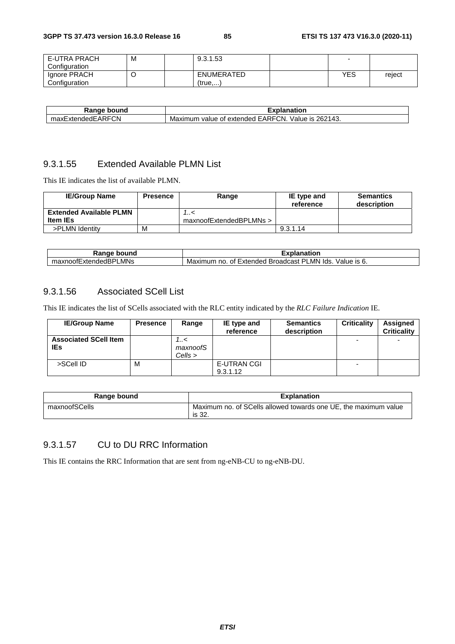| E-UTRA PRACH  | М | 9.3.1.53   |     |        |
|---------------|---|------------|-----|--------|
| Configuration |   |            |     |        |
| Ignore PRACH  |   | ENUMERATED | YES | reject |
| Configuration |   | (true)     |     |        |

| Range<br>bound          | Explanation                                                      |
|-------------------------|------------------------------------------------------------------|
| ExtendedEARFCN<br>maxE, | 262143.<br>EARFCN.<br>Value is<br>Maximum value<br>of extended : |

### 9.3.1.55 Extended Available PLMN List

This IE indicates the list of available PLMN.

| <b>IE/Group Name</b>           | <b>Presence</b> | Range                   | IE type and<br>reference | <b>Semantics</b><br>description |
|--------------------------------|-----------------|-------------------------|--------------------------|---------------------------------|
| <b>Extended Available PLMN</b> |                 | >/                      |                          |                                 |
| <b>Item IEs</b>                |                 | maxnoofExtendedBPLMNs > |                          |                                 |
| >PLMN Identity                 | M               |                         | 9.3.1.14                 |                                 |

| <b>UAR</b><br>bound                                                  | $-1.1.1$<br><br>anation                                                               |
|----------------------------------------------------------------------|---------------------------------------------------------------------------------------|
| $\overline{\phantom{0}}$<br>MNs_<br>⊻noofExtende⊾<br>maxn<br>. JIS P | _MN<br>lds.<br>√alue<br>Extended<br>Maximum<br>no.<br><b>Broadcast</b><br>Οt<br>IS 6. |

### 9.3.1.56 Associated SCell List

This IE indicates the list of SCells associated with the RLC entity indicated by the *RLC Failure Indication* IE.

| <b>IE/Group Name</b>                | <b>Presence</b> | Range                   | IE type and<br>reference | <b>Semantics</b><br>description | <b>Criticality</b> | Assigned<br><b>Criticality</b> |
|-------------------------------------|-----------------|-------------------------|--------------------------|---------------------------------|--------------------|--------------------------------|
| <b>Associated SCell Item</b><br>IEs |                 | 7<<br>maxnoofS<br>Cells |                          |                                 |                    |                                |
| >SCell ID                           | M               |                         | E-UTRAN CGI<br>9.3.1.12  |                                 | -                  |                                |

| Range bound   | <b>Explanation</b>                                                        |
|---------------|---------------------------------------------------------------------------|
| maxnoofSCells | Maximum no. of SCells allowed towards one UE, the maximum value<br>is 32. |

### 9.3.1.57 CU to DU RRC Information

This IE contains the RRC Information that are sent from ng-eNB-CU to ng-eNB-DU.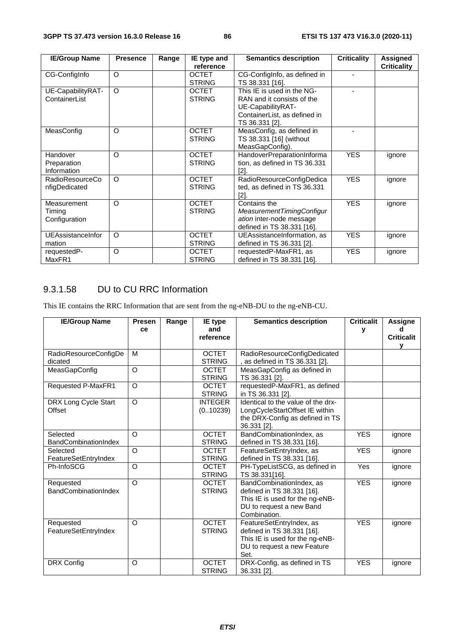| <b>IE/Group Name</b> | <b>Presence</b> | Range | IE type and   | <b>Semantics description</b>  |            | Assigned           |
|----------------------|-----------------|-------|---------------|-------------------------------|------------|--------------------|
|                      |                 |       | reference     |                               |            | <b>Criticality</b> |
| CG-ConfigInfo        | $\circ$         |       | <b>OCTET</b>  | CG-ConfigInfo, as defined in  |            |                    |
|                      |                 |       | <b>STRING</b> | TS 38.331 [16].               |            |                    |
| UE-CapabilityRAT-    | $\circ$         |       | <b>OCTET</b>  | This IE is used in the NG-    |            |                    |
| ContainerList        |                 |       | <b>STRING</b> | RAN and it consists of the    |            |                    |
|                      |                 |       |               | UE-CapabilityRAT-             |            |                    |
|                      |                 |       |               | ContainerList, as defined in  |            |                    |
|                      |                 |       |               | TS 36.331 [2].                |            |                    |
| MeasConfig           | $\circ$         |       | <b>OCTET</b>  | MeasConfig, as defined in     |            |                    |
|                      |                 |       | <b>STRING</b> | TS 38.331 [16] (without       |            |                    |
|                      |                 |       |               | MeasGapConfig).               |            |                    |
| Handover             | $\circ$         |       | <b>OCTET</b>  | HandoverPreparationInforma    | <b>YES</b> | ignore             |
| Preparation          |                 |       | <b>STRING</b> | tion, as defined in TS 36.331 |            |                    |
| Information          |                 |       |               | [2]                           |            |                    |
| RadioResourceCo      | $\circ$         |       | <b>OCTET</b>  | RadioResourceConfigDedica     | <b>YES</b> | ignore             |
| nfigDedicated        |                 |       | <b>STRING</b> | ted, as defined in TS 36.331  |            |                    |
|                      |                 |       |               | $[2]$ .                       |            |                    |
| Measurement          | $\Omega$        |       | <b>OCTET</b>  | Contains the                  | <b>YES</b> | ignore             |
| Timing               |                 |       | <b>STRING</b> | MeasurementTimingConfigur     |            |                    |
| Configuration        |                 |       |               | ation inter-node message      |            |                    |
|                      |                 |       |               | defined in TS 38.331 [16].    |            |                    |
| UEAssistanceInfor    | $\Omega$        |       | <b>OCTET</b>  | UEAssistanceInformation, as   | <b>YES</b> | ignore             |
| mation               |                 |       | <b>STRING</b> | defined in TS 36.331 [2].     |            |                    |
| requestedP-          | $\circ$         |       | <b>OCTET</b>  | requestedP-MaxFR1, as         | <b>YES</b> | ignore             |
| MaxFR1               |                 |       | <b>STRING</b> | defined in TS 38.331 [16].    |            |                    |

### 9.3.1.58 DU to CU RRC Information

This IE contains the RRC Information that are sent from the ng-eNB-DU to the ng-eNB-CU.

| <b>IE/Group Name</b>        | <b>Presen</b>  | Range | <b>Semantics description</b><br>IE type |                                    | <b>Criticalit</b> | <b>Assigne</b>    |
|-----------------------------|----------------|-------|-----------------------------------------|------------------------------------|-------------------|-------------------|
|                             | ce             |       | and                                     |                                    | ۷                 | d                 |
|                             |                |       | reference                               |                                    |                   | <b>Criticalit</b> |
|                             |                |       |                                         |                                    |                   | v                 |
| RadioResourceConfigDe       | м              |       | <b>OCTET</b>                            | RadioResourceConfigDedicated       |                   |                   |
| dicated                     |                |       | <b>STRING</b>                           | as defined in TS 36.331 [2].       |                   |                   |
| MeasGapConfig               | O              |       | <b>OCTET</b>                            | MeasGapConfig as defined in        |                   |                   |
|                             |                |       | <b>STRING</b>                           | TS 36.331 [2].                     |                   |                   |
| <b>Requested P-MaxFR1</b>   | $\overline{O}$ |       | <b>OCTET</b>                            | requestedP-MaxFR1, as defined      |                   |                   |
|                             |                |       | <b>STRING</b>                           | in TS 36.331 [2].                  |                   |                   |
| DRX Long Cycle Start        | O              |       | <b>INTEGER</b>                          | Identical to the value of the drx- |                   |                   |
| Offset                      |                |       | (0.10239)                               | LongCycleStartOffset IE within     |                   |                   |
|                             |                |       |                                         | the DRX-Config as defined in TS    |                   |                   |
|                             |                |       |                                         | 36.331 [2].                        |                   |                   |
| Selected                    | O              |       | <b>OCTET</b>                            | BandCombinationIndex, as           | <b>YES</b>        | ignore            |
| <b>BandCombinationIndex</b> |                |       | <b>STRING</b>                           | defined in TS 38.331 [16].         |                   |                   |
| Selected                    | $\Omega$       |       | <b>OCTET</b>                            | FeatureSetEntryIndex, as           | <b>YES</b>        | ignore            |
| FeatureSetEntryIndex        |                |       | <b>STRING</b>                           | defined in TS 38.331 [16].         |                   |                   |
| Ph-InfoSCG                  | O              |       | <b>OCTET</b>                            | PH-TypeListSCG, as defined in      | Yes               | ignore            |
|                             |                |       | <b>STRING</b>                           | TS 38.331[16].                     |                   |                   |
| Requested                   | O              |       | <b>OCTET</b>                            | BandCombinationIndex, as           | <b>YES</b>        | ignore            |
| <b>BandCombinationIndex</b> |                |       | <b>STRING</b>                           | defined in TS 38.331 [16].         |                   |                   |
|                             |                |       |                                         | This IE is used for the ng-eNB-    |                   |                   |
|                             |                |       |                                         | DU to request a new Band           |                   |                   |
|                             |                |       |                                         | Combination.                       |                   |                   |
| Requested                   | $\Omega$       |       | <b>OCTET</b>                            | FeatureSetEntryIndex, as           | <b>YES</b>        | ignore            |
| FeatureSetEntryIndex        |                |       | <b>STRING</b>                           | defined in TS 38.331 [16].         |                   |                   |
|                             |                |       |                                         | This IE is used for the ng-eNB-    |                   |                   |
|                             |                |       |                                         | DU to request a new Feature        |                   |                   |
|                             |                |       |                                         | Set.                               |                   |                   |
| DRX Config                  | O              |       | <b>OCTET</b>                            | DRX-Config, as defined in TS       | <b>YES</b>        | ignore            |
|                             |                |       | <b>STRING</b>                           | 36.331 [2].                        |                   |                   |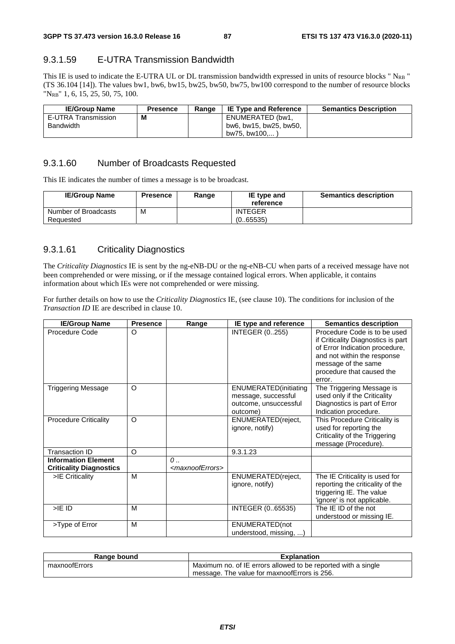### 9.3.1.59 E-UTRA Transmission Bandwidth

This IE is used to indicate the E-UTRA UL or DL transmission bandwidth expressed in units of resource blocks " $N_{RB}$ " (TS 36.104 [14]). The values bw1, bw6, bw15, bw25, bw50, bw75, bw100 correspond to the number of resource blocks "NRB" 1, 6, 15, 25, 50, 75, 100.

| <b>IE/Group Name</b> | <b>Presence</b> | Range | <b>IE Type and Reference</b> | <b>Semantics Description</b> |
|----------------------|-----------------|-------|------------------------------|------------------------------|
| E-UTRA Transmission  | M               |       | ENUMERATED (bw1.             |                              |
| Bandwidth            |                 |       | bw6, bw15, bw25, bw50,       |                              |
|                      |                 |       | bw75. bw100                  |                              |

#### 9.3.1.60 Number of Broadcasts Requested

This IE indicates the number of times a message is to be broadcast.

| <b>IE/Group Name</b>              | <b>Presence</b> | Range | IE type and<br>reference    | <b>Semantics description</b> |
|-----------------------------------|-----------------|-------|-----------------------------|------------------------------|
| Number of Broadcasts<br>Requested | M               |       | <b>INTEGER</b><br>(0.65535) |                              |

### 9.3.1.61 Criticality Diagnostics

The *Criticality Diagnostics* IE is sent by the ng-eNB-DU or the ng-eNB-CU when parts of a received message have not been comprehended or were missing, or if the message contained logical errors. When applicable, it contains information about which IEs were not comprehended or were missing.

For further details on how to use the *Criticality Diagnostics* IE, (see clause 10). The conditions for inclusion of the *Transaction ID* IE are described in clause 10.

| <b>IE/Group Name</b>                                         | <b>Presence</b> | Range                                            | IE type and reference                                                                     | <b>Semantics description</b>                                                                                                                                                                      |
|--------------------------------------------------------------|-----------------|--------------------------------------------------|-------------------------------------------------------------------------------------------|---------------------------------------------------------------------------------------------------------------------------------------------------------------------------------------------------|
| Procedure Code                                               | O               |                                                  | <b>INTEGER (0255)</b>                                                                     | Procedure Code is to be used<br>if Criticality Diagnostics is part<br>of Error Indication procedure,<br>and not within the response<br>message of the same<br>procedure that caused the<br>error. |
| <b>Triggering Message</b>                                    | $\circ$         |                                                  | <b>ENUMERATED</b> (initiating<br>message, successful<br>outcome, unsuccessful<br>outcome) | The Triggering Message is<br>used only if the Criticality<br>Diagnostics is part of Error<br>Indication procedure.                                                                                |
| <b>Procedure Criticality</b>                                 | $\circ$         |                                                  | ENUMERATED(reject,<br>ignore, notify)                                                     | This Procedure Criticality is<br>used for reporting the<br>Criticality of the Triggering<br>message (Procedure).                                                                                  |
| <b>Transaction ID</b>                                        | O               |                                                  | 9.3.1.23                                                                                  |                                                                                                                                                                                                   |
| <b>Information Element</b><br><b>Criticality Diagnostics</b> |                 | $\mathcal{O}$<br><maxnooferrors></maxnooferrors> |                                                                                           |                                                                                                                                                                                                   |
| >IE Criticality                                              | M               |                                                  | ENUMERATED(reject,<br>ignore, notify)                                                     | The IE Criticality is used for<br>reporting the criticality of the<br>triggering IE. The value<br>'ignore' is not applicable.                                                                     |
| $>$ IE ID                                                    | M               |                                                  | INTEGER (065535)                                                                          | The IE ID of the not<br>understood or missing IE.                                                                                                                                                 |
| >Type of Error                                               | M               |                                                  | ENUMERATED(not<br>understood, missing, )                                                  |                                                                                                                                                                                                   |

| Range bound   | <b>Explanation</b>                                            |
|---------------|---------------------------------------------------------------|
| maxnoofErrors | Maximum no. of IE errors allowed to be reported with a single |
|               | message. The value for maxnoofErrors is 256.                  |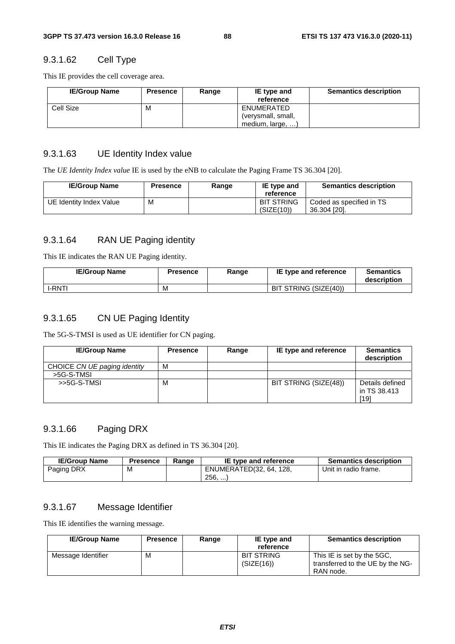### 9.3.1.62 Cell Type

This IE provides the cell coverage area.

| <b>IE/Group Name</b> | <b>Presence</b> | Range | IE type and<br>reference | <b>Semantics description</b> |
|----------------------|-----------------|-------|--------------------------|------------------------------|
| Cell Size            | M               |       | ENUMERATED               |                              |
|                      |                 |       | (verysmall, small,       |                              |
|                      |                 |       | medium, large, )         |                              |

#### 9.3.1.63 UE Identity Index value

The *UE Identity Index value* IE is used by the eNB to calculate the Paging Frame TS 36.304 [20].

| <b>IE/Group Name</b>    | <b>Presence</b> | Range | IE type and<br>reference        | <b>Semantics description</b>             |
|-------------------------|-----------------|-------|---------------------------------|------------------------------------------|
| UE Identity Index Value | M               |       | <b>BIT STRING</b><br>(SIZE(10)) | Coded as specified in TS<br>36.304 [20]. |

#### 9.3.1.64 RAN UE Paging identity

This IE indicates the RAN UE Paging identity.

| <b>IE/Group Name</b> | <b>Presence</b> | Range | IE type and reference | <b>Semantics</b><br>description |
|----------------------|-----------------|-------|-----------------------|---------------------------------|
| <b>I-RNT!</b>        | M               |       | BIT STRING (SIZE(40)) |                                 |

#### 9.3.1.65 CN UE Paging Identity

The 5G-S-TMSI is used as UE identifier for CN paging.

| <b>IE/Group Name</b>         | <b>Presence</b> | Range | IE type and reference | <b>Semantics</b><br>description         |
|------------------------------|-----------------|-------|-----------------------|-----------------------------------------|
| CHOICE CN UE paging identity | M               |       |                       |                                         |
| >5G-S-TMSI                   |                 |       |                       |                                         |
| $>5G-S-TMSI$                 | M               |       | BIT STRING (SIZE(48)) | Details defined<br>in TS 38.413<br>[19] |

#### 9.3.1.66 Paging DRX

This IE indicates the Paging DRX as defined in TS 36.304 [20].

| <b>IE/Group Name</b> | Presence | Range | IE type and reference   | <b>Semantics description</b> |
|----------------------|----------|-------|-------------------------|------------------------------|
| Paging DRX           | M        |       | ENUMERATED(32, 64, 128, | Unit in radio frame.         |
|                      |          |       | $256.$                  |                              |

#### 9.3.1.67 Message Identifier

This IE identifies the warning message.

| <b>IE/Group Name</b> | <b>Presence</b> | Range | IE type and<br>reference        | <b>Semantics description</b>                                                |
|----------------------|-----------------|-------|---------------------------------|-----------------------------------------------------------------------------|
| Message Identifier   | м               |       | <b>BIT STRING</b><br>(SIZE(16)) | This IE is set by the 5GC.<br>transferred to the UE by the NG-<br>RAN node. |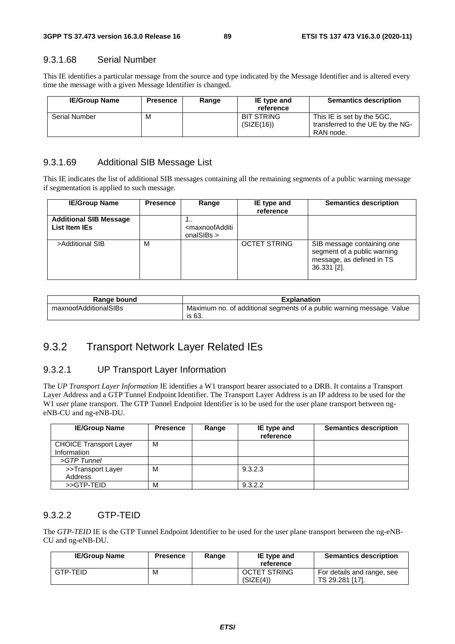#### 9.3.1.68 Serial Number

This IE identifies a particular message from the source and type indicated by the Message Identifier and is altered every time the message with a given Message Identifier is changed.

| <b>IE/Group Name</b> | <b>Presence</b> | Range | IE type and<br>reference        | <b>Semantics description</b>                                                |
|----------------------|-----------------|-------|---------------------------------|-----------------------------------------------------------------------------|
| <b>Serial Number</b> | м               |       | <b>BIT STRING</b><br>(SIZE(16)) | This IE is set by the 5GC.<br>transferred to the UE by the NG-<br>RAN node. |

#### 9.3.1.69 Additional SIB Message List

This IE indicates the list of additional SIB messages containing all the remaining segments of a public warning message if segmentation is applied to such message.

| <b>IE/Group Name</b>                           | <b>Presence</b> | Range                                                                      | IE type and<br>reference | <b>Semantics description</b>                                                                          |
|------------------------------------------------|-----------------|----------------------------------------------------------------------------|--------------------------|-------------------------------------------------------------------------------------------------------|
| <b>Additional SIB Message</b><br>List Item IEs |                 | <b></b><br><maxnoofadditi<br>onalSIBs <math>&gt;</math></maxnoofadditi<br> |                          |                                                                                                       |
| >Additional SIB                                | м               |                                                                            | <b>OCTET STRING</b>      | SIB message containing one<br>segment of a public warning<br>message, as defined in TS<br>36.331 [2]. |

| Range bound           | <b>Explanation</b>                                                              |
|-----------------------|---------------------------------------------------------------------------------|
| maxnoofAdditionalSIBs | Maximum no. of additional segments of a public warning message. Value<br>is 63. |

### 9.3.2 Transport Network Layer Related IEs

#### 9.3.2.1 UP Transport Layer Information

The *UP Transport Layer Information* IE identifies a W1 transport bearer associated to a DRB. It contains a Transport Layer Address and a GTP Tunnel Endpoint Identifier. The Transport Layer Address is an IP address to be used for the W1 user plane transport. The GTP Tunnel Endpoint Identifier is to be used for the user plane transport between ngeNB-CU and ng-eNB-DU.

| <b>IE/Group Name</b>          | <b>Presence</b> | Range | IE type and<br>reference | <b>Semantics description</b> |
|-------------------------------|-----------------|-------|--------------------------|------------------------------|
| <b>CHOICE Transport Layer</b> | м               |       |                          |                              |
| Information                   |                 |       |                          |                              |
| >GTP Tunnel                   |                 |       |                          |                              |
| >>Transport Layer             | М               |       | 9.3.2.3                  |                              |
| Address                       |                 |       |                          |                              |
| >>GTP-TEID                    | М               |       | 9.3.2.2                  |                              |

#### 9.3.2.2 GTP-TEID

The *GTP-TEID* IE is the GTP Tunnel Endpoint Identifier to be used for the user plane transport between the ng-eNB-CU and ng-eNB-DU.

| <b>IE/Group Name</b> | <b>Presence</b> | Range | IE type and<br>reference         | <b>Semantics description</b>                  |
|----------------------|-----------------|-------|----------------------------------|-----------------------------------------------|
| GTP-TEID             | M               |       | <b>OCTET STRING</b><br>(SIZE(4)) | For details and range, see<br>TS 29.281 [17]. |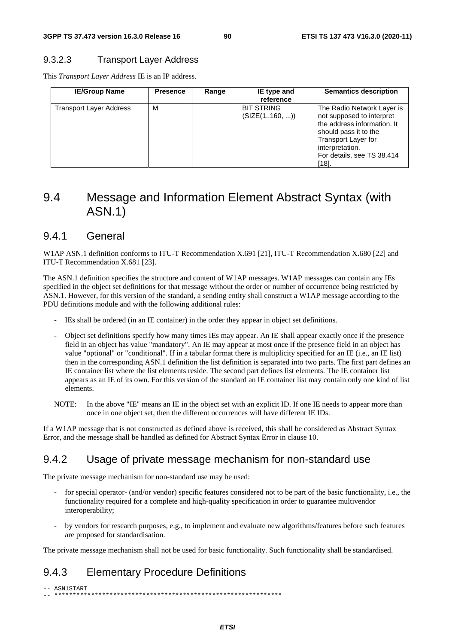#### 9.3.2.3 Transport Layer Address

This *Transport Layer Address* IE is an IP address.

| <b>IE/Group Name</b>           | <b>Presence</b> | Range | IE type and<br>reference           | <b>Semantics description</b>                                                                                                                                                                           |
|--------------------------------|-----------------|-------|------------------------------------|--------------------------------------------------------------------------------------------------------------------------------------------------------------------------------------------------------|
| <b>Transport Layer Address</b> | м               |       | <b>BIT STRING</b><br>(SIZE(1160, ) | The Radio Network Layer is<br>not supposed to interpret<br>the address information. It<br>should pass it to the<br><b>Transport Layer for</b><br>interpretation.<br>For details, see TS 38.414<br>[18] |

# 9.4 Message and Information Element Abstract Syntax (with ASN.1)

#### 9.4.1 General

W1AP ASN.1 definition conforms to ITU-T Recommendation X.691 [21], ITU-T Recommendation X.680 [22] and ITU-T Recommendation X.681 [23].

The ASN.1 definition specifies the structure and content of W1AP messages. W1AP messages can contain any IEs specified in the object set definitions for that message without the order or number of occurrence being restricted by ASN.1. However, for this version of the standard, a sending entity shall construct a W1AP message according to the PDU definitions module and with the following additional rules:

- IEs shall be ordered (in an IE container) in the order they appear in object set definitions.
- Object set definitions specify how many times IEs may appear. An IE shall appear exactly once if the presence field in an object has value "mandatory". An IE may appear at most once if the presence field in an object has value "optional" or "conditional". If in a tabular format there is multiplicity specified for an IE (i.e., an IE list) then in the corresponding ASN.1 definition the list definition is separated into two parts. The first part defines an IE container list where the list elements reside. The second part defines list elements. The IE container list appears as an IE of its own. For this version of the standard an IE container list may contain only one kind of list elements.
- NOTE: In the above "IE" means an IE in the object set with an explicit ID. If one IE needs to appear more than once in one object set, then the different occurrences will have different IE IDs.

If a W1AP message that is not constructed as defined above is received, this shall be considered as Abstract Syntax Error, and the message shall be handled as defined for Abstract Syntax Error in clause 10.

### 9.4.2 Usage of private message mechanism for non-standard use

The private message mechanism for non-standard use may be used:

- for special operator- (and/or vendor) specific features considered not to be part of the basic functionality, i.e., the functionality required for a complete and high-quality specification in order to guarantee multivendor interoperability;
- by vendors for research purposes, e.g., to implement and evaluate new algorithms/features before such features are proposed for standardisation.

The private message mechanism shall not be used for basic functionality. Such functionality shall be standardised.

### 9.4.3 Elementary Procedure Definitions

-- ASN1START -- \*\*\*\*\*\*\*\*\*\*\*\*\*\*\*\*\*\*\*\*\*\*\*\*\*\*\*\*\*\*\*\*\*\*\*\*\*\*\*\*\*\*\*\*\*\*\*\*\*\*\*\*\*\*\*\*\*\*\*\*\*\*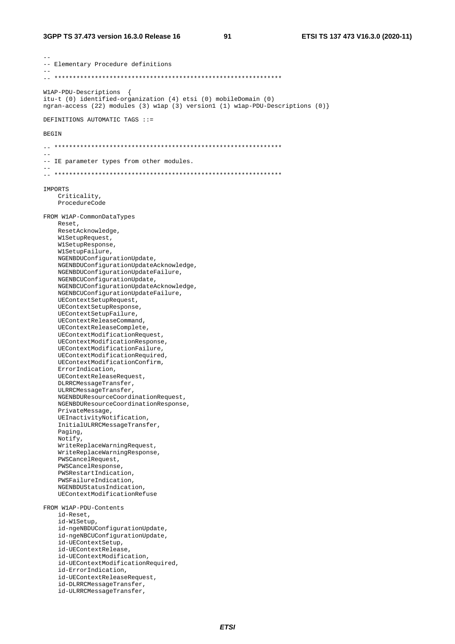91

-- Elementary Procedure definitions W1AP-PDU-Descriptions { itu-t (0) identified-organization (4) etsi (0) mobileDomain (0) ngran-access (22) modules (3) wlap (3) version1 (1) wlap-PDU-Descriptions (0) DEFINITIONS AUTOMATIC TAGS ::= **BEGIN** -- IE parameter types from other modules. **TMPORTS** Criticality, ProcedureCode FROM W1AP-CommonDataTypes Reset. ResetAcknowledge, W1SetupRequest, W1SetupResponse, WlSetupFailure, NGENBDUConfigurationUpdate, NGENBDUConfigurationUpdateAcknowledge, NGENBDUConfigurationUpdateFailure, NGENBCUConfigurationUpdate, NGENBCUConfigurationUpdateAcknowledge, NGENBCUConfigurationUpdateFailure, UEContextSetupRequest, UEContextSetupResponse, UEContextSetupFailure, UEContextReleaseCommand. UEContextReleaseComplete, UEContextModificationRequest, UEContextModificationResponse, UEContextModificationFailure, UEContextModificationRequired, UEContextModificationConfirm, ErrorIndication, UEContextReleaseRequest, DLRRCMessageTransfer, ULRRCMessageTransfer NGENBDUResourceCoordinationRequest, NGENBDUResourceCoordinationResponse, PrivateMessage, UEInactivityNotification, InitialULRRCMessageTransfer, Paging, Notify, WriteReplaceWarningRequest, WriteReplaceWarningResponse, PWSCancelRequest, PWSCancelResponse, PWSRestartIndication, PWSFailureIndication, NGENBDUStatusIndication, UEContextModificationRefuse FROM W1AP-PDU-Contents id-Reset, id-W1Setup, id-ngeNBDUConfigurationUpdate, id-ngeNBCUConfigurationUpdate, id-UEContextSetup, id-UEContextRelease, id-UEContextModification, id-UEContextModificationRequired, id-ErrorIndication, id-UEContextReleaseRequest, id-DLRRCMessageTransfer, id-ULRRCMessageTransfer,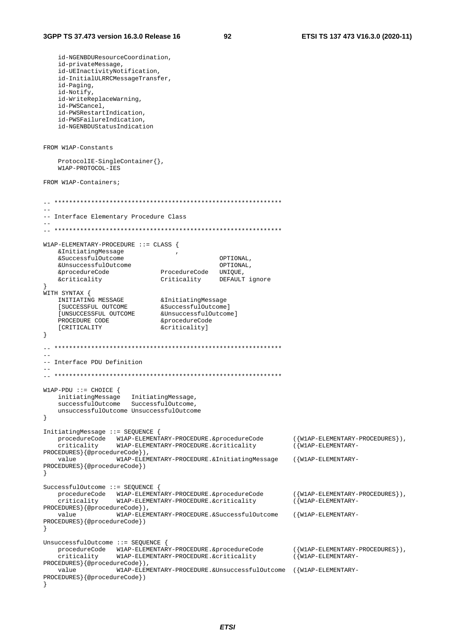id-NGENBDUResourceCoordination, id-privateMessage, id-UEInactivityNotification, id-InitialULRRCMessageTransfer, id-Paging, id-Notify, id-WriteReplaceWarning,  $id-PWSC$   $1$ id-PWSRestartIndication, id-PWSFailureIndication, id-NGENBDUStatusIndication FROM W1AP-Constants ProtocolIE-SingleContainer{}, W1AP-PROTOCOL-IES FROM W1AP-Containers; -- Interface Elementary Procedure Class W1AP-ELEMENTARY-PROCEDURE  $::$  CLASS { & Initiating Message  $sS$ uccessful Outcome ΟΡΤΤΟΝΑΙ. &UnsuccessfulOutcome OPTIONAL. OPIIONA<br>, ProcedureCode UNIQUE &procedureCode &criticality Criticality DEFAULT ignore  $\mathcal{L}$ WITH SYNTAX { &UnsuccessfulOutcome] PROCEDURE CODE &procedureCode [CRITICALITY &criticality]  $\left\{ \right.$ -- Interface PDU Definition  $W1AP-PDU ::= CHOICE$  { initiatingMessage InitiatingMessage,<br>successfulOutcome SuccessfulOutcome, unsuccessfulOutcome UnsuccessfulOutcome  $\}$ InitiatingMessage ::= SEQUENCE { procedureCode WIAP-ELEMENTARY-PROCEDURE.&procedureCode  $(\lbrace W1AP-ELERMENTARY-PROCFDIRES \rbrace)$ . criticality W1AP-ELEMENTARY-PROCEDURE.&criticality  $(\overline{W1AP - ELEMENTARY} -$ PROCEDURES } {@procedureCode}), W1AP-ELEMENTARY-PROCEDURE.&InitiatingMessage ({W1AP-ELEMENTARYvalue PROCEDURES } {@procedureCode})  $\}$ SuccessfulOutcome ::= SEQUENCE {  $({W1AP - ELEMENTARY - PROCEDURES})$ ,  $(\overline{W1AP - ELEMENTARY -$ PROCEDURES } {@procedureCode}), W1AP-ELEMENTARY-PROCEDURE.&SuccessfulOutcome  $(\{W1AP - ELEMENTARY$ value PROCEDURES } { @procedureCode } )  $\mathcal{F}$ UnsuccessfulOutcome ::= SEQUENCE { procedureCode WIAP-ELEMENTARY-PROCEDURE.&procedureCode<br>criticality WIAP-ELEMENTARY-PROCEDURE.&criticality  $({W1AP - ELEMENTARY - PROCEDURES})$ ,  $(\overline{W1AP - ELEMENTARY - ELEMENTARY - ELEMENTARY - ELEMENTARY - ELEMENTARY - ELEMENTARY - ELEM$ PROCEDURES } {@procedureCode } ) , W1AP-ELEMENTARY-PROCEDURE.&UnsuccessfulOutcome ({W1AP-ELEMENTARYvalue PROCEDURES } { @procedureCode } )  $\rightarrow$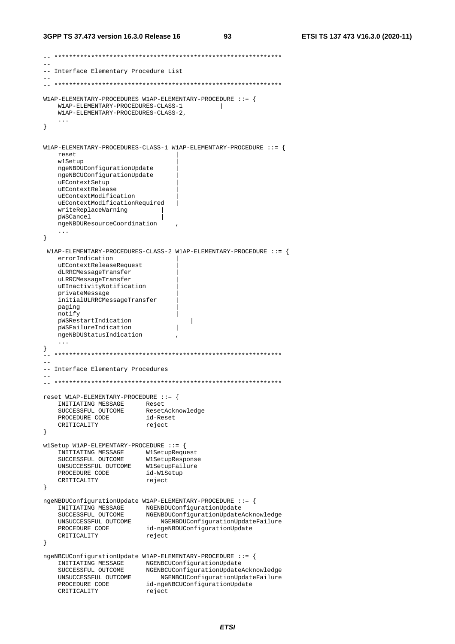#### **3GPP TS 37.473 version 16.3.0 Release 16 93 ETSI TS 137 473 V16.3.0 (2020-11)**

```
-- ************************************************************** 
-- 
-- Interface Elementary Procedure List 
--- ************************************************************** 
W1AP-ELEMENTARY-PROCEDURES W1AP-ELEMENTARY-PROCEDURE ::= { 
    W1AP-ELEMENTARY-PROCEDURES-CLASS-1 | 
    W1AP-ELEMENTARY-PROCEDURES-CLASS-2, 
     ... 
} 
W1AP-ELEMENTARY-PROCEDURES-CLASS-1 W1AP-ELEMENTARY-PROCEDURE ::= { 
    reset | 
    w1Setup | 
    ngeNBDUConfigurationUpdate | 
    ngeNBCUConfigurationUpdate | 
    uEContextSetup | 
    uEContextRelease | 
    uEContextModification | 
    uEContextModificationRequired | 
     writeReplaceWarning | 
    pWSCancel | 
    ngeNBDUResourceCoordination , 
 ... 
} 
  W1AP-ELEMENTARY-PROCEDURES-CLASS-2 W1AP-ELEMENTARY-PROCEDURE ::= { 
     errorIndication | 
    uEContextReleaseRequest | 
    dLRRCMessageTransfer | 
    uLRRCMessageTransfer | 
    uEInactivityNotification | 
    privateMessage | 
     initialULRRCMessageTransfer | 
   paging
    notify | 
   pWSRestartIndication | |<br>pWSFailureIndication | |
    pWSFailureIndication | 
    ngeNBDUStatusIndication , 
} 
-- ************************************************************** 
-- 
-- Interface Elementary Procedures 
-- 
-- ************************************************************** 
reset W1AP-ELEMENTARY-PROCEDURE ::= { 
     INITIATING MESSAGE Reset 
     SUCCESSFUL OUTCOME ResetAcknowledge 
 PROCEDURE CODE id-Reset 
CRITICALITY reject
} 
w1Setup W1AP-ELEMENTARY-PROCEDURE ::= { 
 INITIATING MESSAGE W1SetupRequest 
 SUCCESSFUL OUTCOME W1SetupResponse 
    UNSUCCESSFUL OUTCOME W1SetupFailure 
   PROCEDURE CODE id-W1Setup
   CRITICALITY reject
} 
ngeNBDUConfigurationUpdate W1AP-ELEMENTARY-PROCEDURE ::= { 
 INITIATING MESSAGE NGENBDUConfigurationUpdate 
 SUCCESSFUL OUTCOME NGENBDUConfigurationUpdateAcknowledge 
 UNSUCCESSFUL OUTCOME NGENBDUConfigurationUpdateFailure 
 PROCEDURE CODE id-ngeNBDUConfigurationUpdate 
CRITICALITY reject
} 
ngeNBCUConfigurationUpdate W1AP-ELEMENTARY-PROCEDURE ::= { 
   INITIATING MESSAGE NGENBCUConfigurationUpdate<br>SUCCESSFUL OUTCOME NGENBCUConfigurationUpdate
 SUCCESSFUL OUTCOME NGENBCUConfigurationUpdateAcknowledge 
 UNSUCCESSFUL OUTCOME NGENBCUConfigurationUpdateFailure 
 PROCEDURE CODE id-ngeNBCUConfigurationUpdate 
CRITICALITY reject
```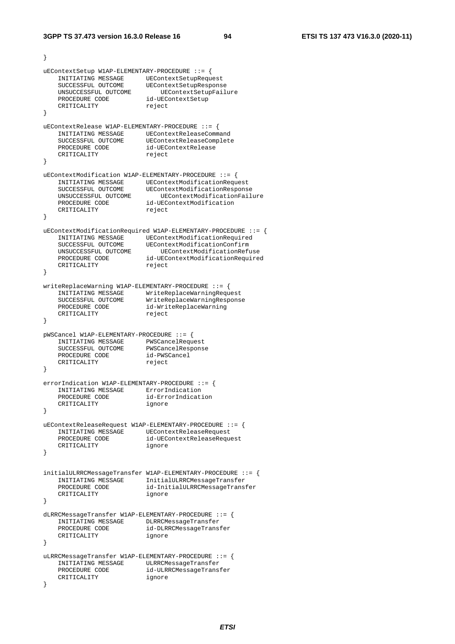```
} 
uEContextSetup W1AP-ELEMENTARY-PROCEDURE ::= { 
   INITIATING MESSAGE UEContextSetupRequest<br>SUCCESSFUL OUTCOME UEContextSetupRespons
 SUCCESSFUL OUTCOME UEContextSetupResponse 
 UNSUCCESSFUL OUTCOME UEContextSetupFailure 
 PROCEDURE CODE id-UEContextSetup 
CRITICALITY reject
} 
uEContextRelease W1AP-ELEMENTARY-PROCEDURE ::= { 
 INITIATING MESSAGE UEContextReleaseCommand 
 SUCCESSFUL OUTCOME UEContextReleaseComplete 
PROCEDURE CODE id-UEContextRelease
CRITICALITY reject
} 
uEContextModification W1AP-ELEMENTARY-PROCEDURE ::= { 
 INITIATING MESSAGE UEContextModificationRequest 
 SUCCESSFUL OUTCOME UEContextModificationResponse 
 UNSUCCESSFUL OUTCOME UEContextModificationFailure 
 PROCEDURE CODE id-UEContextModification 
CRITICALITY reject
} 
uEContextModificationRequired W1AP-ELEMENTARY-PROCEDURE ::= { 
   INITIATING MESSAGE UEContextModificationRequired<br>SUCCESSFUL OUTCOME UEContextModificationConfirm
 SUCCESSFUL OUTCOME UEContextModificationConfirm 
 UNSUCCESSFUL OUTCOME UEContextModificationRefuse 
 PROCEDURE CODE id-UEContextModificationRequired 
CRITICALITY reject
} 
writeReplaceWarning W1AP-ELEMENTARY-PROCEDURE ::= { 
 INITIATING MESSAGE WriteReplaceWarningRequest 
 SUCCESSFUL OUTCOME WriteReplaceWarningResponse 
 PROCEDURE CODE id-WriteReplaceWarning 
CRITICALITY reject
} 
pWSCancel W1AP-ELEMENTARY-PROCEDURE ::= { 
 INITIATING MESSAGE PWSCancelRequest 
 SUCCESSFUL OUTCOME PWSCancelResponse 
 PROCEDURE CODE id-PWSCancel 
CRITICALITY reject
} 
errorIndication W1AP-ELEMENTARY-PROCEDURE ::= { 
   INITIATING MESSAGE ErrorIndication
    PROCEDURE CODE id-ErrorIndication 
    CRITICALITY ignore 
} 
uEContextReleaseRequest W1AP-ELEMENTARY-PROCEDURE ::= { 
    INITIATING MESSAGE UEContextReleaseRequest 
                          PROCEDURE CODE id-UEContextReleaseRequest 
    CRITICALITY ignore 
} 
initialULRRCMessageTransfer W1AP-ELEMENTARY-PROCEDURE ::= { 
    INITIATING MESSAGE InitialULRRCMessageTransfer 
                         id-InitialULRRCMessageTransfer<br>ignore
   CRITICALITY
} 
dLRRCMessageTransfer W1AP-ELEMENTARY-PROCEDURE ::= { 
    INITIATING MESSAGE DLRRCMessageTransfer 
 PROCEDURE CODE id-DLRRCMessageTransfer 
CRITICALITY ignore
} 
uLRRCMessageTransfer W1AP-ELEMENTARY-PROCEDURE ::= { 
   INITIATING MESSAGE ULRRCMessageTransfer
                         id-ULRRCMessageTransfer
   INITIALISM (INITIALISM PROCEDURE CODE id-ULR<br>
CRITICALITY ignore
}
```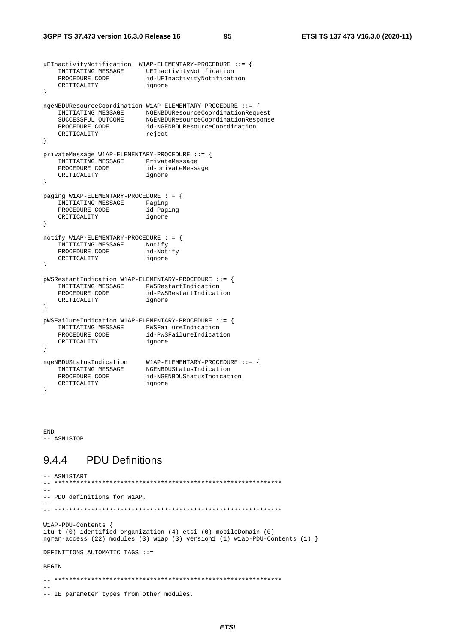```
uEInactivityNotification W1AP-ELEMENTARY-PROCEDURE ::= { 
 INITIATING MESSAGE UEInactivityNotification 
 PROCEDURE CODE id-UEInactivityNotification 
CRITICALITY ignore
} 
ngeNBDUResourceCoordination W1AP-ELEMENTARY-PROCEDURE ::= { 
 INITIATING MESSAGE NGENBDUResourceCoordinationRequest 
 SUCCESSFUL OUTCOME NGENBDUResourceCoordinationResponse 
 PROCEDURE CODE id-NGENBDUResourceCoordination 
CRITICALITY reject
} 
privateMessage W1AP-ELEMENTARY-PROCEDURE ::= { 
 INITIATING MESSAGE PrivateMessage 
 PROCEDURE CODE id-privateMessage 
    INITIATING PEROCEDURE CODE de-primerial des la primeriale de la primeriale de la primeriale de la primeriale d<br>CRITICALITY de la primeriale de la primeriale de la primeriale de la primeriale de la primeriale de la primeri
} 
paging W1AP-ELEMENTARY-PROCEDURE ::= { 
     INITIATING MESSAGE Paging 
    PROCEDURE CODE id-Paging
     CRITICALITY ignore 
} 
notify W1AP-ELEMENTARY-PROCEDURE ::= { 
    INITIATING MESSAGE Notify<br>PROCEDURE CODE id-Notify
    PROCEDURE CODE
     CRITICALITY ignore 
} 
pWSRestartIndication W1AP-ELEMENTARY-PROCEDURE ::= { 
    INITIATING MESSAGE PWSRestartIndication<br>PROCEDURE CODE id-PWSRestartIndication
                            id-PWSRestartIndication
    CRITICALITY ignore
} 
pWSFailureIndication W1AP-ELEMENTARY-PROCEDURE ::= { 
    INITIATING MESSAGE PWSFailureIndication
    PROCEDURE CODE id-PWSFailureIndication<br>CRITICALITY ignore
    PROCEDURE CODE
} 
ngeNBDUStatusIndication W1AP-ELEMENTARY-PROCEDURE ::= { 
 INITIATING MESSAGE NGENBDUStatusIndication 
PROCEDURE CODE id-NGENBDUStatusIndication
 CRITICALITY ignore 
}
```
END -- ASN1STOP

### 9.4.4 PDU Definitions

```
-- ASN1START<br>-- *********
   -- ************************************************************** 
-- 
-- PDU definitions for W1AP. 
-- 
-- ************************************************************** 
W1AP-PDU-Contents { 
itu-t (0) identified-organization (4) etsi (0) mobileDomain (0) 
ngran-access (22) modules (3) w1ap (3) version1 (1) w1ap-PDU-Contents (1) } 
DEFINITIONS AUTOMATIC TAGS ::= 
BEGIN 
\hspace{1.3cm} - \hspace{1.3cm} - \hspace{1.3cm} - \hspace{1.3cm}-- 
-- IE parameter types from other modules.
```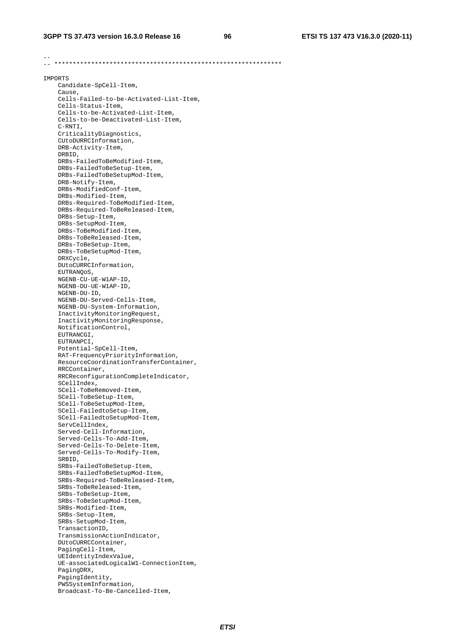-- -- \*\*\*\*\*\*\*\*\*\*\*\*\*\*\*\*\*\*\*\*\*\*\*\*\*\*\*\*\*\*\*\*\*\*\*\*\*\*\*\*\*\*\*\*\*\*\*\*\*\*\*\*\*\*\*\*\*\*\*\*\*\* IMPORTS Candidate-SpCell-Item, Cause, Cells-Failed-to-be-Activated-List-Item, Cells-Status-Item, Cells-to-be-Activated-List-Item, Cells-to-be-Deactivated-List-Item, C-RNTI, CriticalityDiagnostics, CUtoDURRCInformation, DRB-Activity-Item, DRBID, DRBs-FailedToBeModified-Item, DRBs-FailedToBeSetup-Item, DRBs-FailedToBeSetupMod-Item, DRB-Notify-Item, DRBs-ModifiedConf-Item, DRBs-Modified-Item, DRBs-Required-ToBeModified-Item, DRBs-Required-ToBeReleased-Item, DRBs-Setup-Item, DRBs-SetupMod-Item, DRBs-ToBeModified-Item, DRBs-ToBeReleased-Item, DRBs-ToBeSetup-Item, DRBs-ToBeSetupMod-Item, DRXCycle, DUtoCURRCInformation, EUTRANQoS, NGENB-CU-UE-W1AP-ID, NGENB-DU-UE-W1AP-ID, NGENB-DU-ID, NGENB-DU-Served-Cells-Item, NGENB-DU-System-Information, InactivityMonitoringRequest, InactivityMonitoringResponse, NotificationControl, EUTRANCGI, EUTRANPCI, Potential-SpCell-Item, RAT-FrequencyPriorityInformation, ResourceCoordinationTransferContainer, RRCContainer, RRCReconfigurationCompleteIndicator, SCellIndex, SCell-ToBeRemoved-Item, SCell-ToBeSetup-Item, SCell-ToBeSetupMod-Item, SCell-FailedtoSetup-Item, SCell-FailedtoSetupMod-Item, ServCellIndex, Served-Cell-Information, Served-Cells-To-Add-Item, Served-Cells-To-Delete-Item, Served-Cells-To-Modify-Item, SRBID, SRBs-FailedToBeSetup-Item, SRBs-FailedToBeSetupMod-Item, SRBs-Required-ToBeReleased-Item, SRBs-ToBeReleased-Item, SRBs-ToBeSetup-Item, SRBs-ToBeSetupMod-Item, SRBs-Modified-Item, SRBs-Setup-Item, SRBs-SetupMod-Item, TransactionID, TransmissionActionIndicator, DUtoCURRCContainer, PagingCell-Item, UEIdentityIndexValue, UE-associatedLogicalW1-ConnectionItem, PagingDRX, PagingIdentity, PWSSystemInformation, Broadcast-To-Be-Cancelled-Item,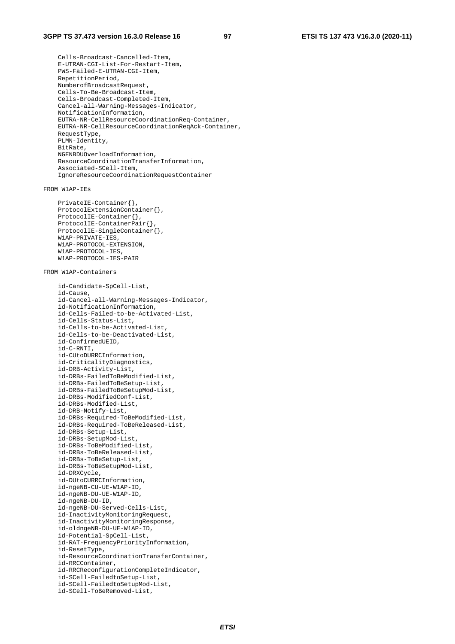Cells-Broadcast-Cancelled-Item, E-UTRAN-CGI-List-For-Restart-Item, PWS-Failed-E-UTRAN-CGI-Item, RepetitionPeriod, NumberofBroadcastRequest, Cells-To-Be-Broadcast-Item, Cells-Broadcast-Completed-Item, Cancel-all-Warning-Messages-Indicator, NotificationInformation, EUTRA-NR-CellResourceCoordinationReq-Container, EUTRA-NR-CellResourceCoordinationReqAck-Container, RequestType, PLMN-Identity, BitRate, NGENBDUOverloadInformation, ResourceCoordinationTransferInformation, Associated-SCell-Item, IgnoreResourceCoordinationRequestContainer

FROM W1AP-IEs

 PrivateIE-Container{}, ProtocolExtensionContainer{}, ProtocolIE-Container{}, ProtocolIE-ContainerPair{}, ProtocolIE-SingleContainer{}, W1AP-PRIVATE-IES, W1AP-PROTOCOL-EXTENSION, W1AP-PROTOCOL-IES, W1AP-PROTOCOL-IES-PAIR

FROM W1AP-Containers

```
 id-Candidate-SpCell-List, 
 id-Cause, 
 id-Cancel-all-Warning-Messages-Indicator, 
 id-NotificationInformation, 
 id-Cells-Failed-to-be-Activated-List, 
 id-Cells-Status-List, 
 id-Cells-to-be-Activated-List, 
 id-Cells-to-be-Deactivated-List, 
 id-ConfirmedUEID, 
 id-C-RNTI, 
 id-CUtoDURRCInformation, 
 id-CriticalityDiagnostics, 
 id-DRB-Activity-List, 
 id-DRBs-FailedToBeModified-List, 
 id-DRBs-FailedToBeSetup-List, 
 id-DRBs-FailedToBeSetupMod-List, 
 id-DRBs-ModifiedConf-List, 
 id-DRBs-Modified-List, 
 id-DRB-Notify-List, 
 id-DRBs-Required-ToBeModified-List, 
 id-DRBs-Required-ToBeReleased-List, 
 id-DRBs-Setup-List, 
 id-DRBs-SetupMod-List, 
 id-DRBs-ToBeModified-List, 
 id-DRBs-ToBeReleased-List, 
 id-DRBs-ToBeSetup-List, 
 id-DRBs-ToBeSetupMod-List, 
 id-DRXCycle, 
 id-DUtoCURRCInformation, 
 id-ngeNB-CU-UE-W1AP-ID, 
 id-ngeNB-DU-UE-W1AP-ID, 
 id-ngeNB-DU-ID, 
 id-ngeNB-DU-Served-Cells-List, 
 id-InactivityMonitoringRequest, 
 id-InactivityMonitoringResponse, 
 id-oldngeNB-DU-UE-W1AP-ID, 
 id-Potential-SpCell-List, 
 id-RAT-FrequencyPriorityInformation, 
 id-ResetType, 
 id-ResourceCoordinationTransferContainer, 
 id-RRCContainer, 
 id-RRCReconfigurationCompleteIndicator, 
 id-SCell-FailedtoSetup-List, 
 id-SCell-FailedtoSetupMod-List, 
 id-SCell-ToBeRemoved-List,
```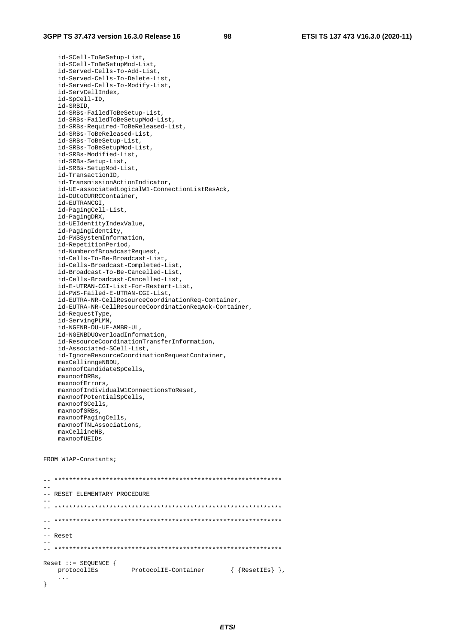id-SCell-ToBeSetup-List, id-SCell-ToBeSetupMod-List, id-Served-Cells-To-Add-List, id-Served-Cells-To-Delete-List, id-Served-Cells-To-Modify-List, id-ServCellIndex, id-SpCell-ID, id-SRBID, id-SRBs-FailedToBeSetup-List, id-SRBs-FailedToBeSetupMod-List, id-SRBs-Required-ToBeReleased-List, id-SRBs-ToBeReleased-List, id-SRBs-ToBeSetup-List, id-SRBs-ToBeSetupMod-List, id-SRBs-Modified-List, id-SRBs-Setup-List, id-SRBs-SetupMod-List, id-TransactionID, id-TransmissionActionIndicator, id-UE-associatedLogicalW1-ConnectionListResAck, id-DUtoCURRCContainer, id-EUTRANCGI, id-PagingCell-List, id-PagingDRX, id-UEIdentityIndexValue, id-PagingIdentity, id-PWSSystemInformation, id-RepetitionPeriod, id-NumberofBroadcastRequest, id-Cells-To-Be-Broadcast-List, id-Cells-Broadcast-Completed-List, id-Broadcast-To-Be-Cancelled-List, id-Cells-Broadcast-Cancelled-List, id-E-UTRAN-CGI-List-For-Restart-List, id-PWS-Failed-E-UTRAN-CGI-List, id-EUTRA-NR-CellResourceCoordinationReq-Container, id-EUTRA-NR-CellResourceCoordinationReqAck-Container, id-RequestType, id-ServingPLMN, id-NGENB-DU-UE-AMBR-UL, id-NGENBDUOverloadInformation, id-ResourceCoordinationTransferInformation, id-Associated-SCell-List, id-IgnoreResourceCoordinationRequestContainer, maxCellinngeNBDU, maxnoofCandidateSpCells, maxnoofDRBs, maxnoofErrors, maxnoofIndividualW1ConnectionsToReset, maxnoofPotentialSpCells, maxnoofSCells, maxnoofSRBs, maxnoofPagingCells, maxnoofTNLAssociations, maxCellineNB, maxnoofUEIDs

```
FROM W1AP-Constants;
```
 $\hspace{1.3cm} - \hspace{1.3cm} - \hspace{1.3cm}$ -- -- RESET ELEMENTARY PROCEDURE -- -- \*\*\*\*\*\*\*\*\*\*\*\*\*\*\*\*\*\*\*\*\*\*\*\*\*\*\*\*\*\*\*\*\*\*\*\*\*\*\*\*\*\*\*\*\*\*\*\*\*\*\*\*\*\*\*\*\*\*\*\*\*\* -- \*\*\*\*\*\*\*\*\*\*\*\*\*\*\*\*\*\*\*\*\*\*\*\*\*\*\*\*\*\*\*\*\*\*\*\*\*\*\*\*\*\*\*\*\*\*\*\*\*\*\*\*\*\*\*\*\*\*\*\*\*\*  $-$ -- Reset -- -- \*\*\*\*\*\*\*\*\*\*\*\*\*\*\*\*\*\*\*\*\*\*\*\*\*\*\*\*\*\*\*\*\*\*\*\*\*\*\*\*\*\*\*\*\*\*\*\*\*\*\*\*\*\*\*\*\*\*\*\*\*\* Reset ::= SEQUENCE { protocolIEs ProtocolIE-Container { {ResetIEs} }, ... }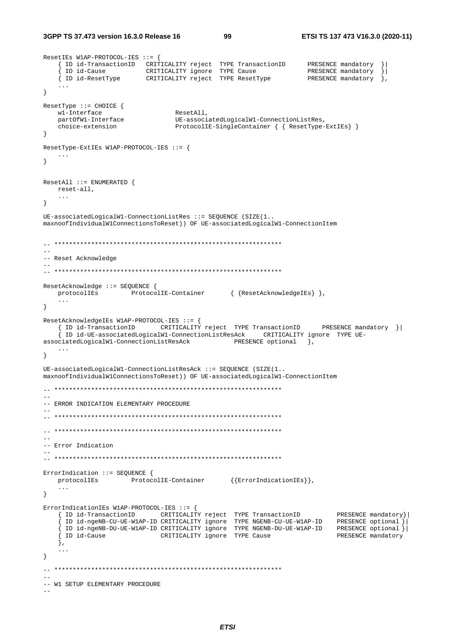3GPP TS 37.473 version 16.3.0 Release 16

ResetIEs W1AP-PROTOCOL-IES ::= {

99

```
ectric wine environments ... (<br>
[ID id-TransactionID CRITICALITY reject TYPE TransactionID PRESENCE mandatory }<br>
[ID id-Cause CRITICALITY ignore TYPE Cause PRESENCE mandatory }<br>
[ID id-ResetType CRITICALITY reject TYPE Res
\left\{ \right.ResetType ::= CHOICE \{ResetAll,
    wl-Interface
   Wi-interiact<br>partOfWl-Interface UE-associatedLogicalWi-Connection<br>https://executions.com/https://executions.com/https://executions.com/https://executions.com/https://execution<br>ProtocolIE-SingleContainer { { ResetType-ExtIE
\}ResetType-ExtIEs W1AP-PROTOCOL-IES ::= {
   \cdots\}ResetAll ::= ENUMERATED {
  reset-all,
    \sim 100\}UE-associatedLogical W1-ConnectionListRes :: = SEQUENCE (SIZE(1..maxnoofIndividualW1ConnectionsToReset)) OF UE-associatedLogicalW1-ConnectionItem
-- Reset Acknowledge
L.
ResetAcknowledge ::= SEOUENCE {
   \verb|protocolIES| \hspace{1.5cm} \verb|ProtocolIE-Container| \hspace{1.5cm} \{ \verb|ResetAcknowledgelEs| \} \hspace{1.5cm} \},\sim \sim \sim\left\{ \right.ResetAcknowledgeIEs W1AP-PROTOCOL-IES ::= {
    { ID id-TransactionID CRITICALITY reject TYPE TransactionID PRESENCE mandatory }
    ID id-UE-associatedLogicalW1-ConnectionListResAck CRITICALITY ignore TYPE UE-
associatedLogicalW1-ConnectionListResAck
                                                      PRESENCE optional },
    \sim .
\left\{ \right\}UE-associated Logical W1-ConnectionListResack :: = SEQUENCE (SIZE(1..maxnoofIndividualWlConnectionsToReset)) OF UE-associatedLogicalWl-ConnectionItem
\overline{a}-- ERROR INDICATION ELEMENTARY PROCEDURE
\equiv-- Error Indication
ErrorIndication ::= SEQUENCE {
   \verb|protocolIES| \verb|| \verb|ProtocolIE-Container| \verb|{ErrorIndicationIES}| \},\ldots\lambdaErrorIndicationIEs W1AP-PROTOCOL-IES ::= {
   01 Indicationism with increase is the two controls of the TransactionID of the PRESENCE mandatory }<br>{ID id-ngeNB-CU-UE-WIAP-ID CRITICALITY ignore TYPE NGENB-CU-UE-WIAP-ID PRESENCE optional }
                                                                                     PRESENCE mandatory } |
    (ID id-ngeNB-DU-UE-W1AP-ID CRITICALITY ignore TYPE NGENB-DU-UE-W1AP-ID PRESENCE optional }<br>{<br>{ID id-Cause \begin{array}{c} \text{CRTTICALITY ignore} \\ \text{CRTTICALITY ignore} \end{array}\},
    \ddots\}-- W1 SETUP ELEMENTARY PROCEDURE
```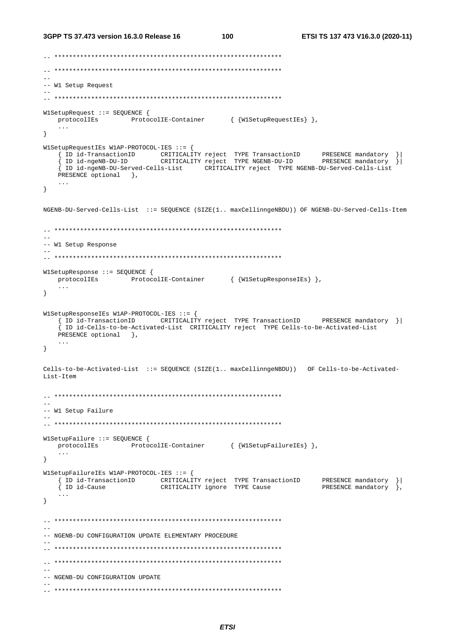```
3GPP TS 37.473 version 16.3.0 Release 16
                                      100
                                                        ETSI TS 137 473 V16.3.0 (2020-11)
\frac{1}{2}-- W1 Setup Request
W1SetupRequest ::= SEOUENCE {
  \verb|protocolIES| \hspace{1.5cm} \verb|ProtocolIE-Container| \hspace{1.5cm} \{ W1SetupRequestIES \} |\},\sim \sim \sim\}W1SetupRequestIEs W1AP-PROTOCOL-IES ::= {
  {ID id-TransactionID cRITICALITY reject TYPE TransactionID PRESENCE mandatory }|<br>{ID id-TransactionID cRITICALITY reject TYPE NGENB-DU-ID PRESENCE mandatory }|
   { ID id-ngeNB-DU-Served-Cells-List CRITICALITY reject TYPE NGENB-DU-Served-Cells-List
  PRESENCE optional },
   \sim \sim \sim\left\{ \right\}NGENB-DU-Served-Cells-List ::= SEQUENCE (SIZE(1.. maxCellinngeNBDU)) OF NGENB-DU-Served-Cells-Item
-- W1 Setup Response
W1SetupResponse ::= SEQUENCE {
  protocolIEs ProtocolIE-Container { {W1SetupResponseIEs} },
   \sim 10 .
\}W1SetupResponseIEs W1AP-PROTOCOL-IES ::= {
   { ID id-TransactionID CRITICALITY reject TYPE TransactionID PRESENCE mandatory }|
   { ID id-Cells-to-be-Activated-List CRITICALITY reject TYPE Cells-to-be-Activated-List
   PRESENCE optional },
   \ldots\lambdaCells-to-be-Activated-List ::= SEQUENCE (SIZE(1.. maxCellinngeNBDU)) OF Cells-to-be-Activated-
List-Item
\sim \sim-- W1 Setup Failure
\sim \simWlSetupFailure ::= SEOUENCE {
  protocolIEs ProtocolIE-Container { {W1SetupFailureIEs} },
   \sim 100 km s ^{-1}\left\{ \right\}W1SetupFailureIEs W1AP-PROTOCOL-IES ::= {
  { ID id-TransactionID CRITICALITY reject TYPE TransactionID PRESENCE mandatory }<br>{ ID id-Cause CRITICALITY ignore TYPE Cause PRESENCE mandatory },
  \langle\cdot\,\rangle .
\mathcal{F}=--- NGENB-DU CONFIGURATION UPDATE ELEMENTARY PROCEDURE
```
-- NGENB-DU CONFIGURATION UPDATE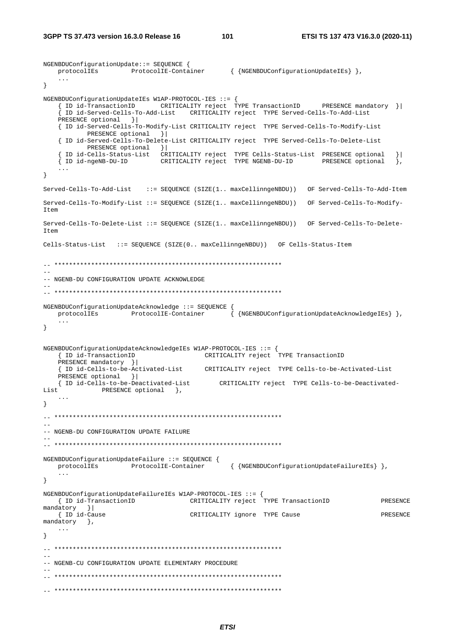NGENBDUConfigurationUpdate::= SEQUENCE {

```
protocolIEs ProtocolIE-Container { {NGENBDUConfigurationUpdateIEs} },
    ... 
} 
NGENBDUConfigurationUpdateIEs W1AP-PROTOCOL-IES ::= { 
    { ID id-TransactionID CRITICALITY reject TYPE TransactionID PRESENCE mandatory }| 
     { ID id-Served-Cells-To-Add-List CRITICALITY reject TYPE Served-Cells-To-Add-List 
   PRESENCE optional }
    { ID id-Served-Cells-To-Modify-List CRITICALITY reject TYPE Served-Cells-To-Modify-List 
           PRESENCE optional } |
    { ID id-Served-Cells-To-Delete-List CRITICALITY reject TYPE Served-Cells-To-Delete-List 
           PRESENCE optional }
 { ID id-Cells-Status-List CRITICALITY reject TYPE Cells-Status-List PRESENCE optional }| 
 { ID id-ngeNB-DU-ID CRITICALITY reject TYPE NGENB-DU-ID PRESENCE optional }, 
    ... 
} 
Served-Cells-To-Add-List ::= SEQUENCE (SIZE(1.. maxCellinngeNBDU)) OF Served-Cells-To-Add-Item 
Served-Cells-To-Modify-List ::= SEQUENCE (SIZE(1.. maxCellinngeNBDU)) OF Served-Cells-To-Modify-
Item 
Served-Cells-To-Delete-List ::= SEQUENCE (SIZE(1.. maxCellinngeNBDU)) OF Served-Cells-To-Delete-
T \uparrow \sim mCells-Status-List ::= SEQUENCE (SIZE(0.. maxCellinngeNBDU)) OF Cells-Status-Item 
-- ************************************************************** 
-1-- NGENB-DU CONFIGURATION UPDATE ACKNOWLEDGE 
-- 
-- ************************************************************** 
NGENBDUConfigurationUpdateAcknowledge ::= SEQUENCE { 
   protocolIEs ProtocolIE-Container { {NGENBDUConfigurationUpdateAcknowledgeIEs} },
    ... 
} 
NGENBDUConfigurationUpdateAcknowledgeIEs W1AP-PROTOCOL-IES ::= { 
 { ID id-TransactionID CRITICALITY reject TYPE TransactionID 
   PRESENCE mandatory }|<br>{ ID id-Cells-to-be-Activated-List
                                         { ID id-Cells-to-be-Activated-List CRITICALITY reject TYPE Cells-to-be-Activated-List 
    PRESENCE optional }| 
    { ID id-Cells-to-be-Deactivated-List CRITICALITY reject TYPE Cells-to-be-Deactivated-
List PRESENCE optional },
    ... 
} 
\hspace{1.3cm} - \hspace{1.3cm} - \hspace{1.3cm}-- 
-- NGENB-DU CONFIGURATION UPDATE FAILURE 
-- 
-- ************************************************************** 
NGENBDUConfigurationUpdateFailure ::= SEQUENCE { 
   protocolIEs ProtocolIE-Container { {NGENBDUConfigurationUpdateFailureIEs} },
 ... 
} 
NGENBDUConfigurationUpdateFailureIEs W1AP-PROTOCOL-IES ::= { 
 { ID id-TransactionID CRITICALITY reject TYPE TransactionID PRESENCE 
mandatory } |<br>{ ID id-Cause
                                     CRITICALITY ignore TYPE Cause PRESENCE
mandatory },
    ... 
} 
-- ************************************************************** 
-- 
-- NGENB-CU CONFIGURATION UPDATE ELEMENTARY PROCEDURE 
-- 
-- ************************************************************** 
-- **************************************************************
```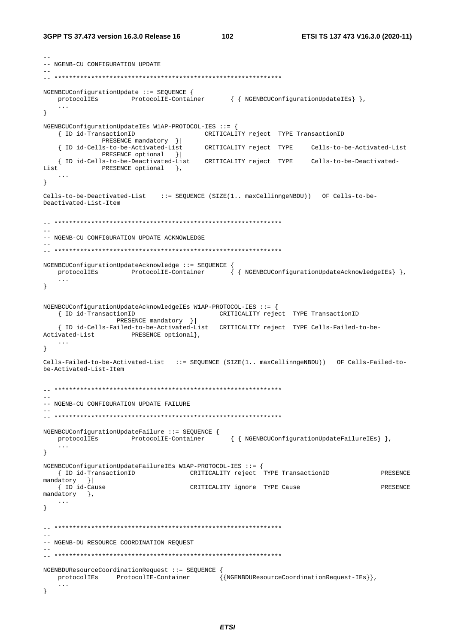102

```
-- NGENB-CU CONFIGURATION UPDATE
NGENBCUConfigurationUpdate ::= SEQUENCE {
  protocolIEs ProtocolIE-Container { { NGENBCUConfigurationUpdateIEs} },
   \mathbf{1}\}NGENBCUConfigurationUpdateIEs W1AP-PROTOCOL-IES ::= {
   { ID id-TransactionID
                                 CRITICALITY reject TYPE TransactionID
           PRESENCE mandatory } |
                              { ID id-Cells-to-be-Activated-List
           PRESENCE optional }
   { ID id-Cells-to-be-Deactivated-List CRITICALITY reject TYPE    Cells-to-be-Deactivated-
T \cdot i st
           PRESENCE optional },
   \sim \sim \sim\mathcal{E}Cells-to-be-Deactivated-List ::= SEOUENCE (SIZE(1.. maxCellinngeNBDU)) OF Cells-to-be-
Deactivated-List-Item
=-- NGENB-CU CONFIGURATION UPDATE ACKNOWLEDGE
NGENBCUConfigurationUpdateAcknowledge ::= SEQUENCE {
  protocolIEs ProtocolIE-Container {{NGENBCUConfigurationUpdateAcknowledgeIEs}},
   \mathbf{1}\left\{ \right.NGENBCUConfigurationUpdateAcknowledgeIEs W1AP-PROTOCOL-IES ::= {
  { ID id-TransactionID
                                CRITICALITY reject TYPE TransactionID
              PRESENCE mandatory }|
   { ID id-Cells-Failed-to-be-Activated-List CRITICALITY reject TYPE Cells-Failed-to-be-
Activated-List PRESENCE optional,
  \ldots\rightarrowCells-Failed-to-be-Activated-List ::= SEQUENCE (SIZE(1.. maxCellinngeNBDU)) OF Cells-Failed-to-
be-Activated-List-Item
-- NGENB-CU CONFIGURATION UPDATE FAILURE
NGENBCUConfigurationUpdateFailure ::= SEQUENCE {
  protocolIEs
                ProtocolIE-Container
                                       { { NGENBCUConfigurationUpdateFailureIEs } },
   \ddotsc\}NGENBCUConfigurationUpdateFailureIEs W1AP-PROTOCOL-IES ::= {
  { ID id-TransactionID
                              CRITICALITY reject TYPE TransactionID
                                                                      PRESENCE
mandatory }
  { ID id-Cause
                             CRITICALITY ignore TYPE Cause
                                                                       PRESENCE
mandatory },
   \sim . \sim\left\{ \right\}-- NGENB-DU RESOURCE COORDINATION REQUEST
NGENBDUResourceCoordinationRequest ::= SEQUENCE {
                                     \{{NGENBDUResourceCoordinationRequest-IEs}},
  protocolIEs ProtocolIE-Container
   \ldots\}
```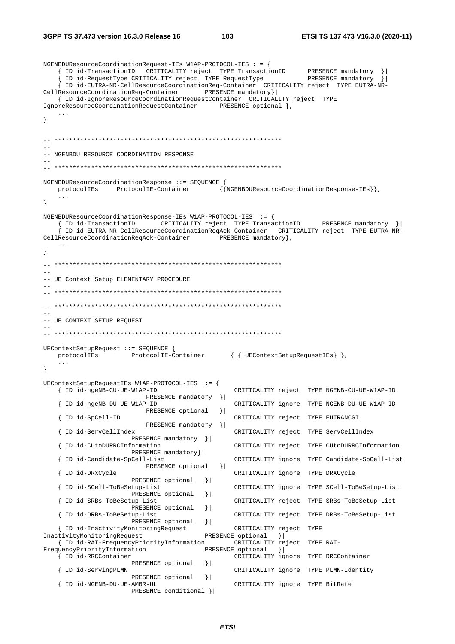#### **3GPP TS 37.473 version 16.3.0 Release 16 103 ETSI TS 137 473 V16.3.0 (2020-11)**

NGENBDUResourceCoordinationRequest-IEs W1AP-PROTOCOL-IES ::= { { ID id-TransactionID CRITICALITY reject TYPE TransactionID PRESENCE mandatory { ID id-RequestType CRITICALITY reject TYPE RequestType PRESENCE mandatory }| { ID id-EUTRA-NR-CellResourceCoordinationReq-Container CRITICALITY reject TYPE EUTRA-NR-CellResourceCoordinationReq-Container PRESENCE mandatory}| { ID id-IgnoreResourceCoordinationRequestContainer CRITICALITY reject TYPE IgnoreResourceCoordinationRequestContainer ... } -- \*\*\*\*\*\*\*\*\*\*\*\*\*\*\*\*\*\*\*\*\*\*\*\*\*\*\*\*\*\*\*\*\*\*\*\*\*\*\*\*\*\*\*\*\*\*\*\*\*\*\*\*\*\*\*\*\*\*\*\*\*\* -- -- NGENBDU RESOURCE COORDINATION RESPONSE -- -- \*\*\*\*\*\*\*\*\*\*\*\*\*\*\*\*\*\*\*\*\*\*\*\*\*\*\*\*\*\*\*\*\*\*\*\*\*\*\*\*\*\*\*\*\*\*\*\*\*\*\*\*\*\*\*\*\*\*\*\*\*\* NGENBDUResourceCoordinationResponse ::= SEQUENCE { protocolIEs ProtocolIE-Container {{NGENBDUResourceCoordinationResponse-IEs}}, ... }  ${\tt NGENBDURes} our ce CoordinationResponse-IES~W1AP-PROTOCOL-IES~::= \{$  { ID id-TransactionID CRITICALITY reject TYPE TransactionID PRESENCE mandatory }| { ID id-EUTRA-NR-CellResourceCoordinationReqAck-Container CRITICALITY reject TYPE EUTRA-NR-CellResourceCoordinationReqAck-Container PRESENCE mandatory }, ... } -- \*\*\*\*\*\*\*\*\*\*\*\*\*\*\*\*\*\*\*\*\*\*\*\*\*\*\*\*\*\*\*\*\*\*\*\*\*\*\*\*\*\*\*\*\*\*\*\*\*\*\*\*\*\*\*\*\*\*\*\*\*\* -- -- UE Context Setup ELEMENTARY PROCEDURE -- -- \*\*\*\*\*\*\*\*\*\*\*\*\*\*\*\*\*\*\*\*\*\*\*\*\*\*\*\*\*\*\*\*\*\*\*\*\*\*\*\*\*\*\*\*\*\*\*\*\*\*\*\*\*\*\*\*\*\*\*\*\*\* -- \*\*\*\*\*\*\*\*\*\*\*\*\*\*\*\*\*\*\*\*\*\*\*\*\*\*\*\*\*\*\*\*\*\*\*\*\*\*\*\*\*\*\*\*\*\*\*\*\*\*\*\*\*\*\*\*\*\*\*\*\*\* -- -- UE CONTEXT SETUP REQUEST -- -- \*\*\*\*\*\*\*\*\*\*\*\*\*\*\*\*\*\*\*\*\*\*\*\*\*\*\*\*\*\*\*\*\*\*\*\*\*\*\*\*\*\*\*\*\*\*\*\*\*\*\*\*\*\*\*\*\*\*\*\*\*\* UEContextSetupRequest ::= SEQUENCE {<br>protocolIEs ProtocolIE-C ProtocolIE-Container { { UEContextSetupRequestIEs } }, ... } UEContextSetupRequestIEs W1AP-PROTOCOL-IES ::= { { ID id-ngeNB-CU-UE-W1AP-ID CRITICALITY reject TYPE NGENB-CU-UE-W1AP-ID PRESENCE mandatory }| { ID id-ngeNB-DU-UE-W1AP-ID CRITICALITY ignore TYPE NGENB-DU-UE-W1AP-ID PRESENCE optional }| { ID id-SpCell-ID CRITICALITY reject TYPE EUTRANCGI PRESENCE mandatory } | [ ID id-ServCellIndex CRITICALITY reject TYPE ServCellIndex PRESENCE mandatory }| { ID id-CUtoDURRCInformation CRITICALITY reject TYPE CUtoDURRCInformation PRESENCE mandatory}<br>{ ID id-Candidate-SpCell-List { ID id-Candidate-SpCell-List CRITICALITY ignore TYPE Candidate-SpCell-List PRESENCE optional }| { ID id-DRXCycle CRITICALITY ignore TYPE DRXCycle PRESENCE optional } | { ID id-SCell-ToBeSetup-List CRITICALITY ignore TYPE SCell-ToBeSetup-List PRESENCE optional }| { ID id-SRBs-ToBeSetup-List CRITICALITY reject TYPE SRBs-ToBeSetup-List PRESENCE optional }<br>{ ID id-DRBs-ToBeSetup-List { ID id-DRBs-ToBeSetup-List CRITICALITY reject TYPE DRBs-ToBeSetup-List PRESENCE optional } | { ID id-InactivityMonitoringRequest CRITICALITY reject TYPE InactivityMonitoringRequest PRESENCE optional }|<br>{ ID id-RAT-FrequencyPriorityInformation CRITICALITY reject TYPE RAT-{ ID id-RAT-FrequencyPriorityInformation FrequencyPriorityInformation PRESENCE optional }| { ID id-RRCContainer CRITICALITY ignore TYPE RRCContainer PRESENCE optional } | { ID id-ServingPLMN CRITICALITY ignore TYPE PLMN-Identity PRESENCE optional  $\{$  ID id-NGENB-DU-UE-AMBR-UL CRITICALITY ignore TYPE BitRate PRESENCE conditional }|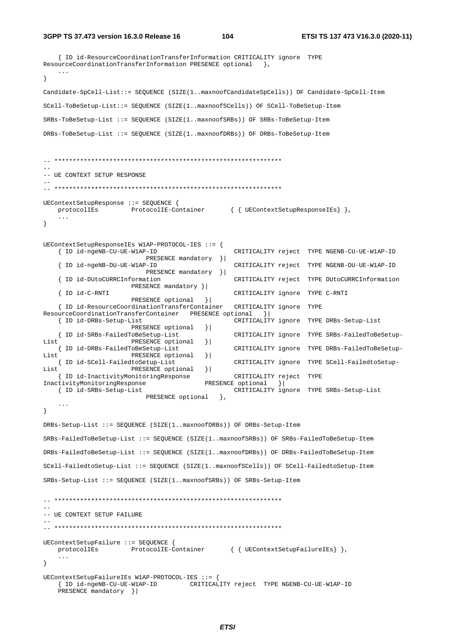104

```
{ ID id-ResourceCoordinationTransferInformation CRITICALITY ignore TYPE
ResourceCoordinationTransferInformation PRESENCE optional \},
   \ldots\}Candidate-SpCell-List::= SEQUENCE (SIZE(1..maxnoofCandidateSpCells)) OF Candidate-SpCell-Item
SCell-ToBeSetup-List::= SEOUENCE (SIZE(1..maxnoofSCells)) OF SCell-ToBeSetup-Item
SRBs-ToBeSetup-List ::= SEQUENCE (SIZE(1..maxnoofSRBs)) OF SRBs-ToBeSetup-Item
DRBs-ToBeSetup-List ::= SEQUENCE (SIZE(1..maxnoofDRBs)) OF DRBs-ToBeSetup-Item
-- UE CONTEXT SETUP RESPONSE
UEContextSetupResponse ::= SEQUENCE {
   protocolIEs
                ProtocolIE-Container { { UEContextSetupResponseIEs} },
   \sim \sim \sim\}UEContextSetupResponseIEs W1AP-PROTOCOL-IES ::= {
   { ID id-ngeNB-CU-UE-W1AP-ID
                                               CRITICALITY reject TYPE NGENB-CU-UE-W1AP-ID
                         PRESENCE mandatory }
                                               CRITICALITY reject TYPE NGENB-DU-UE-W1AP-ID
   { ID id-ngeNB-DII-IIE-W1AP-ID
                         PRESENCE mandatory } |
   { ID id-DUtoCURRCInformation
                                               CRITICALITY reject TYPE DUtoCURRCInformation
                     PRESENCE mandatory } |
   { ID id-C-RNTI
                                               CRITICALITY ignore TYPE C-RNTI
                      PRESENCE optional
                                        \rightarrow{ ID id-ResourceCoordinationTransferContainer
                                               CRITICALITY ignore TYPE
ResourceCoordinationTransferContainer PRESENCE optional }
                                               CRITICALITY ignore TYPE DRBs-Setup-List
   { ID id-DRBs-Setup-List
                      PRESENCE optional
                                        | \cdot |{ ID id-SRBs-FailedToBeSetup-List
                                               CRITICALITY ignore TYPE SRBs-FailedToBeSetup-
ListPRESENCE optional
                                        \vert{ ID id-DRBs-FailedToBeSetup-List
                                               CRITICALITY ignore TYPE DRBs-FailedToBeSetup-
ListPRESENCE optional
                                        \vert{ ID id-SCell-FailedtoSetup-List
                                               CRITICALITY ignore TYPE SCell-FailedtoSetup-
List
                     PRESENCE optional
                                        \vert{ ID id-InactivityMonitoringResponse
                                               CRITICALITY reject TYPE
InactivityMonitoringResponse
                                        PRESENCE optional
                                                         \rightarrow{ ID id-SRBs-Setup-List
                                               CRITICALITY ignore TYPE SRBs-Setup-List
                        PRESENCE optional },
    \mathbb{R}^2\}DRBs-Setup-List ::= SEOUENCE (SIZE(1..maxnoofDRBs)) OF DRBs-Setup-Item
SRBs-FailedToBeSetup-List ::= SEQUENCE (SIZE(1, maxnoofSRBs)) OF SRBs-FailedToBeSetup-Item
DRBs-FailedToBeSetup-List ::= SEQUENCE (SIZE(1..maxnoofDRBs)) OF DRBs-FailedToBeSetup-Item
SCell-FailedtoSetup-List ::= SEQUENCE (SIZE(1..maxnoofSCells)) OF SCell-FailedtoSetup-Item
SRBs-Setup-List ::= SEQUENCE (SIZE(1..maxnoofSRBs)) OF SRBs-Setup-Item
\sim \sim-- UE CONTEXT SETUP FAILURE
UEContextSetupFailure ::= SEQUENCE {
   protocolIEs ProtocolIE-Container { { UEContextSetupFailureIEs} },
    \sim \sim \sim\rightarrowUEContextSetupFailureIEs W1AP-PROTOCOL-IES ::= {
   { ID id-ngeNB-CU-UE-W1AP-ID CRITICALITY reject TYPE NGENB-CU-UE-W1AP-ID
   PRESENCE mandatory } |
```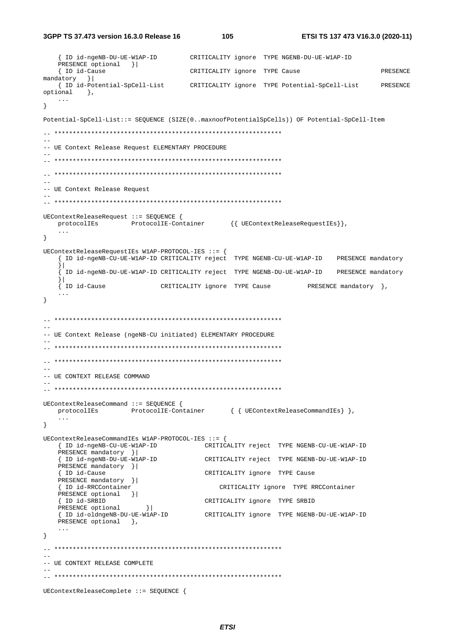3GPP TS 37.473 version 16.3.0 Release 16

105

```
{ ID id-ngeNB-DU-UE-W1AP-ID CRITICALITY ignore TYPE NGENB-DU-UE-W1AP-ID
  PRESENCE optional }|
   { ID id-Cause
                             CRITICALITY ignore TYPE Cause
                                                                    PRESENCE
mandatory }
  { ID id-Potential-SpCell-List
                            CRITICALITY ignore TYPE Potential-SpCell-List
                                                                   PRESENCE
optional },
  \ldots\lambdaPotential-SpCell-List::= SEQUENCE (SIZE(0..maxnoofPotentialSpCells)) OF Potential-SpCell-Item
\sim \sim-- UE Context Release Request ELEMENTARY PROCEDURE
\rightarrow-- UE Context Release Request
\sim \simUEContextReleaseRequest ::= SEQUENCE {
  \verb|protocolIES| = \verb|ProtocolIE-Container| { UEContextReleaseRequestIES} |,\left\{ \right\}UEContextReleaseRequestIEs W1AP-PROTOCOL-IES ::= {
   { ID id-ngeNB-CU-UE-W1AP-ID CRITICALITY reject TYPE NGENB-CU-UE-W1AP-ID PRESENCE mandatory
   \vert[ ID id-ngeNB-DU-UE-W1AP-ID CRITICALITY reject TYPE NGENB-DU-UE-W1AP-ID PRESENCE mandatory
   \frac{1}{2}{ ID id-Cause
                      CRITICALITY ignore TYPE Cause FRESENCE mandatory },
   \sim \sim \sim\}-- UE Context Release (ngeNB-CU initiated) ELEMENTARY PROCEDURE
-- UE CONTEXT RELEASE COMMAND
\sim \simUEContextReleaseCommand ::= SEQUENCE {
  protocolIEs ProtocolIE-Container { { UEContextReleaseCommandIEs} },
   \sim \sim \sim\left\{ \right\}IERContextReleaseCommandTRs W1AP-PROTOCOL-TRS :: =CRITICALITY reject TYPE NGENB-CU-UE-W1AP-ID
  { ID id-ngeNB-CU-UE-W1AP-ID
  PRESENCE mandatory } |
   { ID id-ngeNB-DU-UE-W1AP-ID
                               CRITICALITY reject TYPE NGENB-DU-UE-W1AP-ID
  PRESENCE mandatory }|
   { ID id-Cause
                               CRITICALITY ignore TYPE Cause
  PRESENCE mandatory } |
                                  CRITICALITY ignore TYPE RRCContainer
   { ID id-RRCContainer
  PRESENCE optional }|
   { ID id-SRBID
                               CRITICALITY ignore TYPE SRBID
                  \begin{array}{c|c} \hline \end{array}PRESENCE optional
   {ID id-oldngeNB-DU-UE-WlAP-ID CRITICALITY ignore TYPE NGENB-DU-UE-WlAP-ID
  PRESENCE optional },
   \ddotsc\}--- UE CONTEXT RELEASE COMPLETE
UEContextReleaseComplete ::= SEQUENCE {
```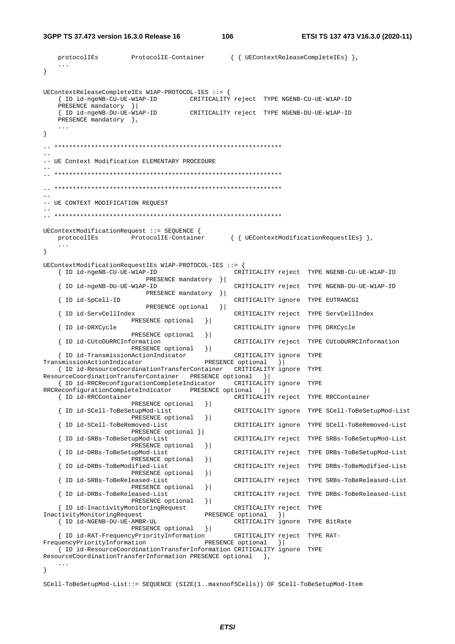3GPP TS 37.473 version 16.3.0 Release 16

106

```
{ { UEContextReleaseCompleteIEs } },
   protocolIEs
                    ProtocolIE-Container
   \sim 100 km s ^{-1}\}UEContextReleaseCompleteIEs W1AP-PROTOCOL-IES ::= {
   { ID id-ngeNB-CU-UE-W1AP-ID CRITICALITY reject TYPE NGENB-CU-UE-W1AP-ID
   PRESENCE mandatory }|
   { ID id-ngeNB-DU-UE-W1AP-ID
                                   CRITICALITY reject TYPE NGENB-DU-UE-W1AP-ID
   PRESENCE mandatory },
\}-- UE Context Modification ELEMENTARY PROCEDURE
\sim \sim-- UE CONTEXT MODIFICATION REQUEST
UEContextModificationRequest ::= SEQUENCE {
   protocolIEs ProtocolIE-Container
                                               { { UEContextModificationRequestIEs } },
   \ddots\rightarrowUEContextModificationRequestIEs W1AP-PROTOCOL-IES ::= {
   { ID id-ngeNB-CU-UE-W1AP-ID
                                                CRITICALITY reject TYPE NGENB-CU-UE-W1AP-ID
                         PRESENCE mandatory } |
   { ID id-ngeNB-DU-UE-W1AP-ID
                                                CRITICALITY reject TYPE NGENB-DU-UE-W1AP-ID
                         PRESENCE mandatory } |
   { ID id-SpCell-ID
                                                CRITICALITY ignore TYPE EUTRANCGI
                         PRESENCE optional }
   { ID id-ServCellIndex
                                                CRITICALITY reject TYPE ServCellIndex
                      PRESENCE optional
                                        \vert{ ID id-DRXCycle
                                                CRITICALITY ignore TYPE DRXCycle
                      PRESENCE optional
                                        \vert{ ID id-CUtoDURRCInformation
                                                CRITICALITY reject TYPE CUtoDURRCInformation
                      PRESENCE optional
                                        \vert{ ID id-TransmissionActionIndicator
                                                CRITICALITY ignore TYPE
TransmissionActionIndicator
                                        PRESENCE optional
                                                           \vert{ ID id-ResourceCoordinationTransferContainer CRITICALITY ignore TYPE
ResourceCoordinationTransferContainer PRESENCE optional } |
   { ID id-RRCReconfigurationCompleteIndicator
                                                CRITICALITY ignore TYPE
RRCReconfigurationCompleteIndicator
                                  PRESENCE optional }
   { ID id-RRCContainer
                                                CRITICALITY reject TYPE RRCContainer
                     PRESENCE optional
                                        \vert{ ID id-SCell-ToBeSetupMod-List
                                                CRITICALITY ignore TYPE SCell-ToBeSetupMod-List
                      PRESENCE optional
                                        \vert{ ID id-SCell-ToBeRemoved-List
                                                CRITICALITY ignore TYPE SCell-ToBeRemoved-List
                     PRESENCE optional } |
   { ID id-SRBs-ToBeSetupMod-List
                                                CRITICALITY reject TYPE SRBs-ToBeSetupMod-List
                      PRESENCE optional
                                        \vert{ ID id-DRBs-ToBeSetupMod-List
                                                CRITICALITY reject TYPE DRBs-ToBeSetupMod-List
                      PRESENCE optional
                                        \vert{ ID id-DRBs-ToBeModified-List
                                                CRITICALITY reject TYPE DRBs-ToBeModified-List
                      PRESENCE optional
                                        \vert{ ID id-SRBs-ToBeReleased-List
                                                CRITICALITY reject TYPE SRBs-ToBeReleased-List
                     PRESENCE optional
                                        \vert{ ID id-DRBs-ToBeReleased-List
                                                CRITICALITY reject TYPE DRBs-ToBeReleased-List
                      PRESENCE optional
                                        \vert{ ID id-InactivityMonitoringRequest
                                                CRITICALITY reject TYPE
InactivityMonitoringRequest
                                        PRESENCE optional } |
   { ID id-NGENB-DU-UE-AMBR-UL
                                               CRITICALITY ignore TYPE BitRate
                      PRESENCE optional
                                        \vert \cdot \vert{ ID id-RAT-FrequencyPriorityInformation
                                               CRITICALITY reject TYPE RAT-
                                        PRESENCE optional
FrequencyPriorityInformation
                                                          \vert \cdot \vert{ ID id-ResourceCoordinationTransferInformation CRITICALITY ignore TYPE
ResourceCoordinationTransferInformation PRESENCE optional
                                                      \{\},
\}
```
SCell-ToBeSetupMod-List::= SEQUENCE (SIZE(1..maxnoofSCells)) OF SCell-ToBeSetupMod-Item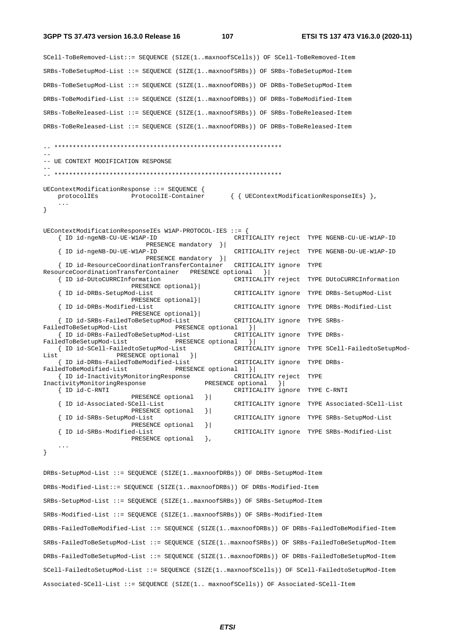107

```
SCell-ToBeRemoved-List::= SEQUENCE (SIZE(1..maxnoofSCells)) OF SCell-ToBeRemoved-Item
SRBs-ToBeSetupMod-List ::= SEQUENCE (SIZE(1..maxnoofSRBs)) OF SRBs-ToBeSetupMod-Item
DRBs-ToBeSetupMod-List ::= SEQUENCE (SIZE(1..maxnoofDRBs)) OF DRBs-ToBeSetupMod-Item
DRBs-ToBeModified-List ::= SEQUENCE (SIZE(1..maxnoofDRBs)) OF DRBs-ToBeModified-Item
SRBs-ToBeReleased-List ::= SEQUENCE (SIZE(1..maxnoofSRBs)) OF SRBs-ToBeReleased-Item
DRBs-ToBeReleased-List ::= SEQUENCE (SIZE(1..maxnoofDRBs)) OF DRBs-ToBeReleased-Item
-- UE CONTEXT MODIFICATION RESPONSE
UEContextModificationResponse ::= SEQUENCE {
                                              { { UEContextModificationResponseIEs } },
                 ProtocolIE-Container
   protocolIEs
   \ddots .
- }
UEContextModificationResponseIEs W1AP-PROTOCOL-IES ::= {
   { ID id-ngeNB-CU-UE-W1AP-ID
                                                 CRITICALITY reject TYPE NGENB-CU-UE-W1AP-ID
                          PRESENCE mandatory } |
   { ID id-ngeNB-DU-UE-W1AP-ID
                                                 CRITICALITY reject TYPE NGENB-DU-UE-W1AP-ID
                          PRESENCE mandatory } |
   { ID id-ResourceCoordinationTransferContainer
                                                CRITICALITY ignore TYPE
ResourceCoordinationTransferContainer PRESENCE optional
                                                         \vert \cdot \vert{ ID id-DUtoCURRCInformation
                                                 CRITICALITY reject TYPE DUtoCURRCInformation
                      PRESENCE optional}
   { ID id-DRBs-SetupMod-List
                                                 CRITICALITY ignore TYPE DRBs-SetupMod-List
                      PRESENCE optional}
   { ID id-DRBs-Modified-List
                                                 CRITICALITY ignore TYPE DRBs-Modified-List
                      PRESENCE optional}|
                                                 CRITICALITY ignore TYPE SRBs-
    { ID id-SRBs-FailedToBeSetupMod-List
                                  PRESENCE optional
FailedToBeSetupMod-List
                                                     \rightarrow{ ID id-DRBs-FailedToBeSetupMod-List
                                                 CRITICALITY ignore TYPE DRBs-
FailedToBeSetupMod-List
                                 PRESENCE optional }
   { ID id-SCell-FailedtoSetupMod-List
                                                 CRITICALITY ignore TYPE SCell-FailedtoSetupMod-
ListPRESENCE optional } |
    { ID id-DRBs-FailedToBeModified-List
                                                 CRITICALITY ignore TYPE DRBs-
FailedToBeModified-List
                                 PRESENCE optional }
   { ID id-InactivityMonitoringResponse
                                                CRITICALITY reject TYPE
InactivityMonitoringResponse
                                         PRESENCE optional
                                                             \rightarrow{ ID id-C-RNTI
                                                 CRITICALITY ignore TYPE C-RNTI
                      PRESENCE optional
                                          \vert{ ID id-Associated-SCell-List
                                                 CRITICALITY ignore TYPE Associated-SCell-List
                      PRESENCE optional
                                          \vert{ ID id-SRBs-SetupMod-List
                                                 CRITICALITY ignore TYPE SRBs-SetupMod-List
                      PRESENCE optional } |
   { ID id-SRBs-Modified-List
                                                 CRITICALITY ignore TYPE SRBs-Modified-List
                      PRESENCE optional
                                         \}.
    \mathbf{1}\}DRBs-SetupMod-List ::= SEQUENCE (SIZE(1..maxnoofDRBs)) OF DRBs-SetupMod-Item
DRBs-Modified-List::= SEQUENCE (SIZE(1..maxnoofDRBs)) OF DRBs-Modified-Item
SRBs-SetupMod-List ::= SEQUENCE (SIZE(1..maxnoofSRBs)) OF SRBs-SetupMod-Item
```
SRBs-Modified-List ::= SEQUENCE (SIZE(1..maxnoofSRBs)) OF SRBs-Modified-Item DRBs-FailedToReModified-List ::= SEQUENCE (SIZE(1, maxnoofDRBs)) OF DRBs-FailedToReModified-Item

```
SRBs-FailedToBeSetupMod-List ::= SEQUENCE (SIZE(1..maxnoofSRBs)) OF SRBs-FailedToBeSetupMod-Item
DRBs-FailedToBeSetupMod-List ::= SEQUENCE (SIZE(1..maxnoofDRBs)) OF DRBs-FailedToBeSetupMod-Item
SCell-FailedtoSetupMod-List ::= SEQUENCE (SIZE(1..maxnoofSCells)) OF SCell-FailedtoSetupMod-Item
Associated-SCell-List ::= SEQUENCE (SIZE(1.. maxnoofSCells)) OF Associated-SCell-Item
```
**ETSI**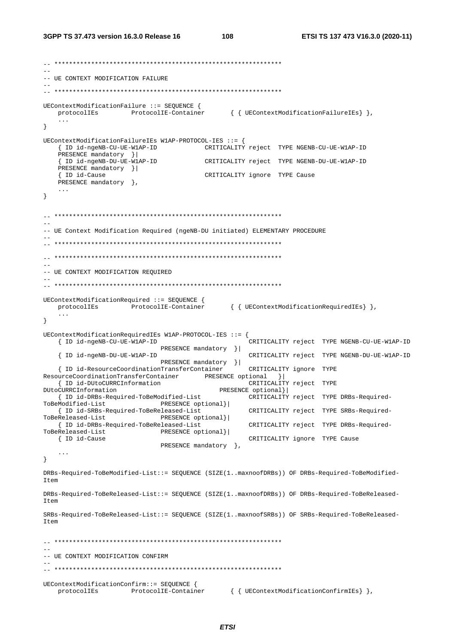-- UE CONTEXT MODIFICATION FAILURE UEContextModificationFailure ::= SEOUENCE { protocolIEs ProtocolIE-Container { { UEContextModificationFailureIEs } },  $\sim$   $\sim$   $\sim$  $\left\{ \right\}$ UEContextModificationFailureIEs W1AP-PROTOCOL-IES ::= { { ID id-ngeNB-CU-UE-W1AP-ID CRITICALITY reject TYPE NGENB-CU-UE-W1AP-ID PRESENCE mandatory } | { ID id-ngeNB-DU-UE-WIAP-ID CRITICALITY reject TYPE NGENB-DU-UE-W1AP-ID PRESENCE mandatory } | CRITICALITY ignore TYPE Cause { ID id-Cause PRESENCE mandatory },  $\ldots$  $\left\{ \right.$  $-$ -- UE Context Modification Required (ngeNB-DU initiated) ELEMENTARY PROCEDURE -- UE CONTEXT MODIFICATION REQUIRED UEContextModificationRequired ::= SEQUENCE { protocolIEs ProtocolIE-Container { { UEContextModificationRequiredIEs } },  $\ddots$  $\left\{ \right.$ UEContextModificationRequiredIEs W1AP-PROTOCOL-IES ::= { { ID id-ngeNB-CU-UE-W1AP-ID .<br>CRITICALITY reject TYPE NGENB-CU-UE-W1AP-ID PRESENCE mandatory } | CRITICALITY reject TYPE NGENB-DU-UE-W1AP-ID { ID id-ngeNB-DU-UE-W1AP-ID PRESENCE mandatory }| { ID id-ResourceCoordinationTransferContainer CRITICALITY ignore TYPE ResourceCoordinationTransferContainer PRESENCE optional } | { ID id-DUtoCURRCInformation CRITICALITY reject TYPE PRESENCE optional} DUtoCURRCInformation { ID id-DRBs-Required-ToBeModified-List CRITICALITY reject TYPE DRBs-Required-PRESENCE optional}| ToBeModified-List CRITICALITY reject TYPE SRBs-Required-{ ID id-SRBs-Required-ToBeReleased-List ToBeReleased-List PRESENCE optional}| { ID id-DRBs-Required-ToBeReleased-List CRITICALITY reject TYPE DRBs-Required-ToBeReleased-List PRESENCE optional}| { ID id-Cause CRITICALITY ignore TYPE Cause PRESENCE mandatory },  $\sim$   $\sim$   $\sim$  $\left\{ \right\}$ DRBs-Required-ToBeModified-List::= SEQUENCE (SIZE(1..maxnoofDRBs)) OF DRBs-Required-ToBeModified-Item DRBs-Required-ToBeReleased-List::= SEQUENCE (SIZE(1..maxnoofDRBs)) OF DRBs-Required-ToBeReleased-Ttem SRBs-Required-ToBeReleased-List::= SEQUENCE (SIZE(1..maxnoofSRBs)) OF SRBs-Required-ToBeReleased- $T \uparrow \varphi$ m -- UE CONTEXT MODIFICATION CONFIRM UEContextModificationConfirm::= SEQUENCE { ProtocolIE-Container { { UEContextModificationConfirmIEs} }, protocolIEs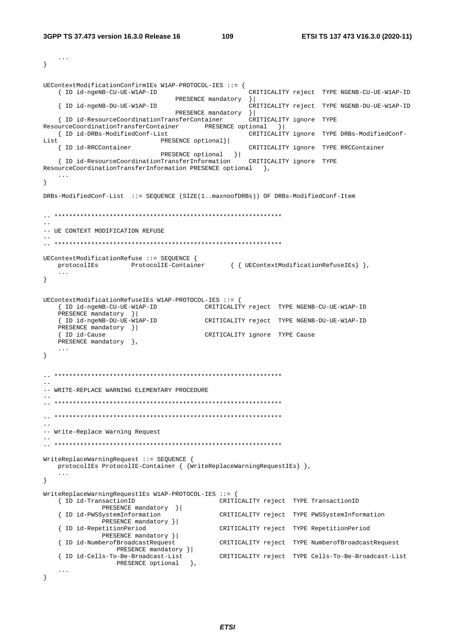```
\sim . . .
\mathcal{F}UEContextModificationConfirmIEs W1AP-PROTOCOL-IES ::= {
                                                CRITICALITY reject TYPE NGENB-CU-UE-W1AP-ID
  { ID id-ngeNB-CU-UE-W1AP-ID
                              PRESENCE mandatory } |
   { ID id-ngeNB-DU-UE-W1AP-ID
                                                CRITICALITY reject TYPE NGENB-DU-UE-W1AP-ID
                              PRESENCE mandatory } |
   { ID id-ResourceCoordinationTransferContainer
                                                CRITICALITY ignore TYPE
ResourceCoordinationTransferContainer PRESENCE optional } |
   { ID id-DRBs-ModifiedConf-List
                                               CRITICALITY ignore TYPE DRBs-ModifiedConf-
T.i \neq tPRESENCE optional}|
   { ID id-RRCContainer
                                                CRITICALITY ignore TYPE RRCContainer
   PRESENCE optional } |<br>{ ID id-ResourceCoordinationTransferInformation CRITICALITY ignore TYPE
ResourceCoordinationTransferInformation PRESENCE optional },
\rightarrowDRBs-ModifiedConf-List ::= SEOUENCE (SIZE(1..maxnoofDRBs)) OF DRBs-ModifiedConf-Item
\sim-- UE CONTEXT MODIFICATION REFUSE
UEContextModificationRefuse ::= SEOUENCE {
               ProtocolIE-Container { { UEContextModificationRefuseIEs} },
  protocolIEs
   \sim 10 \sim\left\{ \right.UEContextModificationRefuseIEs W1AP-PROTOCOL-IES ::= {
   { ID id-ngeNB-CU-UE-W1AP-ID CRITICALITY reject TYPE NGENB-CU-UE-W1AP-ID
   PRESENCE mandatory } |
   { ID id-ngeNB-DU-UE-WIAP-ID
                                    CRITICALITY reject TYPE NGENB-DU-UE-W1AP-ID
   PRESENCE mandatory } |
   { ID id-Cause
                                    CRITICALITY ignore TYPE Cause
   PRESENCE mandatory \},
   \mathbf{1}\left\{ \right.--- WRITE-REPLACE WARNING ELEMENTARY PROCEDURE
-- Write-Replace Warning Request
WriteReplaceWarningRequest ::= SEQUENCE {
   protocolIEs ProtocolIE-Container { {WriteReplaceWarningRequestIEs} },
\left\{ \right.WriteReplaceWarningRequestIEs W1AP-PROTOCOL-IES ::= {
                                         CRITICALITY reject TYPE TransactionID
   { ID id-TransactionID
             PRESENCE mandatory } |
   { ID id-PWSSystemInformation
                                         CRITICALITY reject TYPE PWSSystemInformation
            PRESENCE mandatory } |
   { ID id-RepetitionPeriod
                                         CRITICALITY reject TYPE RepetitionPeriod
             PRESENCE mandatory }|
   { ID id-NumberofBroadcastRequest
                                         CRITICALITY reject TYPE NumberofBroadcastRequest
                PRESENCE mandatory } |
   { ID id-Cells-To-Be-Broadcast-List
                                         CRITICALITY reject TYPE Cells-To-Be-Broadcast-List
                PRESENCE optional },
   \sim . \sim\left\{ \right\}
```

```
ETSI
```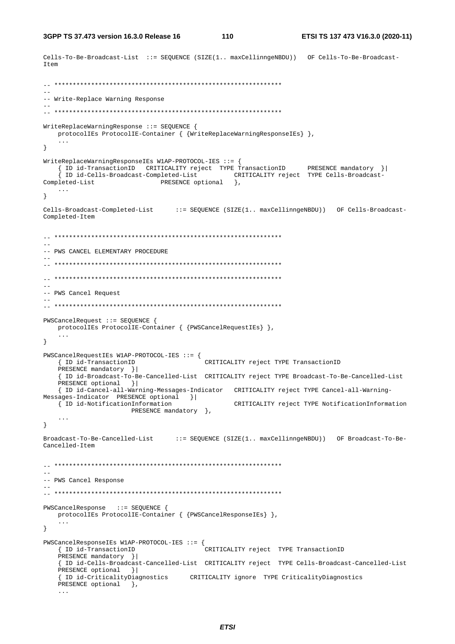```
Cells-To-Be-Broadcast-List ::= SEQUENCE (SIZE(1.. maxCellinngeNBDU)) OF Cells-To-Be-Broadcast-
Item
-- Write-Replace Warning Response
WriteReplaceWarningResponse ::= SEQUENCE {
   \verb|protocolIES| \verb|ProtocolIE-Container| { {WriteReplaceWarning} ResponseIES | },\left\{ \right\}WriteReplaceWarningResponseIEs W1AP-PROTOCOL-IES : := {
   PRESENCE optional
                                       \{\},
Completed-List
  \ldots\mathcal{E}Cells-Broadcast-Completed-List ::= SEQUENCE (SIZE(1.. maxCellinngeNBDU)) OF Cells-Broadcast-
Completed-Item
-- PWS CANCEL ELEMENTARY PROCEDURE
\sim \sim-- PWS Cancel Request
PWSCancelRequest ::= SEQUENCE {
  protocolIEs ProtocolIE-Container { {PWSCancelRequestIEs} },
\left\{ \right.{\tt PWSC} \texttt{ancelRequestIES} \texttt{ W1AP-PROTOCOL-IES} :: = \{{ ID id-TransactionID
                                  CRITICALITY reject TYPE TransactionID
   PRESENCE mandatory } |
   { ID id-Broadcast-To-Be-Cancelled-List CRITICALITY reject TYPE Broadcast-To-Be-Cancelled-List
   PRESENCE optional } |
   { ID id-Cancel-all-Warning-Messages-Indicator CRITICALITY reject TYPE Cancel-all-Warning-
Messages-Indicator PRESENCE optional }|
  { ID id-NotificationInformation
                                       CRITICALITY reject TYPE NotificationInformation
                  PRESENCE mandatory },
   \sim .
\mathcal{E}Broadcast-To-Be-Cancelled-List ::= SEQUENCE (SIZE(1.. maxCellinnqeNBDU)) OF Broadcast-To-Be-
Cancalled-Item=--- PWS Cancel Response
PWSCancelResponse ::= SEQUENCE {
  protocolIEs ProtocolIE-Container { {PWSCancelResponseIEs} },
   \mathbf{1}\left\{ \right\}PWSCancelResponseIEs W1AP-PROTOCOL-IES ::= {
   { ID id-TransactionID
                                  CRITICALITY reject TYPE TransactionID
   PRESENCE mandatory } |
   { ID id-Cells-Broadcast-Cancelled-List CRITICALITY reject TYPE Cells-Broadcast-Cancelled-List
   PRESENCE optional } |
   { ID id-CriticalityDiagnostics CRITICALITY ignore TYPE CriticalityDiagnostics
   PRESENCE optional \},
   \mathbb{R}^2
```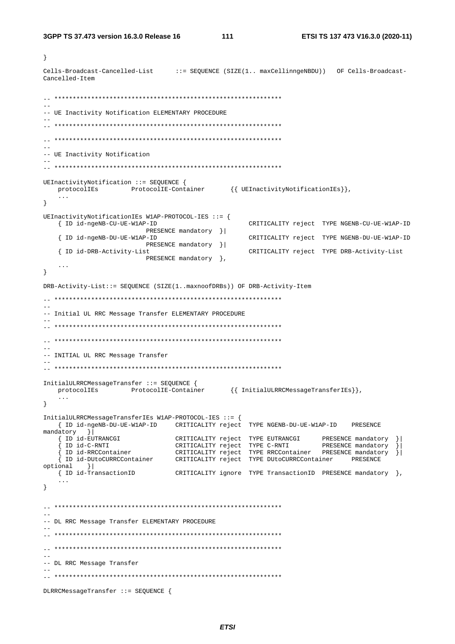$\left\{ \right\}$ 

 $111$ 

Cells-Broadcast-Cancelled-List ::= SEQUENCE (SIZE(1.. maxCellinngeNBDU)) OF Cells-Broadcast-Cancelled-Item  $\sim$ -- UE Inactivity Notification ELEMENTARY PROCEDURE  $\sim$  --- UE Inactivity Notification  $\equiv$ UEInactivityNotification ::= SEQUENCE { protocolIEs ProtocolIE-Container {{ UEInactivityNotificationIEs}},  $\ldots$  $\}$ UEInactivityNotificationIEs W1AP-PROTOCOL-IES ::= { { ID id-ngeNB-CU-UE-W1AP-ID CRITICALITY reject TYPE NGENB-CU-UE-W1AP-ID PRESENCE mandatory } | { ID id-ngeNB-DU-UE-W1AP-ID CRITICALITY reject TYPE NGENB-DU-UE-W1AP-ID PRESENCE mandatory } | { ID id-DRB-Activity-List CRITICALITY reject TYPE DRB-Activity-List PRESENCE mandatory },  $\ldots$  $\left\{ \right\}$ DRB-Activity-List::= SEOUENCE (SIZE(1..maxnoofDRBs)) OF DRB-Activity-Item -- Initial UL RRC Message Transfer ELEMENTARY PROCEDURE  $\sim$   $\sim$ -- INITIAL UL RRC Message Transfer InitialULRRCMessageTransfer ::= SEQUENCE { protocolIEs ProtocolIE-Container {{ InitialULRRCMessageTransferIEs}}  $\sim 100$  .  $\left\{ \right\}$ InitialULRRCMessageTransferIEs W1AP-PROTOCOL-IES ::= { { ID id-ngeNB-DU-UE-W1AP-ID CRITICALITY reject TYPE NGENB-DU-UE-W1AP-ID PRESENCE  $\text{mandatory}$   $\vert$  $\left\{ \begin{array}{ll} \texttt{ID} & \texttt{id}-\texttt{EUTRANCGI} \end{array} \right.$  $optional$  } { ID id-TransactionID CRITICALITY ignore TYPE TransactionID PRESENCE mandatory },  $\ddotsc$  $\left\{ \right.$ -- DL RRC Message Transfer ELEMENTARY PROCEDURE  $-$ -- DL RRC Message Transfer DLRRCMessageTransfer ::= SEQUENCE {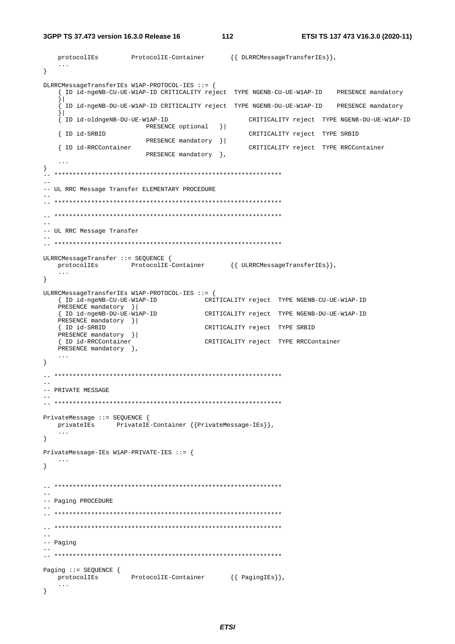$\overline{112}$ 

```
protocolIEs
                 ProtocolIE-Container
                                       {{ DLRRCMessageTransferIEs}},
   \sim .
\}DLRRCMessageTransferIEs W1AP-PROTOCOL-IES ::= {
   { ID id-ngeNB-CU-UE-W1AP-ID CRITICALITY reject TYPE NGENB-CU-UE-W1AP-ID PRESENCE mandatory
   \frac{1}{2}.<br>I ID id-ngeNB-DU-UE-W1AP-ID CRITICALITY reject TYPE NGENB-DU-UE-W1AP-ID PRESENCE mandatory
   \vert{ ID id-oldngeNB-DU-UE-W1AP-ID
                                            CRITICALITY reject TYPE NGENB-DU-UE-W1AP-ID
                     PRESENCE optional }|
   { ID id-SRBID
                                            CRITICALITY reject TYPE SRBID
                     PRESENCE mandatory }|
   { ID id-RRCContainer
                                            CRITICALITY reject TYPE RRCContainer
                     PRESENCE mandatory },
   \ldots\}\overline{a}-- UL RRC Message Transfer ELEMENTARY PROCEDURE
\sim \sim--- UL RRC Message Transfer
ULRRCMessageTransfer ::= SEQUENCE {
   protocolIEs ProtocolIE-Container {{ ULRRCMessageTransferIEs}},
   \ldots\left\{ \right.ULRRCMessageTransferIEs W1AP-PROTOCOL-IES ::= {
   { ID id-ngeNB-CU-UE-W1AP-ID CRITICALITY reject TYPE NGENB-CU-UE-W1AP-ID
   PRESENCE mandatory } |
   {ID id-ngeNB-DU-UE-W1AP-ID<br>{ID id-ngeNB-DU-UE-W1AP-ID<br>CRITICALITY reject TYPE NGENB-DU-UE-W1AP-ID
   PRESENCE mandatory } |
   { ID id-SRBID
                                 CRITICALITY reject TYPE SRBID
   PRESENCE mandatory ||{ ID id-RRCContainer
                                 CRITICALITY reject TYPE RRCContainer
   PRESENCE mandatory },
\left\{ \right\}\frac{1}{2}-- PRIVATE MESSAGE
PrivateMessage ::= SEQUENCE {
   privatelEs PrivatelE-Container {{PrivateMessage-IEs}},
   \ldots\}PrivateMessage-IEs W1AP-PRIVATE-IES ::= {
\mathcal{E}\sim \sim-- Paging PROCEDURE
\sim \sim-- Paging
\begin{aligned} \mathtt{Paging} & \texttt{::= SEQUENCE} \left\{ \begin{array}{rcl} & \mathtt{ProtocolIE-Container} & \hspace{2.3cm} \left\{ \begin{array}{rcl} \mathtt{PagingIES} \end{array} \right\}, \end{aligned} \right. \end{aligned}\mathcal{E}
```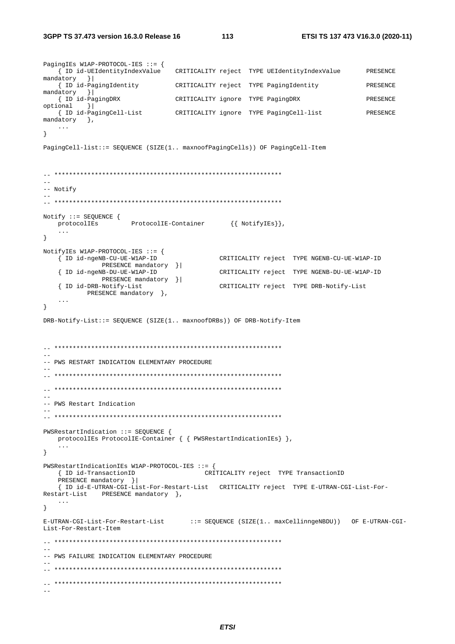PagingIEs W1AP-PROTOCOL-IES ::= { CRITICALITY reject TYPE UEIdentityIndexValue { ID id-UEIdentityIndexValue PRESENCE  $mandatory$  } { ID id-PagingIdentity CRITICALITY reject TYPE PagingIdentity PRESENCE  $mandatory$  } { ID id-PagingDRX CRITICALITY ignore TYPE PagingDRX PRESENCE  $optional$   $||$ { ID id-PagingCell-List CRITICALITY ignore TYPE PagingCell-list **PRESENCE**  $mandatory$  },  $\sim$  . . .  $\}$ PagingCell-list::= SEQUENCE (SIZE(1.. maxnoofPagingCells)) OF PagingCell-Item  $\rightarrow$  $--$  Notify  $\sim$   $\sim$  $\begin{aligned} \texttt{Notify} & \texttt{::= SEQUENCE} \; \{ \\ & \texttt{protocolIES} \; \; \; \; \; \texttt{ProtocolIE-Container} \; \; \; \; \; \; \{ \; \texttt{NotifyIES} \} \}, \end{aligned}$  $\left\{ \right.$ NotifyIEs W1AP-PROTOCOL-IES ::= { { ID id-ngeNB-CU-UE-W1AP-ID CRITICALITY reject TYPE NGENB-CU-UE-W1AP-ID PRESENCE mandatory } | { ID id-ngeNB-DU-UE-W1AP-ID CRITICALITY reject TYPE NGENB-DU-UE-W1AP-ID PRESENCE mandatory }| { ID id-DRB-Notify-List CRITICALITY reject TYPE DRB-Notify-List PRESENCE mandatory },  $\cdot$   $\cdot$   $\cdot$  $\left\{ \right.$ DRB-Notify-List: = SEQUENCE (SIZE(1.. maxnoofDRBs)) OF DRB-Notify-Item -- PWS RESTART INDICATION ELEMENTARY PROCEDURE -- PWS Restart Indication PWSRestartIndication ::= SEQUENCE { protocolIEs ProtocolIE-Container { { PWSRestartIndicationIEs} },  $\}$ PWSRestartIndicationIEs W1AP-PROTOCOL-IES ::= { { ID id-TransactionID CRITICALITY reject TYPE TransactionID PRESENCE mandatory } | { ID id-E-UTRAN-CGI-List-For-Restart-List CRITICALITY reject TYPE E-UTRAN-CGI-List-For-Restart-List PRESENCE mandatory },  $\sim$  .  $\sim$  $\left\{ \right.$ E-UTRAN-CGI-List-For-Restart-List ::= SEQUENCE (SIZE(1.. maxCellinngeNBDU)) OF E-UTRAN-CGI-List-For-Restart-Item -- PWS FAILURE INDICATION ELEMENTARY PROCEDURE  $\frac{1}{2}$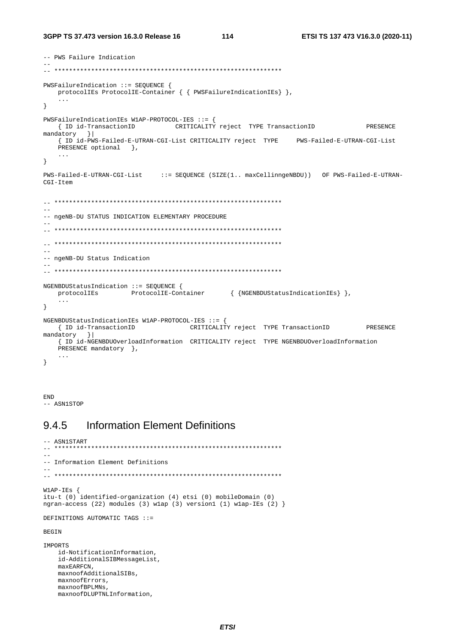```
-- PWS Failure Indication
PWSFailureIndication ::= SEQUENCE {
 protocolIEs ProtocolIE-Container { { PWSFailureIndicationIEs} },
   \sim . .
\mathcal{F}PWSFailureIndicationIEs W1AP-PROTOCOL-IES ::= {
  PRESENCE
mandatory
        \vert } |
  { ID id-PWS-Failed-E-UTRAN-CGI-List CRITICALITY reject TYPE PWS-Failed-E-UTRAN-CGI-List
  PRESENCE optional },
   \ddots\}PWS-Failed-E-UTRAN-CGI-List ::= SEQUENCE (SIZE(1.. maxCellinngeNBDU)) OF PWS-Failed-E-UTRAN-
CGI-Item
-- ngeNB-DU STATUS INDICATION ELEMENTARY PROCEDURE
\sim \sim-- ngeNB-DU Status Indication
L.
NGENBDUStatusIndication ::= SEOUENCE {
  \verb|protocolIES| \hspace{1.5cm} \verb|ProtocolIE-Container| \hspace{1.5cm} \{ \hspace{1.5cm} \verb|MSENDUStatusIndicationIES| \hspace{1.5cm} \},\sim \sim \sim\left\{ \right.NGENBDUStatusIndicationIEs W1AP-PROTOCOL-IES ::= {
  { ID id-TransactionID CRITICALITY reject TYPE TransactionID
                                                                   PRESENCE
mandatory
        \vert \vert{ ID id-NGENBDUOverloadInformation CRITICALITY reject TYPE NGENBDUOverloadInformation
  PRESENCE mandatory \}.
   \sim .
\mathcal{F}
```
**END** -- ASN1STOP

#### **Information Element Definitions** 9.4.5

```
-- ASN1START
  - -\equiv \equiv-- Information Element Definitions
W1AP-IEs {
itu-t (0) identified-organization (4) etsi (0) mobileDomain (0)
ngran-access (22) modules (3) wlap (3) version1 (1) wlap-IEs (2) }
DEFINITIONS AUTOMATIC TAGS ::=
BEGIN
IMPORTS
   id-NotificationInformation,
   id-AdditionalSIBMessageList,
   maxEARFCN,
  maxnoofAdditionalSIBs,
   maxnoofErrors.maxnoofBPLMNs.
   maxnoofDLUPTNLInformation,
```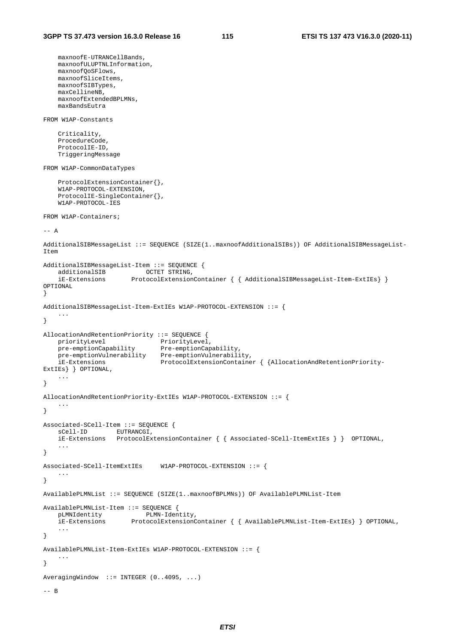```
 maxnoofE-UTRANCellBands, 
    maxnoofULUPTNLInformation, 
    maxnoofQoSFlows, 
    maxnoofSliceItems, 
    maxnoofSIBTypes, 
    maxCellineNB, 
    maxnoofExtendedBPLMNs, 
    maxBandsEutra 
FROM W1AP-Constants 
     Criticality, 
     ProcedureCode, 
     ProtocolIE-ID, 
     TriggeringMessage 
FROM W1AP-CommonDataTypes 
     ProtocolExtensionContainer{}, 
     W1AP-PROTOCOL-EXTENSION, 
     ProtocolIE-SingleContainer{}, 
    W1AP-PROTOCOL-IES 
FROM W1AP-Containers; 
-- A 
AdditionalSIBMessageList ::= SEQUENCE (SIZE(1..maxnoofAdditionalSIBs)) OF AdditionalSIBMessageList-
Item 
AdditionalSIBMessageList-Item ::= SEQUENCE { 
 additionalSIB OCTET STRING, 
 iE-Extensions ProtocolExtensionContainer { { AdditionalSIBMessageList-Item-ExtIEs} } 
OPTIONAL 
} 
AdditionalSIBMessageList-Item-ExtIEs W1AP-PROTOCOL-EXTENSION ::= { 
 ... 
} 
AllocationAndRetentionPriority ::= SEQUENCE { 
priorityLevel PriorityLevel,
 pre-emptionCapability Pre-emptionCapability, 
 pre-emptionVulnerability Pre-emptionVulnerability, 
 iE-Extensions ProtocolExtensionContainer { {AllocationAndRetentionPriority-
ExtIEs} } OPTIONAL, 
     ... 
} 
AllocationAndRetentionPriority-ExtIEs W1AP-PROTOCOL-EXTENSION ::= { 
     ... 
} 
Associated-SCell-Item ::= SEQUENCE { 
   sCell-ID EUTRANCGI,
    iE-Extensions ProtocolExtensionContainer { { Associated-SCell-ItemExtIEs } } OPTIONAL, 
 ... 
} 
Associated-SCell-ItemExtIEs W1AP-PROTOCOL-EXTENSION ::= { 
 ... 
} 
AvailablePLMNList ::= SEQUENCE (SIZE(1..maxnoofBPLMNs)) OF AvailablePLMNList-Item 
AvailablePLMNList-Item ::= SEQUENCE {<br>pLMNIdentity PLMN-Iden
   pLMNIdentity PLMN-Identity,<br>iE-Extensions ProtocolExtensionC
                       FrotocolExtensionContainer {\{} AwailablePLMMList-Item-ExtIES {\}} OPTIONAL,
     ... 
} 
AvailablePLMNList-Item-ExtIEs W1AP-PROTOCOL-EXTENSION ::= { 
 ... 
} 
AveragingWindow ::= INTEGER (0..4095, ...) 
-- B
```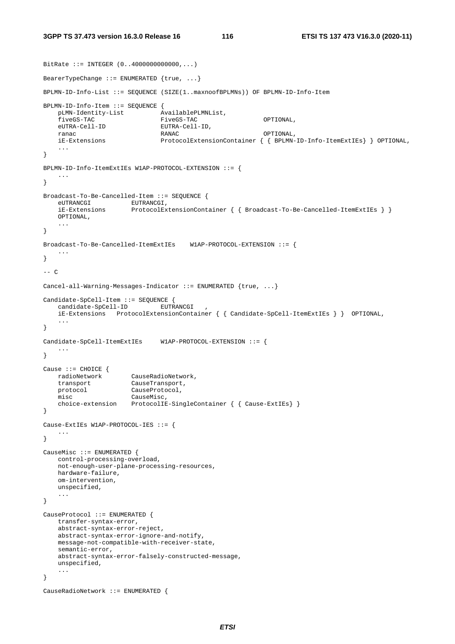```
BitRate ::= INTEGER (0..4000000000000,...) 
BearerTypeChange ::= ENUMERATED {true, ...} 
BPLMN-ID-Info-List ::= SEQUENCE (SIZE(1..maxnoofBPLMNs)) OF BPLMN-ID-Info-Item 
BPLMN-ID-Info-Item ::= SEQUENCE { 
    pLMN-Identity-List AvailablePLMNList, 
    fiveGS-TAC FiveGS-TAC OPTIONAL, 
    eUTRA-Cell-ID EUTRA-Cell-ID, 
 ranac RANAC OPTIONAL, 
    iE-Extensions ProtocolExtensionContainer { { BPLMN-ID-Info-ItemExtIEs} } OPTIONAL, 
    ... 
} 
BPLMN-ID-Info-ItemExtIEs W1AP-PROTOCOL-EXTENSION ::= { 
 ... 
} 
Broadcast-To-Be-Cancelled-Item ::= SEQUENCE { 
   eUTRANCGI EUTRANCGI,
    iE-Extensions ProtocolExtensionContainer { { Broadcast-To-Be-Cancelled-ItemExtIEs } }
    OPTIONAL, 
    ... 
} 
Broadcast-To-Be-Cancelled-ItemExtIEs W1AP-PROTOCOL-EXTENSION ::= { 
 ... 
} 
-- C 
Cancel-all-Warning-Messages-Indicator ::= ENUMERATED {true, ...} 
Candidate-SpCell-Item ::= SEQUENCE { 
    candidate-SpCell-ID EUTRANCGI , 
    iE-Extensions ProtocolExtensionContainer { { Candidate-SpCell-ItemExtIEs } } OPTIONAL, 
 ... 
} 
Candidate-SpCell-ItemExtIEs W1AP-PROTOCOL-EXTENSION ::= { 
    ... 
} 
Cause ::= CHOICE \{ radioNetwork CauseRadioNetwork, 
 transport CauseTransport, 
 protocol CauseProtocol, 
misc CauseMisc,
    choice-extension ProtocolIE-SingleContainer { { Cause-ExtIEs} } 
} 
Cause-ExtIEs W1AP-PROTOCOL-IES ::= { 
   ... 
} 
CauseMisc ::= ENUMERATED { 
    control-processing-overload, 
    not-enough-user-plane-processing-resources, 
    hardware-failure, 
    om-intervention, 
    unspecified, 
    ... 
} 
CauseProtocol ::= ENUMERATED { 
   transfer-syntax-error, 
    abstract-syntax-error-reject, 
    abstract-syntax-error-ignore-and-notify, 
    message-not-compatible-with-receiver-state, 
    semantic-error, 
    abstract-syntax-error-falsely-constructed-message, 
    unspecified, 
    ... 
} 
CauseRadioNetwork ::= ENUMERATED {
```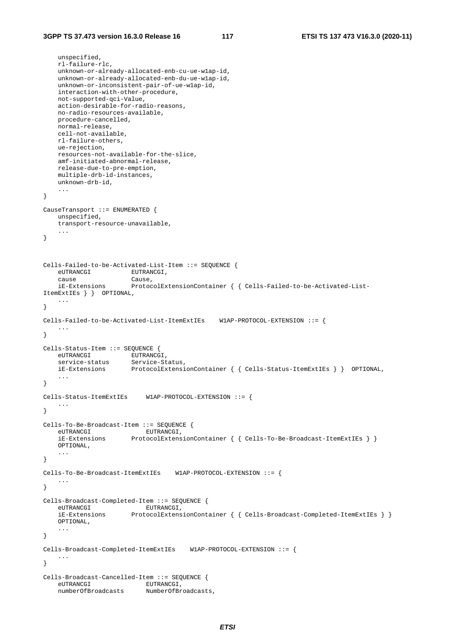```
 unspecified, 
     rl-failure-rlc, 
    unknown-or-already-allocated-enb-cu-ue-w1ap-id, 
     unknown-or-already-allocated-enb-du-ue-w1ap-id, 
     unknown-or-inconsistent-pair-of-ue-w1ap-id, 
    interaction-with-other-procedure, 
    not-supported-qci-Value, 
    action-desirable-for-radio-reasons, 
    no-radio-resources-available, 
    procedure-cancelled, 
    normal-release, 
    cell-not-available, 
    rl-failure-others, 
    ue-rejection, 
    resources-not-available-for-the-slice, 
    amf-initiated-abnormal-release, 
    release-due-to-pre-emption, 
    multiple-drb-id-instances, 
    unknown-drb-id, 
     ... 
} 
CauseTransport ::= ENUMERATED { 
    unspecified, 
    transport-resource-unavailable, 
 ... 
} 
Cells-Failed-to-be-Activated-List-Item ::= SEQUENCE { 
    eUTRANCGI EUTRANCGI,<br>Cause Cause
    cause
    iE-Extensions ProtocolExtensionContainer { { Cells-Failed-to-be-Activated-List-
ItemExtIEs } } OPTIONAL, 
 ... 
} 
Cells-Failed-to-be-Activated-List-ItemExtIEs W1AP-PROTOCOL-EXTENSION ::= { 
    ... 
} 
Cells-Status-Item ::= SEQUENCE { 
 eUTRANCGI EUTRANCGI, 
 service-status Service-Status, 
     iE-Extensions ProtocolExtensionContainer { { Cells-Status-ItemExtIEs } } OPTIONAL, 
 ... 
} 
Cells-Status-ItemExtIEs W1AP-PROTOCOL-EXTENSION ::= { 
     ... 
} 
Cells-To-Be-Broadcast-Item ::= SEQUENCE { 
   euTRANCGI<br>iE-Extensions
                      ProtocolExtensionContainer { { Cells-To-Be-Broadcast-ItemExtIEs } }
    OPTIONAL, 
     ... 
} 
Cells-To-Be-Broadcast-ItemExtIEs W1AP-PROTOCOL-EXTENSION ::= { 
    ... 
} 
Cells-Broadcast-Completed-Item ::= SEQUENCE { 
    eUTRANCGI EUTRANCGI,<br>iE-Extensions ProtocolExtens
                       ProtocolExtensionContainer { { Cells-Broadcast-Completed-ItemExtIES } } OPTIONAL, 
     ... 
} 
Cells-Broadcast-Completed-ItemExtIEs W1AP-PROTOCOL-EXTENSION ::= { 
 ... 
} 
Cells-Broadcast-Cancelled-Item ::= SEQUENCE { 
   eUTRANCGI
    numberOfBroadcasts NumberOfBroadcasts,
```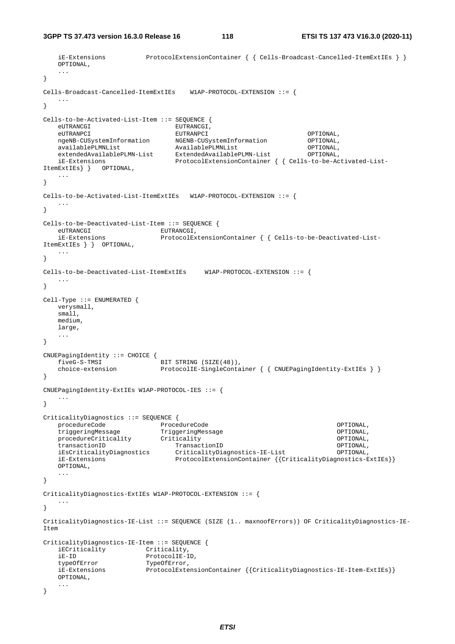**3GPP TS 37.473 version 16.3.0 Release 16 118 ETSI TS 137 473 V16.3.0 (2020-11)**

```
 iE-Extensions ProtocolExtensionContainer { { Cells-Broadcast-Cancelled-ItemExtIEs } }
    OPTIONAL, 
    ... 
} 
Cells-Broadcast-Cancelled-ItemExtIEs W1AP-PROTOCOL-EXTENSION ::= { 
 ... 
} 
Cells-to-be-Activated-List-Item ::= SEQUENCE { 
   eUTRANCGI EUTRANCGI, 
 eUTRANPCI EUTRANPCI OPTIONAL, 
 ngeNB-CUSystemInformation NGENB-CUSystemInformation OPTIONAL, 
 availablePLMNList AvailablePLMNList OPTIONAL, 
 extendedAvailablePLMN-List ExtendedAvailablePLMN-List OPTIONAL, 
 iE-Extensions ProtocolExtensionContainer { { Cells-to-be-Activated-List-
ItemExtIEs} } OPTIONAL, 
    ... 
} 
Cells-to-be-Activated-List-ItemExtIEs W1AP-PROTOCOL-EXTENSION ::= { 
    ... 
} 
Cells-to-be-Deactivated-List-Item ::= SEQUENCE { 
    eUTRANCGI EUTRANCGI, 
    iE-Extensions ProtocolExtensionContainer { { Cells-to-be-Deactivated-List-
ItemExtIEs } } OPTIONAL, 
 ... 
} 
Cells-to-be-Deactivated-List-ItemExtIEs W1AP-PROTOCOL-EXTENSION ::= { 
    ... 
} 
Cell-Type ::= ENUMERATED { 
   verysmall, 
    small, 
    medium, 
    large, 
    ... 
} 
CNUEPagingIdentity ::= CHOICE { 
   fiveG-S-TMSI BIT STRING (SIZE(48)),
   choice-extension ProtocolIE-SingleContainer { { CNUEPagingIdentity-ExtIEs } }
} 
CNUEPagingIdentity-ExtIEs W1AP-PROTOCOL-IES ::= { 
   ... 
} 
CriticalityDiagnostics ::= SEQUENCE {<br>procedureCode ProcedureCode
 procedureCode ProcedureCode OPTIONAL, 
 triggeringMessage TriggeringMessage OPTIONAL, 
 procedureCriticality Criticality OPTIONAL, 
 transactionID TransactionID OPTIONAL, 
    iEsCriticalityDiagnostics CriticalityDiagnostics-IE-List OPTIONAL, 
    iE-Extensions ProtocolExtensionContainer {{CriticalityDiagnostics-ExtIEs}} 
    OPTIONAL, 
 ... 
} 
CriticalityDiagnostics-ExtIEs W1AP-PROTOCOL-EXTENSION ::= { 
 ... 
} 
CriticalityDiagnostics-IE-List ::= SEQUENCE (SIZE (1.. maxnoofErrors)) OF CriticalityDiagnostics-IE-
Item 
CriticalityDiagnostics-IE-Item ::= SEQUENCE { 
    iECriticality Criticality, 
   iE-ID ProtocolIE-ID,<br>typeOfError TypeOfError,
   typeOfError TypeOfError,<br>iE-Extensions ProtocolExte
                       ProtocolExtensionContainer {{CriticalityDiagnostics-IE-Item-ExtIEs}}
    OPTIONAL, 
    ... 
}
```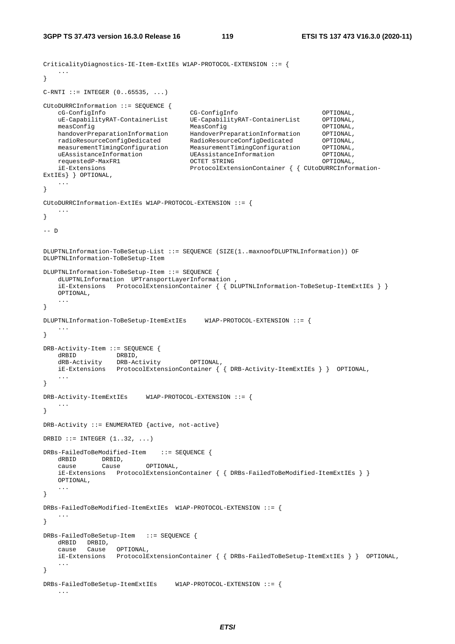```
CriticalityDiagnostics-IE-Item-ExtIEs W1AP-PROTOCOL-EXTENSION ::= { 
    ... 
} 
C-RTI ::= INTEGR (0..65535, ...)CUtoDURRCInformation ::= SEQUENCE { 
    cG-ConfigInfo CG-ConfigInfo OPTIONAL, 
    uE-CapabilityRAT-ContainerList UE-CapabilityRAT-ContainerList OPTIONAL, 
 measConfig MeasConfig OPTIONAL, 
 handoverPreparationInformation HandoverPreparationInformation OPTIONAL, 
 radioResourceConfigDedicated RadioResourceConfigDedicated OPTIONAL, 
 measurementTimingConfiguration MeasurementTimingConfiguration OPTIONAL, 
 uEAssistanceInformation UEAssistanceInformation OPTIONAL, 
 requestedP-MaxFR1 OCTET STRING OPTIONAL, 
    iE-Extensions ProtocolExtensionContainer { { CUtoDURRCInformation-
ExtIEs} } OPTIONAL, 
    ... 
} 
CUtoDURRCInformation-ExtIEs W1AP-PROTOCOL-EXTENSION ::= { 
 ... 
} 
-- D 
DLUPTNLInformation-ToBeSetup-List ::= SEQUENCE (SIZE(1..maxnoofDLUPTNLInformation)) OF 
DLUPTNLInformation-ToBeSetup-Item 
DLUPTNLInformation-ToBeSetup-Item ::= SEQUENCE { 
    dLUPTNLInformation UPTransportLayerInformation , 
    iE-Extensions ProtocolExtensionContainer { { DLUPTNLInformation-ToBeSetup-ItemExtIEs } }
    OPTIONAL, 
    ... 
} 
DLUPTNLInformation-ToBeSetup-ItemExtIEs W1AP-PROTOCOL-EXTENSION ::= { 
    ... 
} 
DRB-Activity-Item ::= SEQUENCE { 
 dRBID DRBID, 
 dRB-Activity DRB-Activity OPTIONAL, 
    iE-Extensions ProtocolExtensionContainer { { DRB-Activity-ItemExtIEs } } OPTIONAL, 
 ... 
} 
DRB-Activity-ItemExtIEs W1AP-PROTOCOL-EXTENSION ::= { 
    ... 
} 
DRB-Activity ::= ENUMERATED {active, not-active} 
DRBID ::= INTEGER (1..32, ...)DRBs-FailedToBeModified-Item ::= SEQUENCE { 
 dRBID DRBID, 
 cause Cause OPTIONAL, 
    iE-Extensions ProtocolExtensionContainer { { DRBs-FailedToBeModified-ItemExtIEs } }
    OPTIONAL, 
    ... 
} 
DRBs-FailedToBeModified-ItemExtIEs W1AP-PROTOCOL-EXTENSION ::= { 
    ... 
} 
DRBs-FailedToBeSetup-Item ::= SEQUENCE { 
    dRBID DRBID, 
 cause Cause OPTIONAL, 
 iE-Extensions ProtocolExtensionContainer { { DRBs-FailedToBeSetup-ItemExtIEs } } OPTIONAL, 
 ... 
} 
DRBs-FailedToBeSetup-ItemExtIEs W1AP-PROTOCOL-EXTENSION ::= { 
    ...
```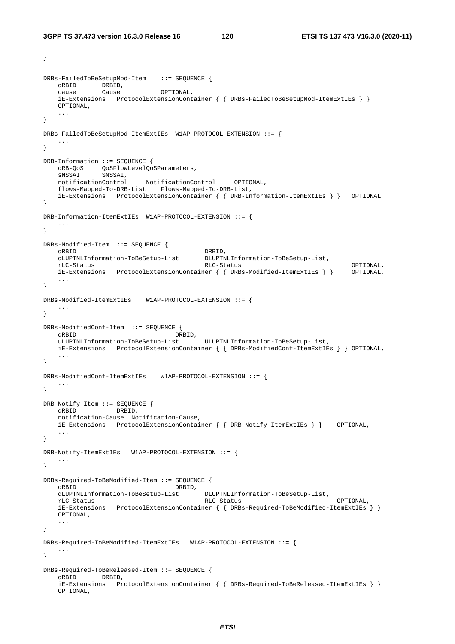}

```
\begin{array}{lllll} \texttt{DRBs-FailedToBeSetupMod-Item} & : := & \texttt{SEQUENCE} & \texttt{\{} \\ & & \texttt{DRBID} & & \texttt{DRBID} & & \texttt{OPTIONAL} & & \texttt{\{} \\ & & & \texttt{Cause} & & \texttt{OPTIONAL} & & \texttt{\{} \\ & & & & \texttt{Cause} & & \texttt{OPTIONAL} & & \texttt{\{} \\ \end{array} dRBID DRBID, 
 cause Cause OPTIONAL, 
     iE-Extensions ProtocolExtensionContainer { { DRBs-FailedToBeSetupMod-ItemExtIEs } }
    OPTIONAL, 
 ... 
} 
DRBs-FailedToBeSetupMod-ItemExtIEs W1AP-PROTOCOL-EXTENSION ::= { 
 ... 
} 
DRB-Information ::= SEQUENCE { 
dRB-QoS  QoSFlowLevelQoSParameters,
 sNSSAI SNSSAI, 
    notificationControl NotificationControl OPTIONAL, 
     flows-Mapped-To-DRB-List Flows-Mapped-To-DRB-List, 
    iE-Extensions ProtocolExtensionContainer { { DRB-Information-ItemExtIEs } } OPTIONAL 
} 
DRB-Information-ItemExtIEs W1AP-PROTOCOL-EXTENSION ::= { 
 ... 
} 
DRBs-Modified-Item ::= SEQUENCE { 
dRBID DRBID,
 dLUPTNLInformation-ToBeSetup-List DLUPTNLInformation-ToBeSetup-List, 
 rLC-Status RLC-Status OPTIONAL, 
    iE-Extensions ProtocolExtensionContainer { { DRBs-Modified-ItemExtIEs } } OPTIONAL, 
     ... 
} 
DRBs-Modified-ItemExtIEs W1AP-PROTOCOL-EXTENSION ::= { 
     ... 
} 
DRBs-ModifiedConf-Item ::= SEQUENCE { 
   dRBID<br>uLUPTNLInformation-ToBeSetup-List<br>ULUPTNLInformation-ToBeSetup-List,
    uLUPTNLInformation-ToBeSetup-List ULUPTNLInformation-ToBeSetup-List, 
    iE-Extensions ProtocolExtensionContainer { { DRBs-ModifiedConf-ItemExtIEs } } OPTIONAL, 
 ... 
} 
DRBs-ModifiedConf-ItemExtIEs W1AP-PROTOCOL-EXTENSION ::= { 
 ... 
} 
DRB-Notify-Item ::= SEQUENCE { 
    dRBID DRBID, 
     notification-Cause Notification-Cause, 
     iE-Extensions ProtocolExtensionContainer { { DRB-Notify-ItemExtIEs } } OPTIONAL, 
     ... 
} 
DRB-Notify-ItemExtIEs W1AP-PROTOCOL-EXTENSION ::= { 
 ... 
} 
DRBs-Required-ToBeModified-Item ::= SEQUENCE { 
  dRBID DRBID,
    dLUPTNLInformation-ToBeSetup-List DLUPTNLInformation-ToBeSetup-List, 
 rLC-Status RLC-Status OPTIONAL, 
     iE-Extensions ProtocolExtensionContainer { { DRBs-Required-ToBeModified-ItemExtIEs } }
     OPTIONAL, 
     ... 
} 
DRBs-Required-ToBeModified-ItemExtIEs W1AP-PROTOCOL-EXTENSION ::= { 
     ... 
} 
DRBs-Required-ToBeReleased-Item ::= SEQUENCE { 
    dRBID DRBID, 
     iE-Extensions ProtocolExtensionContainer { { DRBs-Required-ToBeReleased-ItemExtIEs } }
    OPTIONAL,
```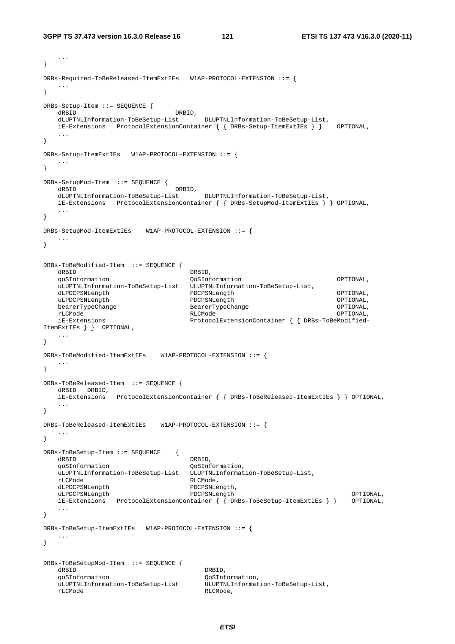```
 ... 
} 
DRBs-Required-ToBeReleased-ItemExtIEs W1AP-PROTOCOL-EXTENSION ::= { 
 ... 
} 
DRBs-Setup-Item ::= SEQUENCE { 
   dRBID, and the contract of the contract of the contract of the contract of the contract of the contract of the contract of the contract of the contract of the contract of the contract of the contract of the contract of the
    dLUPTNLInformation-ToBeSetup-List DLUPTNLInformation-ToBeSetup-List, 
 iE-Extensions ProtocolExtensionContainer { { DRBs-Setup-ItemExtIEs } } OPTIONAL, 
 ... 
} 
DRBs-Setup-ItemExtIEs W1AP-PROTOCOL-EXTENSION ::= { 
 ... 
} 
DRBs-SetupMod-Item ::= SEQUENCE { 
                                 DRBID,<br>st DLUPTNLInformation-ToBeSetup-List.
    dLUPTNLInformation-ToBeSetup-List DLUPTNLInformation-ToBeSetup-List, 
    iE-Extensions ProtocolExtensionContainer { { DRBs-SetupMod-ItemExtIEs } } OPTIONAL, 
    ... 
} 
DRBs-SetupMod-ItemExtIEs W1AP-PROTOCOL-EXTENSION ::= { 
    ... 
} 
DRBs-ToBeModified-Item ::= SEQUENCE { 
   dRBID DRBID, 
    qoSInformation QoSInformation OPTIONAL, 
    uLUPTNLInformation-ToBeSetup-List ULUPTNLInformation-ToBeSetup-List, 
   dLPDCPSNLength              PDCPSNLength                    OPTIONAL ,<br>uLPDCPSNLength               PDCPSNLength                  OPTIONAL ,
    uLPDCPSNLength PDCPSNLength OPTIONAL, 
    bearerTypeChange BearerTypeChange OPTIONAL, 
 rLCMode RLCMode OPTIONAL, 
    iE-Extensions ProtocolExtensionContainer { { DRBs-ToBeModified-
ItemExtIEs } } OPTIONAL, 
    ... 
} 
DRBs-ToBeModified-ItemExtIEs W1AP-PROTOCOL-EXTENSION ::= { 
   ... 
} 
DRBs-ToBeReleased-Item ::= SEQUENCE { 
    dRBID DRBID, 
    iE-Extensions ProtocolExtensionContainer { { DRBs-ToBeReleased-ItemExtIEs } } OPTIONAL, 
 ... 
} 
DRBs-ToBeReleased-ItemExtIEs W1AP-PROTOCOL-EXTENSION ::= { 
   ... 
} 
DRBs-ToBeSetup-Item ::= SEQUENCE { 
    dRBID DRBID, 
    qoSInformation QoSInformation, 
    uLUPTNLInformation-ToBeSetup-List ULUPTNLInformation-ToBeSetup-List, 
    rLCMode RLCMode, 
   dLPDCPSNLength PDCPSNLength,<br>uLPDCPSNLength PDCPSNLength
 uLPDCPSNLength PDCPSNLength OPTIONAL, 
 iE-Extensions ProtocolExtensionContainer { { DRBs-ToBeSetup-ItemExtIEs } } OPTIONAL, 
    ... 
} 
DRBs-ToBeSetup-ItemExtIEs W1AP-PROTOCOL-EXTENSION ::= { 
    ... 
} 
DRBs-ToBeSetupMod-Item ::= SEQUENCE { 
   dRBID DRBID,
   qoSInformation<br>uLUPTNLInformation-ToBeSetup-List ULUPTNLInformation-ToBeSetup-List,
   uLUPTNLInformation-ToBeSetup-List
    rLCMode RLCMode,
```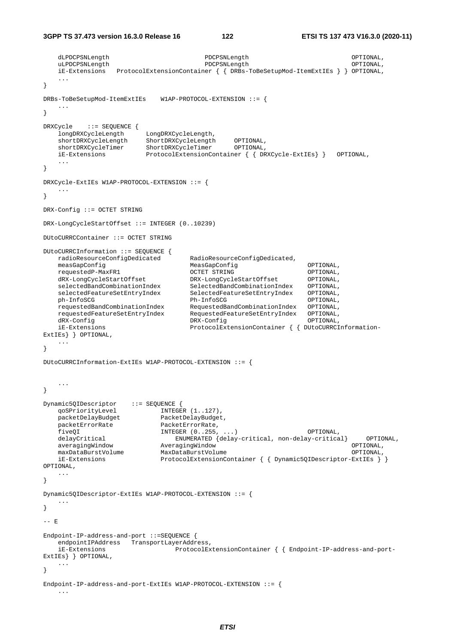```
 dLPDCPSNLength PDCPSNLength OPTIONAL, 
    uLPDCPSNLength PDCPSNLength OPTIONAL, 
    iE-Extensions ProtocolExtensionContainer { { DRBs-ToBeSetupMod-ItemExtIEs } } OPTIONAL, 
 ... 
} 
DRBs-ToBeSetupMod-ItemExtIEs W1AP-PROTOCOL-EXTENSION ::= { 
 ... 
} 
DRXCycle ::= SEQUENCE { 
 longDRXCycleLength LongDRXCycleLength, 
 shortDRXCycleLength ShortDRXCycleLength OPTIONAL, 
 shortDRXCycleTimer ShortDRXCycleTimer OPTIONAL, 
    iE-Extensions ProtocolExtensionContainer { { DRXCycle-ExtIEs} } OPTIONAL, 
    ... 
} 
DRXCycle-ExtIEs W1AP-PROTOCOL-EXTENSION ::= { 
    ... 
} 
DRX-Config ::= OCTET STRING 
DRX-LongCycleStartOffset ::= INTEGER (0..10239) 
DUtoCURRCContainer ::= OCTET STRING 
DUtoCURRCInformation ::= SEQUENCE { 
   radioResourceConfigDedicated RadioResourceConfigDedicated,
    measGapConfig MeasGapConfig OPTIONAL, 
 requestedP-MaxFR1 OCTET STRING OPTIONAL, 
 dRX-LongCycleStartOffset DRX-LongCycleStartOffset OPTIONAL, 
 selectedBandCombinationIndex SelectedBandCombinationIndex OPTIONAL, 
 selectedFeatureSetEntryIndex SelectedFeatureSetEntryIndex OPTIONAL, 
 ph-InfoSCG Ph-InfoSCG OPTIONAL, 
 requestedBandCombinationIndex RequestedBandCombinationIndex OPTIONAL, 
 requestedFeatureSetEntryIndex RequestedFeatureSetEntryIndex OPTIONAL, 
 dRX-Config DRX-Config OPTIONAL, 
 iE-Extensions ProtocolExtensionContainer { { DUtoCURRCInformation-
ExtIEs} } OPTIONAL, 
    ... 
} 
DUtoCURRCInformation-ExtIEs W1AP-PROTOCOL-EXTENSION ::= { 
    ... 
} 
Dynamic5QIDescriptor ::= SEQUENCE { 
 qoSPriorityLevel INTEGER (1..127), 
 packetDelayBudget PacketDelayBudget, 
packetErrorRate PacketErrorRate,
    fiveQI INTEGER (0..255, ...) OPTIONAL, 
   delayCritical ENUMERATED {delay-critical, non-delay-critical} OPTIONAL,<br>averagingWindow AveragingWindow OPTIONAL,
                        averagingWindow<br>MaxDataBurstVolume
   maxDataBurstVolume MaxDataBurstVolume (noting optional, organisation of the optional)
    iE-Extensions ProtocolExtensionContainer { { Dynamic5QIDescriptor-ExtIEs } } 
OPTIONAL, 
 ... 
} 
Dynamic5QIDescriptor-ExtIEs W1AP-PROTOCOL-EXTENSION ::= { 
 ... 
} 
-- E
Endpoint-IP-address-and-port ::=SEQUENCE { 
    endpointIPAddress TransportLayerAddress, 
    iE-Extensions ProtocolExtensionContainer { { Endpoint-IP-address-and-port-
ExtIEs} } OPTIONAL, 
    ... 
} 
Endpoint-IP-address-and-port-ExtIEs W1AP-PROTOCOL-EXTENSION ::= {
    ...
```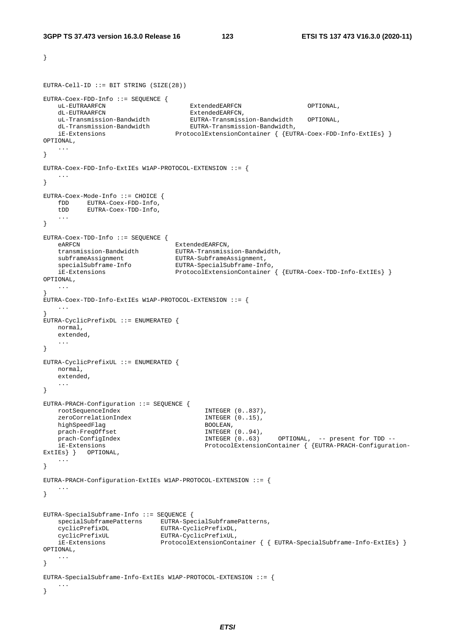```
} 
EUTRA-Cell-ID ::= BIT STRING (SIZE(28))
EUTRA-Coex-FDD-Info ::= SEQUENCE { 
   uL-EUTRAARFCN ExtendedEARFCN OPTIONAL, 
   dL-EUTRAARFCN ExtendedEARFCN,
 uL-Transmission-Bandwidth EUTRA-Transmission-Bandwidth OPTIONAL, 
 dL-Transmission-Bandwidth EUTRA-Transmission-Bandwidth, 
    iE-Extensions ProtocolExtensionContainer { {EUTRA-Coex-FDD-Info-ExtIEs} } 
OPTIONAL, 
    ... 
} 
EUTRA-Coex-FDD-Info-ExtIEs W1AP-PROTOCOL-EXTENSION ::= { 
 ... 
} 
EUTRA-Coex-Mode-Info ::= CHOICE { 
    fDD EUTRA-Coex-FDD-Info, 
    tDD EUTRA-Coex-TDD-Info, 
    ... 
} 
EUTRA-Coex-TDD-Info ::= SEQUENCE { 
eARFCN ExtendedEARFCN,
 transmission-Bandwidth EUTRA-Transmission-Bandwidth, 
 subframeAssignment EUTRA-SubframeAssignment, 
 specialSubframe-Info EUTRA-SpecialSubframe-Info, 
    iE-Extensions ProtocolExtensionContainer { {EUTRA-Coex-TDD-Info-ExtIEs} } 
OPTIONAL, 
    ... 
} 
EUTRA-Coex-TDD-Info-ExtIEs W1AP-PROTOCOL-EXTENSION ::= { 
    ... 
} 
EUTRA-CyclicPrefixDL ::= ENUMERATED { 
   normal, 
    extended, 
    ... 
} 
EUTRA-CyclicPrefixUL ::= ENUMERATED { 
    normal, 
    extended, 
    ... 
} 
EUTRA-PRACH-Configuration ::= SEQUENCE { 
    rootSequenceIndex INTEGER (0..837), 
   zeroCorrelationIndex 1NTEGER (0..15),<br>highSpeedFlag BOOLEAN,
   highSpeedFlag<br>prach-FreqOffset and BOOLEAN, INTEGER (0..94),
   prach-FreqOffset
 prach-ConfigIndex INTEGER (0..63) OPTIONAL, -- present for TDD -- 
 iE-Extensions ProtocolExtensionContainer { {EUTRA-PRACH-Configuration-
ExtIEs } } OPTIONAL,
    ... 
} 
EUTRA-PRACH-Configuration-ExtIEs W1AP-PROTOCOL-EXTENSION ::= { 
    ... 
} 
EUTRA-SpecialSubframe-Info ::= SEQUENCE { 
   specialSubframePatterns EUTRA-SpecialSubframePatterns, 
 cyclicPrefixDL EUTRA-CyclicPrefixDL, 
 cyclicPrefixUL EUTRA-CyclicPrefixUL, 
    iE-Extensions ProtocolExtensionContainer { { EUTRA-SpecialSubframe-Info-ExtIEs} } 
OPTIONAL, 
    ... 
} 
EUTRA-SpecialSubframe-Info-ExtIEs W1AP-PROTOCOL-EXTENSION ::= { 
    ... 
}
```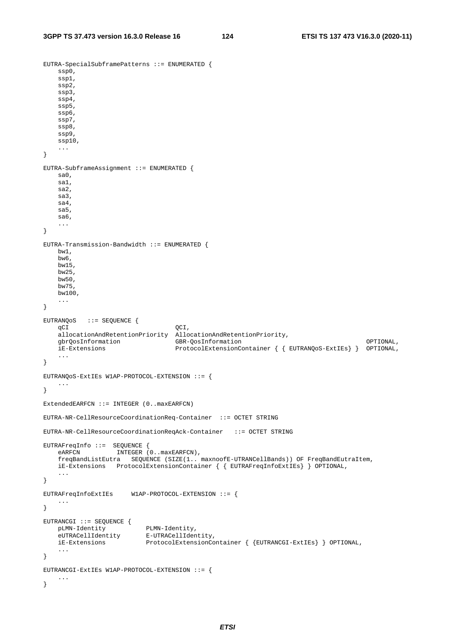EUTRA-SpecialSubframePatterns ::= ENUMERATED {

```
 ssp0, 
     ssp1, 
     ssp2, 
     ssp3, 
     ssp4, 
     ssp5, 
     ssp6, 
     ssp7, 
    ssp8, 
     ssp9, 
     ssp10, 
     ... 
} 
EUTRA-SubframeAssignment ::= ENUMERATED { 
     sa0, 
     sa1, 
    sa2, 
    sa3, 
    sa4, 
     sa5, 
    sa6, 
     ... 
} 
EUTRA-Transmission-Bandwidth ::= ENUMERATED { 
    bw1, 
    bw6, 
    bw15, 
    bw25, 
    bw50, 
    bw75, 
    bw100, 
     ... 
} 
EUTRANQoS ::= SEQUENCE { 
    qCI QCI,
    allocationAndRetentionPriority AllocationAndRetentionPriority,<br>
GBR-OosInformation<br>
GBR-OosInformation
    gbrQosInformation GBR-QosInformation OPTIONAL, 
                                    ProtocolExtensionContainer { { EUTRANQoS-ExtIEs} } OPTIONAL,
     ... 
} 
EUTRANQoS-ExtIEs W1AP-PROTOCOL-EXTENSION ::= { 
     ... 
} 
ExtendedEARFCN ::= INTEGER (0..maxEARFCN) 
EUTRA-NR-CellResourceCoordinationReq-Container ::= OCTET STRING 
EUTRA-NR-CellResourceCoordinationReqAck-Container ::= OCTET STRING 
EUTRAFreqInfo ::= SEQUENCE { 
   eARFCN INTEGER (0..maxEARFCN),
     freqBandListEutra SEQUENCE (SIZE(1.. maxnoofE-UTRANCellBands)) OF FreqBandEutraItem, 
    iE-Extensions ProtocolExtensionContainer { { EUTRAFreqInfoExtIEs} } OPTIONAL, 
     ... 
} 
EUTRAFreqInfoExtIEs W1AP-PROTOCOL-EXTENSION ::= { 
    ... 
} 
EUTRANCGI ::= SEQUENCE { 
    pLMN-Identity PLMN-Identity, 
     eUTRACellIdentity E-UTRACellIdentity, 
    iE-Extensions ProtocolExtensionContainer { {EUTRANCGI-ExtIEs} } OPTIONAL, 
     ... 
} 
EUTRANCGI-ExtIEs W1AP-PROTOCOL-EXTENSION ::= { 
    ... 
}
```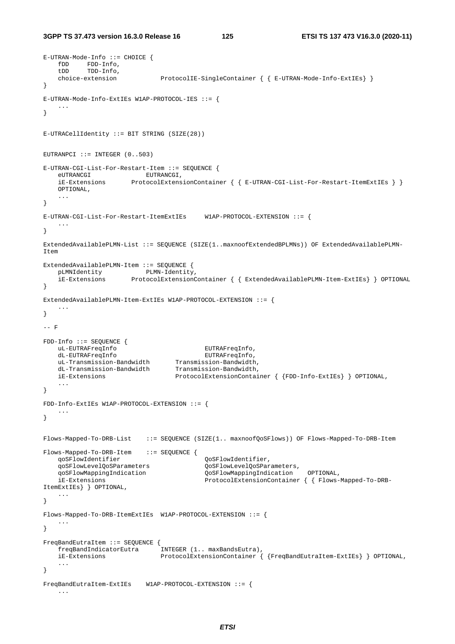```
E-UTRAN-Mode-Info ::= CHOICE { 
 fDD FDD-Info, 
 tDD TDD-Info, 
    choice-extension ProtocolIE-SingleContainer { { E-UTRAN-Mode-Info-ExtIEs} } 
} 
E-UTRAN-Mode-Info-ExtIEs W1AP-PROTOCOL-IES ::= { 
    ... 
} 
E-UTRACellIdentity ::= BIT STRING (SIZE(28)) 
EUTRANPCI ::= INTEGER (0..503)E-UTRAN-CGI-List-For-Restart-Item ::= SEQUENCE { 
eUTRANCGI EUTRANCGI,
 iE-Extensions ProtocolExtensionContainer { { E-UTRAN-CGI-List-For-Restart-ItemExtIEs } }
    OPTIONAL, 
    ... 
} 
E-UTRAN-CGI-List-For-Restart-ItemExtIEs W1AP-PROTOCOL-EXTENSION ::= {
 ... 
} 
ExtendedAvailablePLMN-List ::= SEQUENCE (SIZE(1..maxnoofExtendedBPLMNs)) OF ExtendedAvailablePLMN-
Item 
ExtendedAvailablePLMN-Item ::= SEQUENCE {<br>pLMNIdentity PLMN-Identity,
  pLMNIdentity<br>iE-Extensions
                     ProtocolExtensionContainer { { ExtendedAvailablePLMN-Item-ExtIEs} } OPTIONAL
} 
ExtendedAvailablePLMN-Item-ExtIEs W1AP-PROTOCOL-EXTENSION ::= { 
    ... 
} 
-- F 
FDD-Info ::= SEQUENCE { 
   uL-EUTRAFreqInfo EUTRAFreqInfo, 
    dL-EUTRAFreqInfo EUTRAFreqInfo, 
 uL-Transmission-Bandwidth Transmission-Bandwidth, 
 dL-Transmission-Bandwidth Transmission-Bandwidth, 
    iE-Extensions ProtocolExtensionContainer { {FDD-Info-ExtIEs} } OPTIONAL, 
    ... 
} 
FDD-Info-ExtIEs W1AP-PROTOCOL-EXTENSION ::= { 
 ... 
} 
Flows-Mapped-To-DRB-List ::= SEQUENCE (SIZE(1.. maxnoofQoSFlows)) OF Flows-Mapped-To-DRB-Item 
Flows-Mapped-To-DRB-Item ::= SEQUENCE { 
    qoSFlowIdentifier QoSFlowIdentifier, 
    qoSFlowLevelQoSParameters QoSFlowLevelQoSParameters, 
    qoSFlowMappingIndication QoSFlowMappingIndication OPTIONAL, 
    iE-Extensions ProtocolExtensionContainer { { Flows-Mapped-To-DRB-
ItemExtIEs} } OPTIONAL, 
    ... 
} 
Flows-Mapped-To-DRB-ItemExtIEs W1AP-PROTOCOL-EXTENSION ::= { 
    ... 
} 
FreqBandEutraItem ::= SEQUENCE { 
    freqBandIndicatorEutra INTEGER (1.. maxBandsEutra), 
    iE-Extensions ProtocolExtensionContainer { {FreqBandEutraItem-ExtIEs} } OPTIONAL, 
    ... 
} 
FreqBandEutraItem-ExtIEs W1AP-PROTOCOL-EXTENSION ::= { 
    ...
```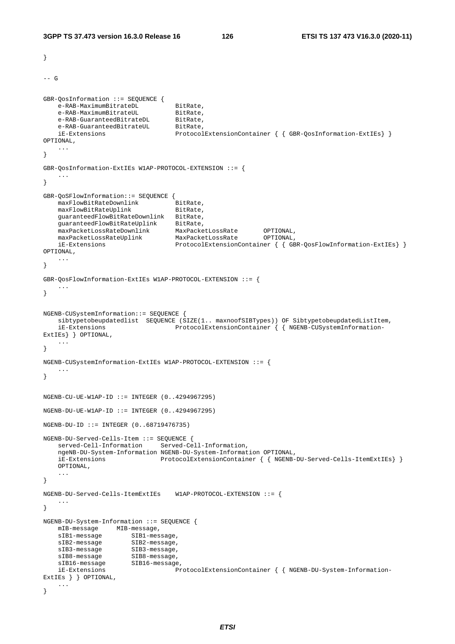```
} 
--- G
GBR-QosInformation ::= SEQUENCE { 
   e-RAB-MaximumBitrateDL<br>e-RAB-MaximumBitrateUL<br>BitRate,
   e-RAB-MaximumBitrateUL
 e-RAB-GuaranteedBitrateDL BitRate, 
e-RAB-GuaranteedBitrateUL BitRate,
    iE-Extensions ProtocolExtensionContainer { { GBR-QosInformation-ExtIEs} } 
OPTIONAL, 
    ... 
} 
GBR-QosInformation-ExtIEs W1AP-PROTOCOL-EXTENSION ::= { 
 ... 
} 
GBR-QoSFlowInformation::= SEQUENCE { 
    maxFlowBitRateDownlink BitRate, 
   maxFlowBitRateUplink BitRate,
    guaranteedFlowBitRateDownlink BitRate, 
 guaranteedFlowBitRateUplink BitRate, 
 maxPacketLossRateDownlink MaxPacketLossRate OPTIONAL, 
 maxPacketLossRateUplink MaxPacketLossRate OPTIONAL, 
 iE-Extensions ProtocolExtensionContainer { { GBR-QosFlowInformation-ExtIEs} } 
OPTIONAL, 
    ... 
} 
GBR-QosFlowInformation-ExtIEs W1AP-PROTOCOL-EXTENSION ::= { 
    ... 
} 
NGENB-CUSystemInformation::= SEQUENCE { 
    sibtypetobeupdatedlist SEQUENCE (SIZE(1.. maxnoofSIBTypes)) OF SibtypetobeupdatedListItem, 
    iE-Extensions ProtocolExtensionContainer { { NGENB-CUSystemInformation-
ExtIEs} } OPTIONAL, 
    ... 
} 
NGENB-CUSystemInformation-ExtIEs W1AP-PROTOCOL-EXTENSION ::= { 
    ... 
} 
NGENB-CU-UE-W1AP-ID ::= INTEGER (0..4294967295) 
NGENB-DU-UE-W1AP-ID ::= INTEGR (0..4294967295)NGENB-DU-ID ::= INTEGER (0..68719476735) 
NGENB-DU-Served-Cells-Item ::= SEQUENCE { 
    served-Cell-Information Served-Cell-Information, 
    ngeNB-DU-System-Information NGENB-DU-System-Information OPTIONAL, 
    iE-Extensions ProtocolExtensionContainer { { NGENB-DU-Served-Cells-ItemExtIEs} }
    OPTIONAL, 
 ... 
} 
NGENB-DU-Served-Cells-ItemExtIEs W1AP-PROTOCOL-EXTENSION ::= { 
 ... 
} 
NGENB-DU-System-Information ::= SEQUENCE { 
    mIB-message MIB-message, 
   sIB1-message SIB1-message,
   sIB2-message SIB2-message,<br>sIB3-message SIB3-message,<br>sIB8-message SIB8-message,
    sIB3-message SIB3-message, 
sIB8-message SIB8-message,
sIB16-message SIB16-message,
    iE-Extensions ProtocolExtensionContainer { { NGENB-DU-System-Information-
ExtIEs } } OPTIONAL, 
    ... 
}
```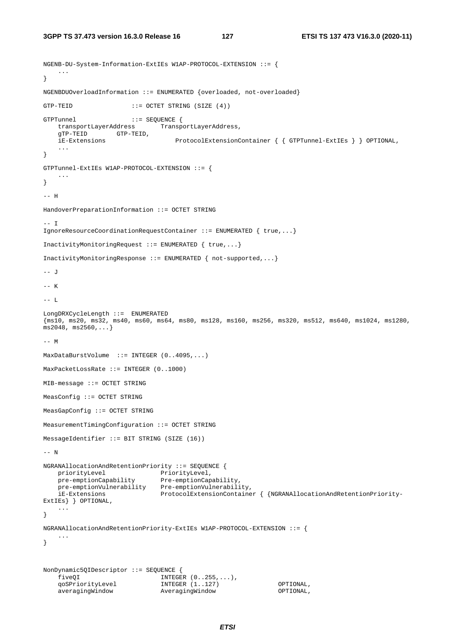```
NGENB-DU-System-Information-ExtIEs W1AP-PROTOCOL-EXTENSION ::= { 
    ... 
} 
NGENBDUOverloadInformation ::= ENUMERATED {overloaded, not-overloaded} 
GTP-TEID ::= OCTET STRING (SIZE (4)) 
GTPTunnel ::= SEQUENCE {
    transportLayerAddress TransportLayerAddress, 
    gTP-TEID GTP-TEID, 
    iE-Extensions ProtocolExtensionContainer { { GTPTunnel-ExtIEs } } OPTIONAL, 
     ... 
} 
GTPTunnel-ExtIEs W1AP-PROTOCOL-EXTENSION ::= { 
    ... 
} 
-- H 
HandoverPreparationInformation ::= OCTET STRING 
--- T
IgnoreResourceCoordinationRequestContainer ::= ENUMERATED { true,...} 
InactivityMonitoringRequest ::= ENUMERATED { true,...} 
InactivityMonitoringResponse ::= ENUMERATED { not-supported,...} 
-- J 
-- K 
-- L 
LongDRXCycleLength ::= ENUMERATED 
{ms10, ms20, ms32, ms40, ms60, ms64, ms80, ms128, ms160, ms256, ms320, ms512, ms640, ms1024, ms1280, 
ms2048, ms2560,...} 
--- MMaxDataBurstVolume ::= INTEGER (0..4095,...) 
MaxPacketLossRate ::= INTEGER (0..1000) 
MIB-message ::= OCTET STRING 
MeasConfig ::= OCTET STRING 
MeasGapConfig ::= OCTET STRING 
MeasurementTimingConfiguration ::= OCTET STRING 
MessageIdentifier ::= BIT STRING (SIZE (16))
-- N 
NGRANAllocationAndRetentionPriority ::= SEQUENCE { 
priorityLevel PriorityLevel,
 pre-emptionCapability Pre-emptionCapability, 
   pre-emptionVulnerability Pre-emptionVulnerability,<br>iE-Extensions ProtocolExtensionContaine
                               iE-Extensions ProtocolExtensionContainer { {NGRANAllocationAndRetentionPriority-
ExtIEs} } OPTIONAL, 
     ... 
} 
NGRANAllocationAndRetentionPriority-ExtIEs W1AP-PROTOCOL-EXTENSION ::= { 
     ... 
} 
NonDynamic5QIDescriptor ::= SEQUENCE { 
 fiveQI INTEGER (0..255,...), 
 qoSPriorityLevel INTEGER (1..127) OPTIONAL, 
 averagingWindow AveragingWindow OPTIONAL,
```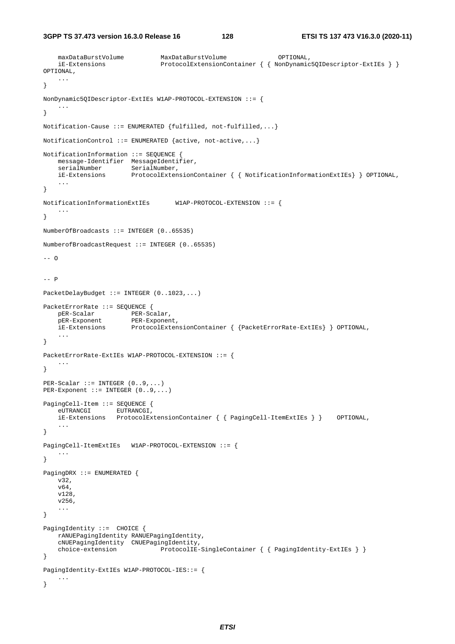```
 maxDataBurstVolume MaxDataBurstVolume OPTIONAL, 
     iE-Extensions ProtocolExtensionContainer { { NonDynamic5QIDescriptor-ExtIEs } } 
OPTIONAL, 
 ... 
} 
NonDynamic5QIDescriptor-ExtIEs W1AP-PROTOCOL-EXTENSION ::= { 
     ... 
} 
Notification-Cause ::= ENUMERATED {fulfilled, not-fulfilled,...}
NotificationControl ::= ENUMERATED {active, not-active,...} 
NotificationInformation ::= SEQUENCE { 
    message-Identifier MessageIdentifier, 
    serialNumber SerialNumber,
    iE-Extensions ProtocolExtensionContainer { { NotificationInformationExtIEs} } OPTIONAL, 
     ... 
} 
NotificationInformationExtIEs W1AP-PROTOCOL-EXTENSION ::= { 
    ... 
} 
NumberOfBroadcasts ::= INTEGER (0..65535) 
NumberofBroadcastRequest ::= INTEGER (0..65535) 
-- \Omega-- P 
PacketDelayBudget ::= INTEGER (0..1023,...) 
PacketErrorRate ::= SEQUENCE { 
 pER-Scalar PER-Scalar, 
 pER-Exponent PER-Exponent, 
    iE-Extensions ProtocolExtensionContainer { {PacketErrorRate-ExtIEs} } OPTIONAL, 
     ... 
} 
PacketErrorRate-ExtIEs W1AP-PROTOCOL-EXTENSION ::= { 
    ... 
} 
PER-Scalar ::= INTEGER (0..9,...) 
PER-Exponent ::= INTEGER (0..9,...) 
PagingCell-Item ::= SEQUENCE { 
    eUTRANCGI EUTRANCGI, 
     iE-Extensions ProtocolExtensionContainer { { PagingCell-ItemExtIEs } } OPTIONAL, 
     ... 
} 
PagingCell-ItemExtIEs W1AP-PROTOCOL-EXTENSION ::= { 
     ... 
} 
PagingDRX ::= ENUMERATED { 
     v32, 
     v64, 
    v128, 
    v256, 
     ... 
} 
PagingIdentity ::= CHOICE { 
     rANUEPagingIdentity RANUEPagingIdentity, 
     cNUEPagingIdentity CNUEPagingIdentity, 
   choice-extension ProtocolIE-SingleContainer { { PagingIdentity-ExtIEs } }
} 
PagingIdentity-ExtIEs W1AP-PROTOCOL-IES::= { 
    ... 
}
```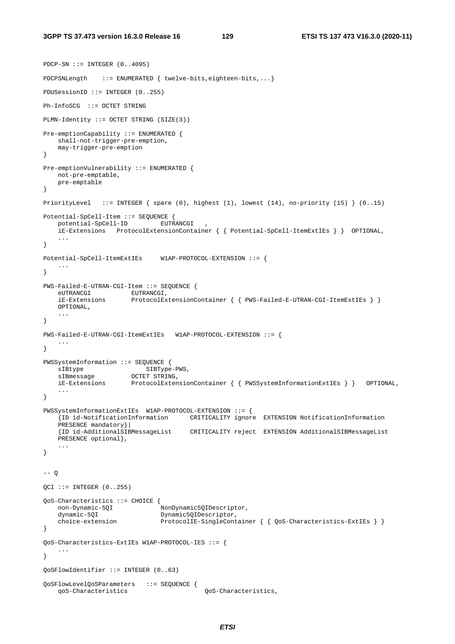```
PDCP-SN :: = INTEGR (0..4095){\tt PDCPSNLength} \qquad ::=\ {\tt ENUMERATED}\ \{\ \ {\tt twelve-bits, eighteen-bits,}\ \ldots\}PDUSessionID ::= INTEGER (0..255) 
Ph-InfoSCG ::= OCTET STRING 
PLMN-Identity ::= OCTET STRING (SIZE(3)) 
Pre-emptionCapability ::= ENUMERATED { 
    shall-not-trigger-pre-emption, 
    may-trigger-pre-emption 
} 
Pre-emptionVulnerability ::= ENUMERATED { 
    not-pre-emptable, 
    pre-emptable 
} 
PriorityLevel ::= INTEGER { spare (0), highest (1), lowest (14), no-priority (15) } (0..15) 
Potential-SpCell-Item ::= SEQUENCE { 
    potential-SpCell-ID EUTRANCGI , 
     iE-Extensions ProtocolExtensionContainer { { Potential-SpCell-ItemExtIEs } } OPTIONAL, 
     ... 
} 
Potential-SpCell-ItemExtIEs W1AP-PROTOCOL-EXTENSION ::= { 
 ... 
} 
PWS-Failed-E-UTRAN-CGI-Item ::= SEOUENCE {
   eUTRANCGI EUTRANCGI,
     iE-Extensions ProtocolExtensionContainer { { PWS-Failed-E-UTRAN-CGI-ItemExtIEs } }
    OPTIONAL, 
    ... 
} 
PWS-Failed-E-UTRAN-CGI-ItemExtIEs W1AP-PROTOCOL-EXTENSION ::= { 
     ... 
} 
PWSSystemInformation ::= SEQUENCE { 
sIBtype SIBType-PWS,
sIBmessage OCTET STRING,
    iE-Extensions ProtocolExtensionContainer { { PWSSystemInformationExtIEs } } OPTIONAL, 
     ... 
} 
PWSSystemInformationExtIEs W1AP-PROTOCOL-EXTENSION ::= { 
     {ID id-NotificationInformation CRITICALITY ignore EXTENSION NotificationInformation 
     PRESENCE mandatory}| 
    {ID id-AdditionalSIBMessageList CRITICALITY reject EXTENSION AdditionalSIBMessageList 
    PRESENCE optional}, 
     ... 
} 
-- Q 
QCI ::= INTEGER (0..255)QoS-Characteristics ::= CHOICE { 
   non-Dynamic-5QI<br>dynamic-5QI
   dynamic-5QI Dynamic5QIDescriptor,<br>choice-extension ProtocolIE-SingleCont
                               ProtocolIE-SingleContainer { { QoS-Characteristics-ExtIES } }
} 
QoS-Characteristics-ExtIEs W1AP-PROTOCOL-IES ::= { 
    ... 
} 
QoSFlowIdentifier ::= INTEGER (0..63) 
QoSFlowLevelQoSParameters ::= SEQUENCE { 
    qoS-Characteristics QoS-Characteristics,
```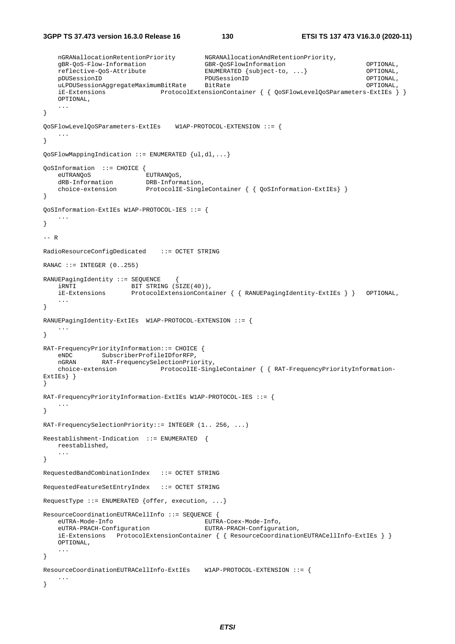```
3GPP TS 37.473 version 16.3.0 Release 16 130 ETSI TS 137 473 V16.3.0 (2020-11)
```

```
 nGRANallocationRetentionPriority NGRANAllocationAndRetentionPriority, 
    gBR-QoS-Flow-Information GBR-QoSFlowInformation OPTIONAL, 
    reflective-QoS-Attribute ENUMERATED {subject-to, ...} OPTIONAL, 
    pDUSessionID PDUSessionID OPTIONAL, 
    uLPDUSessionAggregateMaximumBitRate BitRate OPTIONAL, 
    iE-Extensions ProtocolExtensionContainer { { QoSFlowLevelQoSParameters-ExtIEs } }
    OPTIONAL, 
    ... 
} 
QoSFlowLevelQoSParameters-ExtIEs W1AP-PROTOCOL-EXTENSION ::= { 
 ... 
} 
QoSFlowMappingIndication ::= ENUMERATED {ul,dl,...} 
QoSInformation ::= CHOICE { 
   eUTRANQoS EUTRANQoS,<br>dRB-Information DRB-Inform
   dRB-Information DRB-Information,<br>choice-extension ProtocolIE-Singl
                         ProtocolIE-SingleContainer { { QoSInformation-ExtIEs} }
} 
QoSInformation-ExtIEs W1AP-PROTOCOL-IES ::= { 
 ... 
} 
-- R 
RadioResourceConfigDedicated ::= OCTET STRING 
RANAC ::= INTEGER (0..255)RANUEPagingIdentity ::= SEQUENCE
   iRNTI BIT STRING (SIZE(40)),
    iE-Extensions ProtocolExtensionContainer { { RANUEPagingIdentity-ExtIEs } } OPTIONAL, 
 ... 
} 
RANUEPagingIdentity-ExtIEs W1AP-PROTOCOL-EXTENSION ::= { 
    ... 
} 
RAT-FrequencyPriorityInformation::= CHOICE { 
 eNDC SubscriberProfileIDforRFP, 
 nGRAN RAT-FrequencySelectionPriority, 
    choice-extension ProtocolIE-SingleContainer { { RAT-FrequencyPriorityInformation-
ExtIEs} } 
} 
RAT-FrequencyPriorityInformation-ExtIEs W1AP-PROTOCOL-IES ::= { 
 ... 
} 
RAT-FrequencySelectionPriority::= INTEGER (1.. 256, ...) 
Reestablishment-Indication ::= ENUMERATED { 
    reestablished, 
    ... 
} 
RequestedBandCombinationIndex ::= OCTET STRING 
RequestedFeatureSetEntryIndex ::= OCTET STRING 
RequestType ::= ENUMERATED {offer, execution, ...} 
ResourceCoordinationEUTRACellInfo ::= SEQUENCE { 
                                        eUTRA-Mode-Info EUTRA-Coex-Mode-Info, 
    eUTRA-PRACH-Configuration EUTRA-PRACH-Configuration, 
    iE-Extensions ProtocolExtensionContainer { { ResourceCoordinationEUTRACellInfo-ExtIEs } }
    OPTIONAL, 
    ... 
} 
ResourceCoordinationEUTRACellInfo-ExtIEs W1AP-PROTOCOL-EXTENSION ::= { 
    ... 
}
```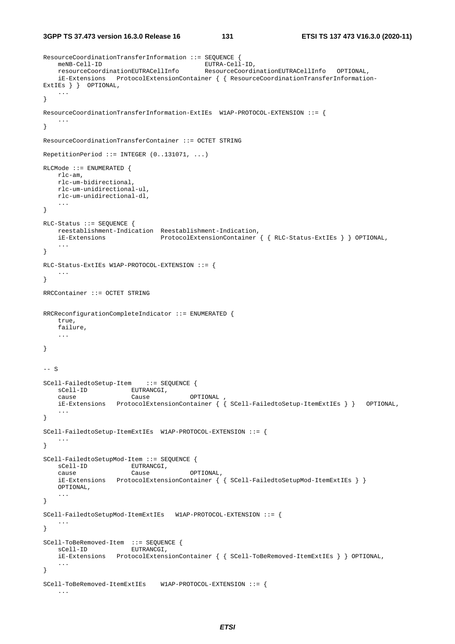```
ResourceCoordinationTransferInformation ::= SEQUENCE { 
 meNB-Cell-ID EUTRA-Cell-ID, 
 resourceCoordinationEUTRACellInfo ResourceCoordinationEUTRACellInfo OPTIONAL, 
    iE-Extensions ProtocolExtensionContainer { { ResourceCoordinationTransferInformation-
ExtIEs } } OPTIONAL, 
    ... 
} 
ResourceCoordinationTransferInformation-ExtIEs W1AP-PROTOCOL-EXTENSION ::= { 
    ... 
} 
ResourceCoordinationTransferContainer ::= OCTET STRING 
RepetitionPeriod ::= INTEGER (0..131071, ...) 
RLCMode ::= ENUMERATED { 
    rlc-am, 
    rlc-um-bidirectional, 
    rlc-um-unidirectional-ul, 
    rlc-um-unidirectional-dl, 
    ... 
} 
RLC-Status ::= SEQUENCE { 
    reestablishment-Indication Reestablishment-Indication, 
    iE-Extensions ProtocolExtensionContainer { { RLC-Status-ExtIEs } } OPTIONAL, 
    ... 
} 
RLC-Status-ExtIEs W1AP-PROTOCOL-EXTENSION ::= { 
    ... 
} 
RRCContainer ::= OCTET STRING 
RRCReconfigurationCompleteIndicator ::= ENUMERATED { 
    true, 
    failure, 
    ... 
} 
-- S 
SCell-FailedtoSetup-Item ::= SEQUENCE { 
sCell-ID EUTRANCGI,
 cause Cause OPTIONAL , 
    iE-Extensions ProtocolExtensionContainer { { SCell-FailedtoSetup-ItemExtIEs } } OPTIONAL, 
 ... 
} 
SCell-FailedtoSetup-ItemExtIEs W1AP-PROTOCOL-EXTENSION ::= { 
    ... 
} 
SCell-FailedtoSetupMod-Item ::= SEQUENCE { 
sCell-ID EUTRANCGI,
 cause Cause OPTIONAL, 
   cour-<br>
Cause Cause Cause OBTIONAL,<br>
iE-Extensions ProtocolExtensionContainer { { SCell-FailedtoSetupMod-ItemExtIEs } }
    OPTIONAL, 
     ... 
} 
SCell-FailedtoSetupMod-ItemExtIEs W1AP-PROTOCOL-EXTENSION ::= { 
    ... 
} 
SCell-ToBeRemoved-Item ::= SEQUENCE { 
   sCell-ID EUTRANCGI,
    iE-Extensions ProtocolExtensionContainer { { SCell-ToBeRemoved-ItemExtIEs } } OPTIONAL, 
 ... 
} 
SCell-ToBeRemoved-ItemExtIEs W1AP-PROTOCOL-EXTENSION ::= { 
    ...
```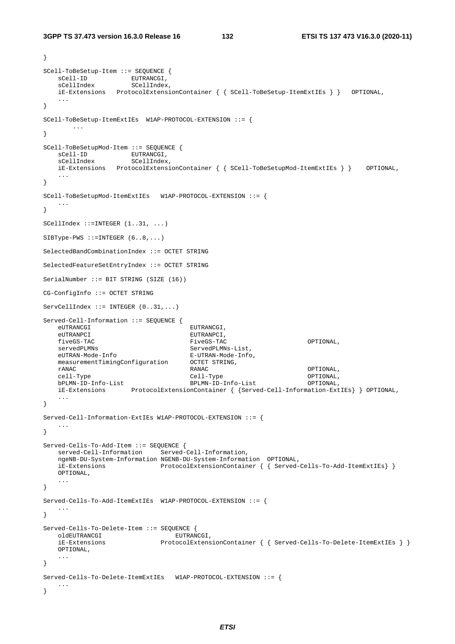```
} 
SCell-ToBeSetup-Item ::= SEQUENCE { 
sCell-ID EUTRANCGI,
sCellIndex SCellIndex,
    iE-Extensions ProtocolExtensionContainer { { SCell-ToBeSetup-ItemExtIEs } } OPTIONAL, 
 ... 
} 
SCell-ToBeSetup-ItemExtIEs W1AP-PROTOCOL-EXTENSION ::= { 
        ... 
} 
SCell-ToBeSetupMod-Item ::= SEQUENCE { 
sCell-ID EUTRANCGI,
sCellIndex SCellIndex,
    iE-Extensions ProtocolExtensionContainer { { SCell-ToBeSetupMod-ItemExtIEs } } OPTIONAL, 
 ... 
} 
SCell-ToBeSetupMod-ItemExtIEs W1AP-PROTOCOL-EXTENSION ::= { 
    ... 
} 
SCellIndex ::=INTEGER (1..31, ...) 
SIBType-PWS :: = INTEGR (6..8,...)SelectedBandCombinationIndex ::= OCTET STRING 
SelectedFeatureSetEntryIndex ::= OCTET STRING 
SerialNumber ::= BIT STRING (SIZE (16)) 
CG-ConfigInfo ::= OCTET STRING 
ServeellIndex ::=INTER (0..31, ...)Served-Cell-Information ::= SEQUENCE { 
   eUTRANCGI EUTRANCGI,
    eUTRANPCI EUTRANPCI, 
   fiveGS-TAC FiveGS-TAC FiveGS-TAC OPTIONAL,<br>servedPLMNs ServedPLMNs-List
                                   ServedPLMNs-List,
    eUTRAN-Mode-Info E-UTRAN-Mode-Info, 
    measurementTimingConfiguration OCTET STRING, 
 rANAC RANAC OPTIONAL, 
    cell-Type Cell-Type OPTIONAL, 
    bPLMN-ID-Info-List BPLMN-ID-Info-List OPTIONAL, 
    iE-Extensions ProtocolExtensionContainer { {Served-Cell-Information-ExtIEs} } OPTIONAL, 
    ... 
} 
Served-Cell-Information-ExtIEs W1AP-PROTOCOL-EXTENSION ::= { 
    ... 
} 
Served-Cells-To-Add-Item ::= SEQUENCE { 
   served-Cell-Information Served-Cell-Information, 
    ngeNB-DU-System-Information NGENB-DU-System-Information OPTIONAL, 
    iE-Extensions ProtocolExtensionContainer { { Served-Cells-To-Add-ItemExtIEs} }
    OPTIONAL, 
    ... 
} 
Served-Cells-To-Add-ItemExtIEs W1AP-PROTOCOL-EXTENSION ::= { 
    ... 
} 
Served-Cells-To-Delete-Item ::= SEQUENCE { 
   oldEUTRANCGI<br>
oldEUTRANCGI EUTRANCGI,<br>
iE_Extensions ProtocolExtens
    iE-Extensions ProtocolExtensionContainer { { Served-Cells-To-Delete-ItemExtIEs } }
    OPTIONAL, 
    ... 
} 
Served-Cells-To-Delete-ItemExtIEs W1AP-PROTOCOL-EXTENSION ::= { 
    ... 
}
```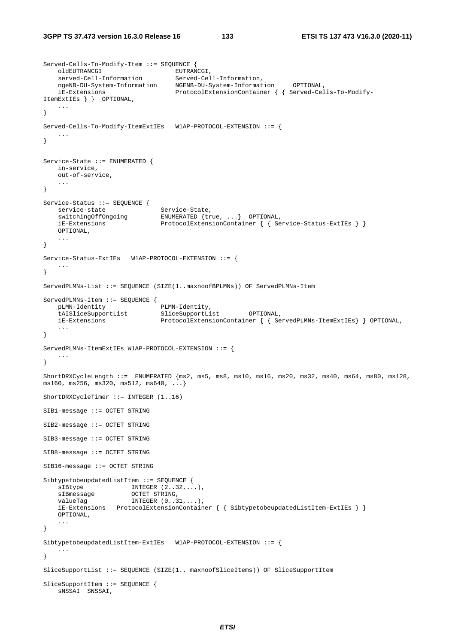```
Served-Cells-To-Modify-Item ::= SEQUENCE { 
oldEUTRANCGI EUTRANCGI,
 served-Cell-Information Served-Cell-Information, 
 ngeNB-DU-System-Information NGENB-DU-System-Information OPTIONAL, 
 iE-Extensions ProtocolExtensionContainer { { Served-Cells-To-Modify-
ItemExtIEs } } OPTIONAL, 
    ... 
} 
Served-Cells-To-Modify-ItemExtIEs W1AP-PROTOCOL-EXTENSION ::= { 
 ... 
} 
Service-State ::= ENUMERATED { 
    in-service, 
    out-of-service, 
    ... 
} 
Service-Status ::= SEQUENCE { 
service-state Service-State,
 switchingOffOngoing ENUMERATED {true, ...} OPTIONAL, 
 iE-Extensions ProtocolExtensionContainer { { Service-Status-ExtIEs } }
 OPTIONAL, 
    ... 
} 
Service-Status-ExtIEs W1AP-PROTOCOL-EXTENSION ::= { 
 ... 
} 
ServedPLMNs-List ::= SEQUENCE (SIZE(1..maxnoofBPLMNs)) OF ServedPLMNs-Item 
ServedPLMNs-Item ::= SEQUENCE { 
    pLMN-Identity PLMN-Identity, 
    tAISliceSupportList SliceSupportList OPTIONAL, 
    iE-Extensions ProtocolExtensionContainer { { ServedPLMNs-ItemExtIEs} } OPTIONAL, 
    ... 
} 
ServedPLMNs-ItemExtIEs W1AP-PROTOCOL-EXTENSION ::= { 
    ... 
} 
ShortDRXCycleLength ::= ENUMERATED {ms2, ms5, ms8, ms10, ms16, ms20, ms32, ms40, ms64, ms80, ms128, 
ms160, ms256, ms320, ms512, ms640, ...} 
ShortDRXCycleTimer ::= INTEGER (1..16) 
SIB1-message ::= OCTET STRING 
SIB2-message ::= OCTET STRING 
SIB3-message ::= OCTET STRING 
SIB8-message ::= OCTET STRING 
SIB16-message ::= OCTET STRING 
SibtypetobeupdatedListItem ::= SEQUENCE { 
   \texttt{sIBtype} INTEGER (2..32,...),<br>
\texttt{sIBmessage} OCTET STRING,<br>
\texttt{numberD} (0.31...),
sIBmessage OCTET STRING,
valueTag INTEGER (0..31,...),
    iE-Extensions ProtocolExtensionContainer { { SibtypetobeupdatedListItem-ExtIEs } }
    OPTIONAL, 
    ... 
} 
SibtypetobeupdatedListItem-ExtIEs W1AP-PROTOCOL-EXTENSION ::= { 
    ... 
} 
SliceSupportList ::= SEQUENCE (SIZE(1.. maxnoofSliceItems)) OF SliceSupportItem 
SliceSupportItem ::= SEQUENCE { 
    sNSSAI SNSSAI,
```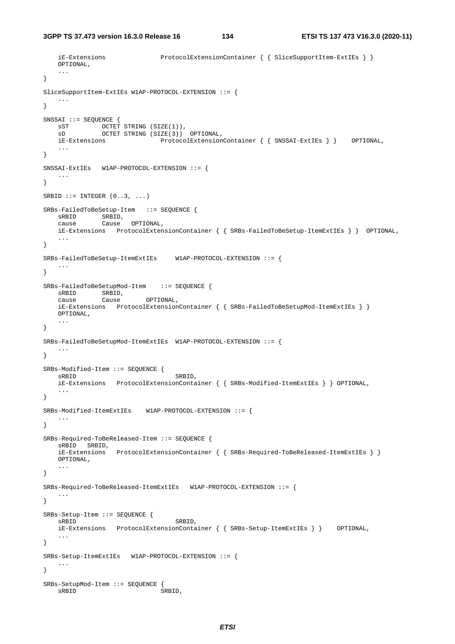```
 iE-Extensions ProtocolExtensionContainer { { SliceSupportItem-ExtIEs } }
     OPTIONAL, 
     ... 
} 
SliceSupportItem-ExtIEs W1AP-PROTOCOL-EXTENSION ::= { 
 ... 
} 
SNSSAI ::= SEQUENCE { 
 sST OCTET STRING (SIZE(1)), 
 sD OCTET STRING (SIZE(3)) OPTIONAL, 
     iE-Extensions ProtocolExtensionContainer { { SNSSAI-ExtIEs } } OPTIONAL, 
     ... 
} 
SNSSAI-ExtIEs W1AP-PROTOCOL-EXTENSION ::= { 
    ... 
} 
SRBID ::= INTEGER (0..3, ...)SRBs-FailedToBeSetup-Item ::= SEQUENCE { 
    sRBID SRBID, 
     cause Cause OPTIONAL, 
     iE-Extensions ProtocolExtensionContainer { { SRBs-FailedToBeSetup-ItemExtIEs } } OPTIONAL, 
     ... 
} 
SRBs-FailedToBeSetup-ItemExtIEs W1AP-PROTOCOL-EXTENSION ::= { 
 ... 
} 
SRBs-FailedToBeSetupMod-Item ::= SEQUENCE { 
   sRBID SRBID,
     cause Cause OPTIONAL, 
     iE-Extensions ProtocolExtensionContainer { { SRBs-FailedToBeSetupMod-ItemExtIEs } }
    OPTIONAL, 
     ... 
} 
SRBs-FailedToBeSetupMod-ItemExtIEs W1AP-PROTOCOL-EXTENSION ::= { 
 ... 
} 
SRBs-Modified-Item ::= SEQUENCE { 
   sRBID, SRBID, SRBID, SRBID, SRBID, SRBID, SRBID, SRBID, SRBID, SRBID, SRBID, SRBID, SRBID, SRBID, SRBID, SRBID, SRBID, SRBID, SRBID, SRBID, SRBID, SRBID, SRBID, SRBID, SRBID, SRBID, SRBID, SRBID, SRBID, SRBID, SRBID, SRBID
     iE-Extensions ProtocolExtensionContainer { { SRBs-Modified-ItemExtIEs } } OPTIONAL, 
     ... 
} 
SRBs-Modified-ItemExtIEs W1AP-PROTOCOL-EXTENSION ::= { 
    ... 
} 
SRBs-Required-ToBeReleased-Item ::= SEQUENCE { 
    sRBID SRBID, 
     iE-Extensions ProtocolExtensionContainer { { SRBs-Required-ToBeReleased-ItemExtIEs } }
     OPTIONAL, 
     ... 
} 
SRBs-Required-ToBeReleased-ItemExtIEs W1AP-PROTOCOL-EXTENSION ::= { 
 ... 
} 
SRBs-Setup-Item ::= SEQUENCE { 
                                      SRBID,
     iE-Extensions ProtocolExtensionContainer { { SRBs-Setup-ItemExtIEs } } OPTIONAL, 
     ... 
} 
SRBs-Setup-ItemExtIEs W1AP-PROTOCOL-EXTENSION ::= { 
     ... 
} 
SRBs-SetupMod-Item ::= SEQUENCE { 
   sRBID SRBID,
```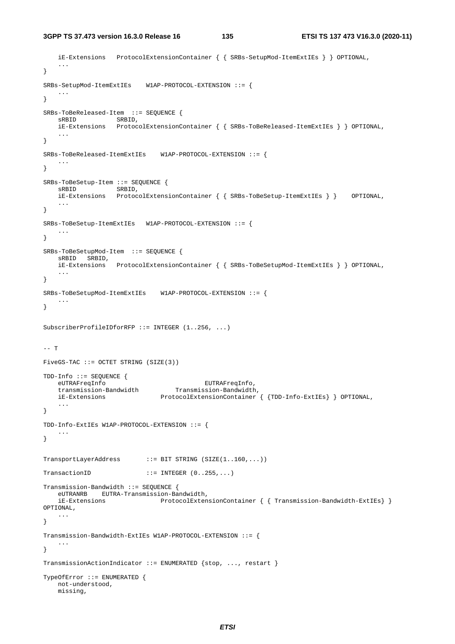```
 iE-Extensions ProtocolExtensionContainer { { SRBs-SetupMod-ItemExtIEs } } OPTIONAL, 
    ... 
} 
SRBs-SetupMod-ItemExtIEs W1AP-PROTOCOL-EXTENSION ::= { 
    ... 
} 
SRBs-ToBeReleased-Item ::= SEQUENCE { 
    sRBID SRBID, 
    iE-Extensions ProtocolExtensionContainer { { SRBs-ToBeReleased-ItemExtIEs } } OPTIONAL, 
 ... 
} 
SRBs-ToBeReleased-ItemExtIEs W1AP-PROTOCOL-EXTENSION ::= { 
    ... 
} 
SRBs-ToBeSetup-Item ::= SEQUENCE {<br>sRBID SRBID,
                   SRBID,
    iE-Extensions ProtocolExtensionContainer { { SRBs-ToBeSetup-ItemExtIEs } } OPTIONAL, 
    ... 
} 
SRBs-ToBeSetup-ItemExtIEs W1AP-PROTOCOL-EXTENSION ::= { 
 ... 
} 
SRBs-ToBeSetupMod-Item ::= SEQUENCE { 
    sRBID SRBID, 
    iE-Extensions ProtocolExtensionContainer { { SRBs-ToBeSetupMod-ItemExtIEs } } OPTIONAL, 
    ... 
} 
SRBs-ToBeSetupMod-ItemExtIEs W1AP-PROTOCOL-EXTENSION ::= { 
    ... 
} 
SubscriberProfileIDforRFP ::= INTEGER (1..256, ...) 
-- T 
FiveGS-TAC ::= OCTET STRING (SIZE(3)) 
TDD-Info ::= SEQUENCE { 
 eUTRAFreqInfo EUTRAFreqInfo, 
 transmission-Bandwidth Transmission-Bandwidth, 
 iE-Extensions ProtocolExtensionContainer { {TDD-Info-ExtIEs} } OPTIONAL, 
 ... 
} 
TDD-Info-ExtIEs W1AP-PROTOCOL-EXTENSION ::= { 
    ... 
} 
TransportLayerAddress ::= BIT STRING (SIZE(1..160,...)) 
TransactionID : i = INTEGR (0..255, ...)Transmission-Bandwidth ::= SEQUENCE { 
    eUTRANRB EUTRA-Transmission-Bandwidth, 
    iE-Extensions ProtocolExtensionContainer { { Transmission-Bandwidth-ExtIEs} } 
OPTIONAL, 
    ... 
} 
Transmission-Bandwidth-ExtIEs W1AP-PROTOCOL-EXTENSION ::= { 
    ... 
} 
TransmissionActionIndicator ::= ENUMERATED {stop, ..., restart } 
TypeOfError ::= ENUMERATED { 
    not-understood, 
    missing,
```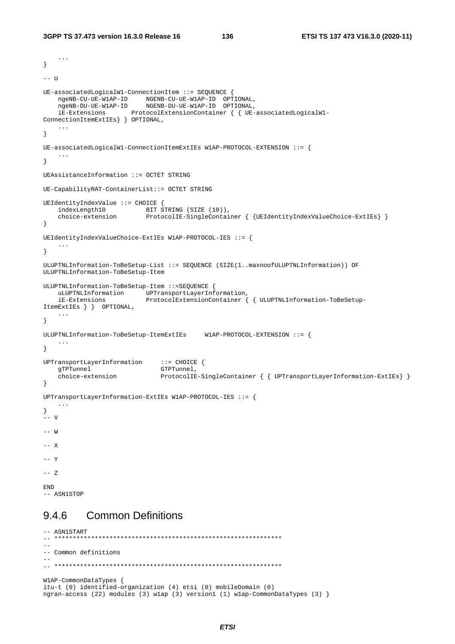```
 ... 
} 
-- U
UE-associatedLogicalW1-ConnectionItem ::= SEQUENCE { 
 ngeNB-CU-UE-W1AP-ID NGENB-CU-UE-W1AP-ID OPTIONAL, 
 ngeNB-DU-UE-W1AP-ID NGENB-DU-UE-W1AP-ID OPTIONAL, 
    iE-Extensions ProtocolExtensionContainer { { UE-associatedLogicalW1-
ConnectionItemExtIEs} } OPTIONAL, 
    ... 
} 
UE-associatedLogicalW1-ConnectionItemExtIEs W1AP-PROTOCOL-EXTENSION ::= { 
    ... 
} 
UEAssistanceInformation ::= OCTET STRING 
UE-CapabilityRAT-ContainerList::= OCTET STRING 
UEIdentityIndexValue ::= CHOICE { 
indexLength10 BIT STRING (SIZE (10)),
 choice-extension ProtocolIE-SingleContainer { {UEIdentityIndexValueChoice-ExtIEs} } 
} 
UEIdentityIndexValueChoice-ExtIEs W1AP-PROTOCOL-IES ::= { 
    ... 
} 
ULUPTNLInformation-ToBeSetup-List ::= SEQUENCE (SIZE(1..maxnoofULUPTNLInformation)) OF 
ULUPTNLInformation-ToBeSetup-Item 
ULUPTNLInformation-ToBeSetup-Item ::=SEQUENCE { 
    uLUPTNLInformation UPTransportLayerInformation, 
    iE-Extensions ProtocolExtensionContainer { { ULUPTNLInformation-ToBeSetup-
ItemExtIEs } } OPTIONAL, 
    ... 
} 
ULUPTNLInformation-ToBeSetup-ItemExtIEs W1AP-PROTOCOL-EXTENSION ::= { 
    ... 
} 
UPTransportLayerInformation ::= CHOICE { 
   gTPTunnel GTPTunnel,
    choice-extension ProtocolIE-SingleContainer { { UPTransportLayerInformation-ExtIEs} } 
} 
UPTransportLayerInformation-ExtIEs W1AP-PROTOCOL-IES ::= { 
    ... 
} 
-<br>-- v
-- W 
-- X 
-- Y
-- Z 
END 
-- ASN1STOP
```
# 9.4.6 Common Definitions

```
-- ASN1START 
-- ************************************************************** 
-- 
-- Common definitions 
-- 
-- ************************************************************** 
W1AP-CommonDataTypes { 
itu-t (0) identified-organization (4) etsi (0) mobileDomain (0) 
ngran-access (22) modules (3) w1ap (3) version1 (1) w1ap-CommonDataTypes (3) }
```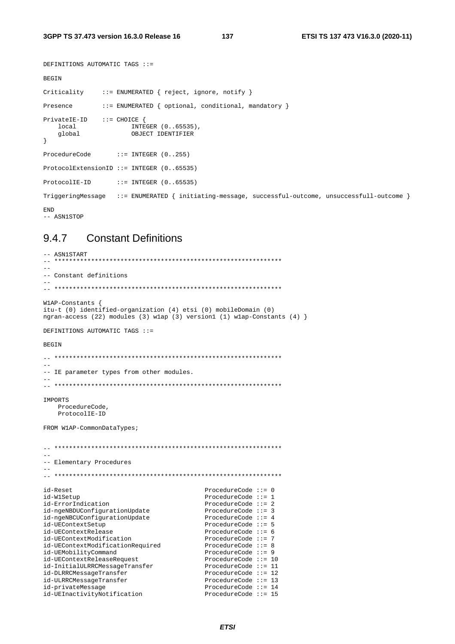```
DEFINITIONS AUTOMATIC TAGS ::=BEGIN
Criticality
               ::= ENUMERATED { reject, ignore, notify }
Presence
                ::= ENUMERATED { optional, conditional, mandatory }
\texttt{PrivateIE-ID} \qquad :: = \texttt{CHOICE} \ \{ \\י ב INTEGER (0..65535),<br>Global השואשת המבחה המשתת המבחה ב
    global
                        OBJECT IDENTIFIER
\}ProcedureCode
                    ::= INTEGER (0..255)ProtocolExtensionID ::= INTEGER (0..65535)
ProtocolIE-ID
                    ::= INTEGER (0..65535)TriggeringMessage ::= ENUMERATED { initiating-message, successful-outcome, unsuccessfull-outcome }
END
```
-- ASN1STOP

#### 947 **Constant Definitions**

```
-- ASN1START
-- Constant definitions
\simW1AP-Constants {
itu-t (0) identified-organization (4) etsi (0) mobileDomain (0)
ngran-access (22) modules (3) wlap (3) version1 (1) wlap-Constants (4) }DEFINITIONS AUTOMATIC TAGS ::=
BEGIN
- --- IE parameter types from other modules.
TMPORTS
  ProcedureCode.
  ProtocolIE-ID
FROM W1AP-CommonDataTypes;
\equiv-- Elementary Procedures
id-Reset
                                ProcedureCode ::= 0id-W1Setup
                                ProcedureCode ::= 1
id-ErrorIndication
                                ProcedureCode ::= 2
id-ngeNBDUConfigurationUpdate
                                ProcedureCode ::= 3
                               ProcedureCode ::= 4id-ngeNBCUConfigurationUpdate
                               ProcedureCode ::= 5id-UEContextSetup
id-UEContextRelease
                                ProcedureCode ::= 6id-UEContextModification
                                ProcedureCode ::= 7
                            ProcedureCode ::= 8<br>ProcedureCode ::= 9
id-UEContextModificationRequired
id-UEMobilityCommand
                               ProcedureCode ::= 10id-UEContextReleaseRequest
                           ProcedureCode ::= ⊥1<br>ProcedureCode ::= 12
id-InitialULRRCMessageTransfer
id-DLRRCMessageTransfer
id-ULRRCMessageTransfer
                                ProcedureCode ::= 13ProcedureCode ::= 14id-privateMessage
id-UEInactivityNotification
                                ProcedureCode ::= 15
```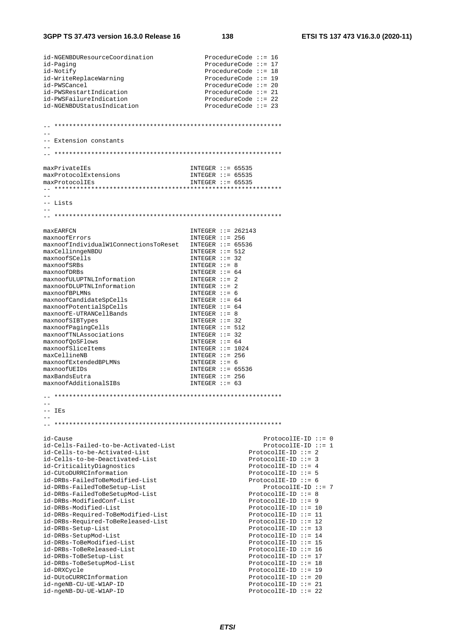| id-NGENBDUResourceCoordination                                   | ProcedureCode $::= 16$                            |
|------------------------------------------------------------------|---------------------------------------------------|
| id-Paging<br>id-Notify                                           | ProcedureCode $::= 17$<br>ProcedureCode $::= 18$  |
| id-WriteReplaceWarning                                           | ProcedureCode $::= 19$                            |
| id-PWSCancel                                                     | ProcedureCode $::= 20$                            |
| id-PWSRestartIndication                                          | ProcedureCode $::= 21$                            |
| id-PWSFailureIndication                                          | ProcedureCode $::= 22$                            |
| id-NGENBDUStatusIndication                                       | ProcedureCode $::= 23$                            |
|                                                                  |                                                   |
|                                                                  |                                                   |
|                                                                  |                                                   |
| -- Extension constants                                           |                                                   |
|                                                                  |                                                   |
|                                                                  |                                                   |
| maxPrivateIEs                                                    | INTEGER $::= 65535$                               |
| maxProtocolExtensions                                            | INTEGER $::= 65535$                               |
| maxProtocolIEs                                                   | INTEGER $::= 65535$                               |
|                                                                  |                                                   |
|                                                                  |                                                   |
| -- Lists                                                         |                                                   |
|                                                                  |                                                   |
|                                                                  |                                                   |
| maxEARFCN                                                        | INTEGER $::= 262143$                              |
| maxnoofErrors                                                    | INTEGER $::= 256$                                 |
| maxnoofIndividualW1ConnectionsToReset                            | INTEGER $::= 65536$                               |
| maxCellinngeNBDU                                                 | INTEGER $::= 512$                                 |
| maxnoofSCells<br>maxnoofSRBs                                     | $INTER :: = 32$<br>INTEGER $::= 8$                |
| maxnoofDRBs                                                      | INTEGER $::= 64$                                  |
| maxnoofULUPTNLInformation                                        | $INTER :: = 2$                                    |
| maxnoofDLUPTNLInformation                                        | $INTER :: = 2$                                    |
| maxnoofBPLMNs                                                    | $INTER :: = 6$                                    |
| maxnoofCandidateSpCells                                          | INTEGER $::= 64$                                  |
| maxnoofPotentialSpCells                                          | INTEGER $::= 64$                                  |
| maxnoofE-UTRANCellBands                                          | INTEGER $::= 8$<br>INTEGER $::= 32$               |
| maxnoofSIBTypes<br>maxnoofPagingCells                            | INTEGER $::= 512$                                 |
| maxnoofTNLAssociations                                           | $INTER :: = 32$                                   |
| maxnoofQoSFlows                                                  | INTEGER $::= 64$                                  |
| maxnoofSliceItems                                                | INTEGER $::= 1024$                                |
| maxCellineNB                                                     | INTEGER $::= 256$                                 |
| maxnoofExtendedBPLMNs<br>maxnoofUEIDs                            | $INTER :: = 6$                                    |
| maxBandsEutra                                                    | INTEGER $::= 65536$<br>INTEGER $::= 256$          |
| maxnoofAdditionalSIBs                                            | INTEGER $::= 63$                                  |
|                                                                  |                                                   |
|                                                                  |                                                   |
|                                                                  |                                                   |
| -- IEs                                                           |                                                   |
|                                                                  |                                                   |
|                                                                  |                                                   |
| id-Cause                                                         | ProtocolIE-ID $::= 0$                             |
| id-Cells-Failed-to-be-Activated-List                             | $ProtocolIE-ID ::= 1$                             |
| id-Cells-to-be-Activated-List<br>id-Cells-to-be-Deactivated-List | $ProtocolIE-ID ::= 2$                             |
| id-CriticalityDiagnostics                                        | ProtocolIE-ID $::= 3$<br>ProtocolIE-ID ::= $4$    |
| id-CUtoDURRCInformation                                          | $ProtocolIE-ID :: = 5$                            |
| id-DRBs-FailedToBeModified-List                                  | ProtocolIE-ID $::= 6$                             |
| id-DRBs-FailedToBeSetup-List                                     | ProtocolIE-ID ::= 7                               |
| id-DRBs-FailedToBeSetupMod-List                                  | ProtocolIE-ID $::= 8$                             |
| id-DRBs-ModifiedConf-List                                        | $ProtocolIE-ID :: = 9$                            |
| id-DRBs-Modified-List                                            | $ProtocolIE-ID ::= 10$                            |
| id-DRBs-Required-ToBeModified-List                               | $ProtocolIE-ID ::= 11$<br>$ProtocolIE-ID :: = 12$ |
| id-DRBs-Required-ToBeReleased-List<br>id-DRBs-Setup-List         | $ProtocolIE-ID :: = 13$                           |
| id-DRBs-SetupMod-List                                            | $ProtocolIE-ID ::= 14$                            |
| id-DRBs-ToBeModified-List                                        | ProtocolIE-ID ::= 15                              |
| id-DRBs-ToBeReleased-List                                        | ProtocolIE-ID ::= $16$                            |
| id-DRBs-ToBeSetup-List                                           | $ProtocolIE-ID :: = 17$                           |
| id-DRBs-ToBeSetupMod-List                                        | ProtocolIE-ID $::= 18$                            |
| id-DRXCycle                                                      | ProtocolIE-ID $::= 19$                            |
| id-DUtoCURRCInformation<br>id-ngeNB-CU-UE-W1AP-ID                | ProtocolIE-ID $::= 20$<br>ProtocolIE-ID ::= $21$  |
| id-ngeNB-DU-UE-W1AP-ID                                           | $ProtocolIE-ID ::= 22$                            |
|                                                                  |                                                   |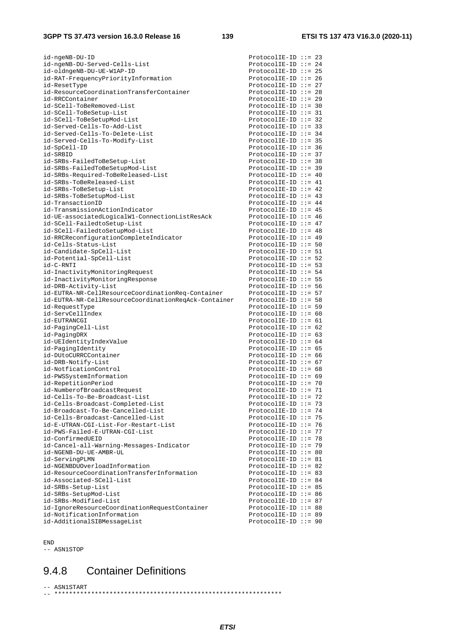| id-ngeNB-DU-ID                                            | $ProtocolIE-ID ::= 23$                           |  |
|-----------------------------------------------------------|--------------------------------------------------|--|
| id-ngeNB-DU-Served-Cells-List                             | ProtocolIE-ID ::= $24$                           |  |
| id-oldngeNB-DU-UE-W1AP-ID                                 | $ProtocolIE-ID ::= 25$                           |  |
| id-RAT-FrequencyPriorityInformation                       | ProtocolIE-ID ::= 26                             |  |
| id-ResetType                                              | ProtocolIE-ID ::= 27                             |  |
| id-ResourceCoordinationTransferContainer                  | ProtocolIE-ID ::= 28                             |  |
| id-RRCContainer                                           |                                                  |  |
|                                                           | $ProtocolIE-ID ::= 29$                           |  |
| id-SCell-ToBeRemoved-List                                 | $ProtocolIE-ID :: = 30$                          |  |
| id-SCell-ToBeSetup-List                                   | $ProtocolIE-ID :: = 31$                          |  |
| id-SCell-ToBeSetupMod-List                                | $ProtocolIE-ID :: = 32$                          |  |
| id-Served-Cells-To-Add-List                               | $ProtocolIE-ID :: = 33$                          |  |
| id-Served-Cells-To-Delete-List                            | ProtocolIE-ID ::= $34$                           |  |
| id-Served-Cells-To-Modify-List                            | $ProtocolIE-ID :: = 35$                          |  |
| id-SpCell-ID                                              | $ProtocolIE-ID ::= 36$                           |  |
| id-SRBID                                                  | $ProtocolIE-ID :: = 37$                          |  |
| id-SRBs-FailedToBeSetup-List                              | ProtocolIE-ID $::= 38$                           |  |
|                                                           |                                                  |  |
| id-SRBs-FailedToBeSetupMod-List                           | $ProtocolIE-ID ::= 39$                           |  |
| id-SRBs-Required-ToBeReleased-List                        | ProtocolIE-ID ::= $40$                           |  |
| id-SRBs-ToBeReleased-List                                 | ProtocolIE-ID ::= $41$                           |  |
| id-SRBs-ToBeSetup-List                                    | ProtocolIE-ID ::= $42$                           |  |
| id-SRBs-ToBeSetupMod-List                                 | ProtocolIE-ID $::= 43$                           |  |
| id-TransactionID                                          | ProtocolIE-ID ::= $44$                           |  |
| id-TransmissionActionIndicator                            | ProtocolIE-ID ::= $45$                           |  |
| id-UE-associatedLogicalW1-ConnectionListResAck            | ProtocolIE-ID ::= $46$                           |  |
| id-SCell-FailedtoSetup-List                               | ProtocolIE-ID ::= $47$                           |  |
|                                                           |                                                  |  |
| id-SCell-FailedtoSetupMod-List                            | ProtocolIE-ID ::= $48$                           |  |
| id-RRCReconfigurationCompleteIndicator                    | ProtocolIE-ID ::= $49$                           |  |
| id-Cells-Status-List                                      | $ProtocolIE-ID :: = 50$                          |  |
| id-Candidate-SpCell-List                                  | ProtocolIE-ID $::= 51$                           |  |
| id-Potential-SpCell-List                                  | $ProtocolIE-ID :: = 52$                          |  |
| id-C-RNTI                                                 | $ProtocolIE-ID :: = 53$                          |  |
| id-InactivityMonitoringRequest                            | ProtocolIE-ID ::= $54$                           |  |
| id-InactivityMonitoringResponse                           | $ProtocolIE-ID :: = 55$                          |  |
| id-DRB-Activity-List                                      | ProtocolIE-ID ::= $56$                           |  |
| id-EUTRA-NR-CellResourceCoordinationReq-Container         | $ProtocolIE-ID :: = 57$                          |  |
| id-EUTRA-NR-CellResourceCoordinationReqAck-Container      | ProtocolIE-ID $:= 58$                            |  |
|                                                           |                                                  |  |
|                                                           |                                                  |  |
| id-RequestType                                            | $ProtocolIE-ID :: = 59$                          |  |
| id-ServCellIndex                                          | ProtocolIE-ID ::= $60$                           |  |
| id-EUTRANCGI                                              | ProtocolIE-ID ::= $61$                           |  |
| id-PagingCell-List                                        | ProtocolIE-ID ::= $62$                           |  |
| id-PagingDRX                                              | ProtocolIE-ID ::= $63$                           |  |
|                                                           | ProtocolIE-ID ::= $64$                           |  |
| id-UEIdentityIndexValue                                   |                                                  |  |
| id-PagingIdentity                                         | $ProtocolIE-ID :: = 65$                          |  |
| id-DUtoCURRCContainer                                     | $ProtocolIE-ID :: = 66$                          |  |
| id-DRB-Notify-List                                        | ProtocolIE-ID ::= $67$                           |  |
| id-NotficationControl                                     | ProtocolIE-ID ::= 68                             |  |
| id-PWSSystemInformation                                   | $ProtocolIE-ID :: = 69$                          |  |
| id-RepetitionPeriod                                       | ProtocolIE-ID ::= 70                             |  |
| id-NumberofBroadcastRequest                               | ProtocolIE-ID ::= 71                             |  |
| id-Cells-To-Be-Broadcast-List                             | ProtocolIE-ID ::= 72                             |  |
| id-Cells-Broadcast-Completed-List                         | $ProtocolIE-ID :: = 73$                          |  |
| id-Broadcast-To-Be-Cancelled-List                         |                                                  |  |
|                                                           | ProtocolIE-ID ::= 74                             |  |
| id-Cells-Broadcast-Cancelled-List                         | ProtocolIE-ID ::= 75                             |  |
| id-E-UTRAN-CGI-List-For-Restart-List                      | ProtocolIE-ID ::= 76                             |  |
| id-PWS-Failed-E-UTRAN-CGI-List                            | ProtocolIE-ID ::= $77$                           |  |
| id-ConfirmedUEID                                          | ProtocolIE-ID $::= 78$                           |  |
| id-Cancel-all-Warning-Messages-Indicator                  | $ProtocolIE-ID ::= 79$                           |  |
| id-NGENB-DU-UE-AMBR-UL                                    | $ProtocolIE-ID :: = 80$                          |  |
| id-ServingPLMN                                            | ProtocolIE-ID $::= 81$                           |  |
| id-NGENBDUOverloadInformation                             | ProtocolIE-ID $::= 82$                           |  |
| id-ResourceCoordinationTransferInformation                | ProtocolIE-ID $::= 83$                           |  |
| id-Associated-SCell-List                                  | ProtocolIE-ID ::= 84                             |  |
|                                                           |                                                  |  |
| id-SRBs-Setup-List                                        | $ProtocolIE-ID :: = 85$                          |  |
| id-SRBs-SetupMod-List                                     | $ProtocolIE-ID ::= 86$                           |  |
| id-SRBs-Modified-List                                     | ProtocolIE-ID ::= 87                             |  |
| id-IgnoreResourceCoordinationRequestContainer             | ProtocolIE-ID ::= 88                             |  |
| id-NotificationInformation<br>id-AdditionalSIBMessageList | $ProtocolIE-ID ::= 89$<br>$ProtocolIE-ID ::= 90$ |  |

END

-- ASN1STOP

# 9.4.8 Container Definitions

-- ASN1START -- \*\*\*\*\*\*\*\*\*\*\*\*\*\*\*\*\*\*\*\*\*\*\*\*\*\*\*\*\*\*\*\*\*\*\*\*\*\*\*\*\*\*\*\*\*\*\*\*\*\*\*\*\*\*\*\*\*\*\*\*\*\*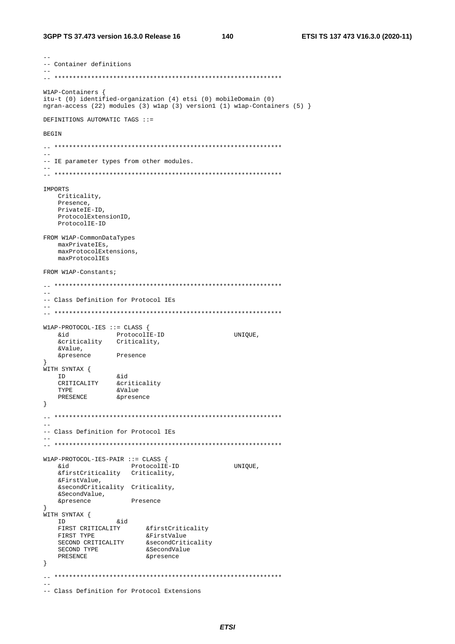```
-- Container definitions
W1AP-Containers {
itu-t (0) identified-organization (4) etsi (0) mobileDomain (0)
ngran-access (22) modules (3) wlap (3) version (1) wlap-Containers (5) }
DEFINITIONS AUTOMATIC TAGS ::=
BEGIN
-- IE parameter types from other modules.
-IMPORTS
  Criticality,
  Presence,
   PrivateIE-ID,
   ProtocolExtensionID,
   ProtocolIE-ID
FROM W1AP-CommonDataTypes
  maxPrivateIEs,
   maxProtocolExtensions,
   maxProtocolIEs
FROM W1AP-Constants;
\sim \sim-- Class Definition for Protocol IEs
W1AP-PROTOCOL-IES ::= CLASS {
   &id ProtocolIE-ID<br>&criticality Criticality,
  bia
                                           UNIOUE,
   \&Value.
              Presence
   &presence
J<br>WITH SYNTAX {
   H SYNTAX {<br>
ID &id<br>
CRITICALITY &criticality<br>
TYPE &Value
  TD\left\{ \right.-- Class Definition for Protocol IEs
\simW1AP-PROTOCOL-IES-PAIR ::= CLASS {
                    ProtocolIE-ID
                                     UNIOUE,
  hia
   &firstCriticality Criticality,
   &FirstValue,
   &secondCriticality Criticality,
   &secondvalue,<br>&SecondValue,
   &presence
                  Presence
- }
}<br>WITH SYNTAX {<br>&id
   --<br>FIRST CRITICALITY afirstCriticality<br>FIRST TYPE aFirstValue
  FIRST TYPE <br>
SECOND CRITICALITY & SecondCriticality<br>
SECOND TYPE <br>
PRESENCE <br>
PRESENCE <br>
PRESENCE <br>
PRESENCE <br>
PRESENCE <br>
PRESENCE <br>
PRESENCE <br>
PRESENCE <br>
PRESENCE <br>
PRESENCE <br>
PRESENCE <br>
PRESENCE <br>
PRESENCE <br>
PRESENCE <br>
P
\}-- Class Definition for Protocol Extensions
```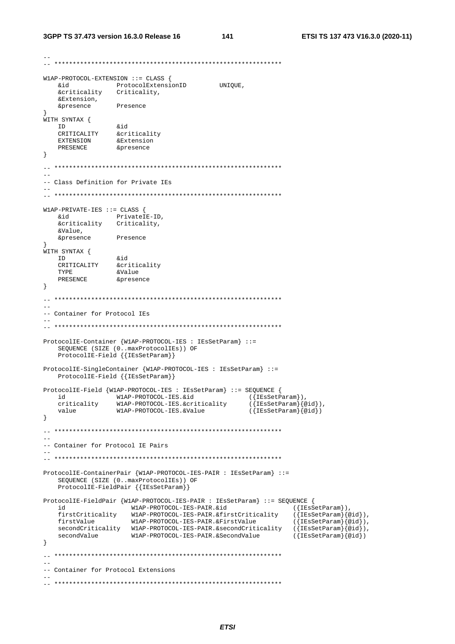```
W1AP-PROTOCOL-EXTENSION ::= CLASS {
   bia
                  ProtocolExtensionID
                                             UNIQUE,
   &critica....<br>&Extension,<br>Extension,<br>Presence
    &criticality
                 Criticality,
   &presence
\rightarrowWITH SYNTAX {
   I DINTAN (<br>CRITICALITY &criticality<br>EXTENSION &Extension<br>PRESENCE &presence
  ID
\left\{ \right\}-- Class Definition for Private IEs
W1AP-PRIVATE-IES ::= CLASS {
   hia
                  PrivateIE-ID,
   &criticality Criticality,
   &Value.
   &presence
                 Presence
WITH SYNTAX {
   - DIMITION 61<br>
ID &id<br>
CRITICALITY &criticality<br>
TYPE &Value<br>
PRESENCE &presence
   TDPRESENCE
\left\{ \right.-- Container for Protocol IEs
ProtocolIE-Container {W1AP-PROTOCOL-IES : IEsSetParam} ::=
   SEQUENCE (SIZE (0. maxProtocolIEs)) OF<br>ProtocolIE-Field {{IESSetParam}}
ProtocolIE-SingleContainer {W1AP-PROTOCOL-IES : IEsSetParam} ::=
   ProtocolIE-Field { {IESSetParam} }
ProtocolIE-Field {W1AP-PROTOCOL-IES : IESSetParam} ::= SEQUENCE {
  view and MIAP-PROTOCOL-IES.&id ({IESSetParam}),<br>id ({IESSetParam}),<br>criticality WIAP-PROTOCOL-IES.&criticality ({IESSetParam})<br>walue WIAP-PROTOCOL-IES.&Value ({IESSetParam}{@
                                                     ({IESSetParam}//<br>({IESSetParam}{@id}),<br>({IESSetParam}{@id})
\}\sim-- Container for Protocol IE Pairs
ProtocolIE-ContainerPair {W1AP-PROTOCOL-IES-PAIR : IEsSetParam} ::=
    SEQUENCE (SIZE (0..maxProtocolIEs)) OF
    ProtocolIE-FieldPair { {IESSetParam}}
ProtocolIE-FieldPair {W1AP-PROTOCOL-IES-PAIR : IESSetParam} ::= SEQUENCE {
   id W1AP-PROTOCOL-IES-PAIR.&id<br>firstCriticality W1AP-PROTOCOL-IES-PAIR.&firstCriticality<br>firstValue W1AP-PROTOCOL-IES-PAIR.&FirstValue
                                                                  ({\{IESSetParam\}}),
                                                                   (\{\texttt{IESSetParam}\} \{\texttt{@id}\}),firstValue
                                                                  (\{\texttt{IESSetParam}\}\{@id\}),
   \texttt{secondCriticality} \qquad \texttt{Wlap-PROTOCOL-IES-PAIR.}~\&\texttt{secondCriticality} \qquad (\texttt{\texttt{IEsSetParam}}\texttt{\texttt{[0id]}}),secondValue
                      W1AP-PROTOCOL-IES-PAIR.&SecondValue
                                                                   ({[IEsSetParam]} @id)\left\{ \right\}\frac{1}{2}-- Container for Protocol Extensions
```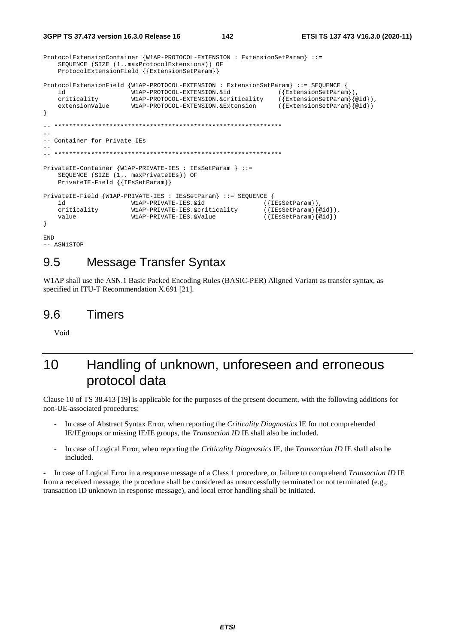```
3GPP TS 37.473 version 16.3.0 Release 16
                                                  142
                                                                         ETSI TS 137 473 V16.3.0 (2020-11)
ProtocolExtensionContainer {W1AP-PROTOCOL-EXTENSION : ExtensionSetParam} ::=
    SEQUENCE (SIZE (1..maxProtocolExtensions)) OF
```

```
ProtocolExtensionField {W1AP-PROTOCOL-EXTENSION : ExtensionSetParam} ::= SEQUENCE {
    id
                        W1AP-PROTOCOL-EXTENSION.&id
                                                                ({{ExtensionSetParam}),criticality
                        W1AP-PROTOCOL-EXTENSION.&criticality
                                                                (\overline{\text{ExtensionSetParam}}\{\text{@id}\}),
                       W1AP-PROTOCOL-EXTENSION & Extension
                                                                (\overline{\text{ExtensionSetParam}}\overline{\text{}(qid)})extensionValue
\overline{\phantom{a}}\sim \sim-- Container for Private IEs
   PrivateIE-Container {W1AP-PRIVATE-IES : IEsSetParam } ::=
    SEQUENCE (SIZE (1.. maxPrivateIEs)) OF
    PrivateIE-Field { {IESSetParam}}
PrivateIE-Field {W1AP-PRIVATE-IES : IEsSetParam} ::= SEQUENCE {
    id
                        W1AP-PRIVATE-IES.&id
                                                            ({[IESSetParam]}),({[IESSetParam]} {@id}),
    criticality
                        W1AP-PRIVATE-IES.&criticality
                                                            (\{IESSetParam\} \{ @id\})value
                       W1AP-PRIVATE-IES.&Value
\overline{\phantom{a}}
```

```
END
-- ASN1STOP
```
### **Message Transfer Syntax** 9.5

ProtocolExtensionField {{ExtensionSetParam}}

W1AP shall use the ASN.1 Basic Packed Encoding Rules (BASIC-PER) Aligned Variant as transfer syntax, as specified in ITU-T Recommendation X.691 [21].

#### $96$ **Timers**

Void

## Handling of unknown, unforeseen and erroneous  $1<sub>0</sub>$ protocol data

Clause 10 of TS 38.413 [19] is applicable for the purposes of the present document, with the following additions for non-UE-associated procedures:

- In case of Abstract Syntax Error, when reporting the Criticality Diagnostics IE for not comprehended IE/IEgroups or missing IE/IE groups, the *Transaction ID* IE shall also be included.
- In case of Logical Error, when reporting the Criticality Diagnostics IE, the Transaction ID IE shall also be included.

In case of Logical Error in a response message of a Class 1 procedure, or failure to comprehend Transaction ID IE  $\overline{a}$ from a received message, the procedure shall be considered as unsuccessfully terminated or not terminated (e.g., transaction ID unknown in response message), and local error handling shall be initiated.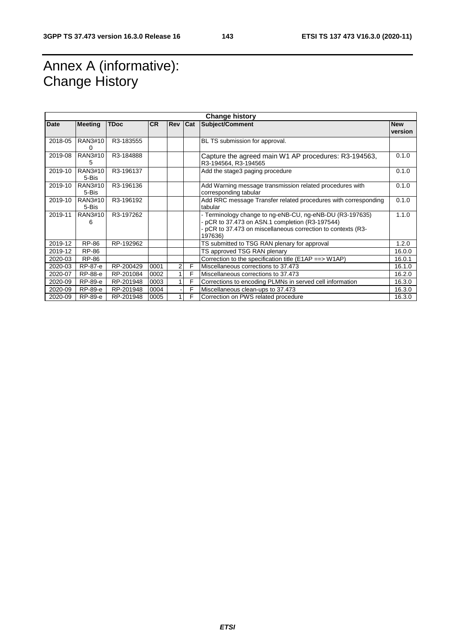# Annex A (informative): Change History

| <b>Change history</b> |                  |             |           |         |   |                                                                                                                                                                                      |                       |
|-----------------------|------------------|-------------|-----------|---------|---|--------------------------------------------------------------------------------------------------------------------------------------------------------------------------------------|-----------------------|
| Date                  | <b>Meeting</b>   | <b>TDoc</b> | <b>CR</b> | Rev Cat |   | Subject/Comment                                                                                                                                                                      | <b>New</b><br>version |
| 2018-05               | RAN3#10<br>O     | R3-183555   |           |         |   | BL TS submission for approval.                                                                                                                                                       |                       |
| 2019-08               | RAN3#10<br>5     | R3-184888   |           |         |   | Capture the agreed main W1 AP procedures: R3-194563,<br>R3-194564, R3-194565                                                                                                         | 0.1.0                 |
| 2019-10               | RAN3#10<br>5-Bis | R3-196137   |           |         |   | Add the stage3 paging procedure                                                                                                                                                      | 0.1.0                 |
| 2019-10               | RAN3#10<br>5-Bis | R3-196136   |           |         |   | Add Warning message transmission related procedures with<br>corresponding tabular                                                                                                    | 0.1.0                 |
| 2019-10               | RAN3#10<br>5-Bis | R3-196192   |           |         |   | Add RRC message Transfer related procedures with corresponding<br>tabular                                                                                                            | 0.1.0                 |
| 2019-11               | RAN3#10<br>6     | R3-197262   |           |         |   | - Terminology change to ng-eNB-CU, ng-eNB-DU (R3-197635)<br>pCR to 37.473 on ASN.1 completion (R3-197544)<br>- pCR to 37.473 on miscellaneous correction to contexts (R3-<br>197636) | 1.1.0                 |
| 2019-12               | RP-86            | RP-192962   |           |         |   | TS submitted to TSG RAN plenary for approval                                                                                                                                         | 1.2.0                 |
| 2019-12               | RP-86            |             |           |         |   | TS approved TSG RAN plenary                                                                                                                                                          | 16.0.0                |
| 2020-03               | RP-86            |             |           |         |   | Correction to the specification title (E1AP ==> W1AP)                                                                                                                                | 16.0.1                |
| 2020-03               | RP-87-e          | RP-200429   | 0001      | 2       | F | Miscellaneous corrections to 37.473                                                                                                                                                  | 16.1.0                |
| 2020-07               | RP-88-e          | RP-201084   | 0002      |         | F | Miscellaneous corrections to 37.473                                                                                                                                                  | 16.2.0                |
| 2020-09               | RP-89-e          | RP-201948   | 0003      |         | F | Corrections to encoding PLMNs in served cell information                                                                                                                             | 16.3.0                |
| 2020-09               | RP-89-e          | RP-201948   | 0004      |         | F | Miscellaneous clean-ups to 37.473                                                                                                                                                    | 16.3.0                |
| 2020-09               | RP-89-e          | RP-201948   | 0005      |         | F | Correction on PWS related procedure                                                                                                                                                  | 16.3.0                |